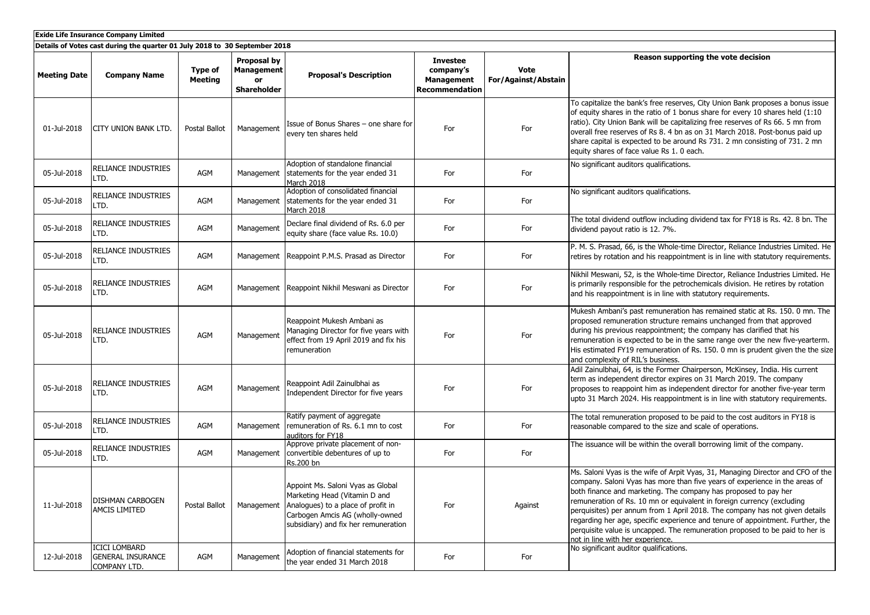| <b>Exide Life Insurance Company Limited</b>                                |                                                                  |                           |                                                                     |                                                                                                                                                                                     |                                                                            |                                    |                                                                                                                                                                                                                                                                                                                                                                                                                                                                                                                                                                                                  |  |  |  |
|----------------------------------------------------------------------------|------------------------------------------------------------------|---------------------------|---------------------------------------------------------------------|-------------------------------------------------------------------------------------------------------------------------------------------------------------------------------------|----------------------------------------------------------------------------|------------------------------------|--------------------------------------------------------------------------------------------------------------------------------------------------------------------------------------------------------------------------------------------------------------------------------------------------------------------------------------------------------------------------------------------------------------------------------------------------------------------------------------------------------------------------------------------------------------------------------------------------|--|--|--|
| Details of Votes cast during the quarter 01 July 2018 to 30 September 2018 |                                                                  |                           |                                                                     |                                                                                                                                                                                     |                                                                            |                                    |                                                                                                                                                                                                                                                                                                                                                                                                                                                                                                                                                                                                  |  |  |  |
| <b>Meeting Date</b>                                                        | <b>Company Name</b>                                              | Type of<br><b>Meeting</b> | <b>Proposal by</b><br><b>Management</b><br><b>or</b><br>Shareholder | <b>Proposal's Description</b>                                                                                                                                                       | <b>Investee</b><br>company's<br><b>Management</b><br><b>Recommendation</b> | <b>Vote</b><br>For/Against/Abstain | Reason supporting the vote decision                                                                                                                                                                                                                                                                                                                                                                                                                                                                                                                                                              |  |  |  |
| 01-Jul-2018                                                                | CITY UNION BANK LTD.                                             | Postal Ballot             | Management                                                          | Issue of Bonus Shares - one share for<br>every ten shares held                                                                                                                      | For                                                                        | For                                | To capitalize the bank's free reserves, City Union Bank proposes a bonus issue<br>of equity shares in the ratio of 1 bonus share for every 10 shares held (1:10<br>ratio). City Union Bank will be capitalizing free reserves of Rs 66. 5 mn from<br>overall free reserves of Rs 8. 4 bn as on 31 March 2018. Post-bonus paid up<br>share capital is expected to be around Rs 731. 2 mn consisting of 731. 2 mn<br>equity shares of face value Rs 1. 0 each.                                                                                                                                     |  |  |  |
| 05-Jul-2018                                                                | RELIANCE INDUSTRIES<br>LTD.                                      | AGM                       | Management                                                          | Adoption of standalone financial<br>statements for the year ended 31<br>March 2018                                                                                                  | For                                                                        | For                                | No significant auditors qualifications.                                                                                                                                                                                                                                                                                                                                                                                                                                                                                                                                                          |  |  |  |
| 05-Jul-2018                                                                | RELIANCE INDUSTRIES<br>LTD.                                      | AGM                       | Management                                                          | Adoption of consolidated financial<br>statements for the year ended 31<br>March 2018                                                                                                | For                                                                        | For                                | No significant auditors qualifications.                                                                                                                                                                                                                                                                                                                                                                                                                                                                                                                                                          |  |  |  |
| 05-Jul-2018                                                                | RELIANCE INDUSTRIES<br>LTD.                                      | AGM                       | Management                                                          | Declare final dividend of Rs. 6.0 per<br>equity share (face value Rs. 10.0)                                                                                                         | For                                                                        | For                                | The total dividend outflow including dividend tax for FY18 is Rs. 42. 8 bn. The<br>dividend payout ratio is 12. 7%.                                                                                                                                                                                                                                                                                                                                                                                                                                                                              |  |  |  |
| 05-Jul-2018                                                                | RELIANCE INDUSTRIES<br>LTD.                                      | AGM                       | Management                                                          | Reappoint P.M.S. Prasad as Director                                                                                                                                                 | For                                                                        | For                                | P. M. S. Prasad, 66, is the Whole-time Director, Reliance Industries Limited. He<br>retires by rotation and his reappointment is in line with statutory requirements.                                                                                                                                                                                                                                                                                                                                                                                                                            |  |  |  |
| 05-Jul-2018                                                                | RELIANCE INDUSTRIES<br>LTD.                                      | AGM                       |                                                                     | Management Reappoint Nikhil Meswani as Director                                                                                                                                     | For                                                                        | For                                | Nikhil Meswani, 52, is the Whole-time Director, Reliance Industries Limited. He<br>is primarily responsible for the petrochemicals division. He retires by rotation<br>and his reappointment is in line with statutory requirements.                                                                                                                                                                                                                                                                                                                                                             |  |  |  |
| 05-Jul-2018                                                                | RELIANCE INDUSTRIES<br>LTD.                                      | AGM                       | Management                                                          | Reappoint Mukesh Ambani as<br>Managing Director for five years with<br>effect from 19 April 2019 and fix his<br>remuneration                                                        | For                                                                        | For                                | Mukesh Ambani's past remuneration has remained static at Rs. 150. 0 mn. The<br>proposed remuneration structure remains unchanged from that approved<br>during his previous reappointment; the company has clarified that his<br>remuneration is expected to be in the same range over the new five-yearterm.<br>His estimated FY19 remuneration of Rs. 150. 0 mn is prudent given the the size<br>and complexity of RIL's business.                                                                                                                                                              |  |  |  |
| 05-Jul-2018                                                                | RELIANCE INDUSTRIES<br>LTD.                                      | AGM                       | Management                                                          | Reappoint Adil Zainulbhai as<br>Independent Director for five years                                                                                                                 | For                                                                        | For                                | Adil Zainulbhai, 64, is the Former Chairperson, McKinsey, India. His current<br>term as independent director expires on 31 March 2019. The company<br>proposes to reappoint him as independent director for another five-year term<br>upto 31 March 2024. His reappointment is in line with statutory requirements.                                                                                                                                                                                                                                                                              |  |  |  |
| 05-Jul-2018                                                                | RELIANCE INDUSTRIES<br>LTD.                                      | AGM                       | Management                                                          | Ratify payment of aggregate<br>remuneration of Rs. 6.1 mn to cost<br>auditors for FY18                                                                                              | For                                                                        | For                                | The total remuneration proposed to be paid to the cost auditors in FY18 is<br>reasonable compared to the size and scale of operations.                                                                                                                                                                                                                                                                                                                                                                                                                                                           |  |  |  |
| 05-Jul-2018                                                                | RELIANCE INDUSTRIES<br>LTD.                                      | AGM                       | Management                                                          | Approve private placement of non-<br>convertible debentures of up to<br>Rs.200 bn                                                                                                   | For                                                                        | For                                | The issuance will be within the overall borrowing limit of the company.                                                                                                                                                                                                                                                                                                                                                                                                                                                                                                                          |  |  |  |
| 11-Jul-2018                                                                | DISHMAN CARBOGEN<br><b>AMCIS LIMITED</b>                         | Postal Ballot             | Management                                                          | Appoint Ms. Saloni Vyas as Global<br>Marketing Head (Vitamin D and<br>Analogues) to a place of profit in<br>Carbogen Amcis AG (wholly-owned<br>subsidiary) and fix her remuneration | For                                                                        | Against                            | Ms. Saloni Vyas is the wife of Arpit Vyas, 31, Managing Director and CFO of the<br>company. Saloni Vyas has more than five years of experience in the areas of<br>both finance and marketing. The company has proposed to pay her<br>remuneration of Rs. 10 mn or equivalent in foreign currency (excluding<br>perquisites) per annum from 1 April 2018. The company has not given details<br>regarding her age, specific experience and tenure of appointment. Further, the<br>perquisite value is uncapped. The remuneration proposed to be paid to her is<br>not in line with her experience. |  |  |  |
| 12-Jul-2018                                                                | <b>ICICI LOMBARD</b><br><b>GENERAL INSURANCE</b><br>COMPANY LTD. | AGM                       | Management                                                          | Adoption of financial statements for<br>the year ended 31 March 2018                                                                                                                | For                                                                        | For                                | No significant auditor qualifications.                                                                                                                                                                                                                                                                                                                                                                                                                                                                                                                                                           |  |  |  |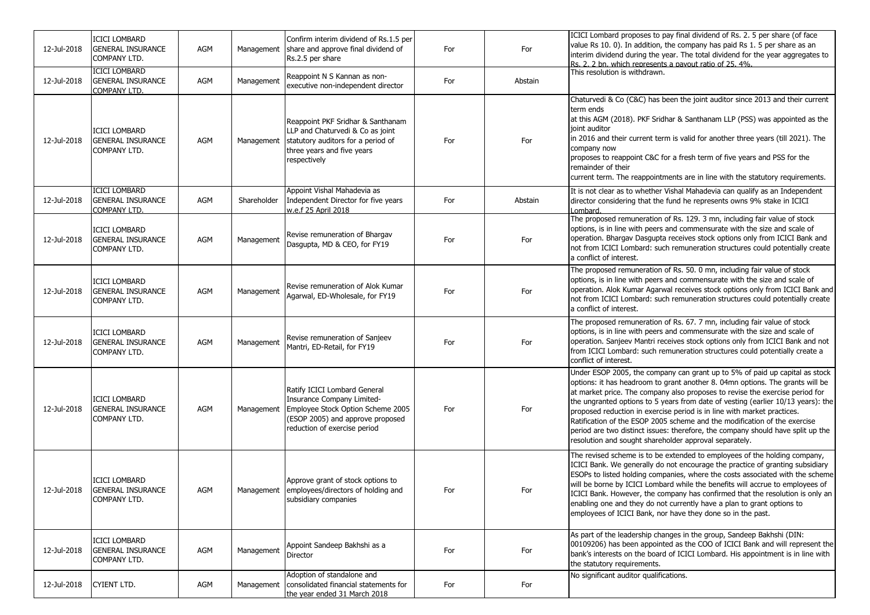| 12-Jul-2018 | <b>ICICI LOMBARD</b><br><b>GENERAL INSURANCE</b><br>COMPANY LTD.        | AGM | Management  | Confirm interim dividend of Rs.1.5 per<br>share and approve final dividend of<br>Rs.2.5 per share                                                                   | For | For     | ICICI Lombard proposes to pay final dividend of Rs. 2. 5 per share (of face<br>value Rs 10. 0). In addition, the company has paid Rs 1. 5 per share as an<br>interim dividend during the year. The total dividend for the year aggregates to<br>Rs. 2. 2 bn. which represents a payout ratio of 25, 4%.                                                                                                                                                                                                                                                                                                                               |
|-------------|-------------------------------------------------------------------------|-----|-------------|---------------------------------------------------------------------------------------------------------------------------------------------------------------------|-----|---------|---------------------------------------------------------------------------------------------------------------------------------------------------------------------------------------------------------------------------------------------------------------------------------------------------------------------------------------------------------------------------------------------------------------------------------------------------------------------------------------------------------------------------------------------------------------------------------------------------------------------------------------|
| 12-Jul-2018 | <b>ICICI LOMBARD</b><br><b>GENERAL INSURANCE</b><br>COMPANY LTD.        | AGM | Management  | Reappoint N S Kannan as non-<br>executive non-independent director                                                                                                  | For | Abstain | This resolution is withdrawn.                                                                                                                                                                                                                                                                                                                                                                                                                                                                                                                                                                                                         |
| 12-Jul-2018 | <b>ICICI LOMBARD</b><br><b>GENERAL INSURANCE</b><br><b>COMPANY LTD.</b> | AGM | Management  | Reappoint PKF Sridhar & Santhanam<br>LLP and Chaturvedi & Co as joint<br>statutory auditors for a period of<br>three years and five years<br>respectively           | For | For     | Chaturvedi & Co (C&C) has been the joint auditor since 2013 and their current<br>term ends<br>at this AGM (2018). PKF Sridhar & Santhanam LLP (PSS) was appointed as the<br>joint auditor<br>in 2016 and their current term is valid for another three years (till 2021). The<br>company now<br>proposes to reappoint C&C for a fresh term of five years and PSS for the<br>remainder of their<br>current term. The reappointments are in line with the statutory requirements.                                                                                                                                                       |
| 12-Jul-2018 | <b>ICICI LOMBARD</b><br><b>GENERAL INSURANCE</b><br>COMPANY LTD.        | AGM | Shareholder | Appoint Vishal Mahadevia as<br>Independent Director for five years<br>w.e.f 25 April 2018                                                                           | For | Abstain | It is not clear as to whether Vishal Mahadevia can qualify as an Independent<br>director considering that the fund he represents owns 9% stake in ICICI<br>Lombard.                                                                                                                                                                                                                                                                                                                                                                                                                                                                   |
| 12-Jul-2018 | <b>ICICI LOMBARD</b><br><b>GENERAL INSURANCE</b><br><b>COMPANY LTD.</b> | AGM | Management  | Revise remuneration of Bhargav<br>Dasqupta, MD & CEO, for FY19                                                                                                      | For | For     | The proposed remuneration of Rs. 129. 3 mn, including fair value of stock<br>options, is in line with peers and commensurate with the size and scale of<br>operation. Bhargav Dasgupta receives stock options only from ICICI Bank and<br>not from ICICI Lombard: such remuneration structures could potentially create<br>a conflict of interest.                                                                                                                                                                                                                                                                                    |
| 12-Jul-2018 | <b>ICICI LOMBARD</b><br><b>GENERAL INSURANCE</b><br><b>COMPANY LTD.</b> | AGM | Management  | Revise remuneration of Alok Kumar<br>Agarwal, ED-Wholesale, for FY19                                                                                                | For | For     | The proposed remuneration of Rs. 50. 0 mn, including fair value of stock<br>options, is in line with peers and commensurate with the size and scale of<br>operation. Alok Kumar Agarwal receives stock options only from ICICI Bank and<br>not from ICICI Lombard: such remuneration structures could potentially create<br>a conflict of interest.                                                                                                                                                                                                                                                                                   |
| 12-Jul-2018 | <b>ICICI LOMBARD</b><br><b>GENERAL INSURANCE</b><br>COMPANY LTD.        | AGM | Management  | Revise remuneration of Sanjeev<br>Mantri, ED-Retail, for FY19                                                                                                       | For | For     | The proposed remuneration of Rs. 67. 7 mn, including fair value of stock<br>options, is in line with peers and commensurate with the size and scale of<br>operation. Sanjeev Mantri receives stock options only from ICICI Bank and not<br>from ICICI Lombard: such remuneration structures could potentially create a<br>conflict of interest.                                                                                                                                                                                                                                                                                       |
| 12-Jul-2018 | <b>ICICI LOMBARD</b><br><b>GENERAL INSURANCE</b><br><b>COMPANY LTD.</b> | AGM | Management  | Ratify ICICI Lombard General<br>Insurance Company Limited-<br>Employee Stock Option Scheme 2005<br>(ESOP 2005) and approve proposed<br>reduction of exercise period | For | For     | Under ESOP 2005, the company can grant up to 5% of paid up capital as stock<br>options: it has headroom to grant another 8. 04mn options. The grants will be<br>at market price. The company also proposes to revise the exercise period for<br>the ungranted options to 5 years from date of vesting (earlier 10/13 years): the<br>proposed reduction in exercise period is in line with market practices.<br>Ratification of the ESOP 2005 scheme and the modification of the exercise<br>period are two distinct issues: therefore, the company should have split up the<br>resolution and sought shareholder approval separately. |
|             | <b>ICICI LOMBARD</b><br>12-Jul-2018 GENERAL INSURANCE<br>COMPANY LTD.   | AGM |             | Approve grant of stock options to<br>Management employees/directors of holding and<br>subsidiary companies                                                          | For | For     | The revised scheme is to be extended to employees of the holding company,<br>ICICI Bank. We generally do not encourage the practice of granting subsidiary<br>ESOPs to listed holding companies, where the costs associated with the scheme<br>will be borne by ICICI Lombard while the benefits will accrue to employees of<br>ICICI Bank. However, the company has confirmed that the resolution is only an<br>enabling one and they do not currently have a plan to grant options to<br>employees of ICICI Bank, nor have they done so in the past.                                                                                |
| 12-Jul-2018 | <b>ICICI LOMBARD</b><br><b>GENERAL INSURANCE</b><br><b>COMPANY LTD.</b> | AGM | Management  | Appoint Sandeep Bakhshi as a<br>Director                                                                                                                            | For | For     | As part of the leadership changes in the group, Sandeep Bakhshi (DIN:<br>00109206) has been appointed as the COO of ICICI Bank and will represent the<br>bank's interests on the board of ICICI Lombard. His appointment is in line with<br>the statutory requirements.                                                                                                                                                                                                                                                                                                                                                               |
| 12-Jul-2018 | <b>CYIENT LTD.</b>                                                      | AGM | Management  | Adoption of standalone and<br>consolidated financial statements for<br>the year ended 31 March 2018                                                                 | For | For     | No significant auditor qualifications.                                                                                                                                                                                                                                                                                                                                                                                                                                                                                                                                                                                                |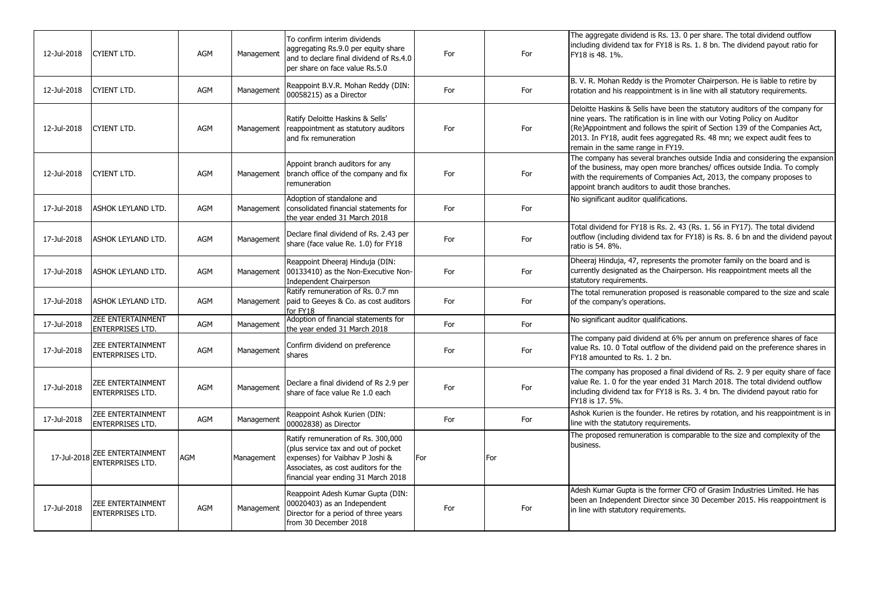| 12-Jul-2018 | <b>CYIENT LTD.</b>                                  | AGM | Management | To confirm interim dividends<br>aggregating Rs.9.0 per equity share<br>and to declare final dividend of Rs.4.0<br>per share on face value Rs.5.0                                             | For | For | The aggregate dividend is Rs. 13. 0 per share. The total dividend outflow<br>including dividend tax for FY18 is Rs. 1. 8 bn. The dividend payout ratio for<br>FY18 is 48. 1%.                                                                                                                                                                            |
|-------------|-----------------------------------------------------|-----|------------|----------------------------------------------------------------------------------------------------------------------------------------------------------------------------------------------|-----|-----|----------------------------------------------------------------------------------------------------------------------------------------------------------------------------------------------------------------------------------------------------------------------------------------------------------------------------------------------------------|
| 12-Jul-2018 | CYIENT LTD.                                         | AGM | Management | Reappoint B.V.R. Mohan Reddy (DIN:<br>00058215) as a Director                                                                                                                                | For | For | B. V. R. Mohan Reddy is the Promoter Chairperson. He is liable to retire by<br>rotation and his reappointment is in line with all statutory requirements.                                                                                                                                                                                                |
| 12-Jul-2018 | CYIENT LTD.                                         | AGM | Management | Ratify Deloitte Haskins & Sells'<br>reappointment as statutory auditors<br>and fix remuneration                                                                                              | For | For | Deloitte Haskins & Sells have been the statutory auditors of the company for<br>nine years. The ratification is in line with our Voting Policy on Auditor<br>(Re)Appointment and follows the spirit of Section 139 of the Companies Act,<br>2013. In FY18, audit fees aggregated Rs. 48 mn; we expect audit fees to<br>remain in the same range in FY19. |
| 12-Jul-2018 | CYIENT LTD.                                         | AGM | Management | Appoint branch auditors for any<br>branch office of the company and fix<br>remuneration                                                                                                      | For | For | The company has several branches outside India and considering the expansion<br>of the business, may open more branches/ offices outside India. To comply<br>with the requirements of Companies Act, 2013, the company proposes to<br>appoint branch auditors to audit those branches.                                                                   |
| 17-Jul-2018 | ASHOK LEYLAND LTD.                                  | AGM | Management | Adoption of standalone and<br>consolidated financial statements for<br>the year ended 31 March 2018                                                                                          | For | For | No significant auditor qualifications.                                                                                                                                                                                                                                                                                                                   |
| 17-Jul-2018 | ASHOK LEYLAND LTD.                                  | AGM | Management | Declare final dividend of Rs. 2.43 per<br>share (face value Re. 1.0) for FY18                                                                                                                | For | For | Total dividend for FY18 is Rs. 2. 43 (Rs. 1. 56 in FY17). The total dividend<br>outflow (including dividend tax for FY18) is Rs. 8. 6 bn and the dividend payout<br>ratio is 54. 8%.                                                                                                                                                                     |
| 17-Jul-2018 | ASHOK LEYLAND LTD.                                  | AGM | Management | Reappoint Dheeraj Hinduja (DIN:<br>00133410) as the Non-Executive Non-<br>Independent Chairperson                                                                                            | For | For | Dheeraj Hinduja, 47, represents the promoter family on the board and is<br>currently designated as the Chairperson. His reappointment meets all the<br>statutory requirements.                                                                                                                                                                           |
| 17-Jul-2018 | ASHOK LEYLAND LTD.                                  | AGM | Management | Ratify remuneration of Rs. 0.7 mn<br>paid to Geeyes & Co. as cost auditors<br>for FY18                                                                                                       | For | For | The total remuneration proposed is reasonable compared to the size and scale<br>of the company's operations.                                                                                                                                                                                                                                             |
| 17-Jul-2018 | <b>ZEE ENTERTAINMENT</b><br><b>ENTERPRISES LTD.</b> | AGM | Management | Adoption of financial statements for<br>the vear ended 31 March 2018                                                                                                                         | For | For | No significant auditor qualifications.                                                                                                                                                                                                                                                                                                                   |
| 17-Jul-2018 | ZEE ENTERTAINMENT<br><b>ENTERPRISES LTD.</b>        | AGM | Management | Confirm dividend on preference<br>shares                                                                                                                                                     | For | For | The company paid dividend at 6% per annum on preference shares of face<br>value Rs. 10. 0 Total outflow of the dividend paid on the preference shares in<br>FY18 amounted to Rs. 1, 2 bn.                                                                                                                                                                |
| 17-Jul-2018 | ZEE ENTERTAINMENT<br><b>ENTERPRISES LTD.</b>        | AGM | Management | Declare a final dividend of Rs 2.9 per<br>share of face value Re 1.0 each                                                                                                                    | For | For | The company has proposed a final dividend of Rs. 2. 9 per equity share of face<br>value Re. 1. 0 for the year ended 31 March 2018. The total dividend outflow<br>including dividend tax for FY18 is Rs. 3. 4 bn. The dividend payout ratio for<br>FY18 is 17. 5%.                                                                                        |
| 17-Jul-2018 | ZEE ENTERTAINMENT<br><b>ENTERPRISES LTD.</b>        | AGM | Management | Reappoint Ashok Kurien (DIN:<br>00002838) as Director                                                                                                                                        | For | For | Ashok Kurien is the founder. He retires by rotation, and his reappointment is in<br>line with the statutory requirements.                                                                                                                                                                                                                                |
|             | 17-Jul-2018 ZEE ENTERTAINMENT                       | AGM | Management | Ratify remuneration of Rs. 300,000<br>(plus service tax and out of pocket)<br>expenses) for Vaibhav P Joshi &<br>Associates, as cost auditors for the<br>financial year ending 31 March 2018 | For | For | The proposed remuneration is comparable to the size and complexity of the<br>business.                                                                                                                                                                                                                                                                   |
| 17-Jul-2018 | ZEE ENTERTAINMENT<br>ENTERPRISES LTD.               | AGM | Management | Reappoint Adesh Kumar Gupta (DIN:<br>00020403) as an Independent<br>Director for a period of three years<br>from 30 December 2018                                                            | For | For | Adesh Kumar Gupta is the former CFO of Grasim Industries Limited. He has<br>been an Independent Director since 30 December 2015. His reappointment is<br>in line with statutory requirements.                                                                                                                                                            |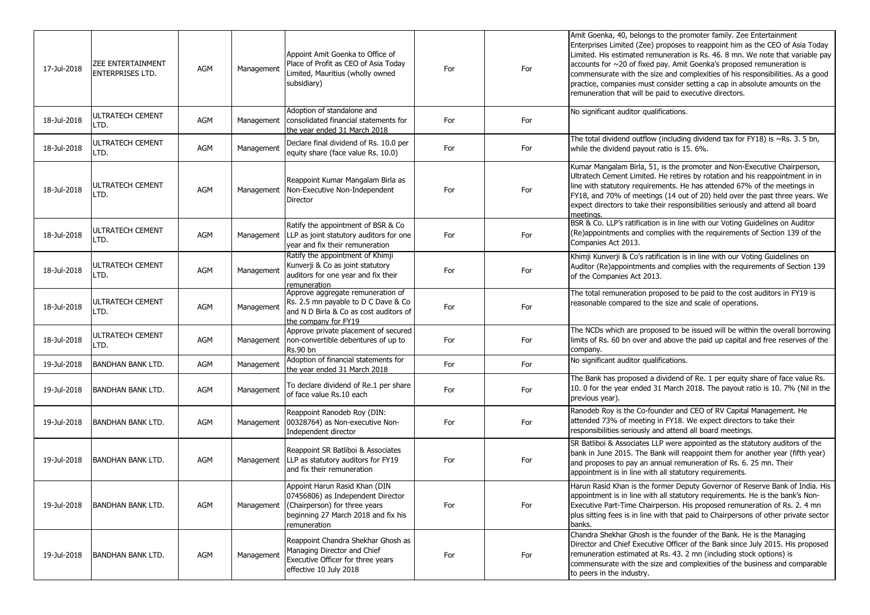| 17-Jul-2018 | <b>ZEE ENTERTAINMENT</b><br><b>ENTERPRISES LTD.</b> | <b>AGM</b> | Management | Appoint Amit Goenka to Office of<br>Place of Profit as CEO of Asia Today<br>Limited, Mauritius (wholly owned<br>subsidiary)                                | For | For | Amit Goenka, 40, belongs to the promoter family. Zee Entertainment<br>Enterprises Limited (Zee) proposes to reappoint him as the CEO of Asia Today<br>Limited. His estimated remuneration is Rs. 46. 8 mn. We note that variable pay<br>$\alpha$ accounts for $\sim$ 20 of fixed pay. Amit Goenka's proposed remuneration is<br>commensurate with the size and complexities of his responsibilities. As a good<br>practice, companies must consider setting a cap in absolute amounts on the<br>remuneration that will be paid to executive directors. |
|-------------|-----------------------------------------------------|------------|------------|------------------------------------------------------------------------------------------------------------------------------------------------------------|-----|-----|--------------------------------------------------------------------------------------------------------------------------------------------------------------------------------------------------------------------------------------------------------------------------------------------------------------------------------------------------------------------------------------------------------------------------------------------------------------------------------------------------------------------------------------------------------|
| 18-Jul-2018 | <b>ULTRATECH CEMENT</b><br>LTD.                     | AGM        | Management | Adoption of standalone and<br>consolidated financial statements for<br>the year ended 31 March 2018                                                        | For | For | No significant auditor qualifications.                                                                                                                                                                                                                                                                                                                                                                                                                                                                                                                 |
| 18-Jul-2018 | ULTRATECH CEMENT<br>LTD.                            | <b>AGM</b> | Management | Declare final dividend of Rs. 10.0 per<br>equity share (face value Rs. 10.0)                                                                               | For | For | The total dividend outflow (including dividend tax for FY18) is $\sim$ Rs. 3. 5 bn,<br>while the dividend payout ratio is 15. 6%.                                                                                                                                                                                                                                                                                                                                                                                                                      |
| 18-Jul-2018 | <b>ULTRATECH CEMENT</b><br>LTD.                     | <b>AGM</b> |            | Reappoint Kumar Mangalam Birla as<br>Management Non-Executive Non-Independent<br>Director                                                                  | For | For | Kumar Mangalam Birla, 51, is the promoter and Non-Executive Chairperson,<br>Ultratech Cement Limited. He retires by rotation and his reappointment in in<br>line with statutory requirements. He has attended 67% of the meetings in<br>FY18, and 70% of meetings (14 out of 20) held over the past three years. We<br>expect directors to take their responsibilities seriously and attend all board<br>meetings.                                                                                                                                     |
| 18-Jul-2018 | <b>ULTRATECH CEMENT</b><br>LTD.                     | <b>AGM</b> | Management | Ratify the appointment of BSR & Co<br>LLP as joint statutory auditors for one<br>year and fix their remuneration                                           | For | For | BSR & Co. LLP's ratification is in line with our Voting Guidelines on Auditor<br>(Re)appointments and complies with the requirements of Section 139 of the<br>Companies Act 2013.                                                                                                                                                                                                                                                                                                                                                                      |
| 18-Jul-2018 | <b>ULTRATECH CEMENT</b><br>LTD.                     | AGM        | Management | Ratify the appointment of Khimji<br>Kunverji & Co as joint statutory<br>auditors for one year and fix their<br>remuneration                                | For | For | Khimji Kunverji & Co's ratification is in line with our Voting Guidelines on<br>Auditor (Re)appointments and complies with the requirements of Section 139<br>of the Companies Act 2013.                                                                                                                                                                                                                                                                                                                                                               |
| 18-Jul-2018 | <b>ULTRATECH CEMENT</b><br>LTD.                     | AGM        | Management | Approve aggregate remuneration of<br>Rs. 2.5 mn payable to D C Dave & Co<br>and N D Birla & Co as cost auditors of<br>the company for FY19                 | For | For | The total remuneration proposed to be paid to the cost auditors in FY19 is<br>reasonable compared to the size and scale of operations.                                                                                                                                                                                                                                                                                                                                                                                                                 |
| 18-Jul-2018 | <b>ULTRATECH CEMENT</b><br>LTD.                     | <b>AGM</b> | Management | Approve private placement of secured<br>non-convertible debentures of up to<br><b>Rs.90 bn</b>                                                             | For | For | The NCDs which are proposed to be issued will be within the overall borrowing<br>limits of Rs. 60 bn over and above the paid up capital and free reserves of the<br>company.                                                                                                                                                                                                                                                                                                                                                                           |
| 19-Jul-2018 | <b>BANDHAN BANK LTD.</b>                            | AGM        | Management | Adoption of financial statements for<br>the year ended 31 March 2018                                                                                       | For | For | No significant auditor qualifications.                                                                                                                                                                                                                                                                                                                                                                                                                                                                                                                 |
| 19-Jul-2018 | <b>BANDHAN BANK LTD.</b>                            | <b>AGM</b> | Management | To declare dividend of Re.1 per share<br>of face value Rs.10 each                                                                                          | For | For | The Bank has proposed a dividend of Re. 1 per equity share of face value Rs.<br>10. 0 for the year ended 31 March 2018. The payout ratio is 10. 7% (Nil in the<br>previous year).                                                                                                                                                                                                                                                                                                                                                                      |
| 19-Jul-2018 | IBANDHAN BANK LTD.                                  | AGM        | Management | Reappoint Ranodeb Roy (DIN:<br>00328764) as Non-executive Non-<br>Independent director                                                                     | For | For | Ranodeb Roy is the Co-founder and CEO of RV Capital Management. He<br>attended 73% of meeting in FY18. We expect directors to take their<br>responsibilities seriously and attend all board meetings.                                                                                                                                                                                                                                                                                                                                                  |
| 19-Jul-2018 | <b>BANDHAN BANK LTD.</b>                            | <b>AGM</b> | Management | Reappoint SR Batliboi & Associates<br>LLP as statutory auditors for FY19<br>and fix their remuneration                                                     | For | For | SR Batliboi & Associates LLP were appointed as the statutory auditors of the<br>bank in June 2015. The Bank will reappoint them for another year (fifth year)<br>and proposes to pay an annual remuneration of Rs. 6. 25 mn. Their<br>appointment is in line with all statutory requirements.                                                                                                                                                                                                                                                          |
| 19-Jul-2018 | <b>BANDHAN BANK LTD.</b>                            | AGM        | Management | Appoint Harun Rasid Khan (DIN<br>07456806) as Independent Director<br>(Chairperson) for three years<br>beginning 27 March 2018 and fix his<br>remuneration | For | For | Harun Rasid Khan is the former Deputy Governor of Reserve Bank of India. His<br>appointment is in line with all statutory requirements. He is the bank's Non-<br>Executive Part-Time Chairperson. His proposed remuneration of Rs. 2.4 mn<br>plus sitting fees is in line with that paid to Chairpersons of other private sector<br>banks.                                                                                                                                                                                                             |
| 19-Jul-2018 | <b>BANDHAN BANK LTD.</b>                            | AGM        | Management | Reappoint Chandra Shekhar Ghosh as<br>Managing Director and Chief<br>Executive Officer for three years<br>effective 10 July 2018                           | For | For | Chandra Shekhar Ghosh is the founder of the Bank. He is the Managing<br>Director and Chief Executive Officer of the Bank since July 2015. His proposed<br>remuneration estimated at Rs. 43. 2 mn (including stock options) is<br>commensurate with the size and complexities of the business and comparable<br>to peers in the industry.                                                                                                                                                                                                               |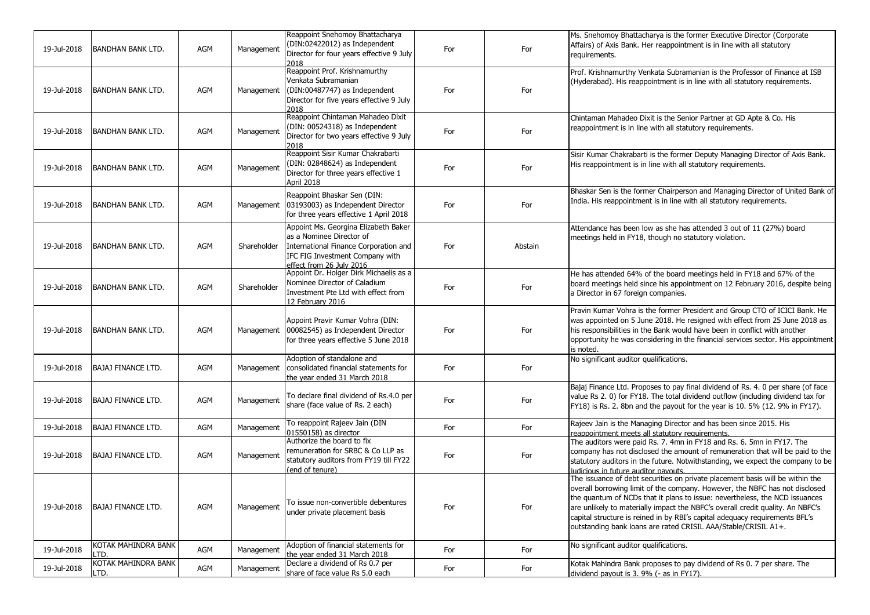| 19-Jul-2018 | BANDHAN BANK LTD.          | AGM | Management  | Reappoint Snehomoy Bhattacharya<br>(DIN:02422012) as Independent<br>Director for four years effective 9 July<br>2018                                                     | For | For     | Ms. Snehomoy Bhattacharya is the former Executive Director (Corporate<br>Affairs) of Axis Bank. Her reappointment is in line with all statutory<br>requirements.                                                                                                                                                                                                                                                                                                               |
|-------------|----------------------------|-----|-------------|--------------------------------------------------------------------------------------------------------------------------------------------------------------------------|-----|---------|--------------------------------------------------------------------------------------------------------------------------------------------------------------------------------------------------------------------------------------------------------------------------------------------------------------------------------------------------------------------------------------------------------------------------------------------------------------------------------|
| 19-Jul-2018 | <b>BANDHAN BANK LTD.</b>   | AGM | Management  | Reappoint Prof. Krishnamurthy<br>Venkata Subramanian<br>(DIN:00487747) as Independent<br>Director for five years effective 9 July<br>2018                                | For | For     | Prof. Krishnamurthy Venkata Subramanian is the Professor of Finance at ISB<br>(Hyderabad). His reappointment is in line with all statutory requirements.                                                                                                                                                                                                                                                                                                                       |
| 19-Jul-2018 | BANDHAN BANK LTD.          | AGM | Management  | Reappoint Chintaman Mahadeo Dixit<br>(DIN: 00524318) as Independent<br>Director for two years effective 9 July<br>2018                                                   | For | For     | Chintaman Mahadeo Dixit is the Senior Partner at GD Apte & Co. His<br>reappointment is in line with all statutory requirements.                                                                                                                                                                                                                                                                                                                                                |
| 19-Jul-2018 | <b>BANDHAN BANK LTD.</b>   | AGM | Management  | Reappoint Sisir Kumar Chakrabarti<br>(DIN: 02848624) as Independent<br>Director for three years effective 1<br>April 2018                                                | For | For     | Sisir Kumar Chakrabarti is the former Deputy Managing Director of Axis Bank.<br>His reappointment is in line with all statutory requirements.                                                                                                                                                                                                                                                                                                                                  |
| 19-Jul-2018 | <b>BANDHAN BANK LTD.</b>   | AGM | Management  | Reappoint Bhaskar Sen (DIN:<br>03193003) as Independent Director<br>for three years effective 1 April 2018                                                               | For | For     | Bhaskar Sen is the former Chairperson and Managing Director of United Bank of<br>India. His reappointment is in line with all statutory requirements.                                                                                                                                                                                                                                                                                                                          |
| 19-Jul-2018 | BANDHAN BANK LTD.          | AGM | Shareholder | Appoint Ms. Georgina Elizabeth Baker<br>as a Nominee Director of<br>International Finance Corporation and<br>IFC FIG Investment Company with<br>effect from 26 July 2016 | For | Abstain | Attendance has been low as she has attended 3 out of 11 (27%) board<br>meetings held in FY18, though no statutory violation.                                                                                                                                                                                                                                                                                                                                                   |
| 19-Jul-2018 | <b>BANDHAN BANK LTD.</b>   | AGM | Shareholder | Appoint Dr. Holger Dirk Michaelis as a<br>Nominee Director of Caladium<br>Investment Pte Ltd with effect from<br>12 February 2016                                        | For | For     | He has attended 64% of the board meetings held in FY18 and 67% of the<br>board meetings held since his appointment on 12 February 2016, despite being<br>a Director in 67 foreign companies.                                                                                                                                                                                                                                                                                   |
| 19-Jul-2018 | <b>BANDHAN BANK LTD.</b>   | AGM | Management  | Appoint Pravir Kumar Vohra (DIN:<br>00082545) as Independent Director<br>for three years effective 5 June 2018                                                           | For | For     | Pravin Kumar Vohra is the former President and Group CTO of ICICI Bank. He<br>was appointed on 5 June 2018. He resigned with effect from 25 June 2018 as<br>his responsibilities in the Bank would have been in conflict with another<br>opportunity he was considering in the financial services sector. His appointment<br>is noted.                                                                                                                                         |
| 19-Jul-2018 | <b>BAJAJ FINANCE LTD.</b>  | AGM | Management  | Adoption of standalone and<br>consolidated financial statements for<br>the year ended 31 March 2018                                                                      | For | For     | No significant auditor qualifications.                                                                                                                                                                                                                                                                                                                                                                                                                                         |
| 19-Jul-2018 | <b>BAJAJ FINANCE LTD.</b>  | AGM | Management  | To declare final dividend of Rs.4.0 per<br>share (face value of Rs. 2 each)                                                                                              | For | For     | Bajaj Finance Ltd. Proposes to pay final dividend of Rs. 4. 0 per share (of face<br>value Rs 2.0) for FY18. The total dividend outflow (including dividend tax for<br>FY18) is Rs. 2. 8bn and the payout for the year is 10. 5% (12. 9% in FY17).                                                                                                                                                                                                                              |
| 19-Jul-2018 | <b>BAJAJ FINANCE LTD.</b>  | AGM | Management  | To reappoint Rajeev Jain (DIN<br>01550158) as director                                                                                                                   | For | For     | Rajeev Jain is the Managing Director and has been since 2015. His<br>reappointment meets all statutory requirements.                                                                                                                                                                                                                                                                                                                                                           |
| 19-Jul-2018 | BAJAJ FINANCE LTD.         | AGM | Management  | Authorize the board to fix<br>remuneration for SRBC & Co LLP as<br>statutory auditors from FY19 till FY22<br>(end of tenure)                                             | For | For     | The auditors were paid Rs. 7. 4mn in FY18 and Rs. 6. 5mn in FY17. The<br>company has not disclosed the amount of remuneration that will be paid to the<br>statutory auditors in the future. Notwithstanding, we expect the company to be<br>judicious in future auditor payouts.                                                                                                                                                                                               |
| 19-Jul-2018 | BAJAJ FINANCE LTD.         | AGM | Management  | To issue non-convertible debentures<br>under private placement basis                                                                                                     | For | For     | The issuance of debt securities on private placement basis will be within the<br>overall borrowing limit of the company. However, the NBFC has not disclosed<br>the quantum of NCDs that it plans to issue: nevertheless, the NCD issuances<br>are unlikely to materially impact the NBFC's overall credit quality. An NBFC's<br>capital structure is reined in by RBI's capital adequacy requirements BFL's<br>outstanding bank loans are rated CRISIL AAA/Stable/CRISIL A1+. |
| 19-Jul-2018 | KOTAK MAHINDRA BANK<br>TD. | AGM | Management  | Adoption of financial statements for<br>the vear ended 31 March 2018                                                                                                     | For | For     | No significant auditor qualifications.                                                                                                                                                                                                                                                                                                                                                                                                                                         |
| 19-Jul-2018 | KOTAK MAHINDRA BANK<br>TD. | AGM | Management  | Declare a dividend of Rs 0.7 per<br>share of face value Rs 5.0 each                                                                                                      | For | For     | Kotak Mahindra Bank proposes to pay dividend of Rs 0. 7 per share. The<br>dividend payout is 3. 9% (- as in FY17).                                                                                                                                                                                                                                                                                                                                                             |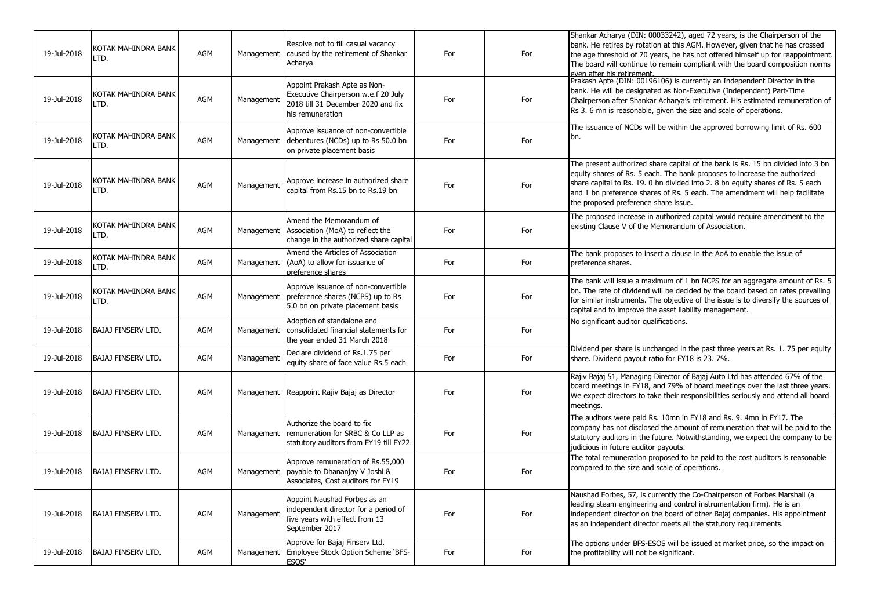| 19-Jul-2018 | KOTAK MAHINDRA BANK<br>LTD. | AGM        | Management | Resolve not to fill casual vacancy<br>caused by the retirement of Shankar<br>Acharva                                          | For | For | Shankar Acharya (DIN: 00033242), aged 72 years, is the Chairperson of the<br>bank. He retires by rotation at this AGM. However, given that he has crossed<br>the age threshold of 70 years, he has not offered himself up for reappointment.<br>The board will continue to remain compliant with the board composition norms<br>even after his retirement.             |
|-------------|-----------------------------|------------|------------|-------------------------------------------------------------------------------------------------------------------------------|-----|-----|------------------------------------------------------------------------------------------------------------------------------------------------------------------------------------------------------------------------------------------------------------------------------------------------------------------------------------------------------------------------|
| 19-Jul-2018 | KOTAK MAHINDRA BANK<br>LTD. | <b>AGM</b> | Management | Appoint Prakash Apte as Non-<br>Executive Chairperson w.e.f 20 July<br>2018 till 31 December 2020 and fix<br>his remuneration | For | For | Prakash Apte (DIN: 00196106) is currently an Independent Director in the<br>bank. He will be designated as Non-Executive (Independent) Part-Time<br>Chairperson after Shankar Acharya's retirement. His estimated remuneration of<br>Rs 3. 6 mn is reasonable, given the size and scale of operations.                                                                 |
| 19-Jul-2018 | KOTAK MAHINDRA BANK<br>LTD. | <b>AGM</b> | Management | Approve issuance of non-convertible<br>debentures (NCDs) up to Rs 50.0 bn<br>on private placement basis                       | For | For | The issuance of NCDs will be within the approved borrowing limit of Rs. 600<br>bn.                                                                                                                                                                                                                                                                                     |
| 19-Jul-2018 | KOTAK MAHINDRA BANK<br>LTD. | AGM        | Management | Approve increase in authorized share<br>capital from Rs.15 bn to Rs.19 bn                                                     | For | For | The present authorized share capital of the bank is Rs. 15 bn divided into 3 bn<br>equity shares of Rs. 5 each. The bank proposes to increase the authorized<br>share capital to Rs. 19. 0 bn divided into 2. 8 bn equity shares of Rs. 5 each<br>and 1 bn preference shares of Rs. 5 each. The amendment will help facilitate<br>the proposed preference share issue. |
| 19-Jul-2018 | KOTAK MAHINDRA BANK<br>LTD. | <b>AGM</b> | Management | Amend the Memorandum of<br>Association (MoA) to reflect the<br>change in the authorized share capital                         | For | For | The proposed increase in authorized capital would require amendment to the<br>existing Clause V of the Memorandum of Association.                                                                                                                                                                                                                                      |
| 19-Jul-2018 | KOTAK MAHINDRA BANK<br>LTD. | <b>AGM</b> | Management | Amend the Articles of Association<br>(AoA) to allow for issuance of<br>preference shares                                      | For | For | The bank proposes to insert a clause in the AoA to enable the issue of<br>preference shares.                                                                                                                                                                                                                                                                           |
| 19-Jul-2018 | KOTAK MAHINDRA BANK<br>LTD. | <b>AGM</b> | Management | Approve issuance of non-convertible<br>preference shares (NCPS) up to Rs<br>5.0 bn on private placement basis                 | For | For | The bank will issue a maximum of 1 bn NCPS for an aggregate amount of Rs. 5<br>bn. The rate of dividend will be decided by the board based on rates prevailing<br>for similar instruments. The objective of the issue is to diversify the sources of<br>capital and to improve the asset liability management.                                                         |
| 19-Jul-2018 | BAJAJ FINSERV LTD.          | AGM        | Management | Adoption of standalone and<br>consolidated financial statements for<br>the year ended 31 March 2018                           | For | For | No significant auditor qualifications.                                                                                                                                                                                                                                                                                                                                 |
| 19-Jul-2018 | <b>BAJAJ FINSERV LTD.</b>   | AGM        | Management | Declare dividend of Rs.1.75 per<br>equity share of face value Rs.5 each                                                       | For | For | Dividend per share is unchanged in the past three years at Rs. 1. 75 per equity<br>share. Dividend payout ratio for FY18 is 23. 7%.                                                                                                                                                                                                                                    |
| 19-Jul-2018 | <b>BAJAJ FINSERV LTD.</b>   | <b>AGM</b> | Management | Reappoint Rajiv Bajaj as Director                                                                                             | For | For | Rajiv Bajaj 51, Managing Director of Bajaj Auto Ltd has attended 67% of the<br>board meetings in FY18, and 79% of board meetings over the last three years.<br>We expect directors to take their responsibilities seriously and attend all board<br>meetings.                                                                                                          |
| 19-Jul-2018 | <b>BAJAJ FINSERV LTD.</b>   | AGM        | Management | Authorize the board to fix<br>remuneration for SRBC & Co LLP as<br>statutory auditors from FY19 till FY22                     | For | For | The auditors were paid Rs. 10mn in FY18 and Rs. 9. 4mn in FY17. The<br>company has not disclosed the amount of remuneration that will be paid to the<br>statutory auditors in the future. Notwithstanding, we expect the company to be<br>judicious in future auditor payouts.                                                                                         |
| 19-Jul-2018 | BAJAJ FINSERV LTD.          | AGM        | Management | Approve remuneration of Rs.55,000<br>payable to Dhananjay V Joshi &<br>Associates, Cost auditors for FY19                     | For | For | The total remuneration proposed to be paid to the cost auditors is reasonable<br>compared to the size and scale of operations.                                                                                                                                                                                                                                         |
| 19-Jul-2018 | <b>BAJAJ FINSERV LTD.</b>   | <b>AGM</b> | Management | Appoint Naushad Forbes as an<br>independent director for a period of<br>five years with effect from 13<br>September 2017      | For | For | Naushad Forbes, 57, is currently the Co-Chairperson of Forbes Marshall (a<br>leading steam engineering and control instrumentation firm). He is an<br>independent director on the board of other Bajaj companies. His appointment<br>as an independent director meets all the statutory requirements.                                                                  |
| 19-Jul-2018 | <b>BAJAJ FINSERV LTD.</b>   | AGM        | Management | Approve for Bajaj Finserv Ltd.<br>Employee Stock Option Scheme 'BFS-<br>ESOS'                                                 | For | For | The options under BFS-ESOS will be issued at market price, so the impact on<br>the profitability will not be significant.                                                                                                                                                                                                                                              |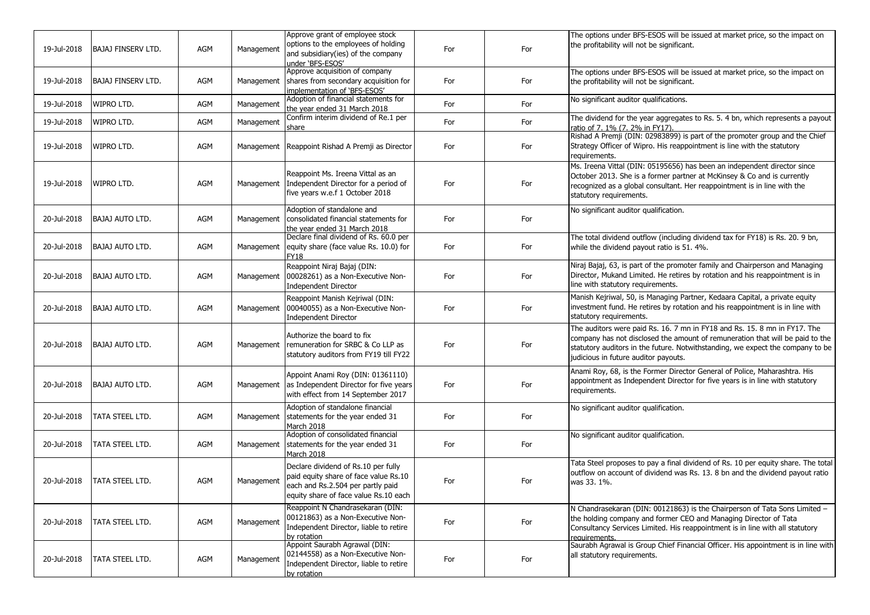| 19-Jul-2018 | BAJAJ FINSERV LTD.        | AGM | Management | Approve grant of employee stock<br>options to the employees of holding<br>and subsidiary(ies) of the company<br>under 'BFS-ESOS'                           | For | For | The options under BFS-ESOS will be issued at market price, so the impact on<br>the profitability will not be significant.                                                                                                                                                            |
|-------------|---------------------------|-----|------------|------------------------------------------------------------------------------------------------------------------------------------------------------------|-----|-----|--------------------------------------------------------------------------------------------------------------------------------------------------------------------------------------------------------------------------------------------------------------------------------------|
| 19-Jul-2018 | <b>BAJAJ FINSERV LTD.</b> | AGM | Management | Approve acquisition of company<br>shares from secondary acquisition for<br>implementation of 'BFS-ESOS'                                                    | For | For | The options under BFS-ESOS will be issued at market price, so the impact on<br>the profitability will not be significant.                                                                                                                                                            |
| 19-Jul-2018 | WIPRO LTD.                | AGM | Management | Adoption of financial statements for<br>the year ended 31 March 2018                                                                                       | For | For | No significant auditor qualifications.                                                                                                                                                                                                                                               |
| 19-Jul-2018 | WIPRO LTD.                | AGM | Management | Confirm interim dividend of Re.1 per<br>share                                                                                                              | For | For | The dividend for the year aggregates to Rs. 5. 4 bn, which represents a payout<br>ratio of 7. 1% (7. 2% in FY17).                                                                                                                                                                    |
| 19-Jul-2018 | WIPRO LTD.                | AGM | Management | Reappoint Rishad A Premji as Director                                                                                                                      | For | For | Rishad A Premji (DIN: 02983899) is part of the promoter group and the Chief<br>Strategy Officer of Wipro. His reappointment is line with the statutory<br>requirements.                                                                                                              |
| 19-Jul-2018 | WIPRO LTD.                | AGM | Management | Reappoint Ms. Ireena Vittal as an<br>Independent Director for a period of<br>five years w.e.f 1 October 2018                                               | For | For | Ms. Ireena Vittal (DIN: 05195656) has been an independent director since<br>October 2013. She is a former partner at McKinsey & Co and is currently<br>recognized as a global consultant. Her reappointment is in line with the<br>statutory requirements.                           |
| 20-Jul-2018 | BAJAJ AUTO LTD.           | AGM | Management | Adoption of standalone and<br>consolidated financial statements for<br>the year ended 31 March 2018                                                        | For | For | No significant auditor qualification.                                                                                                                                                                                                                                                |
| 20-Jul-2018 | <b>BAJAJ AUTO LTD.</b>    | AGM | Management | Declare final dividend of Rs. 60.0 per<br>equity share (face value Rs. 10.0) for<br><b>FY18</b>                                                            | For | For | The total dividend outflow (including dividend tax for FY18) is Rs. 20. 9 bn,<br>while the dividend payout ratio is 51. 4%.                                                                                                                                                          |
| 20-Jul-2018 | BAJAJ AUTO LTD.           | AGM | Management | Reappoint Niraj Bajaj (DIN:<br>00028261) as a Non-Executive Non-<br><b>Independent Director</b>                                                            | For | For | Niraj Bajaj, 63, is part of the promoter family and Chairperson and Managing<br>Director, Mukand Limited. He retires by rotation and his reappointment is in<br>line with statutory requirements.                                                                                    |
| 20-Jul-2018 | <b>BAJAJ AUTO LTD.</b>    | AGM | Management | Reappoint Manish Kejriwal (DIN:<br>00040055) as a Non-Executive Non-<br><b>Independent Director</b>                                                        | For | For | Manish Kejriwal, 50, is Managing Partner, Kedaara Capital, a private equity<br>investment fund. He retires by rotation and his reappointment is in line with<br>statutory requirements.                                                                                              |
| 20-Jul-2018 | BAJAJ AUTO LTD.           | AGM | Management | Authorize the board to fix<br>remuneration for SRBC & Co LLP as<br>statutory auditors from FY19 till FY22                                                  | For | For | The auditors were paid Rs. 16. 7 mn in FY18 and Rs. 15. 8 mn in FY17. The<br>company has not disclosed the amount of remuneration that will be paid to the<br>statutory auditors in the future. Notwithstanding, we expect the company to be<br>judicious in future auditor payouts. |
| 20-Jul-2018 | BAJAJ AUTO LTD.           | AGM | Management | Appoint Anami Roy (DIN: 01361110)<br>as Independent Director for five years<br>with effect from 14 September 2017                                          | For | For | Anami Roy, 68, is the Former Director General of Police, Maharashtra. His<br>appointment as Independent Director for five years is in line with statutory<br>requirements.                                                                                                           |
| 20-Jul-2018 | TATA STEEL LTD.           | AGM | Management | Adoption of standalone financial<br>statements for the year ended 31<br>March 2018                                                                         | For | For | No significant auditor qualification.                                                                                                                                                                                                                                                |
| 20-Jul-2018 | <b>TATA STEEL LTD.</b>    | AGM | Management | Adoption of consolidated financial<br>statements for the year ended 31<br>March 2018                                                                       | For | For | No significant auditor qualification.                                                                                                                                                                                                                                                |
| 20-Jul-2018 | TATA STEEL LTD.           | AGM | Management | Declare dividend of Rs.10 per fully<br>paid equity share of face value Rs.10<br>each and Rs.2.504 per partly paid<br>equity share of face value Rs.10 each | For | For | Tata Steel proposes to pay a final dividend of Rs. 10 per equity share. The total<br>outflow on account of dividend was Rs. 13. 8 bn and the dividend payout ratio<br>was 33. 1%.                                                                                                    |
| 20-Jul-2018 | TATA STEEL LTD.           | AGM | Management | Reappoint N Chandrasekaran (DIN:<br>00121863) as a Non-Executive Non-<br>Independent Director, liable to retire<br>by rotation                             | For | For | N Chandrasekaran (DIN: 00121863) is the Chairperson of Tata Sons Limited -<br>the holding company and former CEO and Managing Director of Tata<br>Consultancy Services Limited. His reappointment is in line with all statutory<br>requirements.                                     |
| 20-Jul-2018 | TATA STEEL LTD.           | AGM | Management | Appoint Saurabh Agrawal (DIN:<br>02144558) as a Non-Executive Non-<br>Independent Director, liable to retire<br>by rotation                                | For | For | Saurabh Agrawal is Group Chief Financial Officer. His appointment is in line with<br>all statutory requirements.                                                                                                                                                                     |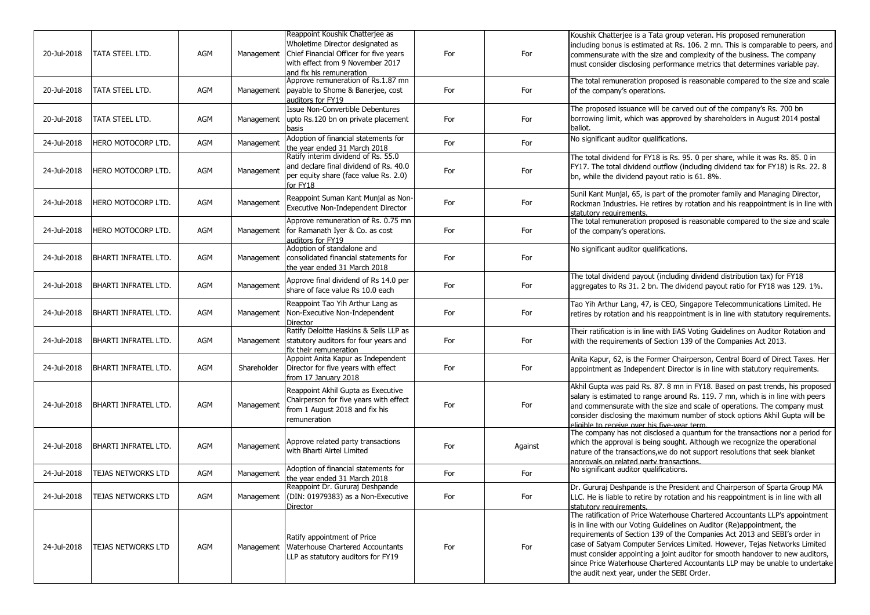| 20-Jul-2018 | <b>TATA STEEL LTD.</b>    | AGM | Management  | Reappoint Koushik Chatterjee as<br>Wholetime Director designated as<br>Chief Financial Officer for five years<br>with effect from 9 November 2017 | For | For     | Koushik Chatterjee is a Tata group veteran. His proposed remuneration<br>including bonus is estimated at Rs. 106. 2 mn. This is comparable to peers, and<br>commensurate with the size and complexity of the business. The company                                                                                                                                                                                                                                                                                            |
|-------------|---------------------------|-----|-------------|---------------------------------------------------------------------------------------------------------------------------------------------------|-----|---------|-------------------------------------------------------------------------------------------------------------------------------------------------------------------------------------------------------------------------------------------------------------------------------------------------------------------------------------------------------------------------------------------------------------------------------------------------------------------------------------------------------------------------------|
|             |                           |     |             | and fix his remuneration                                                                                                                          |     |         | must consider disclosing performance metrics that determines variable pay.                                                                                                                                                                                                                                                                                                                                                                                                                                                    |
| 20-Jul-2018 | TATA STEEL LTD.           | AGM | Management  | Approve remuneration of Rs.1.87 mn<br>payable to Shome & Banerjee, cost<br>auditors for FY19                                                      | For | For     | The total remuneration proposed is reasonable compared to the size and scale<br>of the company's operations.                                                                                                                                                                                                                                                                                                                                                                                                                  |
| 20-Jul-2018 | TATA STEEL LTD.           | AGM | Management  | Issue Non-Convertible Debentures<br>upto Rs.120 bn on private placement<br>basis                                                                  | For | For     | The proposed issuance will be carved out of the company's Rs. 700 bn<br>borrowing limit, which was approved by shareholders in August 2014 postal<br>ballot.                                                                                                                                                                                                                                                                                                                                                                  |
| 24-Jul-2018 | HERO MOTOCORP LTD.        | AGM | Management  | Adoption of financial statements for<br>the year ended 31 March 2018                                                                              | For | For     | No significant auditor qualifications.                                                                                                                                                                                                                                                                                                                                                                                                                                                                                        |
| 24-Jul-2018 | HERO MOTOCORP LTD.        | AGM | Management  | Ratify interim dividend of Rs. 55.0<br>and declare final dividend of Rs. 40.0<br>per equity share (face value Rs. 2.0)<br>for FY18                | For | For     | The total dividend for FY18 is Rs. 95. 0 per share, while it was Rs. 85. 0 in<br>FY17. The total dividend outflow (including dividend tax for FY18) is Rs. 22. 8<br>bn, while the dividend payout ratio is 61. 8%.                                                                                                                                                                                                                                                                                                            |
| 24-Jul-2018 | HERO MOTOCORP LTD.        | AGM | Management  | Reappoint Suman Kant Munjal as Non-<br>Executive Non-Independent Director                                                                         | For | For     | Sunil Kant Munjal, 65, is part of the promoter family and Managing Director,<br>Rockman Industries. He retires by rotation and his reappointment is in line with<br>statutory requirements.                                                                                                                                                                                                                                                                                                                                   |
| 24-Jul-2018 | hero motocorp Ltd.        | AGM | Management  | Approve remuneration of Rs. 0.75 mn<br>for Ramanath Iyer & Co. as cost<br>auditors for FY19                                                       | For | For     | The total remuneration proposed is reasonable compared to the size and scale<br>of the company's operations.                                                                                                                                                                                                                                                                                                                                                                                                                  |
| 24-Jul-2018 | BHARTI INFRATEL LTD.      | AGM | Management  | Adoption of standalone and<br>consolidated financial statements for<br>the year ended 31 March 2018                                               | For | For     | No significant auditor qualifications.                                                                                                                                                                                                                                                                                                                                                                                                                                                                                        |
| 24-Jul-2018 | BHARTI INFRATEL LTD.      | AGM | Management  | Approve final dividend of Rs 14.0 per<br>share of face value Rs 10.0 each                                                                         | For | For     | The total dividend payout (including dividend distribution tax) for FY18<br>laggregates to Rs 31. 2 bn. The dividend payout ratio for FY18 was 129. 1%.                                                                                                                                                                                                                                                                                                                                                                       |
| 24-Jul-2018 | BHARTI INFRATEL LTD.      | AGM | Management  | Reappoint Tao Yih Arthur Lang as<br>Non-Executive Non-Independent<br><b>Director</b>                                                              | For | For     | Tao Yih Arthur Lang, 47, is CEO, Singapore Telecommunications Limited. He<br>retires by rotation and his reappointment is in line with statutory requirements.                                                                                                                                                                                                                                                                                                                                                                |
| 24-Jul-2018 | BHARTI INFRATEL LTD.      | AGM | Management  | Ratify Deloitte Haskins & Sells LLP as<br>statutory auditors for four years and<br>fix their remuneration                                         | For | For     | Their ratification is in line with IiAS Voting Guidelines on Auditor Rotation and<br>with the requirements of Section 139 of the Companies Act 2013.                                                                                                                                                                                                                                                                                                                                                                          |
| 24-Jul-2018 | BHARTI INFRATEL LTD.      | AGM | Shareholder | Appoint Anita Kapur as Independent<br>Director for five years with effect<br>from 17 January 2018                                                 | For | For     | Anita Kapur, 62, is the Former Chairperson, Central Board of Direct Taxes. Her<br>appointment as Independent Director is in line with statutory requirements.                                                                                                                                                                                                                                                                                                                                                                 |
| 24-Jul-2018 | BHARTI INFRATEL LTD.      | AGM | Management  | Reappoint Akhil Gupta as Executive<br>Chairperson for five years with effect<br>from 1 August 2018 and fix his<br>remuneration                    | For | For     | Akhil Gupta was paid Rs. 87. 8 mn in FY18. Based on past trends, his proposed<br>salary is estimated to range around Rs. 119. 7 mn, which is in line with peers<br>and commensurate with the size and scale of operations. The company must<br>consider disclosing the maximum number of stock options Akhil Gupta will be<br>eligible to receive over his five-vear term                                                                                                                                                     |
| 24-Jul-2018 | BHARTI INFRATEL LTD.      | AGM | Management  | Approve related party transactions<br>with Bharti Airtel Limited                                                                                  | For | Against | The company has not disclosed a quantum for the transactions nor a period for<br>which the approval is being sought. Although we recognize the operational<br>nature of the transactions, we do not support resolutions that seek blanket<br>approvals on related party transactions.                                                                                                                                                                                                                                         |
| 24-Jul-2018 | TEJAS NETWORKS LTD        | AGM | Management  | Adoption of financial statements for<br>the vear ended 31 March 2018                                                                              | For | For     | No significant auditor qualifications.                                                                                                                                                                                                                                                                                                                                                                                                                                                                                        |
| 24-Jul-2018 | TEJAS NETWORKS LTD        | AGM |             | Reappoint Dr. Gururaj Deshpande<br>Management (DIN: 01979383) as a Non-Executive<br>Director                                                      | For | For     | Dr. Gururaj Deshpande is the President and Chairperson of Sparta Group MA<br>LLC. He is liable to retire by rotation and his reappointment is in line with all<br>statutory requirements.                                                                                                                                                                                                                                                                                                                                     |
| 24-Jul-2018 | <b>TEJAS NETWORKS LTD</b> | AGM | Management  | Ratify appointment of Price<br>Waterhouse Chartered Accountants<br>LLP as statutory auditors for FY19                                             | For | For     | The ratification of Price Waterhouse Chartered Accountants LLP's appointment<br>is in line with our Voting Guidelines on Auditor (Re)appointment, the<br>requirements of Section 139 of the Companies Act 2013 and SEBI's order in<br>case of Satyam Computer Services Limited. However, Tejas Networks Limited<br>must consider appointing a joint auditor for smooth handover to new auditors,<br>since Price Waterhouse Chartered Accountants LLP may be unable to undertake<br>the audit next year, under the SEBI Order. |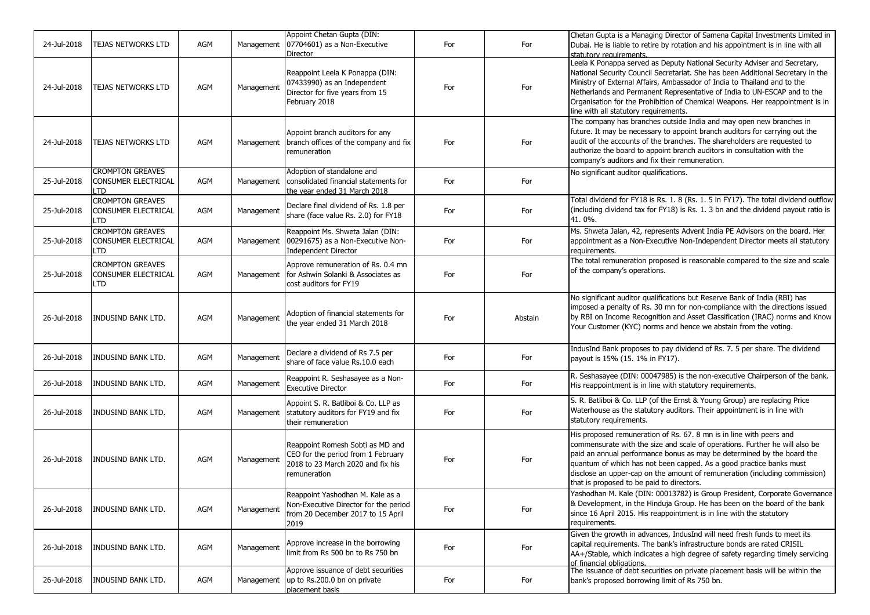| 24-Jul-2018 | TEJAS NETWORKS LTD                                                  | AGM | Management | Appoint Chetan Gupta (DIN:<br>07704601) as a Non-Executive<br>Director                                                      | For | For     | Chetan Gupta is a Managing Director of Samena Capital Investments Limited in<br>Dubai. He is liable to retire by rotation and his appointment is in line with all<br>statutory requirements.                                                                                                                                                                                                                                                   |
|-------------|---------------------------------------------------------------------|-----|------------|-----------------------------------------------------------------------------------------------------------------------------|-----|---------|------------------------------------------------------------------------------------------------------------------------------------------------------------------------------------------------------------------------------------------------------------------------------------------------------------------------------------------------------------------------------------------------------------------------------------------------|
| 24-Jul-2018 | <b>TEJAS NETWORKS LTD</b>                                           | AGM | Management | Reappoint Leela K Ponappa (DIN:<br>07433990) as an Independent<br>Director for five years from 15<br>February 2018          | For | For     | Leela K Ponappa served as Deputy National Security Adviser and Secretary,<br>National Security Council Secretariat. She has been Additional Secretary in the<br>Ministry of External Affairs, Ambassador of India to Thailand and to the<br>Netherlands and Permanent Representative of India to UN-ESCAP and to the<br>Organisation for the Prohibition of Chemical Weapons. Her reappointment is in<br>line with all statutory requirements. |
| 24-Jul-2018 | TEJAS NETWORKS LTD                                                  | AGM | Management | Appoint branch auditors for any<br>branch offices of the company and fix<br>remuneration                                    | For | For     | The company has branches outside India and may open new branches in<br>future. It may be necessary to appoint branch auditors for carrying out the<br>audit of the accounts of the branches. The shareholders are requested to<br>authorize the board to appoint branch auditors in consultation with the<br>company's auditors and fix their remuneration.                                                                                    |
| 25-Jul-2018 | <b>CROMPTON GREAVES</b><br>CONSUMER ELECTRICAL<br>LTD.              | AGM | Management | Adoption of standalone and<br>consolidated financial statements for<br>the year ended 31 March 2018                         | For | For     | No significant auditor qualifications.                                                                                                                                                                                                                                                                                                                                                                                                         |
| 25-Jul-2018 | <b>CROMPTON GREAVES</b><br><b>CONSUMER ELECTRICAL</b><br><b>LTD</b> | AGM | Management | Declare final dividend of Rs. 1.8 per<br>share (face value Rs. 2.0) for FY18                                                | For | For     | Total dividend for FY18 is Rs. 1. 8 (Rs. 1. 5 in FY17). The total dividend outflow<br>(including dividend tax for FY18) is Rs. 1. 3 bn and the dividend payout ratio is<br>41.0%.                                                                                                                                                                                                                                                              |
| 25-Jul-2018 | <b>CROMPTON GREAVES</b><br>CONSUMER ELECTRICAL<br>LTD               | AGM | Management | Reappoint Ms. Shweta Jalan (DIN:<br>00291675) as a Non-Executive Non-<br><b>Independent Director</b>                        | For | For     | Ms. Shweta Jalan, 42, represents Advent India PE Advisors on the board. Her<br>appointment as a Non-Executive Non-Independent Director meets all statutory<br>requirements.                                                                                                                                                                                                                                                                    |
| 25-Jul-2018 | <b>CROMPTON GREAVES</b><br>CONSUMER ELECTRICAL<br>LTD               | AGM | Management | Approve remuneration of Rs. 0.4 mn<br>for Ashwin Solanki & Associates as<br>cost auditors for FY19                          | For | For     | The total remuneration proposed is reasonable compared to the size and scale<br>of the company's operations.                                                                                                                                                                                                                                                                                                                                   |
| 26-Jul-2018 | <b>INDUSIND BANK LTD.</b>                                           | AGM | Management | Adoption of financial statements for<br>the year ended 31 March 2018                                                        | For | Abstain | No significant auditor qualifications but Reserve Bank of India (RBI) has<br>imposed a penalty of Rs. 30 mn for non-compliance with the directions issued<br>by RBI on Income Recognition and Asset Classification (IRAC) norms and Know<br>Your Customer (KYC) norms and hence we abstain from the voting.                                                                                                                                    |
| 26-Jul-2018 | INDUSIND BANK LTD.                                                  | AGM | Management | Declare a dividend of Rs 7.5 per<br>share of face value Rs.10.0 each                                                        | For | For     | IndusInd Bank proposes to pay dividend of Rs. 7. 5 per share. The dividend<br>payout is 15% (15. 1% in FY17).                                                                                                                                                                                                                                                                                                                                  |
| 26-Jul-2018 | <b>INDUSIND BANK LTD.</b>                                           | AGM | Management | Reappoint R. Seshasayee as a Non-<br><b>Executive Director</b>                                                              | For | For     | R. Seshasayee (DIN: 00047985) is the non-executive Chairperson of the bank.<br>His reappointment is in line with statutory requirements.                                                                                                                                                                                                                                                                                                       |
| 26-Jul-2018 | INDUSIND BANK LTD.                                                  | AGM | Management | Appoint S. R. Batliboi & Co. LLP as<br>statutory auditors for FY19 and fix<br>their remuneration                            | For | For     | S. R. Batliboi & Co. LLP (of the Ernst & Young Group) are replacing Price<br>Waterhouse as the statutory auditors. Their appointment is in line with<br>statutory requirements.                                                                                                                                                                                                                                                                |
| 26-Jul-2018 | <b>INDUSIND BANK LTD.</b>                                           | AGM | Management | Reappoint Romesh Sobti as MD and<br>CEO for the period from 1 February<br>2018 to 23 March 2020 and fix his<br>remuneration | For | For     | His proposed remuneration of Rs. 67. 8 mn is in line with peers and<br>commensurate with the size and scale of operations. Further he will also be<br>paid an annual performance bonus as may be determined by the board the<br>quantum of which has not been capped. As a good practice banks must<br>disclose an upper-cap on the amount of remuneration (including commission)<br>that is proposed to be paid to directors.                 |
| 26-Jul-2018 | INDUSIND BANK LTD.                                                  | AGM | Management | Reappoint Yashodhan M. Kale as a<br>Non-Executive Director for the period<br>from 20 December 2017 to 15 April<br>2019      | For | For     | Yashodhan M. Kale (DIN: 00013782) is Group President, Corporate Governance<br>& Development, in the Hinduja Group. He has been on the board of the bank<br>since 16 April 2015. His reappointment is in line with the statutory<br>requirements.                                                                                                                                                                                               |
| 26-Jul-2018 | INDUSIND BANK LTD.                                                  | AGM | Management | Approve increase in the borrowing<br>limit from Rs 500 bn to Rs 750 bn                                                      | For | For     | Given the growth in advances, IndusInd will need fresh funds to meet its<br>capital requirements. The bank's infrastructure bonds are rated CRISIL<br>AA+/Stable, which indicates a high degree of safety regarding timely servicing<br>of financial obligations.                                                                                                                                                                              |
| 26-Jul-2018 | <b>INDUSIND BANK LTD.</b>                                           | AGM |            | Approve issuance of debt securities<br>Management up to Rs.200.0 bn on private<br>placement basis                           | For | For     | The issuance of debt securities on private placement basis will be within the<br>bank's proposed borrowing limit of Rs 750 bn.                                                                                                                                                                                                                                                                                                                 |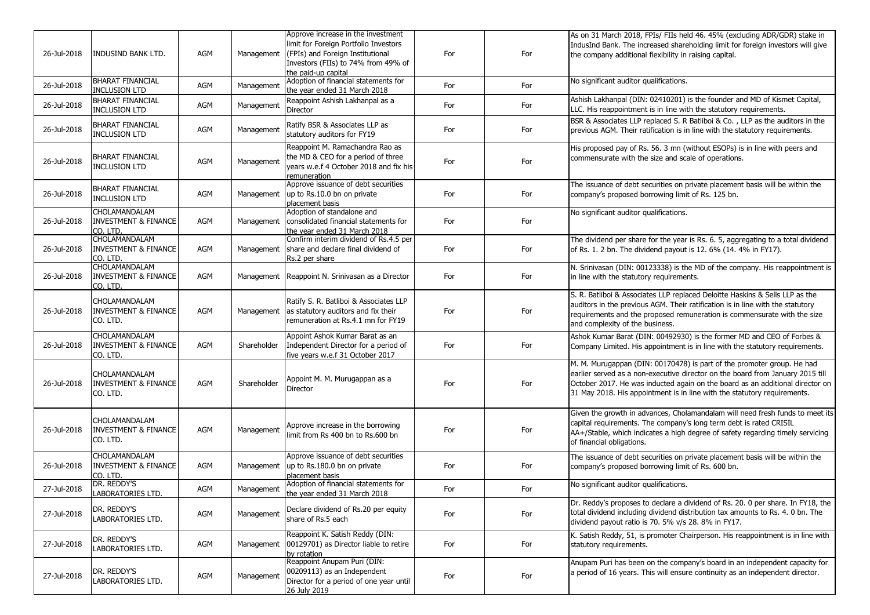| 26-Jul-2018 | <b>INDUSIND BANK LTD.</b>                                           | AGM        | Management  | Approve increase in the investment<br>limit for Foreign Portfolio Investors<br>(FPIs) and Foreign Institutional<br>Investors (FIIs) to 74% from 49% of<br>the paid-up capital | For | For | As on 31 March 2018, FPIs/ FIIs held 46. 45% (excluding ADR/GDR) stake in<br>IndusInd Bank. The increased shareholding limit for foreign investors will give<br>the company additional flexibility in raising capital.                                                                                                |
|-------------|---------------------------------------------------------------------|------------|-------------|-------------------------------------------------------------------------------------------------------------------------------------------------------------------------------|-----|-----|-----------------------------------------------------------------------------------------------------------------------------------------------------------------------------------------------------------------------------------------------------------------------------------------------------------------------|
| 26-Jul-2018 | <b>BHARAT FINANCIAL</b><br><b>INCLUSION LTD</b>                     | AGM        | Management  | Adoption of financial statements for<br>the year ended 31 March 2018                                                                                                          | For | For | No significant auditor qualifications.                                                                                                                                                                                                                                                                                |
| 26-Jul-2018 | <b>BHARAT FINANCIAL</b><br><b>INCLUSION LTD</b>                     | AGM        | Management  | Reappoint Ashish Lakhanpal as a<br>Director                                                                                                                                   | For | For | Ashish Lakhanpal (DIN: 02410201) is the founder and MD of Kismet Capital,<br>LLC. His reappointment is in line with the statutory requirements.                                                                                                                                                                       |
| 26-Jul-2018 | <b>BHARAT FINANCIAL</b><br><b>INCLUSION LTD</b>                     | AGM        | Management  | Ratify BSR & Associates LLP as<br>statutory auditors for FY19                                                                                                                 | For | For | BSR & Associates LLP replaced S. R Batliboi & Co., LLP as the auditors in the<br>previous AGM. Their ratification is in line with the statutory requirements.                                                                                                                                                         |
| 26-Jul-2018 | <b>BHARAT FINANCIAL</b><br><b>INCLUSION LTD</b>                     | <b>AGM</b> | Management  | Reappoint M. Ramachandra Rao as<br>the MD & CEO for a period of three<br>years w.e.f 4 October 2018 and fix his<br>remuneration                                               | For | For | His proposed pay of Rs. 56. 3 mn (without ESOPs) is in line with peers and<br>commensurate with the size and scale of operations.                                                                                                                                                                                     |
| 26-Jul-2018 | <b>BHARAT FINANCIAL</b><br><b>INCLUSION LTD</b>                     | AGM        | Management  | Approve issuance of debt securities<br>up to Rs.10.0 bn on private<br>placement basis                                                                                         | For | For | The issuance of debt securities on private placement basis will be within the<br>company's proposed borrowing limit of Rs. 125 bn.                                                                                                                                                                                    |
| 26-Jul-2018 | <b>CHOLAMANDALAM</b><br><b>INVESTMENT &amp; FINANCE</b><br>CO. LTD. | AGM        | Management  | Adoption of standalone and<br>consolidated financial statements for<br>the year ended 31 March 2018                                                                           | For | For | No significant auditor qualifications.                                                                                                                                                                                                                                                                                |
| 26-Jul-2018 | <b>CHOLAMANDALAM</b><br><b>INVESTMENT &amp; FINANCE</b><br>CO. LTD. | AGM        | Management  | Confirm interim dividend of Rs.4.5 per<br>share and declare final dividend of<br>Rs.2 per share                                                                               | For | For | The dividend per share for the year is Rs. 6. 5, aggregating to a total dividend<br>of Rs. 1. 2 bn. The dividend payout is 12. 6% (14. 4% in FY17).                                                                                                                                                                   |
| 26-Jul-2018 | CHOLAMANDALAM<br><b>INVESTMENT &amp; FINANCE</b><br>CO. LTD.        | AGM        |             | Management Reappoint N. Srinivasan as a Director                                                                                                                              | For | For | N. Srinivasan (DIN: 00123338) is the MD of the company. His reappointment is<br>in line with the statutory requirements.                                                                                                                                                                                              |
| 26-Jul-2018 | CHOLAMANDALAM<br><b>INVESTMENT &amp; FINANCE</b><br>CO. LTD.        | AGM        | Management  | Ratify S. R. Batliboi & Associates LLP<br>as statutory auditors and fix their<br>remuneration at Rs.4.1 mn for FY19                                                           | For | For | S. R. Batliboi & Associates LLP replaced Deloitte Haskins & Sells LLP as the<br>auditors in the previous AGM. Their ratification is in line with the statutory<br>requirements and the proposed remuneration is commensurate with the size<br>and complexity of the business.                                         |
| 26-Jul-2018 | <b>CHOLAMANDALAM</b><br><b>INVESTMENT &amp; FINANCE</b><br>CO. LTD. | AGM        | Shareholder | Appoint Ashok Kumar Barat as an<br>Independent Director for a period of<br>five years w.e.f 31 October 2017                                                                   | For | For | Ashok Kumar Barat (DIN: 00492930) is the former MD and CEO of Forbes &<br>Company Limited. His appointment is in line with the statutory requirements.                                                                                                                                                                |
| 26-Jul-2018 | <b>CHOLAMANDALAM</b><br><b>INVESTMENT &amp; FINANCE</b><br>CO. LTD. | AGM        | Shareholder | Appoint M. M. Murugappan as a<br>Director                                                                                                                                     | For | For | M. M. Murugappan (DIN: 00170478) is part of the promoter group. He had<br>earlier served as a non-executive director on the board from January 2015 till<br>October 2017. He was inducted again on the board as an additional director on<br>31 May 2018. His appointment is in line with the statutory requirements. |
| 26-Jul-2018 | <b>CHOLAMANDALAM</b><br><b>INVESTMENT &amp; FINANCE</b><br>CO. LTD. | AGM        | Management  | Approve increase in the borrowing<br>limit from Rs 400 bn to Rs.600 bn                                                                                                        | For | For | Given the growth in advances, Cholamandalam will need fresh funds to meet its<br>capital requirements. The company's long term debt is rated CRISIL<br>AA+/Stable, which indicates a high degree of safety regarding timely servicing<br>of financial obligations.                                                    |
| 26-Jul-2018 | CHOLAMANDALAM<br><b>INVESTMENT &amp; FINANCE</b><br>CO. LTD.        | AGM        | Management  | Approve issuance of debt securities<br>up to Rs.180.0 bn on private<br>placement basis                                                                                        | For | For | The issuance of debt securities on private placement basis will be within the<br>company's proposed borrowing limit of Rs. 600 bn.                                                                                                                                                                                    |
| 27-Jul-2018 | DR. REDDY'S<br>LABORATORIES LTD.                                    | AGM        | Management  | Adoption of financial statements for<br>the year ended 31 March 2018                                                                                                          | For | For | No significant auditor qualifications.                                                                                                                                                                                                                                                                                |
| 27-Jul-2018 | DR. REDDY'S<br>LABORATORIES LTD.                                    | AGM        | Management  | Declare dividend of Rs.20 per equity<br>share of Rs.5 each                                                                                                                    | For | For | Dr. Reddy's proposes to declare a dividend of Rs. 20. 0 per share. In FY18, the<br>total dividend including dividend distribution tax amounts to Rs. 4. 0 bn. The<br>dividend payout ratio is 70. 5% v/s 28. 8% in FY17.                                                                                              |
| 27-Jul-2018 | DR. REDDY'S<br>LABORATORIES LTD.                                    | AGM        | Management  | Reappoint K. Satish Reddy (DIN:<br>00129701) as Director liable to retire<br>by rotation                                                                                      | For | For | K. Satish Reddy, 51, is promoter Chairperson. His reappointment is in line with<br>statutory requirements.                                                                                                                                                                                                            |
| 27-Jul-2018 | DR. REDDY'S<br>LABORATORIES LTD.                                    | AGM        | Management  | Reappoint Anupam Puri (DIN:<br>00209113) as an Independent<br>Director for a period of one year until<br>26 July 2019                                                         | For | For | Anupam Puri has been on the company's board in an independent capacity for<br>a period of 16 years. This will ensure continuity as an independent director.                                                                                                                                                           |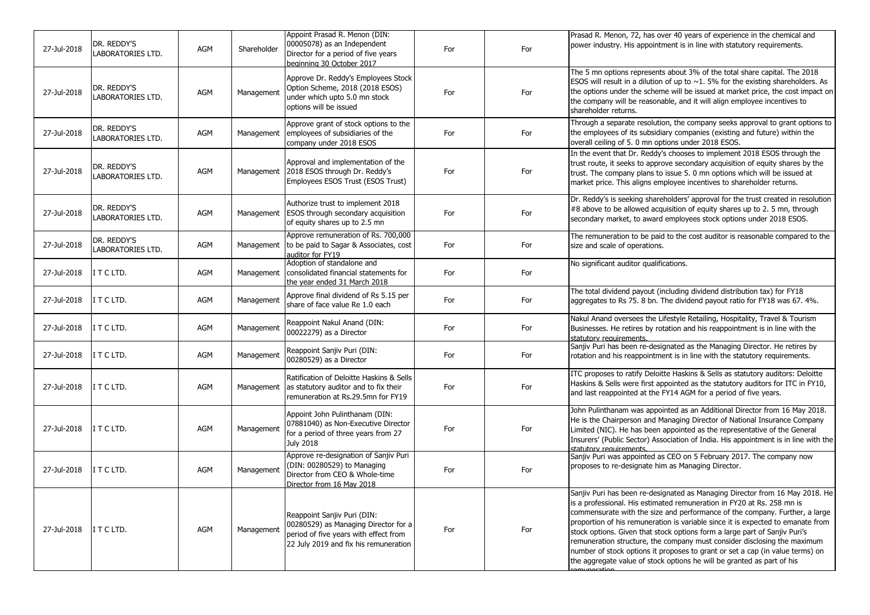| 27-Jul-2018 | DR. REDDY'S<br><b>LABORATORIES LTD.</b> | AGM | Shareholder | Appoint Prasad R. Menon (DIN:<br>00005078) as an Independent<br>Director for a period of five years<br>beginning 30 October 2017                      | For | For | Prasad R. Menon, 72, has over 40 years of experience in the chemical and<br>power industry. His appointment is in line with statutory requirements.                                                                                                                                                                                                                                                                                                                                                                                                                                                                                           |
|-------------|-----------------------------------------|-----|-------------|-------------------------------------------------------------------------------------------------------------------------------------------------------|-----|-----|-----------------------------------------------------------------------------------------------------------------------------------------------------------------------------------------------------------------------------------------------------------------------------------------------------------------------------------------------------------------------------------------------------------------------------------------------------------------------------------------------------------------------------------------------------------------------------------------------------------------------------------------------|
| 27-Jul-2018 | DR. REDDY'S<br><b>LABORATORIES LTD.</b> | AGM | Management  | Approve Dr. Reddy's Employees Stock<br>Option Scheme, 2018 (2018 ESOS)<br>under which upto 5.0 mn stock<br>options will be issued                     | For | For | The 5 mn options represents about 3% of the total share capital. The 2018<br>ESOS will result in a dilution of up to $\sim$ 1. 5% for the existing shareholders. As<br>the options under the scheme will be issued at market price, the cost impact on<br>the company will be reasonable, and it will align employee incentives to<br>shareholder returns.                                                                                                                                                                                                                                                                                    |
| 27-Jul-2018 | DR. REDDY'S<br><b>LABORATORIES LTD.</b> | AGM | Management  | Approve grant of stock options to the<br>employees of subsidiaries of the<br>company under 2018 ESOS                                                  | For | For | Through a separate resolution, the company seeks approval to grant options to<br>the employees of its subsidiary companies (existing and future) within the<br>overall ceiling of 5.0 mn options under 2018 ESOS.                                                                                                                                                                                                                                                                                                                                                                                                                             |
| 27-Jul-2018 | DR. REDDY'S<br>LABORATORIES LTD.        | AGM |             | Approval and implementation of the<br>Management 2018 ESOS through Dr. Reddy's<br>Employees ESOS Trust (ESOS Trust)                                   | For | For | In the event that Dr. Reddy's chooses to implement 2018 ESOS through the<br>trust route, it seeks to approve secondary acquisition of equity shares by the<br>trust. The company plans to issue 5. 0 mn options which will be issued at<br>market price. This aligns employee incentives to shareholder returns.                                                                                                                                                                                                                                                                                                                              |
| 27-Jul-2018 | DR. REDDY'S<br><b>LABORATORIES LTD.</b> | AGM | Management  | Authorize trust to implement 2018<br>ESOS through secondary acquisition<br>of equity shares up to 2.5 mn                                              | For | For | Dr. Reddy's is seeking shareholders' approval for the trust created in resolution<br>#8 above to be allowed acquisition of equity shares up to 2. 5 mn, through<br>secondary market, to award employees stock options under 2018 ESOS.                                                                                                                                                                                                                                                                                                                                                                                                        |
| 27-Jul-2018 | DR. REDDY'S<br><b>LABORATORIES LTD.</b> | AGM |             | Approve remuneration of Rs. 700,000<br>Management to be paid to Sagar & Associates, cost<br>auditor for FY19                                          | For | For | The remuneration to be paid to the cost auditor is reasonable compared to the<br>size and scale of operations.                                                                                                                                                                                                                                                                                                                                                                                                                                                                                                                                |
| 27-Jul-2018 | IT CLTD.                                | AGM | Management  | Adoption of standalone and<br>consolidated financial statements for<br>the year ended 31 March 2018                                                   | For | For | No significant auditor qualifications.                                                                                                                                                                                                                                                                                                                                                                                                                                                                                                                                                                                                        |
| 27-Jul-2018 | I T C LTD.                              | AGM | Management  | Approve final dividend of Rs 5.15 per<br>share of face value Re 1.0 each                                                                              | For | For | The total dividend payout (including dividend distribution tax) for FY18<br>aggregates to Rs 75. 8 bn. The dividend payout ratio for FY18 was 67. 4%.                                                                                                                                                                                                                                                                                                                                                                                                                                                                                         |
| 27-Jul-2018 | IT CLTD.                                | AGM | Management  | Reappoint Nakul Anand (DIN:<br>00022279) as a Director                                                                                                | For | For | Nakul Anand oversees the Lifestyle Retailing, Hospitality, Travel & Tourism<br>Businesses. He retires by rotation and his reappointment is in line with the<br>statutory requirements.                                                                                                                                                                                                                                                                                                                                                                                                                                                        |
| 27-Jul-2018 | IT CLTD.                                | AGM | Management  | Reappoint Sanjiv Puri (DIN:<br>00280529) as a Director                                                                                                | For | For | Sanjiv Puri has been re-designated as the Managing Director. He retires by<br>rotation and his reappointment is in line with the statutory requirements.                                                                                                                                                                                                                                                                                                                                                                                                                                                                                      |
| 27-Jul-2018 | IT CLTD.                                | AGM | Management  | Ratification of Deloitte Haskins & Sells<br>as statutory auditor and to fix their<br>remuneration at Rs.29.5mn for FY19                               | For | For | ITC proposes to ratify Deloitte Haskins & Sells as statutory auditors: Deloitte<br>Haskins & Sells were first appointed as the statutory auditors for ITC in FY10,<br>and last reappointed at the FY14 AGM for a period of five years.                                                                                                                                                                                                                                                                                                                                                                                                        |
| 27-Jul-2018 | IT CLTD.                                | AGM | Management  | Appoint John Pulinthanam (DIN:<br>07881040) as Non-Executive Director<br>for a period of three years from 27<br><b>July 2018</b>                      | For | For | John Pulinthanam was appointed as an Additional Director from 16 May 2018.<br>He is the Chairperson and Managing Director of National Insurance Company<br>Limited (NIC). He has been appointed as the representative of the General<br>Insurers' (Public Sector) Association of India. His appointment is in line with the<br>statutory requirements                                                                                                                                                                                                                                                                                         |
| 27-Jul-2018 | IT CLTD.                                | AGM | Management  | Approve re-designation of Sanjiv Puri<br>(DIN: 00280529) to Managing<br>Director from CEO & Whole-time<br>Director from 16 May 2018                   | For | For | Sanjiv Puri was appointed as CEO on 5 February 2017. The company now<br>proposes to re-designate him as Managing Director.                                                                                                                                                                                                                                                                                                                                                                                                                                                                                                                    |
| 27-Jul-2018 | I T C LTD.                              | AGM | Management  | Reappoint Sanjiv Puri (DIN:<br>00280529) as Managing Director for a<br>period of five years with effect from<br>22 July 2019 and fix his remuneration | For | For | Sanjiv Puri has been re-designated as Managing Director from 16 May 2018. He<br>is a professional. His estimated remuneration in FY20 at Rs. 258 mn is<br>commensurate with the size and performance of the company. Further, a large<br>proportion of his remuneration is variable since it is expected to emanate from<br>stock options. Given that stock options form a large part of Sanjiv Puri's<br>remuneration structure, the company must consider disclosing the maximum<br>number of stock options it proposes to grant or set a cap (in value terms) on<br>the aggregate value of stock options he will be granted as part of his |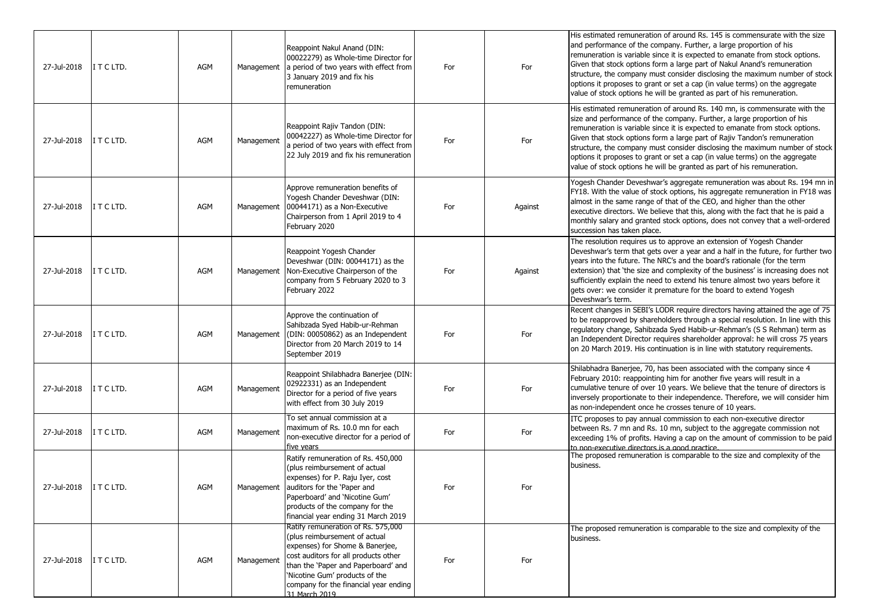| 27-Jul-2018 | I T C LTD. | <b>AGM</b> | Management | Reappoint Nakul Anand (DIN:<br>00022279) as Whole-time Director for<br>a period of two years with effect from<br>3 January 2019 and fix his<br>remuneration                                                                                                                       | For | For     | His estimated remuneration of around Rs. 145 is commensurate with the size<br>and performance of the company. Further, a large proportion of his<br>remuneration is variable since it is expected to emanate from stock options.<br>Given that stock options form a large part of Nakul Anand's remuneration<br>structure, the company must consider disclosing the maximum number of stock<br>options it proposes to grant or set a cap (in value terms) on the aggregate<br>value of stock options he will be granted as part of his remuneration.      |
|-------------|------------|------------|------------|-----------------------------------------------------------------------------------------------------------------------------------------------------------------------------------------------------------------------------------------------------------------------------------|-----|---------|-----------------------------------------------------------------------------------------------------------------------------------------------------------------------------------------------------------------------------------------------------------------------------------------------------------------------------------------------------------------------------------------------------------------------------------------------------------------------------------------------------------------------------------------------------------|
| 27-Jul-2018 | I T C LTD. | <b>AGM</b> | Management | Reappoint Rajiv Tandon (DIN:<br>00042227) as Whole-time Director for<br>a period of two years with effect from<br>22 July 2019 and fix his remuneration                                                                                                                           | For | For     | His estimated remuneration of around Rs. 140 mn, is commensurate with the<br>size and performance of the company. Further, a large proportion of his<br>remuneration is variable since it is expected to emanate from stock options.<br>Given that stock options form a large part of Rajiv Tandon's remuneration<br>structure, the company must consider disclosing the maximum number of stock<br>options it proposes to grant or set a cap (in value terms) on the aggregate<br>value of stock options he will be granted as part of his remuneration. |
| 27-Jul-2018 | ITCLTD.    | <b>AGM</b> | Management | Approve remuneration benefits of<br>Yogesh Chander Deveshwar (DIN:<br>00044171) as a Non-Executive<br>Chairperson from 1 April 2019 to 4<br>February 2020                                                                                                                         | For | Against | Yogesh Chander Deveshwar's aggregate remuneration was about Rs. 194 mn in<br>FY18. With the value of stock options, his aggregate remuneration in FY18 was<br>almost in the same range of that of the CEO, and higher than the other<br>executive directors. We believe that this, along with the fact that he is paid a<br>monthly salary and granted stock options, does not convey that a well-ordered<br>succession has taken place.                                                                                                                  |
| 27-Jul-2018 | ITCLTD.    | <b>AGM</b> |            | Reappoint Yogesh Chander<br>Deveshwar (DIN: 00044171) as the<br>Management Non-Executive Chairperson of the<br>company from 5 February 2020 to 3<br>February 2022                                                                                                                 | For | Against | The resolution requires us to approve an extension of Yogesh Chander<br>Deveshwar's term that gets over a year and a half in the future, for further two<br>years into the future. The NRC's and the board's rationale (for the term<br>extension) that 'the size and complexity of the business' is increasing does not<br>sufficiently explain the need to extend his tenure almost two years before it<br>gets over: we consider it premature for the board to extend Yogesh<br>Deveshwar's term.                                                      |
| 27-Jul-2018 | ITCLTD.    | <b>AGM</b> | Management | Approve the continuation of<br>Sahibzada Syed Habib-ur-Rehman<br>(DIN: 00050862) as an Independent<br>Director from 20 March 2019 to 14<br>September 2019                                                                                                                         | For | For     | Recent changes in SEBI's LODR require directors having attained the age of 75<br>to be reapproved by shareholders through a special resolution. In line with this<br>regulatory change, Sahibzada Syed Habib-ur-Rehman's (S S Rehman) term as<br>an Independent Director requires shareholder approval: he will cross 75 years<br>on 20 March 2019. His continuation is in line with statutory requirements.                                                                                                                                              |
| 27-Jul-2018 | ITCLTD.    | <b>AGM</b> | Management | Reappoint Shilabhadra Banerjee (DIN:<br>02922331) as an Independent<br>Director for a period of five years<br>with effect from 30 July 2019                                                                                                                                       | For | For     | Shilabhadra Banerjee, 70, has been associated with the company since 4<br>February 2010: reappointing him for another five years will result in a<br>cumulative tenure of over 10 years. We believe that the tenure of directors is<br>inversely proportionate to their independence. Therefore, we will consider him<br>as non-independent once he crosses tenure of 10 years.                                                                                                                                                                           |
| 27-Jul-2018 | I T C LTD. | <b>AGM</b> | Management | To set annual commission at a<br>maximum of Rs. 10.0 mn for each<br>non-executive director for a period of<br>five years                                                                                                                                                          | For | For     | ITC proposes to pay annual commission to each non-executive director<br>between Rs. 7 mn and Rs. 10 mn, subject to the aggregate commission not<br>exceeding 1% of profits. Having a cap on the amount of commission to be paid<br>to non-executive directors is a good practice.                                                                                                                                                                                                                                                                         |
| 27-Jul-2018 | I T C LTD. | <b>AGM</b> |            | Ratify remuneration of Rs. 450,000<br>(plus reimbursement of actual<br>expenses) for P. Raju Iyer, cost<br>Management auditors for the 'Paper and<br>Paperboard' and 'Nicotine Gum'<br>products of the company for the<br>financial year ending 31 March 2019                     | For | For     | The proposed remuneration is comparable to the size and complexity of the<br>business.                                                                                                                                                                                                                                                                                                                                                                                                                                                                    |
| 27-Jul-2018 | I T C LTD. | AGM        | Management | Ratify remuneration of Rs. 575,000<br>(plus reimbursement of actual<br>expenses) for Shome & Banerjee,<br>cost auditors for all products other<br>than the 'Paper and Paperboard' and<br>'Nicotine Gum' products of the<br>company for the financial year ending<br>31 March 2019 | For | For     | The proposed remuneration is comparable to the size and complexity of the<br>business.                                                                                                                                                                                                                                                                                                                                                                                                                                                                    |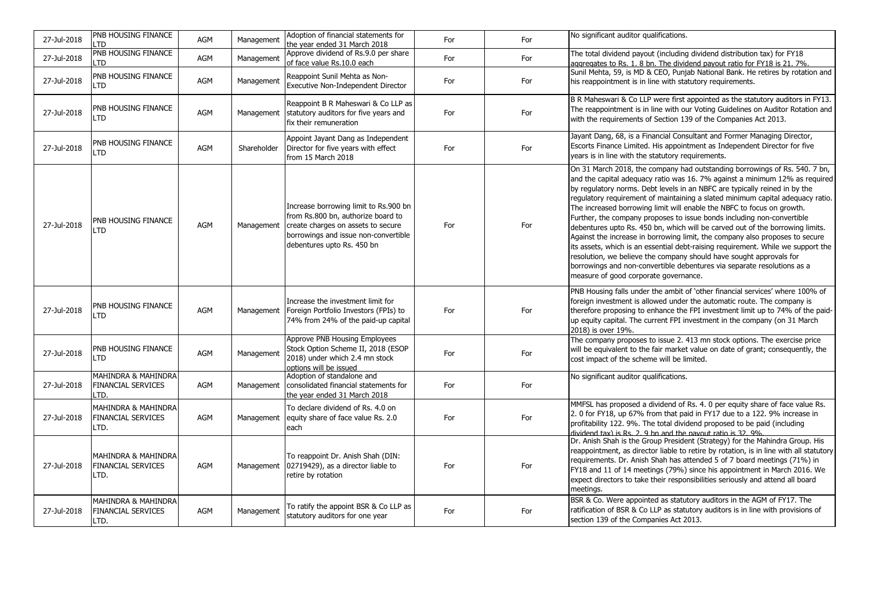| 27-Jul-2018 | PNB HOUSING FINANCE<br>LTD                                          | <b>AGM</b> | Management  | Adoption of financial statements for<br>the year ended 31 March 2018                                                                                                                    | For | For | No significant auditor qualifications.                                                                                                                                                                                                                                                                                                                                                                                                                                                                                                                                                                                                                                                                                                                                                                                                                                                                                        |
|-------------|---------------------------------------------------------------------|------------|-------------|-----------------------------------------------------------------------------------------------------------------------------------------------------------------------------------------|-----|-----|-------------------------------------------------------------------------------------------------------------------------------------------------------------------------------------------------------------------------------------------------------------------------------------------------------------------------------------------------------------------------------------------------------------------------------------------------------------------------------------------------------------------------------------------------------------------------------------------------------------------------------------------------------------------------------------------------------------------------------------------------------------------------------------------------------------------------------------------------------------------------------------------------------------------------------|
| 27-Jul-2018 | PNB HOUSING FINANCE<br>LTD                                          | <b>AGM</b> | Management  | Approve dividend of Rs.9.0 per share<br>of face value Rs.10.0 each                                                                                                                      | For | For | The total dividend payout (including dividend distribution tax) for FY18<br>aggregates to Rs. 1. 8 bn. The dividend payout ratio for FY18 is 21. 7%.                                                                                                                                                                                                                                                                                                                                                                                                                                                                                                                                                                                                                                                                                                                                                                          |
| 27-Jul-2018 | PNB HOUSING FINANCE<br>LTD                                          | <b>AGM</b> | Management  | Reappoint Sunil Mehta as Non-<br>Executive Non-Independent Director                                                                                                                     | For | For | Sunil Mehta, 59, is MD & CEO, Punjab National Bank. He retires by rotation and<br>his reappointment is in line with statutory requirements.                                                                                                                                                                                                                                                                                                                                                                                                                                                                                                                                                                                                                                                                                                                                                                                   |
| 27-Jul-2018 | PNB HOUSING FINANCE<br>LTD                                          | <b>AGM</b> | Management  | Reappoint B R Maheswari & Co LLP as<br>statutory auditors for five years and<br>fix their remuneration                                                                                  | For | For | B R Maheswari & Co LLP were first appointed as the statutory auditors in FY13.<br>The reappointment is in line with our Voting Guidelines on Auditor Rotation and<br>with the requirements of Section 139 of the Companies Act 2013.                                                                                                                                                                                                                                                                                                                                                                                                                                                                                                                                                                                                                                                                                          |
| 27-Jul-2018 | PNB HOUSING FINANCE<br>LTD                                          | <b>AGM</b> | Shareholder | Appoint Jayant Dang as Independent<br>Director for five years with effect<br>from 15 March 2018                                                                                         | For | For | Jayant Dang, 68, is a Financial Consultant and Former Managing Director,<br>Escorts Finance Limited. His appointment as Independent Director for five<br>years is in line with the statutory requirements.                                                                                                                                                                                                                                                                                                                                                                                                                                                                                                                                                                                                                                                                                                                    |
| 27-Jul-2018 | PNB HOUSING FINANCE<br>LTD                                          | <b>AGM</b> | Management  | Increase borrowing limit to Rs.900 bn<br>from Rs.800 bn, authorize board to<br>create charges on assets to secure<br>borrowings and issue non-convertible<br>debentures upto Rs. 450 bn | For | For | On 31 March 2018, the company had outstanding borrowings of Rs. 540. 7 bn,<br>and the capital adequacy ratio was 16. 7% against a minimum 12% as required<br>by regulatory norms. Debt levels in an NBFC are typically reined in by the<br>regulatory requirement of maintaining a slated minimum capital adequacy ratio.<br>The increased borrowing limit will enable the NBFC to focus on growth.<br>Further, the company proposes to issue bonds including non-convertible<br>debentures upto Rs. 450 bn, which will be carved out of the borrowing limits.<br>Against the increase in borrowing limit, the company also proposes to secure<br>its assets, which is an essential debt-raising requirement. While we support the<br>resolution, we believe the company should have sought approvals for<br>borrowings and non-convertible debentures via separate resolutions as a<br>measure of good corporate governance. |
| 27-Jul-2018 | PNB HOUSING FINANCE<br>LTD                                          | <b>AGM</b> |             | Increase the investment limit for<br>Management   Foreign Portfolio Investors (FPIs) to<br>74% from 24% of the paid-up capital                                                          | For | For | PNB Housing falls under the ambit of 'other financial services' where 100% of<br>foreign investment is allowed under the automatic route. The company is<br>therefore proposing to enhance the FPI investment limit up to 74% of the paid-<br>up equity capital. The current FPI investment in the company (on 31 March<br>2018) is over 19%.                                                                                                                                                                                                                                                                                                                                                                                                                                                                                                                                                                                 |
| 27-Jul-2018 | PNB HOUSING FINANCE<br>LTD                                          | AGM        | Management  | Approve PNB Housing Employees<br>Stock Option Scheme II, 2018 (ESOP<br>2018) under which 2.4 mn stock<br>options will be issued                                                         | For | For | The company proposes to issue 2. 413 mn stock options. The exercise price<br>will be equivalent to the fair market value on date of grant; consequently, the<br>cost impact of the scheme will be limited.                                                                                                                                                                                                                                                                                                                                                                                                                                                                                                                                                                                                                                                                                                                    |
| 27-Jul-2018 | <b>MAHINDRA &amp; MAHINDRA</b><br><b>FINANCIAL SERVICES</b><br>LTD. | <b>AGM</b> | Management  | Adoption of standalone and<br>consolidated financial statements for<br>the year ended 31 March 2018                                                                                     | For | For | No significant auditor qualifications.                                                                                                                                                                                                                                                                                                                                                                                                                                                                                                                                                                                                                                                                                                                                                                                                                                                                                        |
| 27-Jul-2018 | <b>MAHINDRA &amp; MAHINDRA</b><br><b>FINANCIAL SERVICES</b><br>LTD. | AGM        | Management  | To declare dividend of Rs. 4.0 on<br>equity share of face value Rs. 2.0<br>each                                                                                                         | For | For | MMFSL has proposed a dividend of Rs. 4. 0 per equity share of face value Rs.<br>2. 0 for FY18, up 67% from that paid in FY17 due to a 122. 9% increase in<br>profitability 122, 9%. The total dividend proposed to be paid (including<br>dividend tax) is Rs. 2. 9 bn and the navout ratio is 32. 9%                                                                                                                                                                                                                                                                                                                                                                                                                                                                                                                                                                                                                          |
| 27-Jul-2018 | MAHINDRA & MAHINDRA<br><b>FINANCIAL SERVICES</b><br>LTD.            | <b>AGM</b> |             | To reappoint Dr. Anish Shah (DIN:<br>Management 02719429), as a director liable to<br>retire by rotation                                                                                | For | For | Dr. Anish Shah is the Group President (Strategy) for the Mahindra Group. His<br>reappointment, as director liable to retire by rotation, is in line with all statutory<br>requirements. Dr. Anish Shah has attended 5 of 7 board meetings (71%) in<br>FY18 and 11 of 14 meetings (79%) since his appointment in March 2016. We<br>expect directors to take their responsibilities seriously and attend all board<br>meetings.                                                                                                                                                                                                                                                                                                                                                                                                                                                                                                 |
| 27-Jul-2018 | MAHINDRA & MAHINDRA<br><b>FINANCIAL SERVICES</b><br>LTD.            | AGM        | Management  | To ratify the appoint BSR & Co LLP as<br>statutory auditors for one year                                                                                                                | For | For | BSR & Co. Were appointed as statutory auditors in the AGM of FY17. The<br>ratification of BSR & Co LLP as statutory auditors is in line with provisions of<br>section 139 of the Companies Act 2013.                                                                                                                                                                                                                                                                                                                                                                                                                                                                                                                                                                                                                                                                                                                          |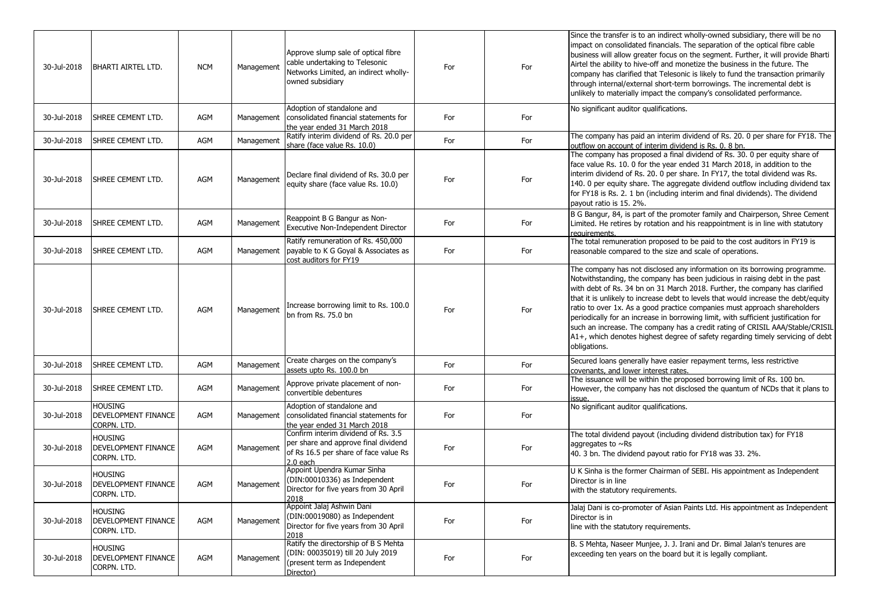| 30-Jul-2018 | <b>BHARTI AIRTEL LTD.</b>                            | <b>NCM</b> | Management | Approve slump sale of optical fibre<br>cable undertaking to Telesonic<br>Networks Limited, an indirect wholly-<br>owned subsidiary | For | For | Since the transfer is to an indirect wholly-owned subsidiary, there will be no<br>impact on consolidated financials. The separation of the optical fibre cable<br>business will allow greater focus on the segment. Further, it will provide Bharti<br>Airtel the ability to hive-off and monetize the business in the future. The<br>company has clarified that Telesonic is likely to fund the transaction primarily<br>through internal/external short-term borrowings. The incremental debt is<br>unlikely to materially impact the company's consolidated performance.                                                                                                         |
|-------------|------------------------------------------------------|------------|------------|------------------------------------------------------------------------------------------------------------------------------------|-----|-----|-------------------------------------------------------------------------------------------------------------------------------------------------------------------------------------------------------------------------------------------------------------------------------------------------------------------------------------------------------------------------------------------------------------------------------------------------------------------------------------------------------------------------------------------------------------------------------------------------------------------------------------------------------------------------------------|
| 30-Jul-2018 | SHREE CEMENT LTD.                                    | AGM        | Management | Adoption of standalone and<br>consolidated financial statements for<br>the year ended 31 March 2018                                | For | For | No significant auditor qualifications.                                                                                                                                                                                                                                                                                                                                                                                                                                                                                                                                                                                                                                              |
| 30-Jul-2018 | SHREE CEMENT LTD.                                    | AGM        | Management | Ratify interim dividend of Rs. 20.0 per<br>share (face value Rs. 10.0)                                                             | For | For | The company has paid an interim dividend of Rs. 20. 0 per share for FY18. The<br>outflow on account of interim dividend is Rs. 0. 8 bn.                                                                                                                                                                                                                                                                                                                                                                                                                                                                                                                                             |
| 30-Jul-2018 | SHREE CEMENT LTD.                                    | AGM        | Management | Declare final dividend of Rs. 30.0 per<br>equity share (face value Rs. 10.0)                                                       | For | For | The company has proposed a final dividend of Rs. 30. 0 per equity share of<br>face value Rs. 10. 0 for the year ended 31 March 2018, in addition to the<br>interim dividend of Rs. 20. 0 per share. In FY17, the total dividend was Rs.<br>140. 0 per equity share. The aggregate dividend outflow including dividend tax<br>for FY18 is Rs. 2. 1 bn (including interim and final dividends). The dividend<br>payout ratio is 15. 2%.                                                                                                                                                                                                                                               |
| 30-Jul-2018 | SHREE CEMENT LTD.                                    | AGM        | Management | Reappoint B G Bangur as Non-<br>Executive Non-Independent Director                                                                 | For | For | B G Bangur, 84, is part of the promoter family and Chairperson, Shree Cement<br>Limited. He retires by rotation and his reappointment is in line with statutory<br>requirements.                                                                                                                                                                                                                                                                                                                                                                                                                                                                                                    |
| 30-Jul-2018 | SHREE CEMENT LTD.                                    | AGM        | Management | Ratify remuneration of Rs. 450,000<br>payable to K G Goyal & Associates as<br>cost auditors for FY19                               | For | For | The total remuneration proposed to be paid to the cost auditors in FY19 is<br>reasonable compared to the size and scale of operations.                                                                                                                                                                                                                                                                                                                                                                                                                                                                                                                                              |
| 30-Jul-2018 | SHREE CEMENT LTD.                                    | AGM        | Management | Increase borrowing limit to Rs. 100.0<br>bn from Rs. 75.0 bn                                                                       | For | For | The company has not disclosed any information on its borrowing programme.<br>Notwithstanding, the company has been judicious in raising debt in the past<br>with debt of Rs. 34 bn on 31 March 2018. Further, the company has clarified<br>that it is unlikely to increase debt to levels that would increase the debt/equity<br>ratio to over 1x. As a good practice companies must approach shareholders<br>periodically for an increase in borrowing limit, with sufficient justification for<br>such an increase. The company has a credit rating of CRISIL AAA/Stable/CRISIL<br>A1+, which denotes highest degree of safety regarding timely servicing of debt<br>obligations. |
| 30-Jul-2018 | SHREE CEMENT LTD.                                    | AGM        | Management | Create charges on the company's<br>assets upto Rs. 100.0 bn                                                                        | For | For | Secured loans generally have easier repayment terms, less restrictive<br>covenants, and lower interest rates.                                                                                                                                                                                                                                                                                                                                                                                                                                                                                                                                                                       |
| 30-Jul-2018 | SHREE CEMENT LTD.                                    | AGM        | Management | Approve private placement of non-<br>convertible debentures                                                                        | For | For | The issuance will be within the proposed borrowing limit of Rs. 100 bn.<br>However, the company has not disclosed the quantum of NCDs that it plans to<br>issue.                                                                                                                                                                                                                                                                                                                                                                                                                                                                                                                    |
| 30-Jul-2018 | <b>HOUSING</b><br>DEVELOPMENT FINANCE<br>CORPN. LTD. | AGM        | Management | Adoption of standalone and<br>consolidated financial statements for<br>the year ended 31 March 2018                                | For | For | No significant auditor qualifications.                                                                                                                                                                                                                                                                                                                                                                                                                                                                                                                                                                                                                                              |
| 30-Jul-2018 | <b>HOUSING</b><br>DEVELOPMENT FINANCE<br>Corpn. LTD. | AGM        | Management | Confirm interim dividend of Rs. 3.5<br>per share and approve final dividend<br>of Rs 16.5 per share of face value Rs<br>$2.0$ each | For | For | The total dividend payout (including dividend distribution tax) for FY18<br>aggregates to $\sim$ Rs<br>40. 3 bn. The dividend payout ratio for FY18 was 33. 2%.                                                                                                                                                                                                                                                                                                                                                                                                                                                                                                                     |
| 30-Jul-2018 | Housing<br>DEVELOPMENT FINANCE<br>Corpn. LTD.        | AGM        | Management | Appoint Upendra Kumar Sinha<br>(DIN:00010336) as Independent<br>Director for five years from 30 April<br>2018                      | For | For | U K Sinha is the former Chairman of SEBI. His appointment as Independent<br>Director is in line<br>with the statutory requirements.                                                                                                                                                                                                                                                                                                                                                                                                                                                                                                                                                 |
| 30-Jul-2018 | <b>HOUSING</b><br>DEVELOPMENT FINANCE<br>CORPN. LTD. | AGM        | Management | Appoint Jalaj Ashwin Dani<br>(DIN:00019080) as Independent<br>Director for five years from 30 April<br>2018                        | For | For | Jalaj Dani is co-promoter of Asian Paints Ltd. His appointment as Independent<br>Director is in<br>line with the statutory requirements.                                                                                                                                                                                                                                                                                                                                                                                                                                                                                                                                            |
| 30-Jul-2018 | <b>HOUSING</b><br>DEVELOPMENT FINANCE<br>CORPN. LTD. | AGM        | Management | Ratify the directorship of B S Mehta<br>(DIN: 00035019) till 20 July 2019<br>(present term as Independent<br>Director)             | For | For | B. S Mehta, Naseer Munjee, J. J. Irani and Dr. Bimal Jalan's tenures are<br>exceeding ten years on the board but it is legally compliant.                                                                                                                                                                                                                                                                                                                                                                                                                                                                                                                                           |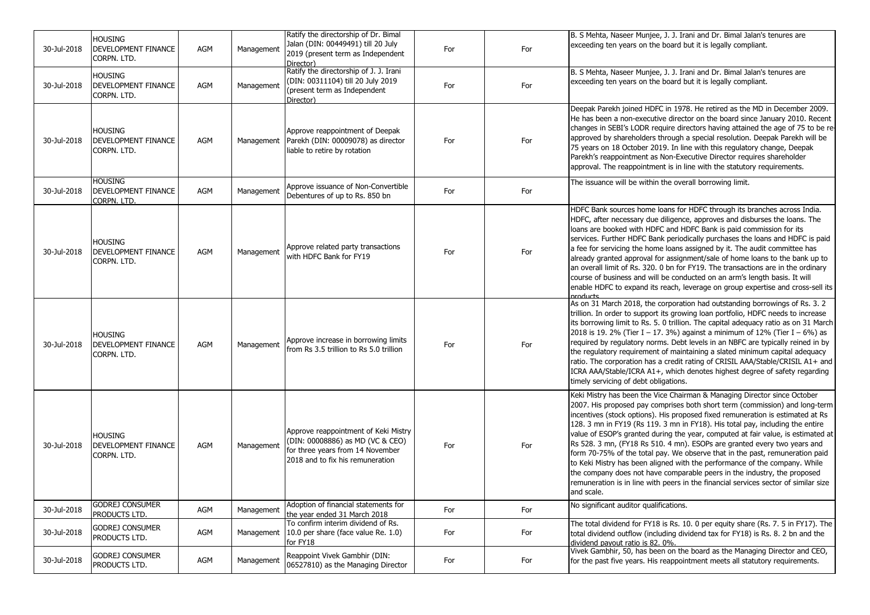| 30-Jul-2018 | <b>HOUSING</b><br>DEVELOPMENT FINANCE<br>CORPN. LTD. | <b>AGM</b> | Management | Ratify the directorship of Dr. Bimal<br>Jalan (DIN: 00449491) till 20 July<br>2019 (present term as Independent<br>Director)                     | For | For | B. S Mehta, Naseer Munjee, J. J. Irani and Dr. Bimal Jalan's tenures are<br>exceeding ten years on the board but it is legally compliant.                                                                                                                                                                                                                                                                                                                                                                                                                                                                                                                                                                                                                                                                                                 |
|-------------|------------------------------------------------------|------------|------------|--------------------------------------------------------------------------------------------------------------------------------------------------|-----|-----|-------------------------------------------------------------------------------------------------------------------------------------------------------------------------------------------------------------------------------------------------------------------------------------------------------------------------------------------------------------------------------------------------------------------------------------------------------------------------------------------------------------------------------------------------------------------------------------------------------------------------------------------------------------------------------------------------------------------------------------------------------------------------------------------------------------------------------------------|
| 30-Jul-2018 | Housing<br>DEVELOPMENT FINANCE<br>CORPN. LTD.        | <b>AGM</b> | Management | Ratify the directorship of J. J. Irani<br>(DIN: 00311104) till 20 July 2019<br>(present term as Independent<br>Director)                         | For | For | B. S Mehta, Naseer Munjee, J. J. Irani and Dr. Bimal Jalan's tenures are<br>exceeding ten years on the board but it is legally compliant.                                                                                                                                                                                                                                                                                                                                                                                                                                                                                                                                                                                                                                                                                                 |
| 30-Jul-2018 | Housing<br>DEVELOPMENT FINANCE<br>Corpn. LTD.        | <b>AGM</b> |            | Approve reappointment of Deepak<br>Management   Parekh (DIN: 00009078) as director<br>liable to retire by rotation                               | For | For | Deepak Parekh joined HDFC in 1978. He retired as the MD in December 2009.<br>He has been a non-executive director on the board since January 2010. Recent<br>changes in SEBI's LODR require directors having attained the age of 75 to be re-<br>approved by shareholders through a special resolution. Deepak Parekh will be<br>75 years on 18 October 2019. In line with this regulatory change, Deepak<br>Parekh's reappointment as Non-Executive Director requires shareholder<br>approval. The reappointment is in line with the statutory requirements.                                                                                                                                                                                                                                                                             |
| 30-Jul-2018 | <b>HOUSING</b><br>DEVELOPMENT FINANCE<br>Corpn. LTD. | AGM        | Management | Approve issuance of Non-Convertible<br>Debentures of up to Rs. 850 bn                                                                            | For | For | The issuance will be within the overall borrowing limit.                                                                                                                                                                                                                                                                                                                                                                                                                                                                                                                                                                                                                                                                                                                                                                                  |
| 30-Jul-2018 | Housing<br>DEVELOPMENT FINANCE<br>CORPN. LTD.        | <b>AGM</b> | Management | Approve related party transactions<br>with HDFC Bank for FY19                                                                                    | For | For | HDFC Bank sources home loans for HDFC through its branches across India.<br>HDFC, after necessary due diligence, approves and disburses the loans. The<br>loans are booked with HDFC and HDFC Bank is paid commission for its<br>services. Further HDFC Bank periodically purchases the loans and HDFC is paid<br>a fee for servicing the home loans assigned by it. The audit committee has<br>already granted approval for assignment/sale of home loans to the bank up to<br>an overall limit of Rs. 320. 0 bn for FY19. The transactions are in the ordinary<br>course of business and will be conducted on an arm's length basis. It will<br>enable HDFC to expand its reach, leverage on group expertise and cross-sell its<br>aroducte                                                                                             |
| 30-Jul-2018 | Housing<br>DEVELOPMENT FINANCE<br>CORPN. LTD.        | <b>AGM</b> | Management | Approve increase in borrowing limits<br>from Rs 3.5 trillion to Rs 5.0 trillion                                                                  | For | For | As on 31 March 2018, the corporation had outstanding borrowings of Rs. 3. 2<br>trillion. In order to support its growing loan portfolio, HDFC needs to increase<br>its borrowing limit to Rs. 5. 0 trillion. The capital adequacy ratio as on 31 March<br>2018 is 19. 2% (Tier I - 17. 3%) against a minimum of 12% (Tier I - 6%) as<br>required by regulatory norms. Debt levels in an NBFC are typically reined in by<br>the regulatory requirement of maintaining a slated minimum capital adequacy<br>ratio. The corporation has a credit rating of CRISIL AAA/Stable/CRISIL A1+ and<br>ICRA AAA/Stable/ICRA A1+, which denotes highest degree of safety regarding<br>timely servicing of debt obligations.                                                                                                                           |
| 30-Jul-2018 | <b>HOUSING</b><br>DEVELOPMENT FINANCE<br>CORPN. LTD. | <b>AGM</b> | Management | Approve reappointment of Keki Mistry<br>(DIN: 00008886) as MD (VC & CEO)<br>for three years from 14 November<br>2018 and to fix his remuneration | For | For | Keki Mistry has been the Vice Chairman & Managing Director since October<br>2007. His proposed pay comprises both short term (commission) and long-term<br>incentives (stock options). His proposed fixed remuneration is estimated at Rs<br>128. 3 mn in FY19 (Rs 119. 3 mn in FY18). His total pay, including the entire<br>value of ESOP's granted during the year, computed at fair value, is estimated at<br>Rs 528. 3 mn, (FY18 Rs 510. 4 mn). ESOPs are granted every two years and<br>form 70-75% of the total pay. We observe that in the past, remuneration paid<br>to Keki Mistry has been aligned with the performance of the company. While<br>the company does not have comparable peers in the industry, the proposed<br>remuneration is in line with peers in the financial services sector of similar size<br>and scale. |
| 30-Jul-2018 | <b>GODREJ CONSUMER</b><br>PRODUCTS LTD.              | AGM        | Management | Adoption of financial statements for<br>the year ended 31 March 2018                                                                             | For | For | No significant auditor qualifications.                                                                                                                                                                                                                                                                                                                                                                                                                                                                                                                                                                                                                                                                                                                                                                                                    |
| 30-Jul-2018 | <b>GODREJ CONSUMER</b><br>PRODUCTS LTD.              | AGM        | Management | To confirm interim dividend of Rs.<br>10.0 per share (face value Re. 1.0)<br>for FY18                                                            | For | For | The total dividend for FY18 is Rs. 10. 0 per equity share (Rs. 7. 5 in FY17). The<br>total dividend outflow (including dividend tax for FY18) is Rs. 8. 2 bn and the<br>dividend pavout ratio is 82, 0%.                                                                                                                                                                                                                                                                                                                                                                                                                                                                                                                                                                                                                                  |
| 30-Jul-2018 | <b>GODREJ CONSUMER</b><br>PRODUCTS LTD.              | AGM        | Management | Reappoint Vivek Gambhir (DIN:<br>06527810) as the Managing Director                                                                              | For | For | Vivek Gambhir, 50, has been on the board as the Managing Director and CEO,<br>for the past five years. His reappointment meets all statutory requirements.                                                                                                                                                                                                                                                                                                                                                                                                                                                                                                                                                                                                                                                                                |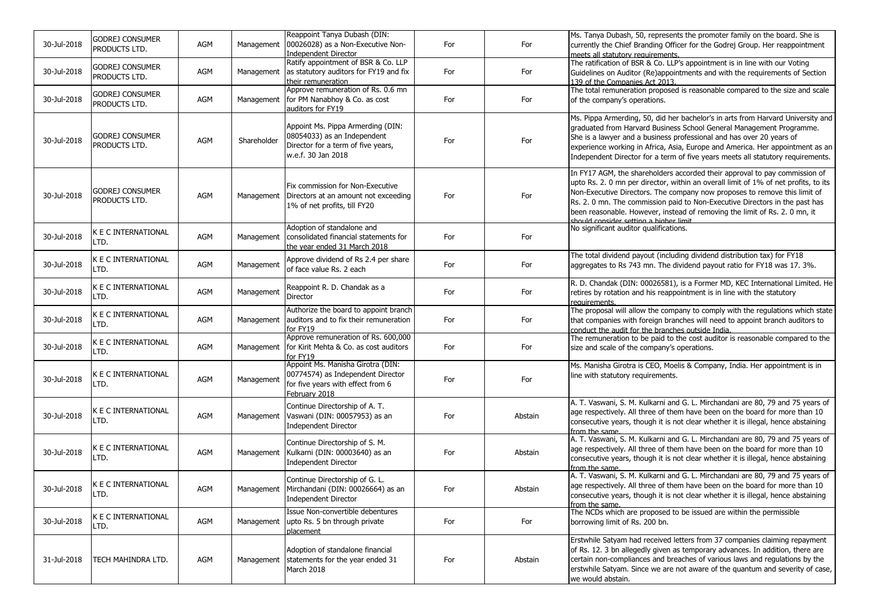| 30-Jul-2018 | <b>GODREJ CONSUMER</b><br>PRODUCTS LTD. | AGM | Management  | Reappoint Tanya Dubash (DIN:<br>00026028) as a Non-Executive Non-<br>Independent Director                                    | For | For     | Ms. Tanya Dubash, 50, represents the promoter family on the board. She is<br>currently the Chief Branding Officer for the Godrej Group. Her reappointment<br>meets all statutory requirements.                                                                                                                                                                                                                                                        |
|-------------|-----------------------------------------|-----|-------------|------------------------------------------------------------------------------------------------------------------------------|-----|---------|-------------------------------------------------------------------------------------------------------------------------------------------------------------------------------------------------------------------------------------------------------------------------------------------------------------------------------------------------------------------------------------------------------------------------------------------------------|
| 30-Jul-2018 | <b>GODREJ CONSUMER</b><br>PRODUCTS LTD. | AGM | Management  | Ratify appointment of BSR & Co. LLP<br>as statutory auditors for FY19 and fix<br>their remuneration                          | For | For     | The ratification of BSR & Co. LLP's appointment is in line with our Voting<br>Guidelines on Auditor (Re)appointments and with the requirements of Section<br>139 of the Companies Act 2013.                                                                                                                                                                                                                                                           |
| 30-Jul-2018 | <b>GODREJ CONSUMER</b><br>PRODUCTS LTD. | AGM | Management  | Approve remuneration of Rs. 0.6 mn<br>for PM Nanabhoy & Co. as cost<br>auditors for FY19                                     | For | For     | The total remuneration proposed is reasonable compared to the size and scale<br>of the company's operations.                                                                                                                                                                                                                                                                                                                                          |
| 30-Jul-2018 | <b>GODREJ CONSUMER</b><br>PRODUCTS LTD. | AGM | Shareholder | Appoint Ms. Pippa Armerding (DIN:<br>08054033) as an Independent<br>Director for a term of five years,<br>w.e.f. 30 Jan 2018 | For | For     | Ms. Pippa Armerding, 50, did her bachelor's in arts from Harvard University and<br>graduated from Harvard Business School General Management Programme.<br>She is a lawyer and a business professional and has over 20 years of<br>experience working in Africa, Asia, Europe and America. Her appointment as an<br>Independent Director for a term of five years meets all statutory requirements.                                                   |
| 30-Jul-2018 | <b>GODREJ CONSUMER</b><br>PRODUCTS LTD. | AGM | Management  | Fix commission for Non-Executive<br>Directors at an amount not exceeding<br>1% of net profits, till FY20                     | For | For     | In FY17 AGM, the shareholders accorded their approval to pay commission of<br>upto Rs. 2. 0 mn per director, within an overall limit of 1% of net profits, to its<br>Non-Executive Directors. The company now proposes to remove this limit of<br>Rs. 2. 0 mn. The commission paid to Non-Executive Directors in the past has<br>been reasonable. However, instead of removing the limit of Rs. 2. 0 mn, it<br>should consider setting a higher limit |
| 30-Jul-2018 | K E C INTERNATIONAL<br>LTD.             | AGM | Management  | Adoption of standalone and<br>consolidated financial statements for<br>the year ended 31 March 2018                          | For | For     | No significant auditor qualifications.                                                                                                                                                                                                                                                                                                                                                                                                                |
| 30-Jul-2018 | K E C INTERNATIONAL<br>LTD.             | AGM | Management  | Approve dividend of Rs 2.4 per share<br>of face value Rs. 2 each                                                             | For | For     | The total dividend payout (including dividend distribution tax) for FY18<br>aggregates to Rs 743 mn. The dividend payout ratio for FY18 was 17. 3%.                                                                                                                                                                                                                                                                                                   |
| 30-Jul-2018 | <b>K E C INTERNATIONAL</b><br>LTD.      | AGM | Management  | Reappoint R. D. Chandak as a<br>Director                                                                                     | For | For     | R. D. Chandak (DIN: 00026581), is a Former MD, KEC International Limited. He<br>retires by rotation and his reappointment is in line with the statutory<br>requirements.                                                                                                                                                                                                                                                                              |
| 30-Jul-2018 | K E C INTERNATIONAL<br>LTD.             | AGM | Management  | Authorize the board to appoint branch<br>auditors and to fix their remuneration<br>for FY19                                  | For | For     | The proposal will allow the company to comply with the regulations which state<br>that companies with foreign branches will need to appoint branch auditors to<br>conduct the audit for the branches outside India.                                                                                                                                                                                                                                   |
| 30-Jul-2018 | K E C INTERNATIONAL<br>LTD.             | AGM | Management  | Approve remuneration of Rs. 600,000<br>for Kirit Mehta & Co. as cost auditors<br>for FY19                                    | For | For     | The remuneration to be paid to the cost auditor is reasonable compared to the<br>size and scale of the company's operations.                                                                                                                                                                                                                                                                                                                          |
| 30-Jul-2018 | K E C INTERNATIONAL<br>LTD.             | AGM | Management  | Appoint Ms. Manisha Girotra (DIN:<br>00774574) as Independent Director<br>for five years with effect from 6<br>February 2018 | For | For     | Ms. Manisha Girotra is CEO, Moelis & Company, India. Her appointment is in<br>line with statutory requirements.                                                                                                                                                                                                                                                                                                                                       |
| 30-Jul-2018 | K E C INTERNATIONAL<br>LTD.             | AGM | Management  | Continue Directorship of A. T.<br>Vaswani (DIN: 00057953) as an<br><b>Independent Director</b>                               | For | Abstain | A. T. Vaswani, S. M. Kulkarni and G. L. Mirchandani are 80, 79 and 75 years of<br>age respectively. All three of them have been on the board for more than 10<br>consecutive years, though it is not clear whether it is illegal, hence abstaining<br>from the same.                                                                                                                                                                                  |
| 30-Jul-2018 | K E C INTERNATIONAL<br>LTD.             | AGM | Management  | Continue Directorship of S. M.<br>Kulkarni (DIN: 00003640) as an<br><b>Independent Director</b>                              | For | Abstain | A. T. Vaswani, S. M. Kulkarni and G. L. Mirchandani are 80, 79 and 75 years of<br>age respectively. All three of them have been on the board for more than 10<br>consecutive years, though it is not clear whether it is illegal, hence abstaining<br>from the same.                                                                                                                                                                                  |
| 30-Jul-2018 | K E C INTERNATIONAL<br>LTD.             | AGM | Management  | Continue Directorship of G. L.<br>Mirchandani (DIN: 00026664) as an<br>Independent Director                                  | For | Abstain | A. T. Vaswani, S. M. Kulkarni and G. L. Mirchandani are 80, 79 and 75 years of<br>age respectively. All three of them have been on the board for more than 10<br>consecutive years, though it is not clear whether it is illegal, hence abstaining<br>from the same.                                                                                                                                                                                  |
| 30-Jul-2018 | K E C INTERNATIONAL<br>LTD.             | AGM | Management  | Issue Non-convertible debentures<br>upto Rs. 5 bn through private<br>placement                                               | For | For     | The NCDs which are proposed to be issued are within the permissible<br>borrowing limit of Rs. 200 bn.                                                                                                                                                                                                                                                                                                                                                 |
| 31-Jul-2018 | TECH MAHINDRA LTD.                      | AGM | Management  | Adoption of standalone financial<br>statements for the year ended 31<br>March 2018                                           | For | Abstain | Erstwhile Satyam had received letters from 37 companies claiming repayment<br>of Rs. 12. 3 bn allegedly given as temporary advances. In addition, there are<br>certain non-compliances and breaches of various laws and regulations by the<br>erstwhile Satyam. Since we are not aware of the quantum and severity of case,<br>we would abstain.                                                                                                      |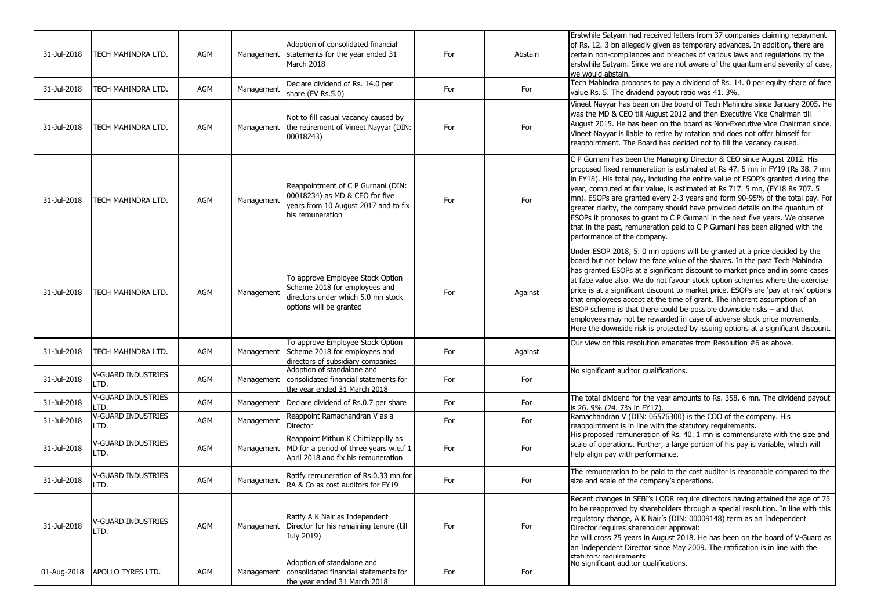| 31-Jul-2018 | TECH MAHINDRA LTD.                | AGM | Management | Adoption of consolidated financial<br>statements for the year ended 31<br>March 2018                                               | For | Abstain | Erstwhile Satyam had received letters from 37 companies claiming repayment<br>of Rs. 12. 3 bn allegedly given as temporary advances. In addition, there are<br>certain non-compliances and breaches of various laws and regulations by the<br>erstwhile Satyam. Since we are not aware of the quantum and severity of case,<br>we would abstain.                                                                                                                                                                                                                                                                                                                                                                                        |
|-------------|-----------------------------------|-----|------------|------------------------------------------------------------------------------------------------------------------------------------|-----|---------|-----------------------------------------------------------------------------------------------------------------------------------------------------------------------------------------------------------------------------------------------------------------------------------------------------------------------------------------------------------------------------------------------------------------------------------------------------------------------------------------------------------------------------------------------------------------------------------------------------------------------------------------------------------------------------------------------------------------------------------------|
| 31-Jul-2018 | TECH MAHINDRA LTD.                | AGM | Management | Declare dividend of Rs. 14.0 per<br>share (FV Rs.5.0)                                                                              | For | For     | Tech Mahindra proposes to pay a dividend of Rs. 14. 0 per equity share of face<br>value Rs. 5. The dividend payout ratio was 41. 3%.                                                                                                                                                                                                                                                                                                                                                                                                                                                                                                                                                                                                    |
| 31-Jul-2018 | TECH MAHINDRA LTD.                | AGM | Management | Not to fill casual vacancy caused by<br>the retirement of Vineet Nayyar (DIN:<br>00018243)                                         | For | For     | Vineet Nayyar has been on the board of Tech Mahindra since January 2005. He<br>was the MD & CEO till August 2012 and then Executive Vice Chairman till<br>August 2015. He has been on the board as Non-Executive Vice Chairman since.<br>Vineet Nayyar is liable to retire by rotation and does not offer himself for<br>reappointment. The Board has decided not to fill the vacancy caused.                                                                                                                                                                                                                                                                                                                                           |
| 31-Jul-2018 | TECH MAHINDRA LTD.                | AGM | Management | Reappointment of C P Gurnani (DIN:<br>00018234) as MD & CEO for five<br>years from 10 August 2017 and to fix<br>his remuneration   | For | For     | C P Gurnani has been the Managing Director & CEO since August 2012. His<br>proposed fixed remuneration is estimated at Rs 47. 5 mn in FY19 (Rs 38. 7 mn<br>in FY18). His total pay, including the entire value of ESOP's granted during the<br>year, computed at fair value, is estimated at Rs 717. 5 mn, (FY18 Rs 707. 5<br>mn). ESOPs are granted every 2-3 years and form 90-95% of the total pay. For<br>greater clarity, the company should have provided details on the quantum of<br>ESOPs it proposes to grant to C P Gurnani in the next five years. We observe<br>that in the past, remuneration paid to C P Gurnani has been aligned with the<br>performance of the company.                                                |
| 31-Jul-2018 | TECH MAHINDRA LTD.                | AGM | Management | To approve Employee Stock Option<br>Scheme 2018 for employees and<br>directors under which 5.0 mn stock<br>options will be granted | For | Against | Under ESOP 2018, 5. 0 mn options will be granted at a price decided by the<br>board but not below the face value of the shares. In the past Tech Mahindra<br>has granted ESOPs at a significant discount to market price and in some cases<br>at face value also. We do not favour stock option schemes where the exercise<br>price is at a significant discount to market price. ESOPs are 'pay at risk' options<br>that employees accept at the time of grant. The inherent assumption of an<br>ESOP scheme is that there could be possible downside risks - and that<br>employees may not be rewarded in case of adverse stock price movements.<br>Here the downside risk is protected by issuing options at a significant discount. |
| 31-Jul-2018 | TECH MAHINDRA LTD.                | AGM | Management | To approve Employee Stock Option<br>Scheme 2018 for employees and<br>directors of subsidiary companies                             | For | Against | Our view on this resolution emanates from Resolution #6 as above.                                                                                                                                                                                                                                                                                                                                                                                                                                                                                                                                                                                                                                                                       |
| 31-Jul-2018 | <b>V-GUARD INDUSTRIES</b><br>LTD. | AGM | Management | Adoption of standalone and<br>consolidated financial statements for<br>the year ended 31 March 2018                                | For | For     | No significant auditor qualifications.                                                                                                                                                                                                                                                                                                                                                                                                                                                                                                                                                                                                                                                                                                  |
| 31-Jul-2018 | <b>V-GUARD INDUSTRIES</b><br>LTD. | AGM | Management | Declare dividend of Rs.0.7 per share                                                                                               | For | For     | The total dividend for the year amounts to Rs. 358. 6 mn. The dividend payout<br>is 26. 9% (24. 7% in FY17).                                                                                                                                                                                                                                                                                                                                                                                                                                                                                                                                                                                                                            |
| 31-Jul-2018 | <b>V-GUARD INDUSTRIES</b><br>LTD. | AGM | Management | Reappoint Ramachandran V as a<br>Director                                                                                          | For | For     | Ramachandran V (DIN: 06576300) is the COO of the company. His<br>reappointment is in line with the statutory requirements.                                                                                                                                                                                                                                                                                                                                                                                                                                                                                                                                                                                                              |
| 31-Jul-2018 | <b>V-GUARD INDUSTRIES</b><br>LTD. | AGM | Management | Reappoint Mithun K Chittilappilly as<br>MD for a period of three years w.e.f 1<br>April 2018 and fix his remuneration              | For | For     | His proposed remuneration of Rs. 40. 1 mn is commensurate with the size and<br>scale of operations. Further, a large portion of his pay is variable, which will<br>help align pay with performance.                                                                                                                                                                                                                                                                                                                                                                                                                                                                                                                                     |
| 31-Jul-2018 | <b>V-GUARD INDUSTRIES</b><br>LTD. | AGM | Management | Ratify remuneration of Rs.0.33 mn for<br>RA & Co as cost auditors for FY19                                                         | For | For     | The remuneration to be paid to the cost auditor is reasonable compared to the<br>size and scale of the company's operations.                                                                                                                                                                                                                                                                                                                                                                                                                                                                                                                                                                                                            |
| 31-Jul-2018 | <b>V-GUARD INDUSTRIES</b><br>LTD. | AGM | Management | Ratify A K Nair as Independent<br>Director for his remaining tenure (till<br>July 2019)                                            | For | For     | Recent changes in SEBI's LODR require directors having attained the age of 75<br>to be reapproved by shareholders through a special resolution. In line with this<br>regulatory change, A K Nair's (DIN: 00009148) term as an Independent<br>Director requires shareholder approval:<br>he will cross 75 years in August 2018. He has been on the board of V-Guard as<br>an Independent Director since May 2009. The ratification is in line with the<br>tatutoru requirements                                                                                                                                                                                                                                                          |
| 01-Aug-2018 | APOLLO TYRES LTD.                 | AGM | Management | Adoption of standalone and<br>consolidated financial statements for<br>the year ended 31 March 2018                                | For | For     | No significant auditor qualifications.                                                                                                                                                                                                                                                                                                                                                                                                                                                                                                                                                                                                                                                                                                  |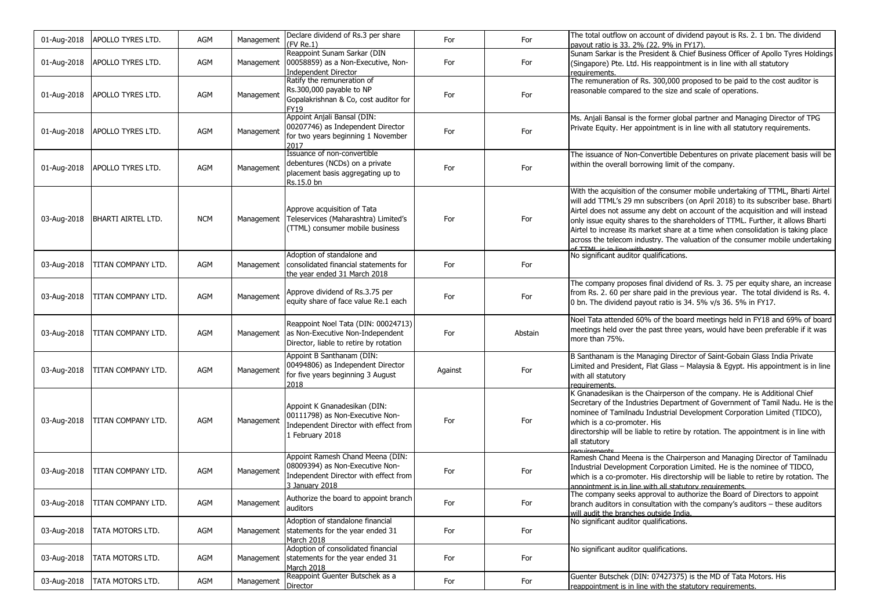| 01-Aug-2018 | APOLLO TYRES LTD.         | AGM        | Management | Declare dividend of Rs.3 per share<br>(FV Re.1)                                                                                | For     | For     | The total outflow on account of dividend payout is Rs. 2. 1 bn. The dividend<br>payout ratio is 33. 2% (22. 9% in FY17).                                                                                                                                                                                                                                                                                                                                                                                                                      |
|-------------|---------------------------|------------|------------|--------------------------------------------------------------------------------------------------------------------------------|---------|---------|-----------------------------------------------------------------------------------------------------------------------------------------------------------------------------------------------------------------------------------------------------------------------------------------------------------------------------------------------------------------------------------------------------------------------------------------------------------------------------------------------------------------------------------------------|
| 01-Aug-2018 | APOLLO TYRES LTD.         | AGM        | Management | Reappoint Sunam Sarkar (DIN<br>00058859) as a Non-Executive, Non-<br><b>Independent Director</b>                               | For     | For     | Sunam Sarkar is the President & Chief Business Officer of Apollo Tyres Holdings<br>(Singapore) Pte. Ltd. His reappointment is in line with all statutory<br>requirements.                                                                                                                                                                                                                                                                                                                                                                     |
| 01-Aug-2018 | <b>APOLLO TYRES LTD.</b>  | AGM        | Management | Ratify the remuneration of<br>Rs.300,000 payable to NP<br>Gopalakrishnan & Co, cost auditor for<br>FY19                        | For     | For     | The remuneration of Rs. 300,000 proposed to be paid to the cost auditor is<br>reasonable compared to the size and scale of operations.                                                                                                                                                                                                                                                                                                                                                                                                        |
| 01-Aug-2018 | APOLLO TYRES LTD.         | AGM        | Management | Appoint Anjali Bansal (DIN:<br>00207746) as Independent Director<br>for two years beginning 1 November<br>2017                 | For     | For     | Ms. Anjali Bansal is the former global partner and Managing Director of TPG<br>Private Equity. Her appointment is in line with all statutory requirements.                                                                                                                                                                                                                                                                                                                                                                                    |
| 01-Aug-2018 | APOLLO TYRES LTD.         | AGM        | Management | Issuance of non-convertible<br>debentures (NCDs) on a private<br>placement basis aggregating up to<br>Rs.15.0 bn               | For     | For     | The issuance of Non-Convertible Debentures on private placement basis will be<br>within the overall borrowing limit of the company.                                                                                                                                                                                                                                                                                                                                                                                                           |
| 03-Aug-2018 | <b>BHARTI AIRTEL LTD.</b> | <b>NCM</b> | Management | Approve acquisition of Tata<br>Teleservices (Maharashtra) Limited's<br>(TTML) consumer mobile business                         | For     | For     | With the acquisition of the consumer mobile undertaking of TTML, Bharti Airtel<br>will add TTML's 29 mn subscribers (on April 2018) to its subscriber base. Bharti<br>Airtel does not assume any debt on account of the acquisition and will instead<br>only issue equity shares to the shareholders of TTML. Further, it allows Bharti<br>Airtel to increase its market share at a time when consolidation is taking place<br>across the telecom industry. The valuation of the consumer mobile undertaking<br>of TTML is in line with neers |
| 03-Aug-2018 | TITAN COMPANY LTD.        | AGM        | Management | Adoption of standalone and<br>consolidated financial statements for<br>the year ended 31 March 2018                            | For     | For     | No significant auditor qualifications.                                                                                                                                                                                                                                                                                                                                                                                                                                                                                                        |
| 03-Aug-2018 | TITAN COMPANY LTD.        | AGM        | Management | Approve dividend of Rs.3.75 per<br>equity share of face value Re.1 each                                                        | For     | For     | The company proposes final dividend of Rs. 3. 75 per equity share, an increase<br>from Rs. 2. 60 per share paid in the previous year. The total dividend is Rs. 4.<br>0 bn. The dividend payout ratio is 34. 5% v/s 36. 5% in FY17.                                                                                                                                                                                                                                                                                                           |
| 03-Aug-2018 | TITAN COMPANY LTD.        | AGM        | Management | Reappoint Noel Tata (DIN: 00024713)<br>as Non-Executive Non-Independent<br>Director, liable to retire by rotation              | For     | Abstain | Noel Tata attended 60% of the board meetings held in FY18 and 69% of board<br>meetings held over the past three years, would have been preferable if it was<br>more than 75%.                                                                                                                                                                                                                                                                                                                                                                 |
| 03-Aug-2018 | TITAN COMPANY LTD.        | AGM        | Management | Appoint B Santhanam (DIN:<br>00494806) as Independent Director<br>for five years beginning 3 August<br>2018                    | Against | For     | B Santhanam is the Managing Director of Saint-Gobain Glass India Private<br>Limited and President, Flat Glass - Malaysia & Egypt. His appointment is in line<br>with all statutory<br>requirements.                                                                                                                                                                                                                                                                                                                                           |
| 03-Aug-2018 | TITAN COMPANY LTD.        | AGM        | Management | Appoint K Gnanadesikan (DIN:<br>00111798) as Non-Executive Non-<br>Independent Director with effect from<br>1 February 2018    | For     | For     | K Gnanadesikan is the Chairperson of the company. He is Additional Chief<br>Secretary of the Industries Department of Government of Tamil Nadu. He is the<br>nominee of Tamilnadu Industrial Development Corporation Limited (TIDCO),<br>which is a co-promoter. His<br>directorship will be liable to retire by rotation. The appointment is in line with<br>all statutory                                                                                                                                                                   |
| 03-Aug-2018 | TITAN COMPANY LTD.        | AGM        | Management | Appoint Ramesh Chand Meena (DIN:<br>08009394) as Non-Executive Non-<br>Independent Director with effect from<br>3 January 2018 | For     | For     | Ramesh Chand Meena is the Chairperson and Managing Director of Tamilnadu<br>Industrial Development Corporation Limited. He is the nominee of TIDCO,<br>which is a co-promoter. His directorship will be liable to retire by rotation. The<br>annointment is in line with all statutory requirements.                                                                                                                                                                                                                                          |
| 03-Aug-2018 | TITAN COMPANY LTD.        | AGM        | Management | Authorize the board to appoint branch<br>auditors                                                                              | For     | For     | The company seeks approval to authorize the Board of Directors to appoint<br>branch auditors in consultation with the company's auditors - these auditors<br>will audit the branches outside India.                                                                                                                                                                                                                                                                                                                                           |
| 03-Aug-2018 | <b>TATA MOTORS LTD.</b>   | AGM        | Management | Adoption of standalone financial<br>statements for the year ended 31<br>March 2018                                             | For     | For     | No significant auditor qualifications.                                                                                                                                                                                                                                                                                                                                                                                                                                                                                                        |
| 03-Aug-2018 | TATA MOTORS LTD.          | AGM        | Management | Adoption of consolidated financial<br>statements for the year ended 31<br>March 2018                                           | For     | For     | No significant auditor qualifications.                                                                                                                                                                                                                                                                                                                                                                                                                                                                                                        |
| 03-Aug-2018 | TATA MOTORS LTD.          | AGM        | Management | Reappoint Guenter Butschek as a<br>Director                                                                                    | For     | For     | Guenter Butschek (DIN: 07427375) is the MD of Tata Motors. His<br>reappointment is in line with the statutory requirements.                                                                                                                                                                                                                                                                                                                                                                                                                   |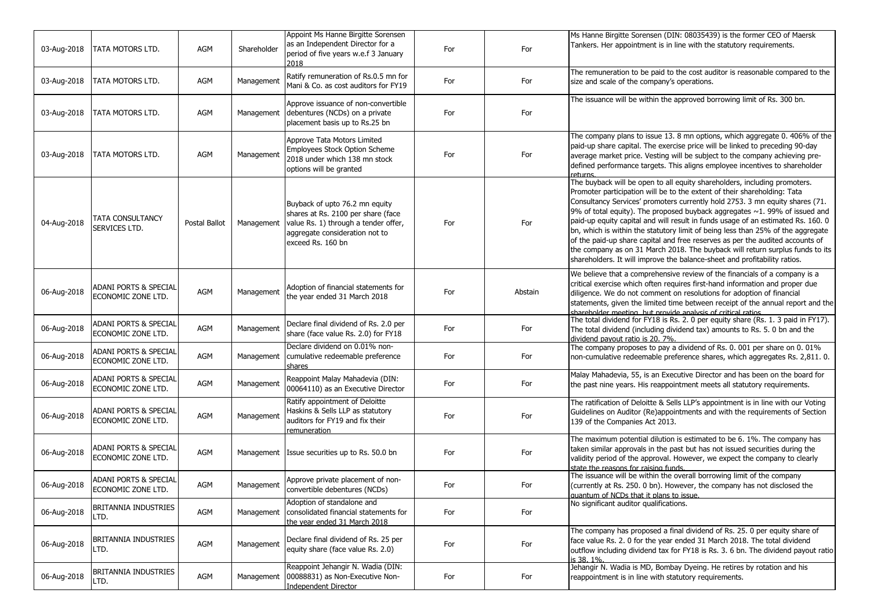| 03-Aug-2018 | TATA MOTORS LTD.                            | AGM           | Shareholder | Appoint Ms Hanne Birgitte Sorensen<br>as an Independent Director for a<br>period of five years w.e.f 3 January<br>2018                                              | For | For     | Ms Hanne Birgitte Sorensen (DIN: 08035439) is the former CEO of Maersk<br>Tankers. Her appointment is in line with the statutory requirements.                                                                                                                                                                                                                                                                                                                                                                                                                                                                                                                                                                                                  |
|-------------|---------------------------------------------|---------------|-------------|---------------------------------------------------------------------------------------------------------------------------------------------------------------------|-----|---------|-------------------------------------------------------------------------------------------------------------------------------------------------------------------------------------------------------------------------------------------------------------------------------------------------------------------------------------------------------------------------------------------------------------------------------------------------------------------------------------------------------------------------------------------------------------------------------------------------------------------------------------------------------------------------------------------------------------------------------------------------|
| 03-Aug-2018 | TATA MOTORS LTD.                            | AGM           | Management  | Ratify remuneration of Rs.0.5 mn for<br>Mani & Co. as cost auditors for FY19                                                                                        | For | For     | The remuneration to be paid to the cost auditor is reasonable compared to the<br>size and scale of the company's operations.                                                                                                                                                                                                                                                                                                                                                                                                                                                                                                                                                                                                                    |
| 03-Aug-2018 | TATA MOTORS LTD.                            | AGM           | Management  | Approve issuance of non-convertible<br>debentures (NCDs) on a private<br>placement basis up to Rs.25 bn                                                             | For | For     | The issuance will be within the approved borrowing limit of Rs. 300 bn.                                                                                                                                                                                                                                                                                                                                                                                                                                                                                                                                                                                                                                                                         |
| 03-Aug-2018 | TATA MOTORS LTD.                            | AGM           | Management  | Approve Tata Motors Limited<br>Employees Stock Option Scheme<br>2018 under which 138 mn stock<br>options will be granted                                            | For | For     | The company plans to issue 13. 8 mn options, which aggregate 0. 406% of the<br>paid-up share capital. The exercise price will be linked to preceding 90-day<br>average market price. Vesting will be subject to the company achieving pre-<br>defined performance targets. This aligns employee incentives to shareholder<br>returns                                                                                                                                                                                                                                                                                                                                                                                                            |
| 04-Aug-2018 | TATA CONSULTANCY<br>SERVICES LTD.           | Postal Ballot | Management  | Buyback of upto 76.2 mn equity<br>shares at Rs. 2100 per share (face<br>value Rs. 1) through a tender offer,<br>aggregate consideration not to<br>exceed Rs. 160 bn | For | For     | The buyback will be open to all equity shareholders, including promoters.<br>Promoter participation will be to the extent of their shareholding: Tata<br>Consultancy Services' promoters currently hold 2753. 3 mn equity shares (71.<br>9% of total equity). The proposed buyback aggregates $\sim$ 1. 99% of issued and<br>paid-up equity capital and will result in funds usage of an estimated Rs. 160. 0<br>bn, which is within the statutory limit of being less than 25% of the aggregate<br>of the paid-up share capital and free reserves as per the audited accounts of<br>the company as on 31 March 2018. The buyback will return surplus funds to its<br>shareholders. It will improve the balance-sheet and profitability ratios. |
| 06-Aug-2018 | ADANI PORTS & SPECIAL<br>ECONOMIC ZONE LTD. | AGM           | Management  | Adoption of financial statements for<br>the year ended 31 March 2018                                                                                                | For | Abstain | We believe that a comprehensive review of the financials of a company is a<br>critical exercise which often requires first-hand information and proper due<br>diligence. We do not comment on resolutions for adoption of financial<br>statements, given the limited time between receipt of the annual report and the<br>shareholder meeting but provide analysis of critical ratios.                                                                                                                                                                                                                                                                                                                                                          |
| 06-Aug-2018 | ADANI PORTS & SPECIAL<br>ECONOMIC ZONE LTD. | AGM           | Management  | Declare final dividend of Rs. 2.0 per<br>share (face value Rs. 2.0) for FY18                                                                                        | For | For     | The total dividend for FY18 is Rs. 2. 0 per equity share (Rs. 1. 3 paid in FY17).<br>The total dividend (including dividend tax) amounts to Rs. 5. 0 bn and the<br>dividend payout ratio is 20, 7%.                                                                                                                                                                                                                                                                                                                                                                                                                                                                                                                                             |
| 06-Aug-2018 | ADANI PORTS & SPECIAL<br>ECONOMIC ZONE LTD. | AGM           | Management  | Declare dividend on 0.01% non-<br>cumulative redeemable preference<br>shares                                                                                        | For | For     | The company proposes to pay a dividend of Rs. 0. 001 per share on 0. 01%<br>non-cumulative redeemable preference shares, which aggregates Rs. 2,811. 0.                                                                                                                                                                                                                                                                                                                                                                                                                                                                                                                                                                                         |
| 06-Aug-2018 | ADANI PORTS & SPECIAL<br>ECONOMIC ZONE LTD. | AGM           | Management  | Reappoint Malay Mahadevia (DIN:<br>00064110) as an Executive Director                                                                                               | For | For     | Malay Mahadevia, 55, is an Executive Director and has been on the board for<br>the past nine years. His reappointment meets all statutory requirements.                                                                                                                                                                                                                                                                                                                                                                                                                                                                                                                                                                                         |
| 06-Aug-2018 | ADANI PORTS & SPECIAL<br>ECONOMIC ZONE LTD. | AGM           | Management  | Ratify appointment of Deloitte<br>Haskins & Sells LLP as statutory<br>auditors for FY19 and fix their<br>remuneration                                               | For | For     | The ratification of Deloitte & Sells LLP's appointment is in line with our Voting<br>Guidelines on Auditor (Re)appointments and with the requirements of Section<br>139 of the Companies Act 2013.                                                                                                                                                                                                                                                                                                                                                                                                                                                                                                                                              |
| 06-Aug-2018 | ADANI PORTS & SPECIAL<br>ECONOMIC ZONE LTD. | AGM           |             | Management Issue securities up to Rs. 50.0 bn                                                                                                                       | For | For     | The maximum potential dilution is estimated to be 6. 1%. The company has<br>taken similar approvals in the past but has not issued securities during the<br>validity period of the approval. However, we expect the company to clearly<br>state the reasons for raising funds.                                                                                                                                                                                                                                                                                                                                                                                                                                                                  |
| 06-Aug-2018 | ADANI PORTS & SPECIAL<br>ECONOMIC ZONE LTD. | AGM           | Management  | Approve private placement of non-<br>convertible debentures (NCDs)                                                                                                  | For | For     | The issuance will be within the overall borrowing limit of the company<br>(currently at Rs. 250, 0 bn). However, the company has not disclosed the<br>l quantum of NCDs that it plans to issue.                                                                                                                                                                                                                                                                                                                                                                                                                                                                                                                                                 |
| 06-Aug-2018 | <b>BRITANNIA INDUSTRIES</b><br>LTD.         | AGM           | Management  | Adoption of standalone and<br>consolidated financial statements for<br>the year ended 31 March 2018                                                                 | For | For     | No significant auditor qualifications.                                                                                                                                                                                                                                                                                                                                                                                                                                                                                                                                                                                                                                                                                                          |
| 06-Aug-2018 | BRITANNIA INDUSTRIES<br>LTD.                | AGM           | Management  | Declare final dividend of Rs. 25 per<br>equity share (face value Rs. 2.0)                                                                                           | For | For     | The company has proposed a final dividend of Rs. 25. 0 per equity share of<br>face value Rs. 2. 0 for the year ended 31 March 2018. The total dividend<br>outflow including dividend tax for FY18 is Rs. 3. 6 bn. The dividend payout ratio<br>is 38.1%.                                                                                                                                                                                                                                                                                                                                                                                                                                                                                        |
| 06-Aug-2018 | BRITANNIA INDUSTRIES<br>LTD.                | AGM           | Management  | Reappoint Jehangir N. Wadia (DIN:<br>00088831) as Non-Executive Non-<br>Independent Director                                                                        | For | For     | Jehangir N. Wadia is MD, Bombay Dyeing. He retires by rotation and his<br>reappointment is in line with statutory requirements.                                                                                                                                                                                                                                                                                                                                                                                                                                                                                                                                                                                                                 |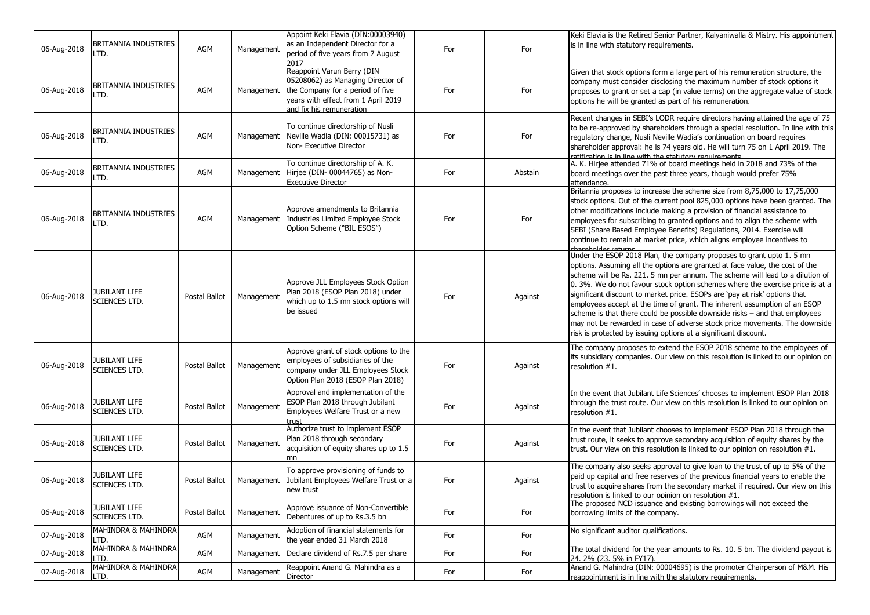| 06-Aug-2018 | BRITANNIA INDUSTRIES<br>LTD.           | AGM           | Management | Appoint Keki Elavia (DIN:00003940)<br>as an Independent Director for a<br>period of five years from 7 August<br>2017                                                   | For | For     | Keki Elavia is the Retired Senior Partner, Kalyaniwalla & Mistry. His appointment<br>is in line with statutory requirements.                                                                                                                                                                                                                                                                                                                                                                                                                                                                                                                                                                                     |
|-------------|----------------------------------------|---------------|------------|------------------------------------------------------------------------------------------------------------------------------------------------------------------------|-----|---------|------------------------------------------------------------------------------------------------------------------------------------------------------------------------------------------------------------------------------------------------------------------------------------------------------------------------------------------------------------------------------------------------------------------------------------------------------------------------------------------------------------------------------------------------------------------------------------------------------------------------------------------------------------------------------------------------------------------|
| 06-Aug-2018 | BRITANNIA INDUSTRIES<br>LTD.           | AGM           | Management | Reappoint Varun Berry (DIN<br>05208062) as Managing Director of<br>the Company for a period of five<br>years with effect from 1 April 2019<br>and fix his remuneration | For | For     | Given that stock options form a large part of his remuneration structure, the<br>company must consider disclosing the maximum number of stock options it<br>proposes to grant or set a cap (in value terms) on the aggregate value of stock<br>options he will be granted as part of his remuneration.                                                                                                                                                                                                                                                                                                                                                                                                           |
| 06-Aug-2018 | BRITANNIA INDUSTRIES<br>LTD.           | AGM           | Management | To continue directorship of Nusli<br>Neville Wadia (DIN: 00015731) as<br>Non- Executive Director                                                                       | For | For     | Recent changes in SEBI's LODR require directors having attained the age of 75<br>to be re-approved by shareholders through a special resolution. In line with this<br>regulatory change, Nusli Neville Wadia's continuation on board requires<br>shareholder approval: he is 74 years old. He will turn 75 on 1 April 2019. The<br>ratification is in line with the statutory requirements                                                                                                                                                                                                                                                                                                                       |
| 06-Aug-2018 | BRITANNIA INDUSTRIES<br>LTD.           | AGM           | Management | To continue directorship of A. K.<br>Hirjee (DIN- 00044765) as Non-<br><b>Executive Director</b>                                                                       | For | Abstain | A. K. Hirjee attended 71% of board meetings held in 2018 and 73% of the<br>board meetings over the past three years, though would prefer 75%<br>attendance.                                                                                                                                                                                                                                                                                                                                                                                                                                                                                                                                                      |
| 06-Aug-2018 | BRITANNIA INDUSTRIES<br>LTD.           | AGM           | Management | Approve amendments to Britannia<br>Industries Limited Employee Stock<br>Option Scheme ("BIL ESOS")                                                                     | For | For     | Britannia proposes to increase the scheme size from 8,75,000 to 17,75,000<br>stock options. Out of the current pool 825,000 options have been granted. The<br>other modifications include making a provision of financial assistance to<br>employees for subscribing to granted options and to align the scheme with<br>SEBI (Share Based Employee Benefits) Regulations, 2014. Exercise will<br>continue to remain at market price, which aligns employee incentives to<br>chareholder returns                                                                                                                                                                                                                  |
| 06-Aug-2018 | JUBILANT LIFE<br>SCIENCES LTD.         | Postal Ballot | Management | Approve JLL Employees Stock Option<br>Plan 2018 (ESOP Plan 2018) under<br>which up to 1.5 mn stock options will<br>be issued                                           | For | Against | Under the ESOP 2018 Plan, the company proposes to grant upto 1. 5 mn<br>options. Assuming all the options are granted at face value, the cost of the<br>scheme will be Rs. 221. 5 mn per annum. The scheme will lead to a dilution of<br>0. 3%. We do not favour stock option schemes where the exercise price is at a<br>significant discount to market price. ESOPs are 'pay at risk' options that<br>employees accept at the time of grant. The inherent assumption of an ESOP<br>scheme is that there could be possible downside risks – and that employees<br>may not be rewarded in case of adverse stock price movements. The downside<br>risk is protected by issuing options at a significant discount. |
| 06-Aug-2018 | JUBILANT LIFE<br>SCIENCES LTD.         | Postal Ballot | Management | Approve grant of stock options to the<br>employees of subsidiaries of the<br>company under JLL Employees Stock<br>Option Plan 2018 (ESOP Plan 2018)                    | For | Against | The company proposes to extend the ESOP 2018 scheme to the employees of<br>its subsidiary companies. Our view on this resolution is linked to our opinion on<br>resolution #1.                                                                                                                                                                                                                                                                                                                                                                                                                                                                                                                                   |
| 06-Aug-2018 | JUBILANT LIFE<br><b>SCIENCES LTD.</b>  | Postal Ballot | Management | Approval and implementation of the<br>ESOP Plan 2018 through Jubilant<br>Employees Welfare Trust or a new<br>trust                                                     | For | Against | In the event that Jubilant Life Sciences' chooses to implement ESOP Plan 2018<br>through the trust route. Our view on this resolution is linked to our opinion on<br>resolution #1.                                                                                                                                                                                                                                                                                                                                                                                                                                                                                                                              |
| 06-Aug-2018 | JUBILANT LIFE<br><b>SCIENCES LTD.</b>  | Postal Ballot | Management | Authorize trust to implement ESOP<br>Plan 2018 through secondary<br>acquisition of equity shares up to 1.5                                                             | For | Against | In the event that Jubilant chooses to implement ESOP Plan 2018 through the<br>trust route, it seeks to approve secondary acquisition of equity shares by the<br>trust. Our view on this resolution is linked to our opinion on resolution #1.                                                                                                                                                                                                                                                                                                                                                                                                                                                                    |
| 06-Aug-2018 | JUBILANT LIFE<br><b>SCIENCES LTD.</b>  | Postal Ballot | Management | To approve provisioning of funds to<br>Jubilant Employees Welfare Trust or a<br>new trust                                                                              | For | Against | The company also seeks approval to give loan to the trust of up to 5% of the<br>paid up capital and free reserves of the previous financial years to enable the<br>trust to acquire shares from the secondary market if required. Our view on this<br>resolution is linked to our opinion on resolution #1                                                                                                                                                                                                                                                                                                                                                                                                       |
| 06-Aug-2018 | <b>JUBILANT LIFE</b><br>SCIENCES LTD.  | Postal Ballot | Management | Approve issuance of Non-Convertible<br>Debentures of up to Rs.3.5 bn                                                                                                   | For | For     | The proposed NCD issuance and existing borrowings will not exceed the<br>borrowing limits of the company.                                                                                                                                                                                                                                                                                                                                                                                                                                                                                                                                                                                                        |
| 07-Aug-2018 | <b>MAHINDRA &amp; MAHINDRA</b><br>LTD. | AGM           | Management | Adoption of financial statements for<br>the year ended 31 March 2018                                                                                                   | For | For     | No significant auditor qualifications.                                                                                                                                                                                                                                                                                                                                                                                                                                                                                                                                                                                                                                                                           |
| 07-Aug-2018 | MAHINDRA & MAHINDRA<br>_TD.            | AGM           | Management | Declare dividend of Rs.7.5 per share                                                                                                                                   | For | For     | The total dividend for the year amounts to Rs. 10. 5 bn. The dividend payout is<br>24. 2% (23. 5% in FY17).                                                                                                                                                                                                                                                                                                                                                                                                                                                                                                                                                                                                      |
| 07-Aug-2018 | MAHINDRA & MAHINDRA<br>LTD.            | AGM           | Management | Reappoint Anand G. Mahindra as a<br><b>Director</b>                                                                                                                    | For | For     | Anand G. Mahindra (DIN: 00004695) is the promoter Chairperson of M&M. His<br>reappointment is in line with the statutory requirements.                                                                                                                                                                                                                                                                                                                                                                                                                                                                                                                                                                           |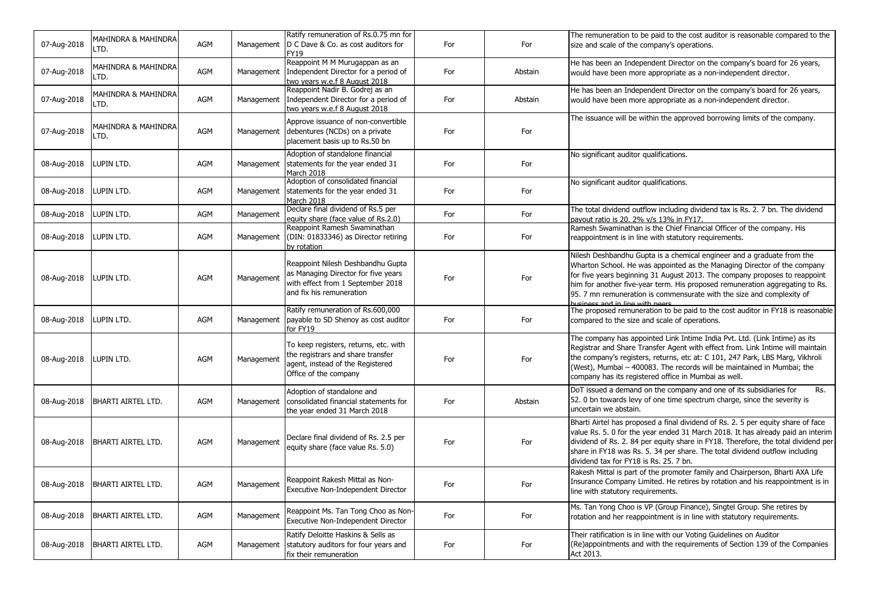| 07-Aug-2018 | MAHINDRA & MAHINDRA<br>LTD. | AGM        | Management | Ratify remuneration of Rs.0.75 mn for<br>D C Dave & Co. as cost auditors for<br>FY19                                                      | For | For     | The remuneration to be paid to the cost auditor is reasonable compared to the<br>size and scale of the company's operations.                                                                                                                                                                                                                                                                                                 |
|-------------|-----------------------------|------------|------------|-------------------------------------------------------------------------------------------------------------------------------------------|-----|---------|------------------------------------------------------------------------------------------------------------------------------------------------------------------------------------------------------------------------------------------------------------------------------------------------------------------------------------------------------------------------------------------------------------------------------|
| 07-Aug-2018 | MAHINDRA & MAHINDRA<br>LTD. | AGM        | Management | Reappoint M M Murugappan as an<br>Independent Director for a period of<br>two years w.e.f 8 August 2018                                   | For | Abstain | He has been an Independent Director on the company's board for 26 years,<br>would have been more appropriate as a non-independent director.                                                                                                                                                                                                                                                                                  |
| 07-Aug-2018 | MAHINDRA & MAHINDRA<br>LTD. | AGM        | Management | Reappoint Nadir B. Godrej as an<br>Independent Director for a period of<br>two years w.e.f 8 August 2018                                  | For | Abstain | He has been an Independent Director on the company's board for 26 years,<br>would have been more appropriate as a non-independent director.                                                                                                                                                                                                                                                                                  |
| 07-Aug-2018 | MAHINDRA & MAHINDRA<br>LTD. | AGM        | Management | Approve issuance of non-convertible<br>debentures (NCDs) on a private<br>placement basis up to Rs.50 bn                                   | For | For     | The issuance will be within the approved borrowing limits of the company.                                                                                                                                                                                                                                                                                                                                                    |
| 08-Aug-2018 | LUPIN LTD.                  | AGM        | Management | Adoption of standalone financial<br>statements for the year ended 31<br>March 2018                                                        | For | For     | No significant auditor qualifications.                                                                                                                                                                                                                                                                                                                                                                                       |
| 08-Aug-2018 | LUPIN LTD.                  | AGM        | Management | Adoption of consolidated financial<br>statements for the year ended 31<br>March 2018                                                      | For | For     | No significant auditor qualifications.                                                                                                                                                                                                                                                                                                                                                                                       |
| 08-Aug-2018 | LUPIN LTD.                  | <b>AGM</b> | Management | Declare final dividend of Rs.5 per<br>equity share (face value of Rs.2.0)                                                                 | For | For     | The total dividend outflow including dividend tax is Rs. 2. 7 bn. The dividend<br>payout ratio is 20. 2% v/s 13% in FY17.                                                                                                                                                                                                                                                                                                    |
| 08-Aug-2018 | LUPIN LTD.                  | AGM        | Management | Reappoint Ramesh Swaminathan<br>(DIN: 01833346) as Director retiring<br>by rotation                                                       | For | For     | Ramesh Swaminathan is the Chief Financial Officer of the company. His<br>reappointment is in line with statutory requirements.                                                                                                                                                                                                                                                                                               |
| 08-Aug-2018 | LUPIN LTD.                  | <b>AGM</b> | Management | Reappoint Nilesh Deshbandhu Gupta<br>as Managing Director for five years<br>with effect from 1 September 2018<br>and fix his remuneration | For | For     | Nilesh Deshbandhu Gupta is a chemical engineer and a graduate from the<br>Wharton School. He was appointed as the Managing Director of the company<br>for five years beginning 31 August 2013. The company proposes to reappoint<br>him for another five-year term. His proposed remuneration aggregating to Rs.<br>95. 7 mn remuneration is commensurate with the size and complexity of<br>husiness and in line with neers |
| 08-Aug-2018 | LUPIN LTD.                  | AGM        | Management | Ratify remuneration of Rs.600,000<br>payable to SD Shenoy as cost auditor<br>for FY19                                                     | For | For     | The proposed remuneration to be paid to the cost auditor in FY18 is reasonable<br>compared to the size and scale of operations.                                                                                                                                                                                                                                                                                              |
| 08-Aug-2018 | LUPIN LTD.                  | AGM        | Management | To keep registers, returns, etc. with<br>the registrars and share transfer<br>agent, instead of the Registered<br>Office of the company   | For | For     | The company has appointed Link Intime India Pvt. Ltd. (Link Intime) as its<br>Registrar and Share Transfer Agent with effect from. Link Intime will maintain<br>the company's registers, returns, etc at: C 101, 247 Park, LBS Marg, Vikhroli<br>(West), Mumbai - 400083. The records will be maintained in Mumbai; the<br>company has its registered office in Mumbai as well.                                              |
| 08-Aug-2018 | BHARTI AIRTEL LTD.          | AGM        | Management | Adoption of standalone and<br>consolidated financial statements for<br>the year ended 31 March 2018                                       | For | Abstain | Rs.<br>DoT issued a demand on the company and one of its subsidiaries for<br>52. 0 bn towards levy of one time spectrum charge, since the severity is<br>uncertain we abstain.                                                                                                                                                                                                                                               |
| 08-Aug-2018 | <b>BHARTI AIRTEL LTD.</b>   | <b>AGM</b> | Management | Declare final dividend of Rs. 2.5 per<br>equity share (face value Rs. 5.0)                                                                | For | For     | Bharti Airtel has proposed a final dividend of Rs. 2. 5 per equity share of face<br>value Rs. 5. 0 for the year ended 31 March 2018. It has already paid an interim<br>dividend of Rs. 2. 84 per equity share in FY18. Therefore, the total dividend per<br>share in FY18 was Rs. 5. 34 per share. The total dividend outflow including<br>dividend tax for FY18 is Rs. 25. 7 bn.                                            |
| 08-Aug-2018 | <b>BHARTI AIRTEL LTD.</b>   | AGM        | Management | Reappoint Rakesh Mittal as Non-<br>Executive Non-Independent Director                                                                     | For | For     | Rakesh Mittal is part of the promoter family and Chairperson, Bharti AXA Life<br>Insurance Company Limited. He retires by rotation and his reappointment is in<br>line with statutory requirements.                                                                                                                                                                                                                          |
| 08-Aug-2018 | BHARTI AIRTEL LTD.          | AGM        | Management | Reappoint Ms. Tan Tong Choo as Non-<br>Executive Non-Independent Director                                                                 | For | For     | Ms. Tan Yong Choo is VP (Group Finance), Singtel Group. She retires by<br>rotation and her reappointment is in line with statutory requirements.                                                                                                                                                                                                                                                                             |
| 08-Aug-2018 | <b>BHARTI AIRTEL LTD.</b>   | AGM        | Management | Ratify Deloitte Haskins & Sells as<br>statutory auditors for four years and<br>fix their remuneration                                     | For | For     | Their ratification is in line with our Voting Guidelines on Auditor<br>(Re)appointments and with the requirements of Section 139 of the Companies<br>Act 2013.                                                                                                                                                                                                                                                               |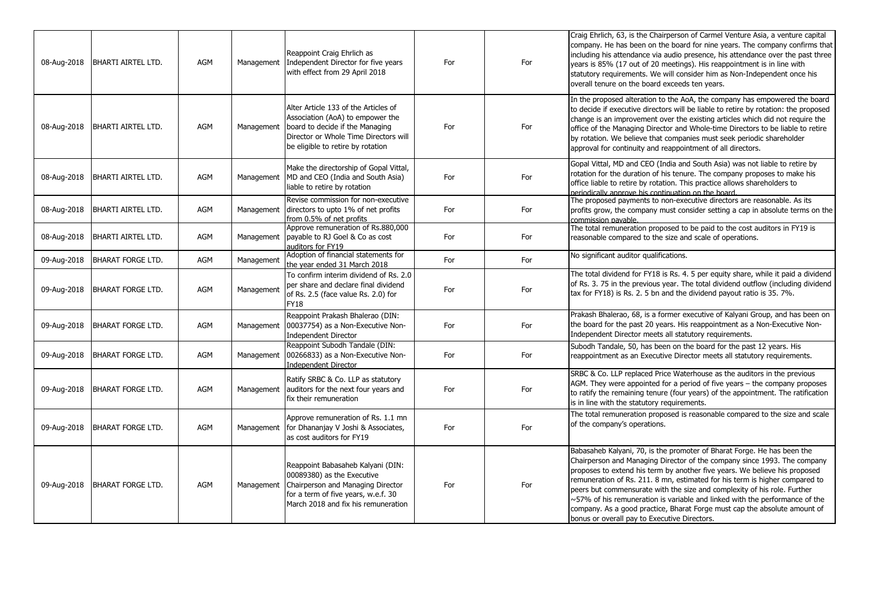| 08-Aug-2018 | <b>BHARTI AIRTEL LTD.</b> | AGM        | Management | Reappoint Craig Ehrlich as<br>Independent Director for five years<br>with effect from 29 April 2018                                                                                       | For | For | Craig Ehrlich, 63, is the Chairperson of Carmel Venture Asia, a venture capital<br>company. He has been on the board for nine years. The company confirms that<br>including his attendance via audio presence, his attendance over the past three<br>years is 85% (17 out of 20 meetings). His reappointment is in line with<br>statutory requirements. We will consider him as Non-Independent once his<br>overall tenure on the board exceeds ten years.                                                                                                                                               |
|-------------|---------------------------|------------|------------|-------------------------------------------------------------------------------------------------------------------------------------------------------------------------------------------|-----|-----|----------------------------------------------------------------------------------------------------------------------------------------------------------------------------------------------------------------------------------------------------------------------------------------------------------------------------------------------------------------------------------------------------------------------------------------------------------------------------------------------------------------------------------------------------------------------------------------------------------|
| 08-Aug-2018 | <b>BHARTI AIRTEL LTD.</b> | AGM        | Management | Alter Article 133 of the Articles of<br>Association (AoA) to empower the<br>board to decide if the Managing<br>Director or Whole Time Directors will<br>be eligible to retire by rotation | For | For | In the proposed alteration to the AoA, the company has empowered the board<br>to decide if executive directors will be liable to retire by rotation: the proposed<br>change is an improvement over the existing articles which did not require the<br>office of the Managing Director and Whole-time Directors to be liable to retire<br>by rotation. We believe that companies must seek periodic shareholder<br>approval for continuity and reappointment of all directors.                                                                                                                            |
| 08-Aug-2018 | <b>BHARTI AIRTEL LTD.</b> | AGM        | Management | Make the directorship of Gopal Vittal,<br>MD and CEO (India and South Asia)<br>liable to retire by rotation                                                                               | For | For | Gopal Vittal, MD and CEO (India and South Asia) was not liable to retire by<br>rotation for the duration of his tenure. The company proposes to make his<br>office liable to retire by rotation. This practice allows shareholders to<br>periodically approve his continuation on the board.                                                                                                                                                                                                                                                                                                             |
| 08-Aug-2018 | <b>BHARTI AIRTEL LTD.</b> | AGM        | Management | Revise commission for non-executive<br>directors to upto 1% of net profits<br>from 0.5% of net profits                                                                                    | For | For | The proposed payments to non-executive directors are reasonable. As its<br>profits grow, the company must consider setting a cap in absolute terms on the<br>commission pavable.                                                                                                                                                                                                                                                                                                                                                                                                                         |
| 08-Aug-2018 | <b>BHARTI AIRTEL LTD.</b> | <b>AGM</b> | Management | Approve remuneration of Rs.880,000<br>payable to RJ Goel & Co as cost<br>auditors for FY19                                                                                                | For | For | The total remuneration proposed to be paid to the cost auditors in FY19 is<br>reasonable compared to the size and scale of operations.                                                                                                                                                                                                                                                                                                                                                                                                                                                                   |
| 09-Aug-2018 | <b>BHARAT FORGE LTD.</b>  | <b>AGM</b> | Management | Adoption of financial statements for<br>the year ended 31 March 2018                                                                                                                      | For | For | No significant auditor qualifications.                                                                                                                                                                                                                                                                                                                                                                                                                                                                                                                                                                   |
| 09-Aug-2018 | <b>BHARAT FORGE LTD.</b>  | AGM        | Management | To confirm interim dividend of Rs. 2.0<br>per share and declare final dividend<br>of Rs. 2.5 (face value Rs. 2.0) for<br><b>FY18</b>                                                      | For | For | The total dividend for FY18 is Rs. 4. 5 per equity share, while it paid a dividend<br>of Rs. 3. 75 in the previous year. The total dividend outflow (including dividend<br>tax for FY18) is Rs. 2. 5 bn and the dividend payout ratio is 35. 7%.                                                                                                                                                                                                                                                                                                                                                         |
| 09-Aug-2018 | <b>BHARAT FORGE LTD.</b>  | AGM        | Management | Reappoint Prakash Bhalerao (DIN:<br>00037754) as a Non-Executive Non-<br><b>Independent Director</b>                                                                                      | For | For | Prakash Bhalerao, 68, is a former executive of Kalyani Group, and has been on<br>the board for the past 20 years. His reappointment as a Non-Executive Non-<br>Independent Director meets all statutory requirements.                                                                                                                                                                                                                                                                                                                                                                                    |
| 09-Aug-2018 | <b>BHARAT FORGE LTD.</b>  | AGM        | Management | Reappoint Subodh Tandale (DIN:<br>00266833) as a Non-Executive Non-<br><b>Independent Director</b>                                                                                        | For | For | Subodh Tandale, 50, has been on the board for the past 12 years. His<br>reappointment as an Executive Director meets all statutory requirements.                                                                                                                                                                                                                                                                                                                                                                                                                                                         |
| 09-Aug-2018 | <b>BHARAT FORGE LTD.</b>  | AGM        | Management | Ratify SRBC & Co. LLP as statutory<br>auditors for the next four years and<br>fix their remuneration                                                                                      | For | For | SRBC & Co. LLP replaced Price Waterhouse as the auditors in the previous<br>AGM. They were appointed for a period of five years – the company proposes<br>to ratify the remaining tenure (four years) of the appointment. The ratification<br>is in line with the statutory requirements.                                                                                                                                                                                                                                                                                                                |
| 09-Aug-2018 | <b>BHARAT FORGE LTD.</b>  | AGM        | Management | Approve remuneration of Rs. 1.1 mn<br>for Dhananjay V Joshi & Associates,<br>as cost auditors for FY19                                                                                    | For | For | The total remuneration proposed is reasonable compared to the size and scale<br>of the company's operations.                                                                                                                                                                                                                                                                                                                                                                                                                                                                                             |
| 09-Aug-2018 | BHARAT FORGE LTD.         | AGM        | Management | Reappoint Babasaheb Kalyani (DIN:<br>00089380) as the Executive<br>Chairperson and Managing Director<br>for a term of five years, w.e.f. 30<br>March 2018 and fix his remuneration        | For | For | Babasaheb Kalyani, 70, is the promoter of Bharat Forge. He has been the<br>Chairperson and Managing Director of the company since 1993. The company<br>proposes to extend his term by another five years. We believe his proposed<br>remuneration of Rs. 211. 8 mn, estimated for his term is higher compared to<br>peers but commensurate with the size and complexity of his role. Further<br>~57% of his remuneration is variable and linked with the performance of the<br>company. As a good practice, Bharat Forge must cap the absolute amount of<br>bonus or overall pay to Executive Directors. |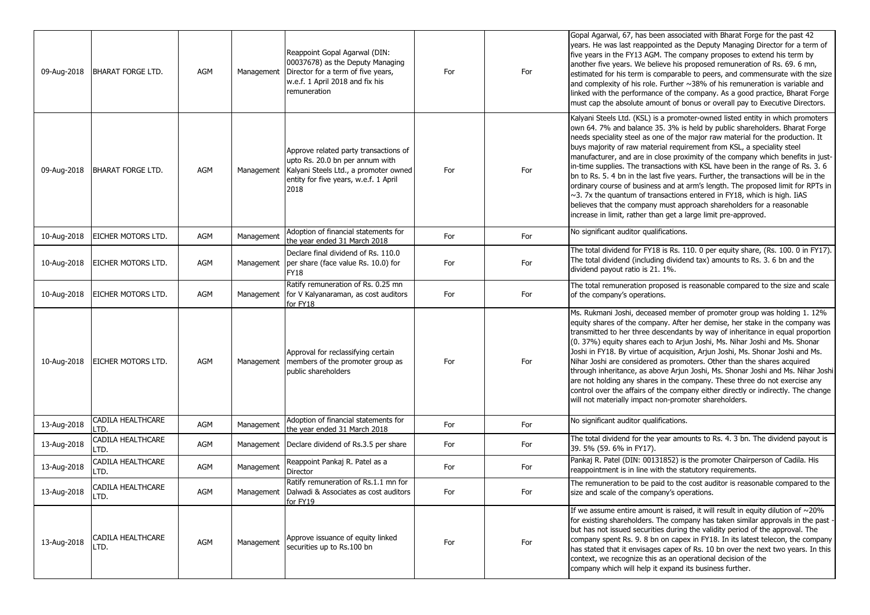| 09-Aug-2018 | <b>BHARAT FORGE LTD.</b>  | AGM        | Management | Reappoint Gopal Agarwal (DIN:<br>00037678) as the Deputy Managing<br>Director for a term of five years,<br>w.e.f. 1 April 2018 and fix his<br>remuneration         | For | For | Gopal Agarwal, 67, has been associated with Bharat Forge for the past 42<br>years. He was last reappointed as the Deputy Managing Director for a term of<br>five years in the FY13 AGM. The company proposes to extend his term by<br>another five years. We believe his proposed remuneration of Rs. 69. 6 mn,<br>estimated for his term is comparable to peers, and commensurate with the size<br>and complexity of his role. Further $\sim$ 38% of his remuneration is variable and<br>linked with the performance of the company. As a good practice, Bharat Forge<br>must cap the absolute amount of bonus or overall pay to Executive Directors.                                                                                                                                                                                                                                            |
|-------------|---------------------------|------------|------------|--------------------------------------------------------------------------------------------------------------------------------------------------------------------|-----|-----|---------------------------------------------------------------------------------------------------------------------------------------------------------------------------------------------------------------------------------------------------------------------------------------------------------------------------------------------------------------------------------------------------------------------------------------------------------------------------------------------------------------------------------------------------------------------------------------------------------------------------------------------------------------------------------------------------------------------------------------------------------------------------------------------------------------------------------------------------------------------------------------------------|
| 09-Aug-2018 | <b>BHARAT FORGE LTD.</b>  | <b>AGM</b> | Management | Approve related party transactions of<br>upto Rs. 20.0 bn per annum with<br>Kalyani Steels Ltd., a promoter owned<br>entity for five years, w.e.f. 1 April<br>2018 | For | For | Kalyani Steels Ltd. (KSL) is a promoter-owned listed entity in which promoters<br>own 64. 7% and balance 35. 3% is held by public shareholders. Bharat Forge<br>needs speciality steel as one of the major raw material for the production. It<br>buys majority of raw material requirement from KSL, a speciality steel<br>manufacturer, and are in close proximity of the company which benefits in just-<br>in-time supplies. The transactions with KSL have been in the range of Rs. 3.6<br>bn to Rs. 5. 4 bn in the last five years. Further, the transactions will be in the<br>ordinary course of business and at arm's length. The proposed limit for RPTs in<br>$\sim$ 3. 7x the quantum of transactions entered in FY18, which is high. IiAS<br>believes that the company must approach shareholders for a reasonable<br>increase in limit, rather than get a large limit pre-approved. |
| 10-Aug-2018 | EICHER MOTORS LTD.        | <b>AGM</b> | Management | Adoption of financial statements for<br>the year ended 31 March 2018                                                                                               | For | For | No significant auditor qualifications.                                                                                                                                                                                                                                                                                                                                                                                                                                                                                                                                                                                                                                                                                                                                                                                                                                                            |
| 10-Aug-2018 | EICHER MOTORS LTD.        | AGM        | Management | Declare final dividend of Rs. 110.0<br>per share (face value Rs. 10.0) for<br><b>FY18</b>                                                                          | For | For | The total dividend for FY18 is Rs. 110. 0 per equity share, (Rs. 100. 0 in FY17).<br>The total dividend (including dividend tax) amounts to Rs. 3. 6 bn and the<br>dividend payout ratio is 21. 1%.                                                                                                                                                                                                                                                                                                                                                                                                                                                                                                                                                                                                                                                                                               |
| 10-Aug-2018 | EICHER MOTORS LTD.        | AGM        | Management | Ratify remuneration of Rs. 0.25 mn<br>for V Kalyanaraman, as cost auditors<br>for FY18                                                                             | For | For | The total remuneration proposed is reasonable compared to the size and scale<br>of the company's operations.                                                                                                                                                                                                                                                                                                                                                                                                                                                                                                                                                                                                                                                                                                                                                                                      |
| 10-Aug-2018 | EICHER MOTORS LTD.        | <b>AGM</b> | Management | Approval for reclassifying certain<br>members of the promoter group as<br>public shareholders                                                                      | For | For | Ms. Rukmani Joshi, deceased member of promoter group was holding 1. 12%<br>equity shares of the company. After her demise, her stake in the company was<br>transmitted to her three descendants by way of inheritance in equal proportion<br>(0. 37%) equity shares each to Arjun Joshi, Ms. Nihar Joshi and Ms. Shonar<br>Joshi in FY18. By virtue of acquisition, Arjun Joshi, Ms. Shonar Joshi and Ms.<br>Nihar Joshi are considered as promoters. Other than the shares acquired<br>through inheritance, as above Arjun Joshi, Ms. Shonar Joshi and Ms. Nihar Joshi<br>are not holding any shares in the company. These three do not exercise any<br>control over the affairs of the company either directly or indirectly. The change<br>will not materially impact non-promoter shareholders.                                                                                               |
| 13-Aug-2018 | CADILA HEALTHCARE<br>LTD. | AGM        | Management | Adoption of financial statements for<br>the year ended 31 March 2018                                                                                               | For | For | No significant auditor qualifications.                                                                                                                                                                                                                                                                                                                                                                                                                                                                                                                                                                                                                                                                                                                                                                                                                                                            |
| 13-Aug-2018 | CADILA HEALTHCARE<br>LTD. | <b>AGM</b> |            | Management   Declare dividend of Rs.3.5 per share                                                                                                                  | For | For | The total dividend for the year amounts to Rs. 4. 3 bn. The dividend payout is<br>39. 5% (59. 6% in FY17).                                                                                                                                                                                                                                                                                                                                                                                                                                                                                                                                                                                                                                                                                                                                                                                        |
| 13-Aug-2018 | CADILA HEALTHCARE<br>LTD. | AGM        | Management | Reappoint Pankaj R. Patel as a<br>Director                                                                                                                         | For | For | Pankaj R. Patel (DIN: 00131852) is the promoter Chairperson of Cadila. His<br>reappointment is in line with the statutory requirements.                                                                                                                                                                                                                                                                                                                                                                                                                                                                                                                                                                                                                                                                                                                                                           |
| 13-Aug-2018 | CADILA HEALTHCARE<br>LTD. | AGM        |            | Ratify remuneration of Rs.1.1 mn for<br>Management   Dalwadi & Associates as cost auditors<br>for FY19                                                             | For | For | The remuneration to be paid to the cost auditor is reasonable compared to the<br>size and scale of the company's operations.                                                                                                                                                                                                                                                                                                                                                                                                                                                                                                                                                                                                                                                                                                                                                                      |
| 13-Aug-2018 | CADILA HEALTHCARE<br>LTD. | AGM        | Management | Approve issuance of equity linked<br>securities up to Rs.100 bn                                                                                                    | For | For | If we assume entire amount is raised, it will result in equity dilution of $\sim$ 20%<br>for existing shareholders. The company has taken similar approvals in the past -<br>but has not issued securities during the validity period of the approval. The<br>company spent Rs. 9. 8 bn on capex in FY18. In its latest telecon, the company<br>has stated that it envisages capex of Rs. 10 bn over the next two years. In this<br>context, we recognize this as an operational decision of the<br>company which will help it expand its business further.                                                                                                                                                                                                                                                                                                                                       |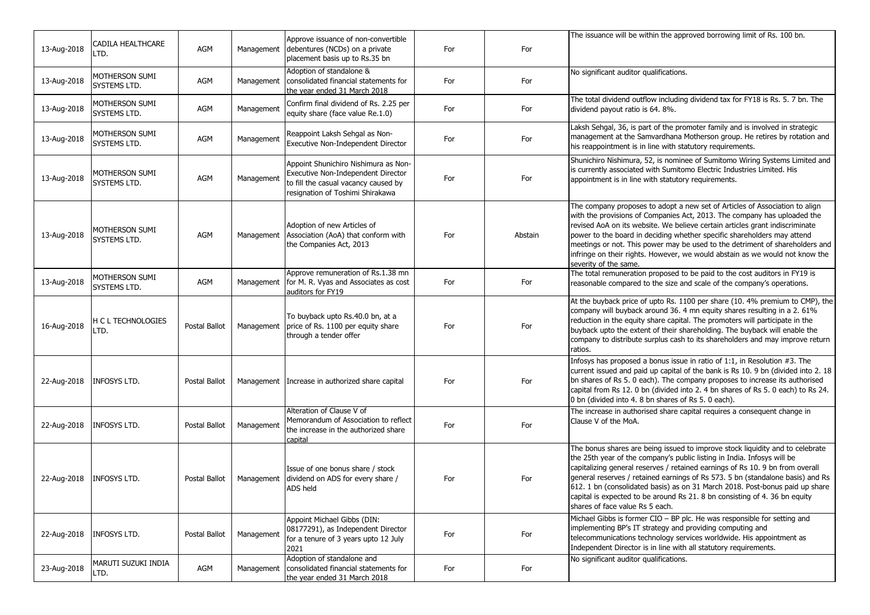|             |                                |               |            | Approve issuance of non-convertible                                                                                                                    |     |         | The issuance will be within the approved borrowing limit of Rs. 100 bn.                                                                                                                                                                                                                                                                                                                                                                                                                                                      |
|-------------|--------------------------------|---------------|------------|--------------------------------------------------------------------------------------------------------------------------------------------------------|-----|---------|------------------------------------------------------------------------------------------------------------------------------------------------------------------------------------------------------------------------------------------------------------------------------------------------------------------------------------------------------------------------------------------------------------------------------------------------------------------------------------------------------------------------------|
| 13-Aug-2018 | CADILA HEALTHCARE<br>LTD.      | AGM           | Management | debentures (NCDs) on a private<br>placement basis up to Rs.35 bn                                                                                       | For | For     |                                                                                                                                                                                                                                                                                                                                                                                                                                                                                                                              |
| 13-Aug-2018 | MOTHERSON SUMI<br>SYSTEMS LTD. | AGM           | Management | Adoption of standalone &<br>consolidated financial statements for<br>the year ended 31 March 2018                                                      | For | For     | No significant auditor qualifications.                                                                                                                                                                                                                                                                                                                                                                                                                                                                                       |
| 13-Aug-2018 | MOTHERSON SUMI<br>SYSTEMS LTD. | AGM           | Management | Confirm final dividend of Rs. 2.25 per<br>equity share (face value Re.1.0)                                                                             | For | For     | The total dividend outflow including dividend tax for FY18 is Rs. 5. 7 bn. The<br>dividend payout ratio is 64. 8%.                                                                                                                                                                                                                                                                                                                                                                                                           |
| 13-Aug-2018 | MOTHERSON SUMI<br>SYSTEMS LTD. | AGM           | Management | Reappoint Laksh Sehgal as Non-<br>Executive Non-Independent Director                                                                                   | For | For     | Laksh Sehgal, 36, is part of the promoter family and is involved in strategic<br>management at the Samvardhana Motherson group. He retires by rotation and<br>his reappointment is in line with statutory requirements.                                                                                                                                                                                                                                                                                                      |
| 13-Aug-2018 | MOTHERSON SUMI<br>SYSTEMS LTD. | AGM           | Management | Appoint Shunichiro Nishimura as Non-<br>Executive Non-Independent Director<br>to fill the casual vacancy caused by<br>resignation of Toshimi Shirakawa | For | For     | Shunichiro Nishimura, 52, is nominee of Sumitomo Wiring Systems Limited and<br>is currently associated with Sumitomo Electric Industries Limited. His<br>appointment is in line with statutory requirements.                                                                                                                                                                                                                                                                                                                 |
| 13-Aug-2018 | MOTHERSON SUMI<br>SYSTEMS LTD. | <b>AGM</b>    | Management | Adoption of new Articles of<br>Association (AoA) that conform with<br>the Companies Act, 2013                                                          | For | Abstain | The company proposes to adopt a new set of Articles of Association to align<br>with the provisions of Companies Act, 2013. The company has uploaded the<br>revised AoA on its website. We believe certain articles grant indiscriminate<br>power to the board in deciding whether specific shareholders may attend<br>meetings or not. This power may be used to the detriment of shareholders and<br>infringe on their rights. However, we would abstain as we would not know the<br>severity of the same.                  |
| 13-Aug-2018 | MOTHERSON SUMI<br>SYSTEMS LTD. | AGM           | Management | Approve remuneration of Rs.1.38 mn<br>for M. R. Vyas and Associates as cost<br>auditors for FY19                                                       | For | For     | The total remuneration proposed to be paid to the cost auditors in FY19 is<br>reasonable compared to the size and scale of the company's operations.                                                                                                                                                                                                                                                                                                                                                                         |
| 16-Aug-2018 | H C L TECHNOLOGIES<br>LTD.     | Postal Ballot | Management | To buyback upto Rs.40.0 bn, at a<br>price of Rs. 1100 per equity share<br>through a tender offer                                                       | For | For     | At the buyback price of upto Rs. 1100 per share (10. 4% premium to CMP), the<br>company will buyback around 36. 4 mn equity shares resulting in a 2. 61%<br>reduction in the equity share capital. The promoters will participate in the<br>buyback upto the extent of their shareholding. The buyback will enable the<br>company to distribute surplus cash to its shareholders and may improve return<br>ratios.                                                                                                           |
|             | 22-Aug-2018   INFOSYS LTD.     | Postal Ballot |            | Management Increase in authorized share capital                                                                                                        | For | For     | Infosys has proposed a bonus issue in ratio of 1:1, in Resolution #3. The<br>current issued and paid up capital of the bank is Rs 10. 9 bn (divided into 2. 18<br>bn shares of Rs 5. 0 each). The company proposes to increase its authorised<br>capital from Rs 12. 0 bn (divided into 2. 4 bn shares of Rs 5. 0 each) to Rs 24.<br>0 bn (divided into 4.8 bn shares of Rs 5.0 each).                                                                                                                                       |
|             | 22-Aug-2018   INFOSYS LTD.     | Postal Ballot | Management | Alteration of Clause V of<br>Memorandum of Association to reflect<br>the increase in the authorized share<br>capital                                   | For | For     | The increase in authorised share capital requires a consequent change in<br>Clause V of the MoA.                                                                                                                                                                                                                                                                                                                                                                                                                             |
| 22-Aug-2018 | <b>INFOSYS LTD.</b>            | Postal Ballot | Management | Issue of one bonus share / stock<br>dividend on ADS for every share /<br>ADS held                                                                      | For | For     | The bonus shares are being issued to improve stock liquidity and to celebrate<br>the 25th year of the company's public listing in India. Infosys will be<br>capitalizing general reserves / retained earnings of Rs 10. 9 bn from overall<br>general reserves / retained earnings of Rs 573. 5 bn (standalone basis) and Rs<br>612. 1 bn (consolidated basis) as on 31 March 2018. Post-bonus paid up share<br>capital is expected to be around Rs 21. 8 bn consisting of 4. 36 bn equity<br>shares of face value Rs 5 each. |
| 22-Aug-2018 | <b>INFOSYS LTD.</b>            | Postal Ballot | Management | Appoint Michael Gibbs (DIN:<br>08177291), as Independent Director<br>for a tenure of 3 years upto 12 July<br>2021                                      | For | For     | Michael Gibbs is former CIO - BP plc. He was responsible for setting and<br>implementing BP's IT strategy and providing computing and<br>telecommunications technology services worldwide. His appointment as<br>Independent Director is in line with all statutory requirements.                                                                                                                                                                                                                                            |
| 23-Aug-2018 | MARUTI SUZUKI INDIA<br>LTD.    | AGM           | Management | Adoption of standalone and<br>consolidated financial statements for<br>the year ended 31 March 2018                                                    | For | For     | No significant auditor qualifications.                                                                                                                                                                                                                                                                                                                                                                                                                                                                                       |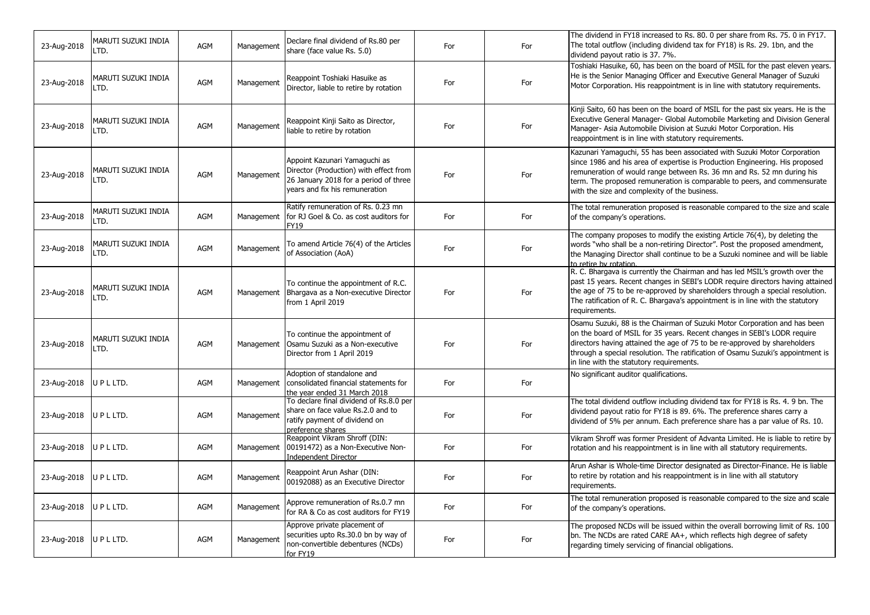| 23-Aug-2018              | MARUTI SUZUKI INDIA<br>LTD. | AGM        | Management | Declare final dividend of Rs.80 per<br>share (face value Rs. 5.0)                                                                                  | For | For | The dividend in FY18 increased to Rs. 80. 0 per share from Rs. 75. 0 in FY17.<br>The total outflow (including dividend tax for FY18) is Rs. 29. 1bn, and the<br>dividend payout ratio is 37. 7%.                                                                                                                                                                  |
|--------------------------|-----------------------------|------------|------------|----------------------------------------------------------------------------------------------------------------------------------------------------|-----|-----|-------------------------------------------------------------------------------------------------------------------------------------------------------------------------------------------------------------------------------------------------------------------------------------------------------------------------------------------------------------------|
| 23-Aug-2018              | MARUTI SUZUKI INDIA<br>LTD. | AGM        | Management | Reappoint Toshiaki Hasuike as<br>Director, liable to retire by rotation                                                                            | For | For | Toshiaki Hasuike, 60, has been on the board of MSIL for the past eleven years.<br>He is the Senior Managing Officer and Executive General Manager of Suzuki<br>Motor Corporation. His reappointment is in line with statutory requirements.                                                                                                                       |
| 23-Aug-2018              | MARUTI SUZUKI INDIA<br>LTD. | AGM        | Management | Reappoint Kinji Saito as Director,<br>liable to retire by rotation                                                                                 | For | For | Kinji Saito, 60 has been on the board of MSIL for the past six years. He is the<br>Executive General Manager- Global Automobile Marketing and Division General<br>Manager- Asia Automobile Division at Suzuki Motor Corporation. His<br>reappointment is in line with statutory requirements.                                                                     |
| 23-Aug-2018              | MARUTI SUZUKI INDIA<br>LTD. | <b>AGM</b> | Management | Appoint Kazunari Yamaguchi as<br>Director (Production) with effect from<br>26 January 2018 for a period of three<br>years and fix his remuneration | For | For | Kazunari Yamaguchi, 55 has been associated with Suzuki Motor Corporation<br>since 1986 and his area of expertise is Production Engineering. His proposed<br>remuneration of would range between Rs. 36 mn and Rs. 52 mn during his<br>term. The proposed remuneration is comparable to peers, and commensurate<br>with the size and complexity of the business.   |
| 23-Aug-2018              | MARUTI SUZUKI INDIA<br>LTD. | AGM        | Management | Ratify remuneration of Rs. 0.23 mn<br>for RJ Goel & Co. as cost auditors for<br>FY19                                                               | For | For | The total remuneration proposed is reasonable compared to the size and scale<br>of the company's operations.                                                                                                                                                                                                                                                      |
| 23-Aug-2018              | MARUTI SUZUKI INDIA<br>LTD. | AGM        | Management | To amend Article 76(4) of the Articles<br>of Association (AoA)                                                                                     | For | For | The company proposes to modify the existing Article 76(4), by deleting the<br>words "who shall be a non-retiring Director". Post the proposed amendment,<br>the Managing Director shall continue to be a Suzuki nominee and will be liable<br>to retire by rotation.                                                                                              |
| 23-Aug-2018              | MARUTI SUZUKI INDIA<br>LTD. | AGM        | Management | To continue the appointment of R.C.<br>Bhargava as a Non-executive Director<br>from 1 April 2019                                                   | For | For | R. C. Bhargava is currently the Chairman and has led MSIL's growth over the<br>past 15 years. Recent changes in SEBI's LODR require directors having attained<br>the age of 75 to be re-approved by shareholders through a special resolution.<br>The ratification of R. C. Bhargava's appointment is in line with the statutory<br>requirements.                 |
| 23-Aug-2018              | MARUTI SUZUKI INDIA<br>LTD. | AGM        | Management | To continue the appointment of<br>Osamu Suzuki as a Non-executive<br>Director from 1 April 2019                                                    | For | For | Osamu Suzuki, 88 is the Chairman of Suzuki Motor Corporation and has been<br>on the board of MSIL for 35 years. Recent changes in SEBI's LODR require<br>directors having attained the age of 75 to be re-approved by shareholders<br>through a special resolution. The ratification of Osamu Suzuki's appointment is<br>in line with the statutory requirements. |
| 23-Aug-2018   U P L LTD. |                             | AGM        | Management | Adoption of standalone and<br>consolidated financial statements for<br>the year ended 31 March 2018                                                | For | For | No significant auditor qualifications.                                                                                                                                                                                                                                                                                                                            |
| 23-Aug-2018              | UPLLTD.                     | AGM        | Management | To declare final dividend of Rs.8.0 per<br>share on face value Rs.2.0 and to<br>ratify payment of dividend on<br>preference shares                 | For | For | The total dividend outflow including dividend tax for FY18 is Rs. 4. 9 bn. The<br>dividend payout ratio for FY18 is 89. 6%. The preference shares carry a<br>dividend of 5% per annum. Each preference share has a par value of Rs. 10.                                                                                                                           |
| 23-Aug-2018   U P L LTD. |                             | AGM        | Management | Reappoint Vikram Shroff (DIN:<br>00191472) as a Non-Executive Non-<br><b>Independent Director</b>                                                  | For | For | Vikram Shroff was former President of Advanta Limited. He is liable to retire by<br>rotation and his reappointment is in line with all statutory requirements.                                                                                                                                                                                                    |
| 23-Aug-2018              | UPLLTD.                     | AGM        | Management | Reappoint Arun Ashar (DIN:<br>00192088) as an Executive Director                                                                                   | For | For | Arun Ashar is Whole-time Director designated as Director-Finance. He is liable<br>to retire by rotation and his reappointment is in line with all statutory<br>requirements.                                                                                                                                                                                      |
| 23-Aug-2018              | UPLLTD.                     | AGM        | Management | Approve remuneration of Rs.0.7 mn<br>for RA & Co as cost auditors for FY19                                                                         | For | For | The total remuneration proposed is reasonable compared to the size and scale<br>of the company's operations.                                                                                                                                                                                                                                                      |
| 23-Aug-2018              | UPLLTD.                     | AGM        | Management | Approve private placement of<br>securities upto Rs.30.0 bn by way of<br>non-convertible debentures (NCDs)<br>for FY19                              | For | For | The proposed NCDs will be issued within the overall borrowing limit of Rs. 100<br>bn. The NCDs are rated CARE AA+, which reflects high degree of safety<br>regarding timely servicing of financial obligations.                                                                                                                                                   |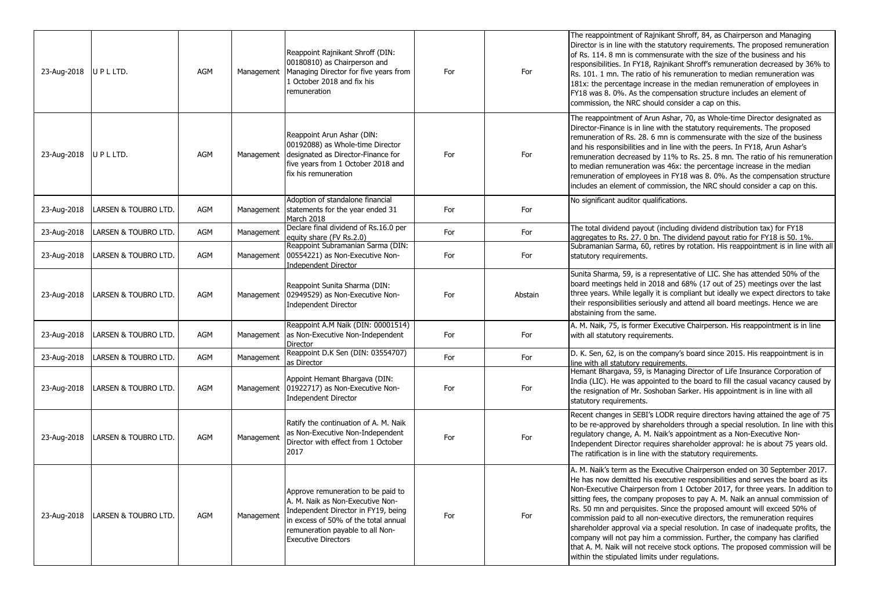| 23-Aug-2018 U P L LTD.   |                                 | AGM        | Management | Reappoint Rajnikant Shroff (DIN:<br>00180810) as Chairperson and<br>Managing Director for five years from<br>1 October 2018 and fix his<br>remuneration                                                                 | For | For     | The reappointment of Rajnikant Shroff, 84, as Chairperson and Managing<br>Director is in line with the statutory requirements. The proposed remuneration<br>of Rs. 114. 8 mn is commensurate with the size of the business and his<br>responsibilities. In FY18, Rajnikant Shroff's remuneration decreased by 36% to<br>Rs. 101. 1 mn. The ratio of his remuneration to median remuneration was<br>181x: the percentage increase in the median remuneration of employees in<br>FY18 was 8.0%. As the compensation structure includes an element of<br>commission, the NRC should consider a cap on this.                                                                                                                                                                                       |
|--------------------------|---------------------------------|------------|------------|-------------------------------------------------------------------------------------------------------------------------------------------------------------------------------------------------------------------------|-----|---------|------------------------------------------------------------------------------------------------------------------------------------------------------------------------------------------------------------------------------------------------------------------------------------------------------------------------------------------------------------------------------------------------------------------------------------------------------------------------------------------------------------------------------------------------------------------------------------------------------------------------------------------------------------------------------------------------------------------------------------------------------------------------------------------------|
| 23-Aug-2018   U P L LTD. |                                 | AGM        | Management | Reappoint Arun Ashar (DIN:<br>00192088) as Whole-time Director<br>designated as Director-Finance for<br>five years from 1 October 2018 and<br>fix his remuneration                                                      | For | For     | The reappointment of Arun Ashar, 70, as Whole-time Director designated as<br>Director-Finance is in line with the statutory requirements. The proposed<br>remuneration of Rs. 28. 6 mn is commensurate with the size of the business<br>and his responsibilities and in line with the peers. In FY18, Arun Ashar's<br>remuneration decreased by 11% to Rs. 25. 8 mn. The ratio of his remuneration<br>to median remuneration was 46x: the percentage increase in the median<br>remuneration of employees in FY18 was 8.0%. As the compensation structure<br>includes an element of commission, the NRC should consider a cap on this.                                                                                                                                                          |
| 23-Aug-2018              | LARSEN & TOUBRO LTD.            | AGM        | Management | Adoption of standalone financial<br>statements for the year ended 31<br>March 2018                                                                                                                                      | For | For     | No significant auditor qualifications.                                                                                                                                                                                                                                                                                                                                                                                                                                                                                                                                                                                                                                                                                                                                                         |
| 23-Aug-2018              | LARSEN & TOUBRO LTD.            | <b>AGM</b> | Management | Declare final dividend of Rs.16.0 per<br>equity share (FV Rs.2.0)                                                                                                                                                       | For | For     | The total dividend payout (including dividend distribution tax) for FY18<br>aggregates to Rs. 27. 0 bn. The dividend payout ratio for FY18 is 50. 1%.                                                                                                                                                                                                                                                                                                                                                                                                                                                                                                                                                                                                                                          |
| 23-Aug-2018              | LARSEN & TOUBRO LTD.            | <b>AGM</b> | Management | Reappoint Subramanian Sarma (DIN:<br>00554221) as Non-Executive Non-<br>Independent Director                                                                                                                            | For | For     | Subramanian Sarma, 60, retires by rotation. His reappointment is in line with all<br>statutory requirements.                                                                                                                                                                                                                                                                                                                                                                                                                                                                                                                                                                                                                                                                                   |
| 23-Aug-2018              | LARSEN & TOUBRO LTD.            | AGM        | Management | Reappoint Sunita Sharma (DIN:<br>02949529) as Non-Executive Non-<br><b>Independent Director</b>                                                                                                                         | For | Abstain | Sunita Sharma, 59, is a representative of LIC. She has attended 50% of the<br>board meetings held in 2018 and 68% (17 out of 25) meetings over the last<br>three years. While legally it is compliant but ideally we expect directors to take<br>their responsibilities seriously and attend all board meetings. Hence we are<br>abstaining from the same.                                                                                                                                                                                                                                                                                                                                                                                                                                     |
| 23-Aug-2018              | LARSEN & TOUBRO LTD.            | AGM        | Management | Reappoint A.M Naik (DIN: 00001514)<br>as Non-Executive Non-Independent<br><b>Director</b>                                                                                                                               | For | For     | A. M. Naik, 75, is former Executive Chairperson. His reappointment is in line<br>with all statutory requirements.                                                                                                                                                                                                                                                                                                                                                                                                                                                                                                                                                                                                                                                                              |
| 23-Aug-2018              | <b>LARSEN &amp; TOUBRO LTD.</b> | <b>AGM</b> | Management | Reappoint D.K Sen (DIN: 03554707)<br>as Director                                                                                                                                                                        | For | For     | D. K. Sen, 62, is on the company's board since 2015. His reappointment is in<br>line with all statutory requirements.                                                                                                                                                                                                                                                                                                                                                                                                                                                                                                                                                                                                                                                                          |
| 23-Aug-2018              | LARSEN & TOUBRO LTD.            | AGM        | Management | Appoint Hemant Bhargava (DIN:<br>01922717) as Non-Executive Non-<br><b>Independent Director</b>                                                                                                                         | For | For     | Hemant Bhargava, 59, is Managing Director of Life Insurance Corporation of<br>India (LIC). He was appointed to the board to fill the casual vacancy caused by<br>the resignation of Mr. Soshoban Sarker. His appointment is in line with all<br>statutory requirements.                                                                                                                                                                                                                                                                                                                                                                                                                                                                                                                        |
| 23-Aug-2018              | LARSEN & TOUBRO LTD.            | AGM        | Management | Ratify the continuation of A. M. Naik<br>as Non-Executive Non-Independent<br>Director with effect from 1 October<br>2017                                                                                                | For | For     | Recent changes in SEBI's LODR require directors having attained the age of 75<br>to be re-approved by shareholders through a special resolution. In line with this<br>regulatory change, A. M. Naik's appointment as a Non-Executive Non-<br>Independent Director requires shareholder approval: he is about 75 years old.<br>The ratification is in line with the statutory requirements.                                                                                                                                                                                                                                                                                                                                                                                                     |
| 23-Aug-2018              | LARSEN & TOUBRO LTD.            | AGM        | Management | Approve remuneration to be paid to<br>A. M. Naik as Non-Executive Non-<br>Independent Director in FY19, being<br>in excess of 50% of the total annual<br>remuneration payable to all Non-<br><b>Executive Directors</b> | For | For     | A. M. Naik's term as the Executive Chairperson ended on 30 September 2017.<br>He has now demitted his executive responsibilities and serves the board as its<br>Non-Executive Chairperson from 1 October 2017, for three years. In addition to<br>sitting fees, the company proposes to pay A. M. Naik an annual commission of<br>Rs. 50 mn and perquisites. Since the proposed amount will exceed 50% of<br>commission paid to all non-executive directors, the remuneration requires<br>shareholder approval via a special resolution. In case of inadequate profits, the<br>company will not pay him a commission. Further, the company has clarified<br>that A. M. Naik will not receive stock options. The proposed commission will be<br>within the stipulated limits under regulations. |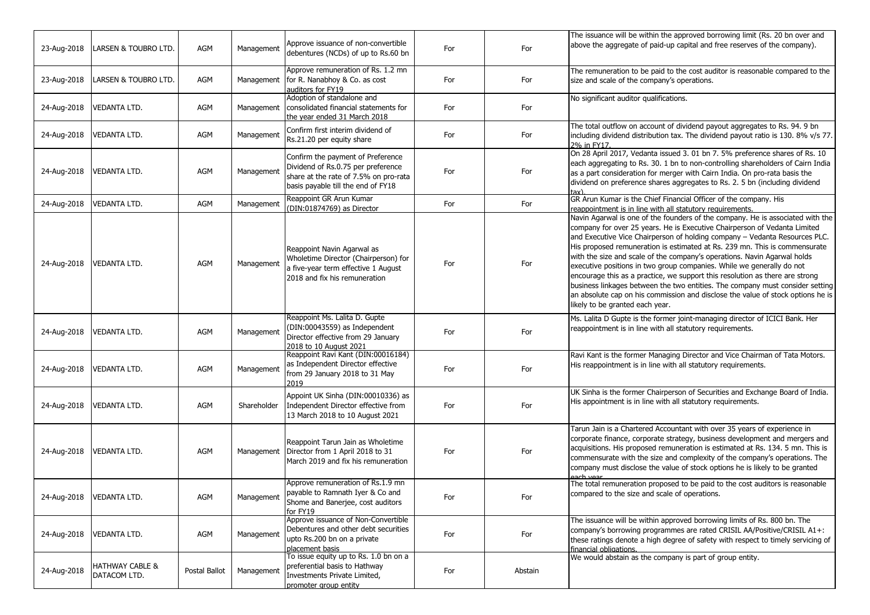| 23-Aug-2018 | LARSEN & TOUBRO LTD.            | AGM           | Management  | Approve issuance of non-convertible<br>debentures (NCDs) of up to Rs.60 bn                                                                             | For | For     | The issuance will be within the approved borrowing limit (Rs. 20 bn over and<br>above the aggregate of paid-up capital and free reserves of the company).                                                                                                                                                                                                                                                                                                                                                                                                                                                                                                                                                                                                           |
|-------------|---------------------------------|---------------|-------------|--------------------------------------------------------------------------------------------------------------------------------------------------------|-----|---------|---------------------------------------------------------------------------------------------------------------------------------------------------------------------------------------------------------------------------------------------------------------------------------------------------------------------------------------------------------------------------------------------------------------------------------------------------------------------------------------------------------------------------------------------------------------------------------------------------------------------------------------------------------------------------------------------------------------------------------------------------------------------|
| 23-Aug-2018 | LARSEN & TOUBRO LTD.            | AGM           | Management  | Approve remuneration of Rs. 1.2 mn<br>for R. Nanabhoy & Co. as cost<br>auditors for FY19                                                               | For | For     | The remuneration to be paid to the cost auditor is reasonable compared to the<br>size and scale of the company's operations.                                                                                                                                                                                                                                                                                                                                                                                                                                                                                                                                                                                                                                        |
| 24-Aug-2018 | <b>VEDANTA LTD.</b>             | AGM           | Management  | Adoption of standalone and<br>consolidated financial statements for<br>the year ended 31 March 2018                                                    | For | For     | No significant auditor qualifications.                                                                                                                                                                                                                                                                                                                                                                                                                                                                                                                                                                                                                                                                                                                              |
| 24-Aug-2018 | VEDANTA LTD.                    | AGM           | Management  | Confirm first interim dividend of<br>Rs.21.20 per equity share                                                                                         | For | For     | The total outflow on account of dividend payout aggregates to Rs. 94. 9 bn<br>including dividend distribution tax. The dividend payout ratio is 130. 8% v/s 77.<br>2% in FY17                                                                                                                                                                                                                                                                                                                                                                                                                                                                                                                                                                                       |
| 24-Aug-2018 | <b>VEDANTA LTD.</b>             | AGM           | Management  | Confirm the payment of Preference<br>Dividend of Rs.0.75 per preference<br>share at the rate of 7.5% on pro-rata<br>basis payable till the end of FY18 | For | For     | On 28 April 2017, Vedanta issued 3. 01 bn 7. 5% preference shares of Rs. 10<br>each aggregating to Rs. 30. 1 bn to non-controlling shareholders of Cairn India<br>as a part consideration for merger with Cairn India. On pro-rata basis the<br>dividend on preference shares aggregates to Rs. 2. 5 bn (including dividend                                                                                                                                                                                                                                                                                                                                                                                                                                         |
| 24-Aug-2018 | <b>VEDANTA LTD.</b>             | AGM           | Management  | Reappoint GR Arun Kumar<br>(DIN:01874769) as Director                                                                                                  | For | For     | GR Arun Kumar is the Chief Financial Officer of the company. His<br>reappointment is in line with all statutory requirements.                                                                                                                                                                                                                                                                                                                                                                                                                                                                                                                                                                                                                                       |
| 24-Aug-2018 | VEDANTA LTD.                    | AGM           | Management  | Reappoint Navin Agarwal as<br>Wholetime Director (Chairperson) for<br>a five-year term effective 1 August<br>2018 and fix his remuneration             | For | For     | Navin Agarwal is one of the founders of the company. He is associated with the<br>company for over 25 years. He is Executive Chairperson of Vedanta Limited<br>and Executive Vice Chairperson of holding company - Vedanta Resources PLC.<br>His proposed remuneration is estimated at Rs. 239 mn. This is commensurate<br>with the size and scale of the company's operations. Navin Agarwal holds<br>executive positions in two group companies. While we generally do not<br>encourage this as a practice, we support this resolution as there are strong<br>business linkages between the two entities. The company must consider setting<br>an absolute cap on his commission and disclose the value of stock options he is<br>likely to be granted each year. |
| 24-Aug-2018 | <b>VEDANTA LTD.</b>             | AGM           | Management  | Reappoint Ms. Lalita D. Gupte<br>(DIN:00043559) as Independent<br>Director effective from 29 January<br>2018 to 10 August 2021                         | For | For     | Ms. Lalita D Gupte is the former joint-managing director of ICICI Bank. Her<br>reappointment is in line with all statutory requirements.                                                                                                                                                                                                                                                                                                                                                                                                                                                                                                                                                                                                                            |
| 24-Aug-2018 | <b>VEDANTA LTD.</b>             | AGM           | Management  | Reappoint Ravi Kant (DIN:00016184)<br>as Independent Director effective<br>from 29 January 2018 to 31 May<br>2019                                      | For | For     | Ravi Kant is the former Managing Director and Vice Chairman of Tata Motors.<br>His reappointment is in line with all statutory requirements.                                                                                                                                                                                                                                                                                                                                                                                                                                                                                                                                                                                                                        |
| 24-Aug-2018 | <b>VEDANTA LTD.</b>             | AGM           | Shareholder | Appoint UK Sinha (DIN:00010336) as<br>Independent Director effective from<br>13 March 2018 to 10 August 2021                                           | For | For     | UK Sinha is the former Chairperson of Securities and Exchange Board of India.<br>His appointment is in line with all statutory requirements.                                                                                                                                                                                                                                                                                                                                                                                                                                                                                                                                                                                                                        |
| 24-Aug-2018 | <b>VEDANTA LTD.</b>             | AGM           | Management  | Reappoint Tarun Jain as Wholetime<br>Director from 1 April 2018 to 31<br>March 2019 and fix his remuneration                                           | For | For     | Tarun Jain is a Chartered Accountant with over 35 years of experience in<br>corporate finance, corporate strategy, business development and mergers and<br>acquisitions. His proposed remuneration is estimated at Rs. 134. 5 mn. This is<br>commensurate with the size and complexity of the company's operations. The<br>company must disclose the value of stock options he is likely to be granted                                                                                                                                                                                                                                                                                                                                                              |
| 24-Aug-2018 | <b>VEDANTA LTD.</b>             | AGM           | Management  | Approve remuneration of Rs.1.9 mn<br>payable to Ramnath Iyer & Co and<br>Shome and Banerjee, cost auditors<br>for FY19                                 | For | For     | The total remuneration proposed to be paid to the cost auditors is reasonable<br>compared to the size and scale of operations.                                                                                                                                                                                                                                                                                                                                                                                                                                                                                                                                                                                                                                      |
| 24-Aug-2018 | <b>VEDANTA LTD.</b>             | AGM           | Management  | Approve issuance of Non-Convertible<br>Debentures and other debt securities<br>upto Rs.200 bn on a private<br>placement basis                          | For | For     | The issuance will be within approved borrowing limits of Rs. 800 bn. The<br>company's borrowing programmes are rated CRISIL AA/Positive/CRISIL A1+:<br>these ratings denote a high degree of safety with respect to timely servicing of<br>financial obligations.                                                                                                                                                                                                                                                                                                                                                                                                                                                                                                   |
| 24-Aug-2018 | HATHWAY CABLE &<br>DATACOM LTD. | Postal Ballot | Management  | To issue equity up to Rs. 1.0 bn on a<br>preferential basis to Hathway<br>Investments Private Limited,<br>promoter group entity                        | For | Abstain | We would abstain as the company is part of group entity.                                                                                                                                                                                                                                                                                                                                                                                                                                                                                                                                                                                                                                                                                                            |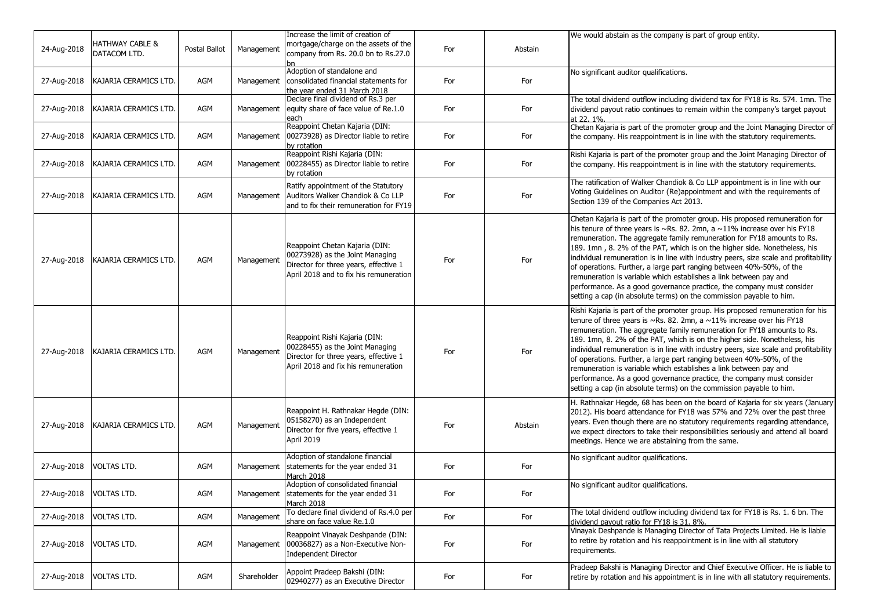| 24-Aug-2018             | HATHWAY CABLE &<br>DATACOM LTD. | Postal Ballot | Management  | Increase the limit of creation of<br>mortgage/charge on the assets of the<br>company from Rs. 20.0 bn to Rs.27.0                                     | For | Abstain | We would abstain as the company is part of group entity.                                                                                                                                                                                                                                                                                                                                                                                                                                                                                                                                                                                                                                                         |
|-------------------------|---------------------------------|---------------|-------------|------------------------------------------------------------------------------------------------------------------------------------------------------|-----|---------|------------------------------------------------------------------------------------------------------------------------------------------------------------------------------------------------------------------------------------------------------------------------------------------------------------------------------------------------------------------------------------------------------------------------------------------------------------------------------------------------------------------------------------------------------------------------------------------------------------------------------------------------------------------------------------------------------------------|
| 27-Aug-2018             | KAJARIA CERAMICS LTD.           | AGM           | Management  | Adoption of standalone and<br>consolidated financial statements for                                                                                  | For | For     | No significant auditor qualifications.                                                                                                                                                                                                                                                                                                                                                                                                                                                                                                                                                                                                                                                                           |
| 27-Aug-2018             | KAJARIA CERAMICS LTD.           | AGM           |             | the year ended 31 March 2018<br>Declare final dividend of Rs.3 per<br>Management equity share of face value of Re.1.0<br>each                        | For | For     | The total dividend outflow including dividend tax for FY18 is Rs. 574. 1mn. The<br>dividend payout ratio continues to remain within the company's target payout<br>at 22. 1%.                                                                                                                                                                                                                                                                                                                                                                                                                                                                                                                                    |
| 27-Aug-2018             | KAJARIA CERAMICS LTD.           | AGM           | Management  | Reappoint Chetan Kajaria (DIN:<br>00273928) as Director liable to retire<br>by rotation                                                              | For | For     | Chetan Kajaria is part of the promoter group and the Joint Managing Director of<br>the company. His reappointment is in line with the statutory requirements.                                                                                                                                                                                                                                                                                                                                                                                                                                                                                                                                                    |
| 27-Aug-2018             | KAJARIA CERAMICS LTD.           | AGM           | Management  | Reappoint Rishi Kajaria (DIN:<br>00228455) as Director liable to retire<br>by rotation                                                               | For | For     | Rishi Kajaria is part of the promoter group and the Joint Managing Director of<br>the company. His reappointment is in line with the statutory requirements.                                                                                                                                                                                                                                                                                                                                                                                                                                                                                                                                                     |
| 27-Aug-2018             | KAJARIA CERAMICS LTD.           | AGM           | Management  | Ratify appointment of the Statutory<br>Auditors Walker Chandiok & Co LLP<br>and to fix their remuneration for FY19                                   | For | For     | The ratification of Walker Chandiok & Co LLP appointment is in line with our<br>Voting Guidelines on Auditor (Re)appointment and with the requirements of<br>Section 139 of the Companies Act 2013.                                                                                                                                                                                                                                                                                                                                                                                                                                                                                                              |
| 27-Aug-2018             | KAJARIA CERAMICS LTD.           | AGM           | Management  | Reappoint Chetan Kajaria (DIN:<br>00273928) as the Joint Managing<br>Director for three years, effective 1<br>April 2018 and to fix his remuneration | For | For     | Chetan Kajaria is part of the promoter group. His proposed remuneration for<br>his tenure of three years is $\sim$ Rs. 82. 2mn, a $\sim$ 11% increase over his FY18<br>remuneration. The aggregate family remuneration for FY18 amounts to Rs.<br>189. 1mn, 8. 2% of the PAT, which is on the higher side. Nonetheless, his<br>individual remuneration is in line with industry peers, size scale and profitability<br>of operations. Further, a large part ranging between 40%-50%, of the<br>remuneration is variable which establishes a link between pay and<br>performance. As a good governance practice, the company must consider<br>setting a cap (in absolute terms) on the commission payable to him. |
| 27-Aug-2018             | KAJARIA CERAMICS LTD.           | AGM           | Management  | Reappoint Rishi Kajaria (DIN:<br>00228455) as the Joint Managing<br>Director for three years, effective 1<br>April 2018 and fix his remuneration     | For | For     | Rishi Kajaria is part of the promoter group. His proposed remuneration for his<br>tenure of three years is $\sim$ Rs. 82. 2mn, a $\sim$ 11% increase over his FY18<br>remuneration. The aggregate family remuneration for FY18 amounts to Rs.<br>189. 1mn, 8. 2% of the PAT, which is on the higher side. Nonetheless, his<br>individual remuneration is in line with industry peers, size scale and profitability<br>of operations. Further, a large part ranging between 40%-50%, of the<br>remuneration is variable which establishes a link between pay and<br>performance. As a good governance practice, the company must consider<br>setting a cap (in absolute terms) on the commission payable to him.  |
| 27-Aug-2018             | KAJARIA CERAMICS LTD.           | AGM           | Management  | Reappoint H. Rathnakar Hegde (DIN:<br>05158270) as an Independent<br>Director for five years, effective 1<br>April 2019                              | For | Abstain | H. Rathnakar Hegde, 68 has been on the board of Kajaria for six years (January<br>2012). His board attendance for FY18 was 57% and 72% over the past three<br>years. Even though there are no statutory requirements regarding attendance,<br>we expect directors to take their responsibilities seriously and attend all board<br>meetings. Hence we are abstaining from the same.                                                                                                                                                                                                                                                                                                                              |
| 27-Aug-2018             | VOLTAS LTD.                     | AGM           | Management  | Adoption of standalone financial<br>statements for the year ended 31<br>March 2018                                                                   | For | For     | No significant auditor qualifications.                                                                                                                                                                                                                                                                                                                                                                                                                                                                                                                                                                                                                                                                           |
| 27-Aug-2018 VOLTAS LTD. |                                 | AGM           |             | Adoption of consolidated financial<br>Management Statements for the year ended 31<br>March 2018                                                      | For | For     | No significant auditor qualifications.                                                                                                                                                                                                                                                                                                                                                                                                                                                                                                                                                                                                                                                                           |
| 27-Aug-2018             | <b>VOLTAS LTD.</b>              | AGM           | Management  | To declare final dividend of Rs.4.0 per<br>share on face value Re.1.0                                                                                | For | For     | The total dividend outflow including dividend tax for FY18 is Rs. 1. 6 bn. The<br>dividend payout ratio for FY18 is 31. 8%.                                                                                                                                                                                                                                                                                                                                                                                                                                                                                                                                                                                      |
| 27-Aug-2018             | <b>VOLTAS LTD.</b>              | AGM           | Management  | Reappoint Vinayak Deshpande (DIN:<br>00036827) as a Non-Executive Non-<br>Independent Director                                                       | For | For     | Vinayak Deshpande is Managing Director of Tata Projects Limited. He is liable<br>to retire by rotation and his reappointment is in line with all statutory<br>requirements.                                                                                                                                                                                                                                                                                                                                                                                                                                                                                                                                      |
| 27-Aug-2018             | <b>VOLTAS LTD.</b>              | AGM           | Shareholder | Appoint Pradeep Bakshi (DIN:<br>02940277) as an Executive Director                                                                                   | For | For     | Pradeep Bakshi is Managing Director and Chief Executive Officer. He is liable to<br>retire by rotation and his appointment is in line with all statutory requirements.                                                                                                                                                                                                                                                                                                                                                                                                                                                                                                                                           |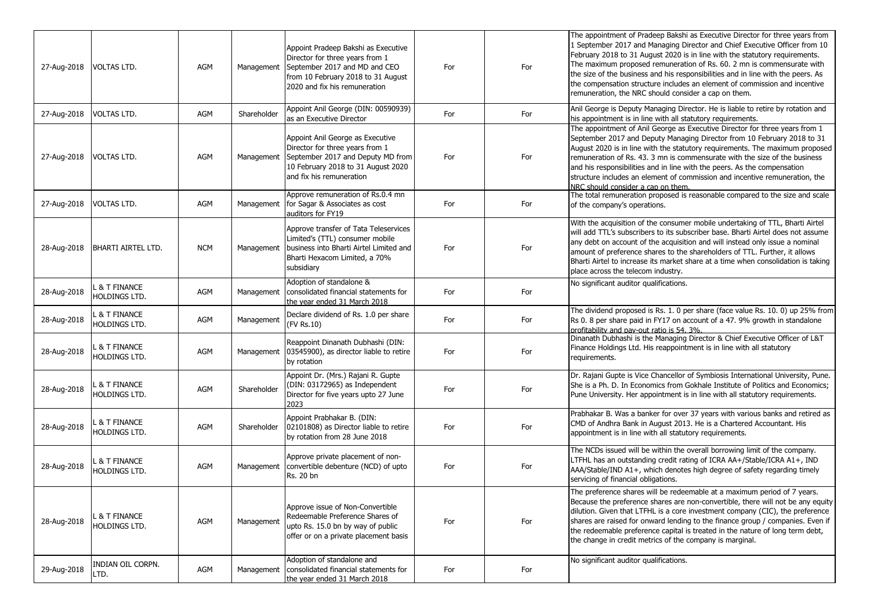| 27-Aug-2018 | <b>VOLTAS LTD.</b>                      | AGM        | Management  | Appoint Pradeep Bakshi as Executive<br>Director for three years from 1<br>September 2017 and MD and CEO<br>from 10 February 2018 to 31 August<br>2020 and fix his remuneration | For | For | The appointment of Pradeep Bakshi as Executive Director for three years from<br>1 September 2017 and Managing Director and Chief Executive Officer from 10<br>February 2018 to 31 August 2020 is in line with the statutory requirements.<br>The maximum proposed remuneration of Rs. 60. 2 mn is commensurate with<br>the size of the business and his responsibilities and in line with the peers. As<br>the compensation structure includes an element of commission and incentive<br>remuneration, the NRC should consider a cap on them. |
|-------------|-----------------------------------------|------------|-------------|--------------------------------------------------------------------------------------------------------------------------------------------------------------------------------|-----|-----|-----------------------------------------------------------------------------------------------------------------------------------------------------------------------------------------------------------------------------------------------------------------------------------------------------------------------------------------------------------------------------------------------------------------------------------------------------------------------------------------------------------------------------------------------|
| 27-Aug-2018 | <b>VOLTAS LTD.</b>                      | AGM        | Shareholder | Appoint Anil George (DIN: 00590939)<br>as an Executive Director                                                                                                                | For | For | Anil George is Deputy Managing Director. He is liable to retire by rotation and<br>his appointment is in line with all statutory requirements.                                                                                                                                                                                                                                                                                                                                                                                                |
| 27-Aug-2018 | <b>VOLTAS LTD.</b>                      | AGM        | Management  | Appoint Anil George as Executive<br>Director for three years from 1<br>September 2017 and Deputy MD from<br>10 February 2018 to 31 August 2020<br>and fix his remuneration     | For | For | The appointment of Anil George as Executive Director for three years from 1<br>September 2017 and Deputy Managing Director from 10 February 2018 to 31<br>August 2020 is in line with the statutory requirements. The maximum proposed<br>remuneration of Rs. 43. 3 mn is commensurate with the size of the business<br>and his responsibilities and in line with the peers. As the compensation<br>structure includes an element of commission and incentive remuneration, the<br>NRC should consider a cap on them.                         |
| 27-Aug-2018 | <b>VOLTAS LTD.</b>                      | AGM        | Management  | Approve remuneration of Rs.0.4 mn<br>for Sagar & Associates as cost<br>auditors for FY19                                                                                       | For | For | The total remuneration proposed is reasonable compared to the size and scale<br>of the company's operations.                                                                                                                                                                                                                                                                                                                                                                                                                                  |
| 28-Aug-2018 | <b>BHARTI AIRTEL LTD.</b>               | <b>NCM</b> | Management  | Approve transfer of Tata Teleservices<br>Limited's (TTL) consumer mobile<br>business into Bharti Airtel Limited and<br>Bharti Hexacom Limited, a 70%<br>subsidiary             | For | For | With the acquisition of the consumer mobile undertaking of TTL, Bharti Airtel<br>will add TTL's subscribers to its subscriber base. Bharti Airtel does not assume<br>any debt on account of the acquisition and will instead only issue a nominal<br>amount of preference shares to the shareholders of TTL. Further, it allows<br>Bharti Airtel to increase its market share at a time when consolidation is taking<br>place across the telecom industry.                                                                                    |
| 28-Aug-2018 | <b>&amp; T FINANCE</b><br>HOLDINGS LTD. | AGM        | Management  | Adoption of standalone &<br>consolidated financial statements for<br>the year ended 31 March 2018                                                                              | For | For | No significant auditor qualifications.                                                                                                                                                                                                                                                                                                                                                                                                                                                                                                        |
| 28-Aug-2018 | . & T FINANCE<br><b>HOLDINGS LTD.</b>   | AGM        | Management  | Declare dividend of Rs. 1.0 per share<br>(FV Rs.10)                                                                                                                            | For | For | The dividend proposed is Rs. 1. 0 per share (face value Rs. 10. 0) up 25% from<br>Rs 0. 8 per share paid in FY17 on account of a 47. 9% growth in standalone<br>profitability and pay-out ratio is 54, 3%.                                                                                                                                                                                                                                                                                                                                    |
| 28-Aug-2018 | . & T FINANCE<br>HOLDINGS LTD.          | AGM        | Management  | Reappoint Dinanath Dubhashi (DIN:<br>03545900), as director liable to retire<br>by rotation                                                                                    | For | For | Dinanath Dubhashi is the Managing Director & Chief Executive Officer of L&T<br>Finance Holdings Ltd. His reappointment is in line with all statutory<br>requirements.                                                                                                                                                                                                                                                                                                                                                                         |
| 28-Aug-2018 | <b>&amp; T FINANCE</b><br>HOLDINGS LTD. | AGM        | Shareholder | Appoint Dr. (Mrs.) Rajani R. Gupte<br>(DIN: 03172965) as Independent<br>Director for five years upto 27 June<br>2023                                                           | For | For | Dr. Rajani Gupte is Vice Chancellor of Symbiosis International University, Pune.<br>She is a Ph. D. In Economics from Gokhale Institute of Politics and Economics;<br>Pune University. Her appointment is in line with all statutory requirements.                                                                                                                                                                                                                                                                                            |
| 28-Aug-2018 | & T FINANCE<br>HOLDINGS LTD.            | AGM        | Shareholder | Appoint Prabhakar B. (DIN:<br>02101808) as Director liable to retire<br>by rotation from 28 June 2018                                                                          | For | For | Prabhakar B. Was a banker for over 37 years with various banks and retired as<br>CMD of Andhra Bank in August 2013. He is a Chartered Accountant. His<br>appointment is in line with all statutory requirements.                                                                                                                                                                                                                                                                                                                              |
| 28-Aug-2018 | <b>&amp; T FINANCE</b><br>HOLDINGS LTD. | AGM        | Management  | Approve private placement of non-<br>convertible debenture (NCD) of upto<br>Rs. 20 bn                                                                                          | For | For | The NCDs issued will be within the overall borrowing limit of the company.<br>LTFHL has an outstanding credit rating of ICRA AA+/Stable/ICRA A1+, IND<br>AAA/Stable/IND A1+, which denotes high degree of safety regarding timely<br>servicing of financial obligations.                                                                                                                                                                                                                                                                      |
| 28-Aug-2018 | . & T FINANCE<br>HOLDINGS LTD.          | AGM        | Management  | Approve issue of Non-Convertible<br>Redeemable Preference Shares of<br>upto Rs. 15.0 bn by way of public<br>offer or on a private placement basis                              | For | For | The preference shares will be redeemable at a maximum period of 7 years.<br>Because the preference shares are non-convertible, there will not be any equity<br>dilution. Given that LTFHL is a core investment company (CIC), the preference<br>shares are raised for onward lending to the finance group / companies. Even if<br>the redeemable preference capital is treated in the nature of long term debt,<br>the change in credit metrics of the company is marginal.                                                                   |
| 29-Aug-2018 | INDIAN OIL CORPN.<br>LTD.               | AGM        | Management  | Adoption of standalone and<br>consolidated financial statements for<br>the year ended 31 March 2018                                                                            | For | For | No significant auditor qualifications.                                                                                                                                                                                                                                                                                                                                                                                                                                                                                                        |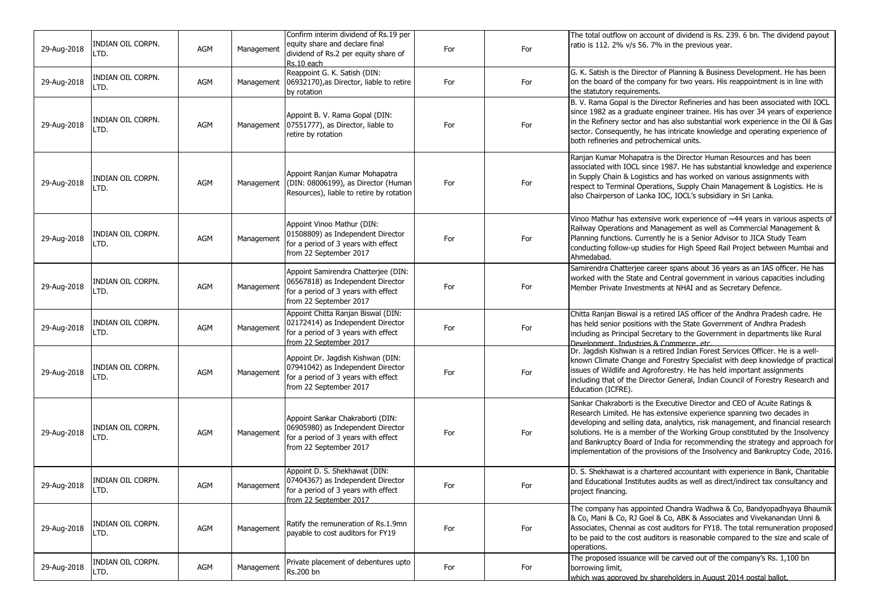| 29-Aug-2018 | INDIAN OIL CORPN.<br>LTD. | <b>AGM</b> | Management | Confirm interim dividend of Rs.19 per<br>equity share and declare final<br>dividend of Rs.2 per equity share of<br>Rs.10 each             | For | For | The total outflow on account of dividend is Rs. 239. 6 bn. The dividend payout<br>ratio is 112. 2% v/s 56. 7% in the previous year.                                                                                                                                                                                                                                                                                                                                                   |
|-------------|---------------------------|------------|------------|-------------------------------------------------------------------------------------------------------------------------------------------|-----|-----|---------------------------------------------------------------------------------------------------------------------------------------------------------------------------------------------------------------------------------------------------------------------------------------------------------------------------------------------------------------------------------------------------------------------------------------------------------------------------------------|
| 29-Aug-2018 | INDIAN OIL CORPN.<br>LTD. | AGM        | Management | Reappoint G. K. Satish (DIN:<br>06932170), as Director, liable to retire<br>by rotation                                                   | For | For | G. K. Satish is the Director of Planning & Business Development. He has been<br>on the board of the company for two years. His reappointment is in line with<br>the statutory requirements.                                                                                                                                                                                                                                                                                           |
| 29-Aug-2018 | INDIAN OIL CORPN.<br>LTD. | AGM        |            | Appoint B. V. Rama Gopal (DIN:<br>Management 07551777), as Director, liable to<br>retire by rotation                                      | For | For | B. V. Rama Gopal is the Director Refineries and has been associated with IOCL<br>since 1982 as a graduate engineer trainee. His has over 34 years of experience<br>in the Refinery sector and has also substantial work experience in the Oil & Gas<br>sector. Consequently, he has intricate knowledge and operating experience of<br>both refineries and petrochemical units.                                                                                                       |
| 29-Aug-2018 | INDIAN OIL CORPN.<br>LTD. | AGM        | Management | Appoint Ranjan Kumar Mohapatra<br>(DIN: 08006199), as Director (Human<br>Resources), liable to retire by rotation                         | For | For | Ranjan Kumar Mohapatra is the Director Human Resources and has been<br>associated with IOCL since 1987. He has substantial knowledge and experience<br>in Supply Chain & Logistics and has worked on various assignments with<br>respect to Terminal Operations, Supply Chain Management & Logistics. He is<br>also Chairperson of Lanka IOC, IOCL's subsidiary in Sri Lanka.                                                                                                         |
| 29-Aug-2018 | INDIAN OIL CORPN.<br>LTD. | AGM        | Management | Appoint Vinoo Mathur (DIN:<br>01508809) as Independent Director<br>for a period of 3 years with effect<br>from 22 September 2017          | For | For | Vinoo Mathur has extensive work experience of ~44 years in various aspects of<br>Railway Operations and Management as well as Commercial Management &<br>Planning functions. Currently he is a Senior Advisor to JICA Study Team<br>conducting follow-up studies for High Speed Rail Project between Mumbai and<br>Ahmedabad.                                                                                                                                                         |
| 29-Aug-2018 | INDIAN OIL CORPN.<br>LTD. | AGM        | Management | Appoint Samirendra Chatterjee (DIN:<br>06567818) as Independent Director<br>for a period of 3 years with effect<br>from 22 September 2017 | For | For | Samirendra Chatterjee career spans about 36 years as an IAS officer. He has<br>worked with the State and Central government in various capacities including<br>Member Private Investments at NHAI and as Secretary Defence.                                                                                                                                                                                                                                                           |
| 29-Aug-2018 | INDIAN OIL CORPN.<br>LTD. | AGM        | Management | Appoint Chitta Ranjan Biswal (DIN:<br>02172414) as Independent Director<br>for a period of 3 years with effect<br>from 22 September 2017  | For | For | Chitta Ranjan Biswal is a retired IAS officer of the Andhra Pradesh cadre. He<br>has held senior positions with the State Government of Andhra Pradesh<br>including as Principal Secretary to the Government in departments like Rural<br>Development, Industries & Commerce, etc.                                                                                                                                                                                                    |
| 29-Aug-2018 | Indian oil Corpn.<br>LTD. | AGM        | Management | Appoint Dr. Jagdish Kishwan (DIN:<br>07941042) as Independent Director<br>for a period of 3 years with effect<br>from 22 September 2017   | For | For | Dr. Jagdish Kishwan is a retired Indian Forest Services Officer. He is a well-<br>known Climate Change and Forestry Specialist with deep knowledge of practical<br>issues of Wildlife and Agroforestry. He has held important assignments<br>including that of the Director General, Indian Council of Forestry Research and<br>Education (ICFRE).                                                                                                                                    |
| 29-Aug-2018 | INDIAN OIL CORPN.<br>LTD. | AGM        | Management | Appoint Sankar Chakraborti (DIN:<br>06905980) as Independent Director<br>for a period of 3 years with effect<br>from 22 September 2017    | For | For | Sankar Chakraborti is the Executive Director and CEO of Acuite Ratings &<br>Research Limited. He has extensive experience spanning two decades in<br>developing and selling data, analytics, risk management, and financial research<br>solutions. He is a member of the Working Group constituted by the Insolvency<br>and Bankruptcy Board of India for recommending the strategy and approach for<br>implementation of the provisions of the Insolvency and Bankruptcy Code, 2016. |
| 29-Aug-2018 | INDIAN OIL CORPN.<br>LTD. | AGM        | Management | Appoint D. S. Shekhawat (DIN:<br>07404367) as Independent Director<br>for a period of 3 years with effect<br>from 22 September 2017       | For | For | D. S. Shekhawat is a chartered accountant with experience in Bank, Charitable<br>and Educational Institutes audits as well as direct/indirect tax consultancy and<br>project financing.                                                                                                                                                                                                                                                                                               |
| 29-Aug-2018 | INDIAN OIL CORPN.<br>LTD. | AGM        | Management | Ratify the remuneration of Rs.1.9mn<br>payable to cost auditors for FY19                                                                  | For | For | The company has appointed Chandra Wadhwa & Co, Bandyopadhyaya Bhaumik<br>& Co, Mani & Co, RJ Goel & Co, ABK & Associates and Vivekanandan Unni &<br>Associates, Chennai as cost auditors for FY18. The total remuneration proposed<br>to be paid to the cost auditors is reasonable compared to the size and scale of<br>operations.                                                                                                                                                  |
| 29-Aug-2018 | INDIAN OIL CORPN.<br>LTD. | AGM        | Management | Private placement of debentures upto<br>Rs.200 bn                                                                                         | For | For | The proposed issuance will be carved out of the company's Rs. 1,100 bn<br>borrowing limit,<br>which was approved by shareholders in August 2014 postal ballot.                                                                                                                                                                                                                                                                                                                        |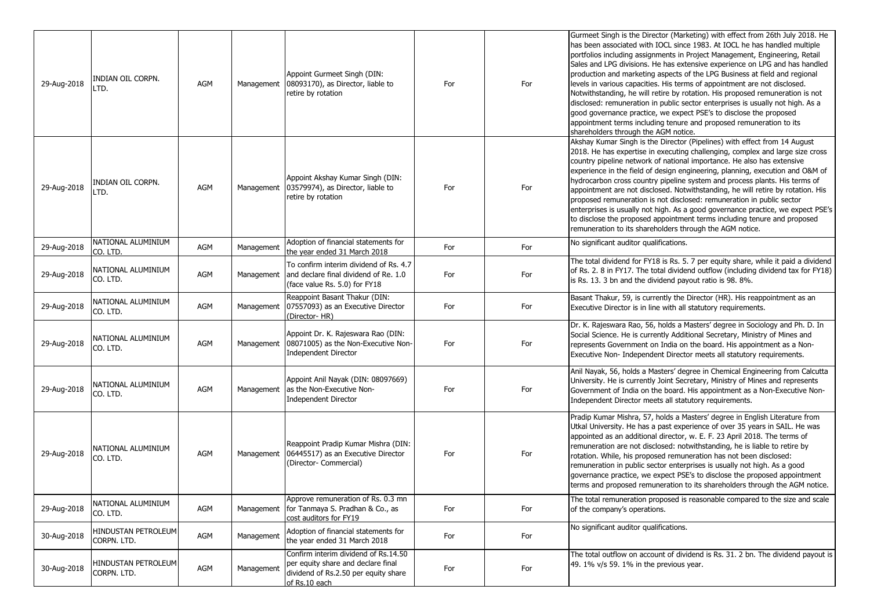| 29-Aug-2018 | INDIAN OIL CORPN.<br>LTD.          | AGM        |            | Appoint Gurmeet Singh (DIN:<br>Management 08093170), as Director, liable to<br>retire by rotation                                   | For | For | Gurmeet Singh is the Director (Marketing) with effect from 26th July 2018. He<br>has been associated with IOCL since 1983. At IOCL he has handled multiple<br>portfolios including assignments in Project Management, Engineering, Retail<br>Sales and LPG divisions. He has extensive experience on LPG and has handled<br>production and marketing aspects of the LPG Business at field and regional<br>levels in various capacities. His terms of appointment are not disclosed.<br>Notwithstanding, he will retire by rotation. His proposed remuneration is not<br>disclosed: remuneration in public sector enterprises is usually not high. As a<br>good governance practice, we expect PSE's to disclose the proposed<br>appointment terms including tenure and proposed remuneration to its<br>shareholders through the AGM notice. |
|-------------|------------------------------------|------------|------------|-------------------------------------------------------------------------------------------------------------------------------------|-----|-----|---------------------------------------------------------------------------------------------------------------------------------------------------------------------------------------------------------------------------------------------------------------------------------------------------------------------------------------------------------------------------------------------------------------------------------------------------------------------------------------------------------------------------------------------------------------------------------------------------------------------------------------------------------------------------------------------------------------------------------------------------------------------------------------------------------------------------------------------|
| 29-Aug-2018 | INDIAN OIL CORPN.<br>LTD.          | AGM        |            | Appoint Akshay Kumar Singh (DIN:<br>Management 03579974), as Director, liable to<br>retire by rotation                              | For | For | Akshay Kumar Singh is the Director (Pipelines) with effect from 14 August<br>2018. He has expertise in executing challenging, complex and large size cross<br>country pipeline network of national importance. He also has extensive<br>experience in the field of design engineering, planning, execution and O&M of<br>hydrocarbon cross country pipeline system and process plants. His terms of<br>appointment are not disclosed. Notwithstanding, he will retire by rotation. His<br>proposed remuneration is not disclosed: remuneration in public sector<br>enterprises is usually not high. As a good governance practice, we expect PSE's<br>to disclose the proposed appointment terms including tenure and proposed<br>remuneration to its shareholders through the AGM notice.                                                  |
| 29-Aug-2018 | NATIONAL ALUMINIUM<br>CO. LTD.     | <b>AGM</b> | Management | Adoption of financial statements for<br>the vear ended 31 March 2018                                                                | For | For | No significant auditor qualifications.                                                                                                                                                                                                                                                                                                                                                                                                                                                                                                                                                                                                                                                                                                                                                                                                      |
| 29-Aug-2018 | NATIONAL ALUMINIUM<br>CO. LTD.     | <b>AGM</b> |            | To confirm interim dividend of Rs. 4.7<br>Management and declare final dividend of Re. 1.0<br>(face value Rs. 5.0) for FY18         | For | For | The total dividend for FY18 is Rs. 5. 7 per equity share, while it paid a dividend<br>of Rs. 2. 8 in FY17. The total dividend outflow (including dividend tax for FY18)<br>is Rs. 13. 3 bn and the dividend payout ratio is 98. 8%.                                                                                                                                                                                                                                                                                                                                                                                                                                                                                                                                                                                                         |
| 29-Aug-2018 | NATIONAL ALUMINIUM<br>CO. LTD.     | AGM        | Management | Reappoint Basant Thakur (DIN:<br>07557093) as an Executive Director<br>(Director-HR)                                                | For | For | Basant Thakur, 59, is currently the Director (HR). His reappointment as an<br>Executive Director is in line with all statutory requirements.                                                                                                                                                                                                                                                                                                                                                                                                                                                                                                                                                                                                                                                                                                |
| 29-Aug-2018 | NATIONAL ALUMINIUM<br>CO. LTD.     | <b>AGM</b> | Management | Appoint Dr. K. Rajeswara Rao (DIN:<br>08071005) as the Non-Executive Non-<br>Independent Director                                   | For | For | Dr. K. Rajeswara Rao, 56, holds a Masters' degree in Sociology and Ph. D. In<br>Social Science. He is currently Additional Secretary, Ministry of Mines and<br>represents Government on India on the board. His appointment as a Non-<br>Executive Non- Independent Director meets all statutory requirements.                                                                                                                                                                                                                                                                                                                                                                                                                                                                                                                              |
| 29-Aug-2018 | NATIONAL ALUMINIUM<br>CO. LTD.     | <b>AGM</b> | Management | Appoint Anil Nayak (DIN: 08097669)<br>as the Non-Executive Non-<br>Independent Director                                             | For | For | Anil Nayak, 56, holds a Masters' degree in Chemical Engineering from Calcutta<br>University. He is currently Joint Secretary, Ministry of Mines and represents<br>Government of India on the board. His appointment as a Non-Executive Non-<br>Independent Director meets all statutory requirements.                                                                                                                                                                                                                                                                                                                                                                                                                                                                                                                                       |
| 29-Aug-2018 | NATIONAL ALUMINIUM<br>CO. LTD.     | AGM        | Management | Reappoint Pradip Kumar Mishra (DIN:<br>06445517) as an Executive Director<br>(Director- Commercial)                                 | For | For | Pradip Kumar Mishra, 57, holds a Masters' degree in English Literature from<br>Utkal University. He has a past experience of over 35 years in SAIL. He was<br>appointed as an additional director, w. E. F. 23 April 2018. The terms of<br>remuneration are not disclosed: notwithstanding, he is liable to retire by<br>rotation. While, his proposed remuneration has not been disclosed:<br>remuneration in public sector enterprises is usually not high. As a good<br>governance practice, we expect PSE's to disclose the proposed appointment<br>terms and proposed remuneration to its shareholders through the AGM notice.                                                                                                                                                                                                         |
| 29-Aug-2018 | NATIONAL ALUMINIUM<br>CO. LTD.     | AGM        | Management | Approve remuneration of Rs. 0.3 mn<br>for Tanmaya S. Pradhan & Co., as<br>cost auditors for FY19                                    | For | For | The total remuneration proposed is reasonable compared to the size and scale<br>of the company's operations.                                                                                                                                                                                                                                                                                                                                                                                                                                                                                                                                                                                                                                                                                                                                |
| 30-Aug-2018 | HINDUSTAN PETROLEUM<br>CORPN. LTD. | AGM        | Management | Adoption of financial statements for<br>the year ended 31 March 2018                                                                | For | For | No significant auditor qualifications.                                                                                                                                                                                                                                                                                                                                                                                                                                                                                                                                                                                                                                                                                                                                                                                                      |
| 30-Aug-2018 | HINDUSTAN PETROLEUM<br>CORPN. LTD. | AGM        | Management | Confirm interim dividend of Rs.14.50<br>per equity share and declare final<br>dividend of Rs.2.50 per equity share<br>of Rs.10 each | For | For | The total outflow on account of dividend is Rs. 31. 2 bn. The dividend payout is<br>49. 1% v/s 59. 1% in the previous year.                                                                                                                                                                                                                                                                                                                                                                                                                                                                                                                                                                                                                                                                                                                 |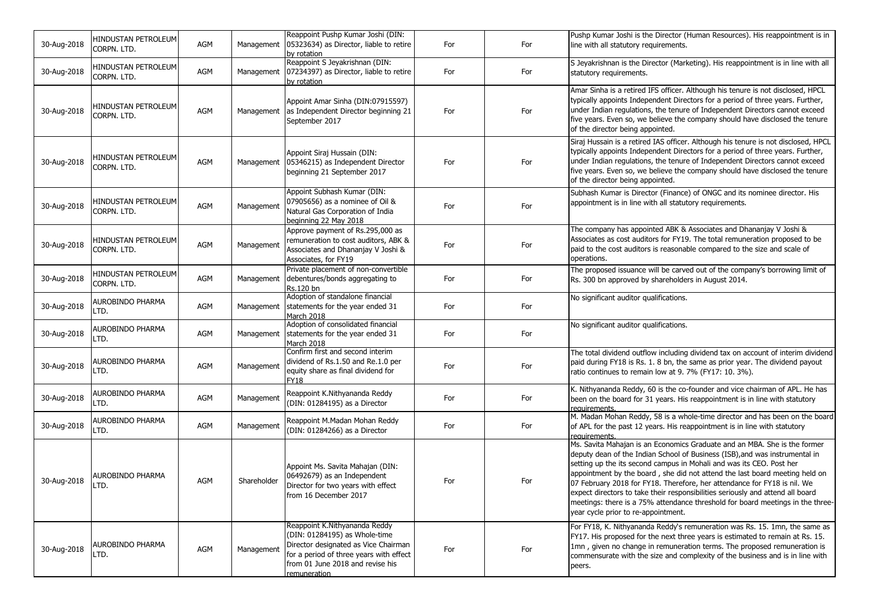| 30-Aug-2018 | HINDUSTAN PETROLEUM<br>CORPN. LTD. | AGM        | Management  | Reappoint Pushp Kumar Joshi (DIN:<br>05323634) as Director, liable to retire<br>by rotation                                                                                                           | For | For | Pushp Kumar Joshi is the Director (Human Resources). His reappointment is in<br>line with all statutory requirements.                                                                                                                                                                                                                                                                                                                                                                                                                                                                                  |
|-------------|------------------------------------|------------|-------------|-------------------------------------------------------------------------------------------------------------------------------------------------------------------------------------------------------|-----|-----|--------------------------------------------------------------------------------------------------------------------------------------------------------------------------------------------------------------------------------------------------------------------------------------------------------------------------------------------------------------------------------------------------------------------------------------------------------------------------------------------------------------------------------------------------------------------------------------------------------|
| 30-Aug-2018 | HINDUSTAN PETROLEUM<br>CORPN. LTD. | AGM        | Management  | Reappoint S Jeyakrishnan (DIN:<br>07234397) as Director, liable to retire<br>by rotation                                                                                                              | For | For | S Jeyakrishnan is the Director (Marketing). His reappointment is in line with all<br>statutory requirements.                                                                                                                                                                                                                                                                                                                                                                                                                                                                                           |
| 30-Aug-2018 | HINDUSTAN PETROLEUM<br>Corpn. Ltd. | AGM        | Management  | Appoint Amar Sinha (DIN:07915597)<br>as Independent Director beginning 21<br>September 2017                                                                                                           | For | For | Amar Sinha is a retired IFS officer. Although his tenure is not disclosed, HPCL<br>typically appoints Independent Directors for a period of three years. Further,<br>under Indian regulations, the tenure of Independent Directors cannot exceed<br>five years. Even so, we believe the company should have disclosed the tenure<br>of the director being appointed.                                                                                                                                                                                                                                   |
| 30-Aug-2018 | HINDUSTAN PETROLEUM<br>CORPN. LTD. | AGM        | Management  | Appoint Siraj Hussain (DIN:<br>05346215) as Independent Director<br>beginning 21 September 2017                                                                                                       | For | For | Siraj Hussain is a retired IAS officer. Although his tenure is not disclosed, HPCL<br>typically appoints Independent Directors for a period of three years. Further,<br>under Indian regulations, the tenure of Independent Directors cannot exceed<br>five years. Even so, we believe the company should have disclosed the tenure<br>of the director being appointed.                                                                                                                                                                                                                                |
| 30-Aug-2018 | HINDUSTAN PETROLEUM<br>CORPN. LTD. | AGM        | Management  | Appoint Subhash Kumar (DIN:<br>07905656) as a nominee of Oil &<br>Natural Gas Corporation of India<br>beginning 22 May 2018                                                                           | For | For | Subhash Kumar is Director (Finance) of ONGC and its nominee director. His<br>appointment is in line with all statutory requirements.                                                                                                                                                                                                                                                                                                                                                                                                                                                                   |
| 30-Aug-2018 | HINDUSTAN PETROLEUM<br>CORPN. LTD. | <b>AGM</b> | Management  | Approve payment of Rs.295,000 as<br>remuneration to cost auditors, ABK &<br>Associates and Dhananjay V Joshi &<br>Associates, for FY19                                                                | For | For | The company has appointed ABK & Associates and Dhananjay V Joshi &<br>Associates as cost auditors for FY19. The total remuneration proposed to be<br>paid to the cost auditors is reasonable compared to the size and scale of<br>operations.                                                                                                                                                                                                                                                                                                                                                          |
| 30-Aug-2018 | HINDUSTAN PETROLEUM<br>CORPN. LTD. | AGM        | Management  | Private placement of non-convertible<br>debentures/bonds aggregating to<br>Rs.120 bn                                                                                                                  | For | For | The proposed issuance will be carved out of the company's borrowing limit of<br>Rs. 300 bn approved by shareholders in August 2014.                                                                                                                                                                                                                                                                                                                                                                                                                                                                    |
| 30-Aug-2018 | AUROBINDO PHARMA<br>LTD.           | AGM        | Management  | Adoption of standalone financial<br>statements for the year ended 31<br>March 2018                                                                                                                    | For | For | No significant auditor qualifications.                                                                                                                                                                                                                                                                                                                                                                                                                                                                                                                                                                 |
| 30-Aug-2018 | AUROBINDO PHARMA<br>LTD.           | AGM        | Management  | Adoption of consolidated financial<br>statements for the year ended 31<br>March 2018                                                                                                                  | For | For | No significant auditor qualifications.                                                                                                                                                                                                                                                                                                                                                                                                                                                                                                                                                                 |
| 30-Aug-2018 | AUROBINDO PHARMA<br>LTD.           | AGM        | Management  | Confirm first and second interim<br>dividend of Rs.1.50 and Re.1.0 per<br>equity share as final dividend for<br>FY18                                                                                  | For | For | The total dividend outflow including dividend tax on account of interim dividend<br>paid during FY18 is Rs. 1. 8 bn, the same as prior year. The dividend payout<br>ratio continues to remain low at 9.7% (FY17: 10.3%).                                                                                                                                                                                                                                                                                                                                                                               |
| 30-Aug-2018 | AUROBINDO PHARMA<br>LTD.           | <b>AGM</b> | Management  | Reappoint K.Nithyananda Reddy<br>(DIN: 01284195) as a Director                                                                                                                                        | For | For | K. Nithyananda Reddy, 60 is the co-founder and vice chairman of APL. He has<br>been on the board for 31 years. His reappointment is in line with statutory<br>requirements.                                                                                                                                                                                                                                                                                                                                                                                                                            |
| 30-Aug-2018 | AUROBINDO PHARMA<br>LTD.           | AGM        | Management  | Reappoint M.Madan Mohan Reddy<br>(DIN: 01284266) as a Director                                                                                                                                        | For | For | M. Madan Mohan Reddy, 58 is a whole-time director and has been on the board<br>of APL for the past 12 years. His reappointment is in line with statutory<br>requirements.                                                                                                                                                                                                                                                                                                                                                                                                                              |
| 30-Aug-2018 | <b>AUROBINDO PHARMA</b><br>LTD.    | AGM        | Shareholder | Appoint Ms. Savita Mahajan (DIN:<br>06492679) as an Independent<br>Director for two years with effect<br>from 16 December 2017                                                                        | For | For | Ms. Savita Mahajan is an Economics Graduate and an MBA. She is the former<br>deputy dean of the Indian School of Business (ISB), and was instrumental in<br>setting up the its second campus in Mohali and was its CEO. Post her<br>appointment by the board, she did not attend the last board meeting held on<br>07 February 2018 for FY18. Therefore, her attendance for FY18 is nil. We<br>expect directors to take their responsibilities seriously and attend all board<br>meetings: there is a 75% attendance threshold for board meetings in the three-<br>year cycle prior to re-appointment. |
| 30-Aug-2018 | AUROBINDO PHARMA<br>LTD.           | AGM        | Management  | Reappoint K.Nithyananda Reddy<br>(DIN: 01284195) as Whole-time<br>Director designated as Vice Chairman<br>for a period of three years with effect<br>from 01 June 2018 and revise his<br>remuneration | For | For | For FY18, K. Nithyananda Reddy's remuneration was Rs. 15. 1mn, the same as<br>FY17. His proposed for the next three years is estimated to remain at Rs. 15.<br>1mn, given no change in remuneration terms. The proposed remuneration is<br>commensurate with the size and complexity of the business and is in line with<br>peers.                                                                                                                                                                                                                                                                     |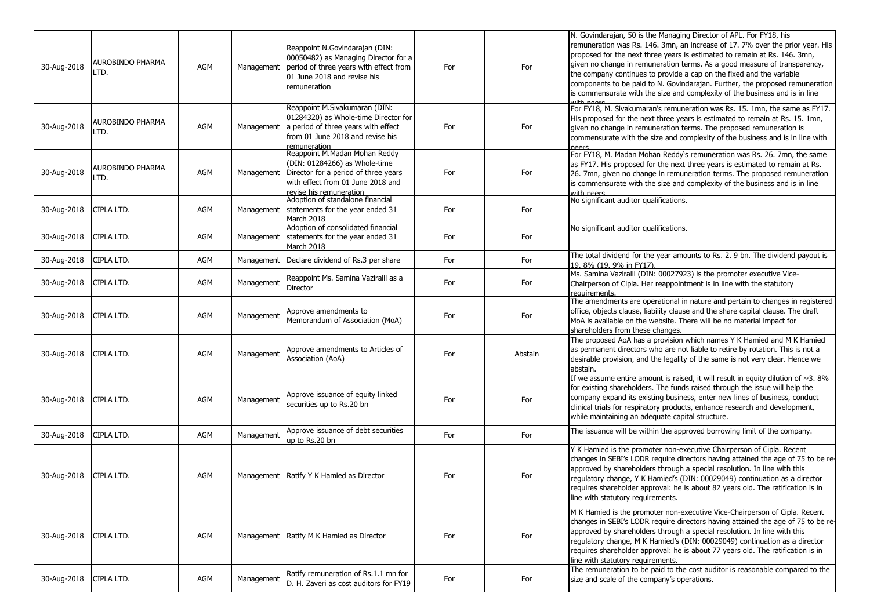| 30-Aug-2018 | AUROBINDO PHARMA<br>LTD. | <b>AGM</b> | Management | Reappoint N.Govindarajan (DIN:<br>00050482) as Managing Director for a<br>period of three years with effect from<br>01 June 2018 and revise his<br>remuneration        | For | For     | N. Govindarajan, 50 is the Managing Director of APL. For FY18, his<br>remuneration was Rs. 146. 3mn, an increase of 17. 7% over the prior year. His<br>proposed for the next three years is estimated to remain at Rs. 146. 3mn,<br>given no change in remuneration terms. As a good measure of transparency,<br>the company continues to provide a cap on the fixed and the variable<br>components to be paid to N. Govindarajan. Further, the proposed remuneration<br>is commensurate with the size and complexity of the business and is in line |
|-------------|--------------------------|------------|------------|------------------------------------------------------------------------------------------------------------------------------------------------------------------------|-----|---------|------------------------------------------------------------------------------------------------------------------------------------------------------------------------------------------------------------------------------------------------------------------------------------------------------------------------------------------------------------------------------------------------------------------------------------------------------------------------------------------------------------------------------------------------------|
| 30-Aug-2018 | AUROBINDO PHARMA<br>LTD. | AGM        | Management | Reappoint M.Sivakumaran (DIN:<br>01284320) as Whole-time Director for<br>a period of three years with effect<br>from 01 June 2018 and revise his<br>remuneration       | For | For     | For FY18, M. Sivakumaran's remuneration was Rs. 15. 1mn, the same as FY17.<br>His proposed for the next three years is estimated to remain at Rs. 15. 1mn,<br>given no change in remuneration terms. The proposed remuneration is<br>commensurate with the size and complexity of the business and is in line with<br>neers                                                                                                                                                                                                                          |
| 30-Aug-2018 | AUROBINDO PHARMA<br>LTD. | <b>AGM</b> | Management | Reappoint M.Madan Mohan Reddy<br>(DIN: 01284266) as Whole-time<br>Director for a period of three years<br>with effect from 01 June 2018 and<br>revise his remuneration | For | For     | For FY18, M. Madan Mohan Reddy's remuneration was Rs. 26. 7mn, the same<br>as FY17. His proposed for the next three years is estimated to remain at Rs.<br>26. 7mn, given no change in remuneration terms. The proposed remuneration<br>is commensurate with the size and complexity of the business and is in line<br>with neers                                                                                                                                                                                                                    |
| 30-Aug-2018 | CIPLA LTD.               | AGM        | Management | Adoption of standalone financial<br>statements for the year ended 31<br>March 2018                                                                                     | For | For     | No significant auditor qualifications.                                                                                                                                                                                                                                                                                                                                                                                                                                                                                                               |
| 30-Aug-2018 | CIPLA LTD.               | AGM        | Management | Adoption of consolidated financial<br>statements for the year ended 31<br>March 2018                                                                                   | For | For     | No significant auditor qualifications.                                                                                                                                                                                                                                                                                                                                                                                                                                                                                                               |
| 30-Aug-2018 | CIPLA LTD.               | AGM        | Management | Declare dividend of Rs.3 per share                                                                                                                                     | For | For     | The total dividend for the year amounts to Rs. 2. 9 bn. The dividend payout is<br>19, 8% (19, 9% in FY17).                                                                                                                                                                                                                                                                                                                                                                                                                                           |
| 30-Aug-2018 | CIPLA LTD.               | AGM        | Management | Reappoint Ms. Samina Vaziralli as a<br>Director                                                                                                                        | For | For     | Ms. Samina Vaziralli (DIN: 00027923) is the promoter executive Vice-<br>Chairperson of Cipla. Her reappointment is in line with the statutory<br>requirements.                                                                                                                                                                                                                                                                                                                                                                                       |
| 30-Aug-2018 | CIPLA LTD.               | AGM        | Management | Approve amendments to<br>Memorandum of Association (MoA)                                                                                                               | For | For     | The amendments are operational in nature and pertain to changes in registered<br>office, objects clause, liability clause and the share capital clause. The draft<br>MoA is available on the website. There will be no material impact for<br>shareholders from these changes.                                                                                                                                                                                                                                                                       |
| 30-Aug-2018 | CIPLA LTD.               | AGM        | Management | Approve amendments to Articles of<br>Association (AoA)                                                                                                                 | For | Abstain | The proposed AoA has a provision which names Y K Hamied and M K Hamied<br>as permanent directors who are not liable to retire by rotation. This is not a<br>desirable provision, and the legality of the same is not very clear. Hence we<br>abstain.                                                                                                                                                                                                                                                                                                |
| 30-Aug-2018 | CIPLA LTD.               | AGM        | Management | Approve issuance of equity linked<br>securities up to Rs.20 bn                                                                                                         | For | For     | If we assume entire amount is raised, it will result in equity dilution of $\sim$ 3. 8%<br>for existing shareholders. The funds raised through the issue will help the<br>company expand its existing business, enter new lines of business, conduct<br>clinical trials for respiratory products, enhance research and development,<br>while maintaining an adequate capital structure.                                                                                                                                                              |
| 30-Aug-2018 | CIPLA LTD.               | AGM        | Management | Approve issuance of debt securities<br>up to Rs.20 bn                                                                                                                  | For | For     | The issuance will be within the approved borrowing limit of the company.                                                                                                                                                                                                                                                                                                                                                                                                                                                                             |
| 30-Aug-2018 | CIPLA LTD.               | AGM        | Management | Ratify Y K Hamied as Director                                                                                                                                          | For | For     | Y K Hamied is the promoter non-executive Chairperson of Cipla. Recent<br>changes in SEBI's LODR require directors having attained the age of 75 to be re-<br>approved by shareholders through a special resolution. In line with this<br>regulatory change, Y K Hamied's (DIN: 00029049) continuation as a director<br>requires shareholder approval: he is about 82 years old. The ratification is in<br>line with statutory requirements.                                                                                                          |
| 30-Aug-2018 | CIPLA LTD.               | AGM        |            | Management Ratify M K Hamied as Director                                                                                                                               | For | For     | M K Hamied is the promoter non-executive Vice-Chairperson of Cipla. Recent<br>changes in SEBI's LODR require directors having attained the age of 75 to be re-<br>approved by shareholders through a special resolution. In line with this<br>regulatory change, M K Hamied's (DIN: 00029049) continuation as a director<br>requires shareholder approval: he is about 77 years old. The ratification is in<br>line with statutory requirements.                                                                                                     |
| 30-Aug-2018 | CIPLA LTD.               | AGM        | Management | Ratify remuneration of Rs.1.1 mn for<br>D. H. Zaveri as cost auditors for FY19                                                                                         | For | For     | The remuneration to be paid to the cost auditor is reasonable compared to the<br>size and scale of the company's operations.                                                                                                                                                                                                                                                                                                                                                                                                                         |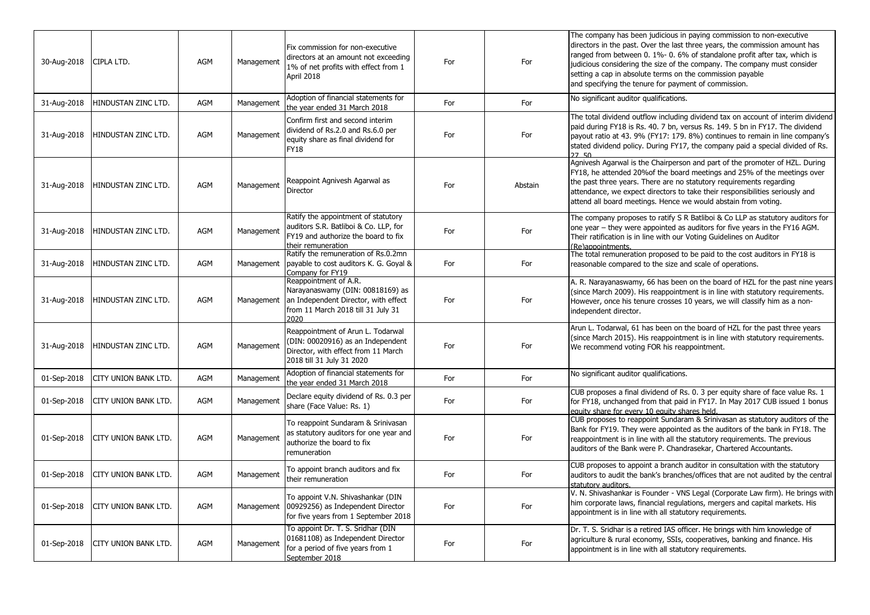| 30-Aug-2018 | CIPLA LTD.                  | AGM        | Management | Fix commission for non-executive<br>directors at an amount not exceeding<br>1% of net profits with effect from 1<br>April 2018                  | For | For     | The company has been judicious in paying commission to non-executive<br>directors in the past. Over the last three years, the commission amount has<br>ranged from between 0. 1%- 0. 6% of standalone profit after tax, which is<br>judicious considering the size of the company. The company must consider<br>setting a cap in absolute terms on the commission payable<br>and specifying the tenure for payment of commission. |
|-------------|-----------------------------|------------|------------|-------------------------------------------------------------------------------------------------------------------------------------------------|-----|---------|-----------------------------------------------------------------------------------------------------------------------------------------------------------------------------------------------------------------------------------------------------------------------------------------------------------------------------------------------------------------------------------------------------------------------------------|
| 31-Aug-2018 | HINDUSTAN ZINC LTD.         | <b>AGM</b> | Management | Adoption of financial statements for<br>the year ended 31 March 2018                                                                            | For | For     | No significant auditor qualifications.                                                                                                                                                                                                                                                                                                                                                                                            |
| 31-Aug-2018 | HINDUSTAN ZINC LTD.         | <b>AGM</b> | Management | Confirm first and second interim<br>dividend of Rs.2.0 and Rs.6.0 per<br>equity share as final dividend for<br><b>FY18</b>                      | For | For     | The total dividend outflow including dividend tax on account of interim dividend<br>paid during FY18 is Rs. 40. 7 bn, versus Rs. 149. 5 bn in FY17. The dividend<br>payout ratio at 43. 9% (FY17: 179. 8%) continues to remain in line company's<br>stated dividend policy. During FY17, the company paid a special divided of Rs.<br>27 50                                                                                       |
| 31-Aug-2018 | HINDUSTAN ZINC LTD.         | AGM        | Management | Reappoint Agnivesh Agarwal as<br>Director                                                                                                       | For | Abstain | Agnivesh Agarwal is the Chairperson and part of the promoter of HZL. During<br>FY18, he attended 20% of the board meetings and 25% of the meetings over<br>the past three years. There are no statutory requirements regarding<br>attendance, we expect directors to take their responsibilities seriously and<br>attend all board meetings. Hence we would abstain from voting.                                                  |
| 31-Aug-2018 | HINDUSTAN ZINC LTD.         | <b>AGM</b> | Management | Ratify the appointment of statutory<br>auditors S.R. Batliboi & Co. LLP, for<br>FY19 and authorize the board to fix<br>their remuneration       | For | For     | The company proposes to ratify S R Batliboi & Co LLP as statutory auditors for<br>one year – they were appointed as auditors for five years in the FY16 AGM.<br>Their ratification is in line with our Voting Guidelines on Auditor<br>(Re)annointments.                                                                                                                                                                          |
| 31-Aug-2018 | HINDUSTAN ZINC LTD.         | AGM        | Management | Ratify the remuneration of Rs.0.2mn<br>payable to cost auditors K. G. Goyal &<br>Company for FY19                                               | For | For     | The total remuneration proposed to be paid to the cost auditors in FY18 is<br>reasonable compared to the size and scale of operations.                                                                                                                                                                                                                                                                                            |
| 31-Aug-2018 | HINDUSTAN ZINC LTD.         | AGM        | Management | Reappointment of A.R.<br>Narayanaswamy (DIN: 00818169) as<br>an Independent Director, with effect<br>from 11 March 2018 till 31 July 31<br>2020 | For | For     | A. R. Narayanaswamy, 66 has been on the board of HZL for the past nine years<br>(since March 2009). His reappointment is in line with statutory requirements.<br>However, once his tenure crosses 10 years, we will classify him as a non-<br>independent director.                                                                                                                                                               |
| 31-Aug-2018 | HINDUSTAN ZINC LTD.         | AGM        | Management | Reappointment of Arun L. Todarwal<br>(DIN: 00020916) as an Independent<br>Director, with effect from 11 March<br>2018 till 31 July 31 2020      | For | For     | Arun L. Todarwal, 61 has been on the board of HZL for the past three years<br>(since March 2015). His reappointment is in line with statutory requirements.<br>We recommend voting FOR his reappointment.                                                                                                                                                                                                                         |
| 01-Sep-2018 | CITY UNION BANK LTD.        | AGM        | Management | Adoption of financial statements for<br>the year ended 31 March 2018                                                                            | For | For     | No significant auditor qualifications.                                                                                                                                                                                                                                                                                                                                                                                            |
| 01-Sep-2018 | <b>CITY UNION BANK LTD.</b> | AGM        | Management | Declare equity dividend of Rs. 0.3 per<br>share (Face Value: Rs. 1)                                                                             | For | For     | CUB proposes a final dividend of Rs. 0. 3 per equity share of face value Rs. 1<br>for FY18, unchanged from that paid in FY17. In May 2017 CUB issued 1 bonus<br>equity share for every 10 equity shares held.                                                                                                                                                                                                                     |
| 01-Sep-2018 | <b>CITY UNION BANK LTD.</b> | <b>AGM</b> | Management | To reappoint Sundaram & Srinivasan<br>as statutory auditors for one year and<br>authorize the board to fix<br>remuneration                      | For | For     | CUB proposes to reappoint Sundaram & Srinivasan as statutory auditors of the<br>Bank for FY19. They were appointed as the auditors of the bank in FY18. The<br>reappointment is in line with all the statutory requirements. The previous<br>auditors of the Bank were P. Chandrasekar, Chartered Accountants.                                                                                                                    |
| 01-Sep-2018 | ICITY UNION BANK LTD.       | <b>AGM</b> | Management | To appoint branch auditors and fix<br>their remuneration                                                                                        | For | For     | CUB proposes to appoint a branch auditor in consultation with the statutory<br>auditors to audit the bank's branches/offices that are not audited by the central<br>statutory auditors.                                                                                                                                                                                                                                           |
| 01-Sep-2018 | <b>CITY UNION BANK LTD.</b> | AGM        | Management | To appoint V.N. Shivashankar (DIN<br>00929256) as Independent Director<br>for five years from 1 September 2018                                  | For | For     | V. N. Shivashankar is Founder - VNS Legal (Corporate Law firm). He brings with<br>him corporate laws, financial regulations, mergers and capital markets. His<br>appointment is in line with all statutory requirements.                                                                                                                                                                                                          |
| 01-Sep-2018 | <b>CITY UNION BANK LTD.</b> | AGM        | Management | To appoint Dr. T. S. Sridhar (DIN<br>01681108) as Independent Director<br>for a period of five years from 1<br>September 2018                   | For | For     | Dr. T. S. Sridhar is a retired IAS officer. He brings with him knowledge of<br>agriculture & rural economy, SSIs, cooperatives, banking and finance. His<br>appointment is in line with all statutory requirements.                                                                                                                                                                                                               |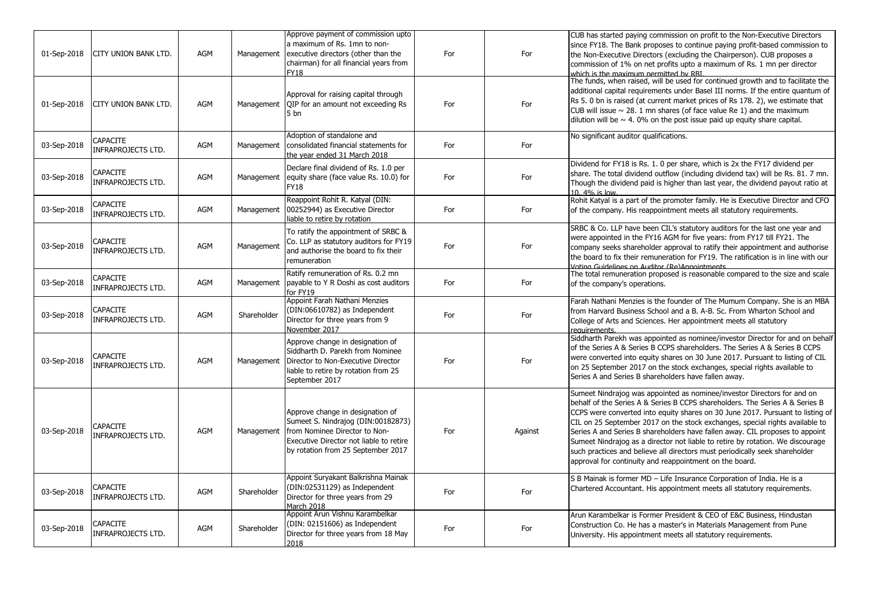| 01-Sep-2018 | <b>CITY UNION BANK LTD.</b>                  | AGM        | Management  | Approve payment of commission upto<br>a maximum of Rs. 1mn to non-<br>executive directors (other than the<br>chairman) for all financial years from<br><b>FY18</b>                       | For | For     | CUB has started paying commission on profit to the Non-Executive Directors<br>since FY18. The Bank proposes to continue paying profit-based commission to<br>the Non-Executive Directors (excluding the Chairperson). CUB proposes a<br>commission of 1% on net profits upto a maximum of Rs. 1 mn per director<br>which is the maximum nermitted by RRI                                                                                                                                                                                                                                                                              |
|-------------|----------------------------------------------|------------|-------------|------------------------------------------------------------------------------------------------------------------------------------------------------------------------------------------|-----|---------|---------------------------------------------------------------------------------------------------------------------------------------------------------------------------------------------------------------------------------------------------------------------------------------------------------------------------------------------------------------------------------------------------------------------------------------------------------------------------------------------------------------------------------------------------------------------------------------------------------------------------------------|
| 01-Sep-2018 | CITY UNION BANK LTD.                         | AGM        | Management  | Approval for raising capital through<br>OIP for an amount not exceeding Rs<br>5 <sub>bn</sub>                                                                                            | For | For     | The funds, when raised, will be used for continued growth and to facilitate the<br>additional capital requirements under Basel III norms. If the entire quantum of<br>Rs 5. 0 bn is raised (at current market prices of Rs 178. 2), we estimate that<br>CUB will issue $\sim$ 28. 1 mn shares (of face value Re 1) and the maximum<br>dilution will be $\sim$ 4. 0% on the post issue paid up equity share capital.                                                                                                                                                                                                                   |
| 03-Sep-2018 | CAPACITE<br><b>INFRAPROJECTS LTD.</b>        | AGM        |             | Adoption of standalone and<br>Management consolidated financial statements for<br>the year ended 31 March 2018                                                                           | For | For     | No significant auditor qualifications.                                                                                                                                                                                                                                                                                                                                                                                                                                                                                                                                                                                                |
| 03-Sep-2018 | CAPACITE<br><b>INFRAPROJECTS LTD.</b>        | AGM        | Management  | Declare final dividend of Rs. 1.0 per<br>equity share (face value Rs. 10.0) for<br><b>FY18</b>                                                                                           | For | For     | Dividend for FY18 is Rs. 1. 0 per share, which is 2x the FY17 dividend per<br>share. The total dividend outflow (including dividend tax) will be Rs. 81. 7 mn.<br>Though the dividend paid is higher than last year, the dividend payout ratio at<br>10. 4% is low.                                                                                                                                                                                                                                                                                                                                                                   |
| 03-Sep-2018 | <b>CAPACITE</b><br><b>INFRAPROJECTS LTD.</b> | AGM        | Management  | Reappoint Rohit R. Katyal (DIN:<br>00252944) as Executive Director<br>liable to retire by rotation                                                                                       | For | For     | Rohit Katyal is a part of the promoter family. He is Executive Director and CFO<br>of the company. His reappointment meets all statutory requirements.                                                                                                                                                                                                                                                                                                                                                                                                                                                                                |
| 03-Sep-2018 | <b>CAPACITE</b><br><b>INFRAPROJECTS LTD.</b> | AGM        | Management  | To ratify the appointment of SRBC &<br>Co. LLP as statutory auditors for FY19<br>and authorise the board to fix their<br>remuneration                                                    | For | For     | SRBC & Co. LLP have been CIL's statutory auditors for the last one year and<br>were appointed in the FY16 AGM for five years: from FY17 till FY21. The<br>company seeks shareholder approval to ratify their appointment and authorise<br>the board to fix their remuneration for FY19. The ratification is in line with our<br>Voting Guidelines on Auditor (Re)Annointments                                                                                                                                                                                                                                                         |
| 03-Sep-2018 | <b>CAPACITE</b><br><b>INFRAPROJECTS LTD.</b> | AGM        | Management  | Ratify remuneration of Rs. 0.2 mn<br>payable to Y R Doshi as cost auditors<br>for FY19                                                                                                   | For | For     | The total remuneration proposed is reasonable compared to the size and scale<br>of the company's operations.                                                                                                                                                                                                                                                                                                                                                                                                                                                                                                                          |
| 03-Sep-2018 | <b>CAPACITE</b><br>INFRAPROJECTS LTD.        | AGM        | Shareholder | Appoint Farah Nathani Menzies<br>(DIN:06610782) as Independent<br>Director for three years from 9<br>November 2017                                                                       | For | For     | Farah Nathani Menzies is the founder of The Mumum Company. She is an MBA<br>from Harvard Business School and a B. A-B. Sc. From Wharton School and<br>College of Arts and Sciences. Her appointment meets all statutory<br>requirements.                                                                                                                                                                                                                                                                                                                                                                                              |
| 03-Sep-2018 | <b>CAPACITE</b><br><b>INFRAPROJECTS LTD.</b> | AGM        | Management  | Approve change in designation of<br>Siddharth D. Parekh from Nominee<br>Director to Non-Executive Director<br>liable to retire by rotation from 25<br>September 2017                     | For | For     | Siddharth Parekh was appointed as nominee/investor Director for and on behalf<br>of the Series A & Series B CCPS shareholders. The Series A & Series B CCPS<br>were converted into equity shares on 30 June 2017. Pursuant to listing of CIL<br>on 25 September 2017 on the stock exchanges, special rights available to<br>Series A and Series B shareholders have fallen away.                                                                                                                                                                                                                                                      |
| 03-Sep-2018 | <b>CAPACITE</b><br><b>INFRAPROJECTS LTD.</b> | <b>AGM</b> | Management  | Approve change in designation of<br>Sumeet S. Nindrajog (DIN:00182873)<br>from Nominee Director to Non-<br>Executive Director not liable to retire<br>by rotation from 25 September 2017 | For | Against | Sumeet Nindrajog was appointed as nominee/investor Directors for and on<br>behalf of the Series A & Series B CCPS shareholders. The Series A & Series B<br>CCPS were converted into equity shares on 30 June 2017. Pursuant to listing of<br>CIL on 25 September 2017 on the stock exchanges, special rights available to<br>Series A and Series B shareholders have fallen away. CIL proposes to appoint<br>Sumeet Nindrajog as a director not liable to retire by rotation. We discourage<br>such practices and believe all directors must periodically seek shareholder<br>approval for continuity and reappointment on the board. |
| 03-Sep-2018 | CAPACITE<br><b>INFRAPROJECTS LTD.</b>        | AGM        | Shareholder | Appoint Suryakant Balkrishna Mainak<br>(DIN:02531129) as Independent<br>Director for three years from 29<br>March 2018                                                                   | For | For     | S B Mainak is former MD - Life Insurance Corporation of India. He is a<br>Chartered Accountant. His appointment meets all statutory requirements.                                                                                                                                                                                                                                                                                                                                                                                                                                                                                     |
| 03-Sep-2018 | <b>CAPACITE</b><br><b>INFRAPROJECTS LTD.</b> | <b>AGM</b> | Shareholder | Appoint Arun Vishnu Karambelkar<br>(DIN: 02151606) as Independent<br>Director for three years from 18 May<br>2018                                                                        | For | For     | Arun Karambelkar is Former President & CEO of E&C Business, Hindustan<br>Construction Co. He has a master's in Materials Management from Pune<br>University. His appointment meets all statutory requirements.                                                                                                                                                                                                                                                                                                                                                                                                                        |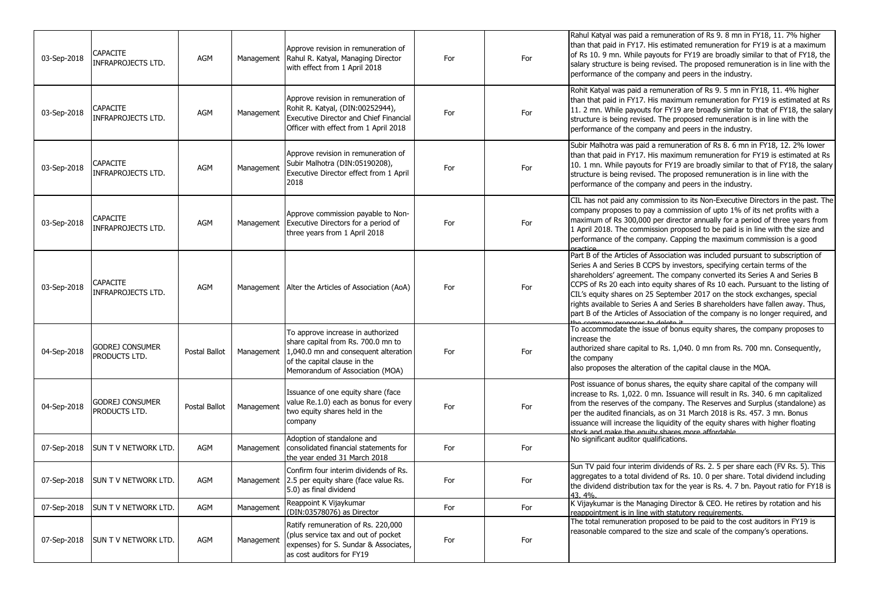| 03-Sep-2018 | <b>CAPACITE</b><br><b>INFRAPROJECTS LTD.</b> | <b>AGM</b>    | Management | Approve revision in remuneration of<br>Rahul R. Katyal, Managing Director<br>with effect from 1 April 2018                                                                         | For | For | Rahul Katyal was paid a remuneration of Rs 9.8 mn in FY18, 11. 7% higher<br>than that paid in FY17. His estimated remuneration for FY19 is at a maximum<br>of Rs 10. 9 mn. While payouts for FY19 are broadly similar to that of FY18, the<br>salary structure is being revised. The proposed remuneration is in line with the<br>performance of the company and peers in the industry.                                                                                                                                                                                    |
|-------------|----------------------------------------------|---------------|------------|------------------------------------------------------------------------------------------------------------------------------------------------------------------------------------|-----|-----|----------------------------------------------------------------------------------------------------------------------------------------------------------------------------------------------------------------------------------------------------------------------------------------------------------------------------------------------------------------------------------------------------------------------------------------------------------------------------------------------------------------------------------------------------------------------------|
| 03-Sep-2018 | <b>CAPACITE</b><br><b>INFRAPROJECTS LTD.</b> | AGM           | Management | Approve revision in remuneration of<br>Rohit R. Katyal, (DIN:00252944),<br>Executive Director and Chief Financial<br>Officer with effect from 1 April 2018                         | For | For | Rohit Katyal was paid a remuneration of Rs 9. 5 mn in FY18, 11. 4% higher<br>than that paid in FY17. His maximum remuneration for FY19 is estimated at Rs<br>11. 2 mn. While payouts for FY19 are broadly similar to that of FY18, the salary<br>structure is being revised. The proposed remuneration is in line with the<br>performance of the company and peers in the industry.                                                                                                                                                                                        |
| 03-Sep-2018 | <b>CAPACITE</b><br><b>INFRAPROJECTS LTD.</b> | <b>AGM</b>    | Management | Approve revision in remuneration of<br>Subir Malhotra (DIN:05190208),<br>Executive Director effect from 1 April<br>2018                                                            | For | For | Subir Malhotra was paid a remuneration of Rs 8. 6 mn in FY18, 12. 2% lower<br>than that paid in FY17. His maximum remuneration for FY19 is estimated at Rs<br>10. 1 mn. While payouts for FY19 are broadly similar to that of FY18, the salary<br>structure is being revised. The proposed remuneration is in line with the<br>performance of the company and peers in the industry.                                                                                                                                                                                       |
| 03-Sep-2018 | <b>CAPACITE</b><br><b>INFRAPROJECTS LTD.</b> | <b>AGM</b>    | Management | Approve commission payable to Non-<br>Executive Directors for a period of<br>three years from 1 April 2018                                                                         | For | For | CIL has not paid any commission to its Non-Executive Directors in the past. The<br>company proposes to pay a commission of upto 1% of its net profits with a<br>maximum of Rs 300,000 per director annually for a period of three years from<br>1 April 2018. The commission proposed to be paid is in line with the size and<br>performance of the company. Capping the maximum commission is a good<br>nractice                                                                                                                                                          |
| 03-Sep-2018 | <b>CAPACITE</b><br><b>INFRAPROJECTS LTD.</b> | AGM           |            | Management   Alter the Articles of Association (AoA)                                                                                                                               | For | For | Part B of the Articles of Association was included pursuant to subscription of<br>Series A and Series B CCPS by investors, specifying certain terms of the<br>shareholders' agreement. The company converted its Series A and Series B<br>CCPS of Rs 20 each into equity shares of Rs 10 each. Pursuant to the listing of<br>CIL's equity shares on 25 September 2017 on the stock exchanges, special<br>rights available to Series A and Series B shareholders have fallen away. Thus,<br>part B of the Articles of Association of the company is no longer required, and |
| 04-Sep-2018 | <b>GODREJ CONSUMER</b><br>PRODUCTS LTD.      | Postal Ballot | Management | To approve increase in authorized<br>share capital from Rs. 700.0 mn to<br>1,040.0 mn and consequent alteration<br>of the capital clause in the<br>Memorandum of Association (MOA) | For | For | To accommodate the issue of bonus equity shares, the company proposes to<br>increase the<br>authorized share capital to Rs. 1,040. 0 mn from Rs. 700 mn. Consequently,<br>the company<br>also proposes the alteration of the capital clause in the MOA.                                                                                                                                                                                                                                                                                                                    |
| 04-Sep-2018 | <b>GODREJ CONSUMER</b><br>PRODUCTS LTD.      | Postal Ballot | Management | Issuance of one equity share (face<br>value Re.1.0) each as bonus for every<br>two equity shares held in the<br>company                                                            | For | For | Post issuance of bonus shares, the equity share capital of the company will<br>increase to Rs. 1,022. 0 mn. Issuance will result in Rs. 340. 6 mn capitalized<br>from the reserves of the company. The Reserves and Surplus (standalone) as<br>per the audited financials, as on 31 March 2018 is Rs. 457. 3 mn. Bonus<br>issuance will increase the liquidity of the equity shares with higher floating<br>stock and make the equity shares more affordable.                                                                                                              |
| 07-Sep-2018 | SUN T V NETWORK LTD.                         | AGM           | Management | Adoption of standalone and<br>consolidated financial statements for<br>the year ended 31 March 2018                                                                                | For | For | No significant auditor qualifications.                                                                                                                                                                                                                                                                                                                                                                                                                                                                                                                                     |
| 07-Sep-2018 | <b>SUN T V NETWORK LTD.</b>                  | AGM           | Management | Confirm four interim dividends of Rs.<br>2.5 per equity share (face value Rs.<br>5.0) as final dividend                                                                            | For | For | Sun TV paid four interim dividends of Rs. 2. 5 per share each (FV Rs. 5). This<br>aggregates to a total dividend of Rs. 10. 0 per share. Total dividend including<br>the dividend distribution tax for the year is Rs. 4. 7 bn. Payout ratio for FY18 is<br>43.4%                                                                                                                                                                                                                                                                                                          |
| 07-Sep-2018 | SUN T V NETWORK LTD.                         | <b>AGM</b>    | Management | Reappoint K Vijaykumar<br>(DIN:03578076) as Director                                                                                                                               | For | For | K Vijaykumar is the Managing Director & CEO. He retires by rotation and his<br>reappointment is in line with statutory requirements.                                                                                                                                                                                                                                                                                                                                                                                                                                       |
| 07-Sep-2018 | <b>SUN T V NETWORK LTD.</b>                  | AGM           | Management | Ratify remuneration of Rs. 220,000<br>(plus service tax and out of pocket<br>expenses) for S. Sundar & Associates,<br>as cost auditors for FY19                                    | For | For | The total remuneration proposed to be paid to the cost auditors in FY19 is<br>reasonable compared to the size and scale of the company's operations.                                                                                                                                                                                                                                                                                                                                                                                                                       |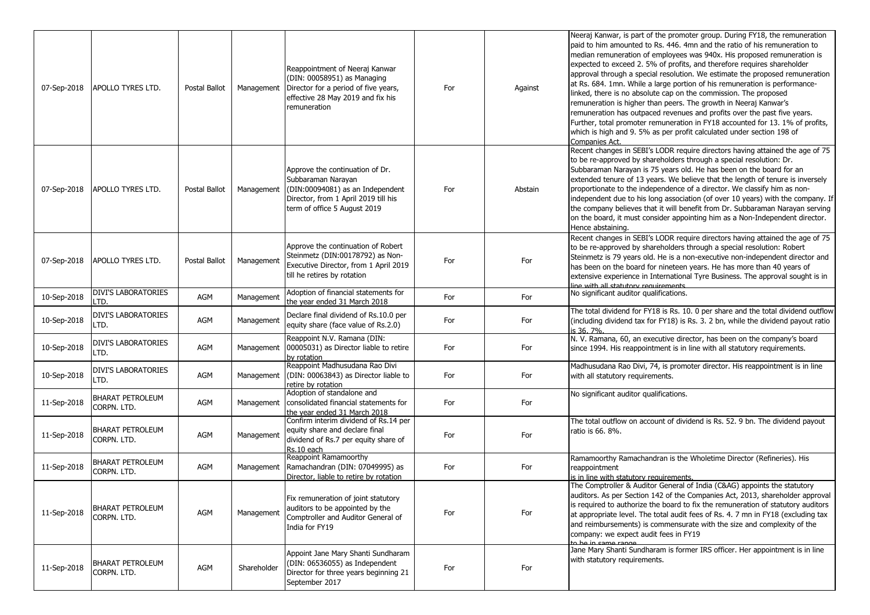| 07-Sep-2018 | APOLLO TYRES LTD.                      | Postal Ballot | Management  | Reappointment of Neeraj Kanwar<br>(DIN: 00058951) as Managing<br>Director for a period of five years,<br>effective 28 May 2019 and fix his<br>remuneration        | For | Against | Neeraj Kanwar, is part of the promoter group. During FY18, the remuneration<br>paid to him amounted to Rs. 446. 4mn and the ratio of his remuneration to<br>median remuneration of employees was 940x. His proposed remuneration is<br>expected to exceed 2. 5% of profits, and therefore requires shareholder<br>approval through a special resolution. We estimate the proposed remuneration<br>at Rs. 684. 1mn. While a large portion of his remuneration is performance-<br>linked, there is no absolute cap on the commission. The proposed<br>remuneration is higher than peers. The growth in Neeraj Kanwar's<br>remuneration has outpaced revenues and profits over the past five years.<br>Further, total promoter remuneration in FY18 accounted for 13. 1% of profits,<br>which is high and 9. 5% as per profit calculated under section 198 of<br>Companies Act. |
|-------------|----------------------------------------|---------------|-------------|-------------------------------------------------------------------------------------------------------------------------------------------------------------------|-----|---------|------------------------------------------------------------------------------------------------------------------------------------------------------------------------------------------------------------------------------------------------------------------------------------------------------------------------------------------------------------------------------------------------------------------------------------------------------------------------------------------------------------------------------------------------------------------------------------------------------------------------------------------------------------------------------------------------------------------------------------------------------------------------------------------------------------------------------------------------------------------------------|
| 07-Sep-2018 | <b>APOLLO TYRES LTD.</b>               | Postal Ballot | Management  | Approve the continuation of Dr.<br>Subbaraman Narayan<br>(DIN:00094081) as an Independent<br>Director, from 1 April 2019 till his<br>term of office 5 August 2019 | For | Abstain | Recent changes in SEBI's LODR require directors having attained the age of 75<br>to be re-approved by shareholders through a special resolution: Dr.<br>Subbaraman Narayan is 75 years old. He has been on the board for an<br>extended tenure of 13 years. We believe that the length of tenure is inversely<br>proportionate to the independence of a director. We classify him as non-<br>independent due to his long association (of over 10 years) with the company. If<br>the company believes that it will benefit from Dr. Subbaraman Narayan serving<br>on the board, it must consider appointing him as a Non-Independent director.<br>Hence abstaining.                                                                                                                                                                                                           |
| 07-Sep-2018 | <b>APOLLO TYRES LTD.</b>               | Postal Ballot | Management  | Approve the continuation of Robert<br>Steinmetz (DIN:00178792) as Non-<br>Executive Director, from 1 April 2019<br>till he retires by rotation                    | For | For     | Recent changes in SEBI's LODR require directors having attained the age of 75<br>to be re-approved by shareholders through a special resolution: Robert<br>Steinmetz is 79 years old. He is a non-executive non-independent director and<br>has been on the board for nineteen years. He has more than 40 years of<br>extensive experience in International Tyre Business. The approval sought is in<br>line with all statutory requirements                                                                                                                                                                                                                                                                                                                                                                                                                                 |
| 10-Sep-2018 | <b>DIVI'S LABORATORIES</b><br>LTD.     | AGM           | Management  | Adoption of financial statements for<br>the vear ended 31 March 2018                                                                                              | For | For     | No significant auditor qualifications.                                                                                                                                                                                                                                                                                                                                                                                                                                                                                                                                                                                                                                                                                                                                                                                                                                       |
| 10-Sep-2018 | <b>DIVI'S LABORATORIES</b><br>LTD.     | AGM           | Management  | Declare final dividend of Rs.10.0 per<br>equity share (face value of Rs.2.0)                                                                                      | For | For     | The total dividend for FY18 is Rs. 10. 0 per share and the total dividend outflow<br>(including dividend tax for FY18) is Rs. 3. 2 bn, while the dividend payout ratio<br>is 36, 7%.                                                                                                                                                                                                                                                                                                                                                                                                                                                                                                                                                                                                                                                                                         |
| 10-Sep-2018 | <b>DIVI'S LABORATORIES</b><br>LTD.     | AGM           | Management  | Reappoint N.V. Ramana (DIN:<br>00005031) as Director liable to retire<br>by rotation                                                                              | For | For     | N. V. Ramana, 60, an executive director, has been on the company's board<br>since 1994. His reappointment is in line with all statutory requirements.                                                                                                                                                                                                                                                                                                                                                                                                                                                                                                                                                                                                                                                                                                                        |
| 10-Sep-2018 | <b>DIVI'S LABORATORIES</b><br>LTD.     | AGM           | Management  | Reappoint Madhusudana Rao Divi<br>(DIN: 00063843) as Director liable to<br>retire by rotation                                                                     | For | For     | Madhusudana Rao Divi, 74, is promoter director. His reappointment is in line<br>with all statutory requirements.                                                                                                                                                                                                                                                                                                                                                                                                                                                                                                                                                                                                                                                                                                                                                             |
| 11-Sep-2018 | <b>BHARAT PETROLEUM</b><br>CORPN. LTD. | AGM           | Management  | Adoption of standalone and<br>consolidated financial statements for<br>the year ended 31 March 2018                                                               | For | For     | No significant auditor qualifications.                                                                                                                                                                                                                                                                                                                                                                                                                                                                                                                                                                                                                                                                                                                                                                                                                                       |
| 11-Sep-2018 | BHARAT PETROLEUM<br>CORPN. LTD.        | AGM           | Management  | Confirm interim dividend of Rs.14 per<br>equity share and declare final<br>dividend of Rs.7 per equity share of<br>Rs.10 each                                     | For | For     | The total outflow on account of dividend is Rs. 52. 9 bn. The dividend payout<br>ratio is 66, 8%.                                                                                                                                                                                                                                                                                                                                                                                                                                                                                                                                                                                                                                                                                                                                                                            |
| 11-Sep-2018 | BHARAT PETROLEUM<br>CORPN, LTD.        | AGM           | Management  | Reappoint Ramamoorthy<br>Ramachandran (DIN: 07049995) as<br>Director, liable to retire by rotation                                                                | For | For     | Ramamoorthy Ramachandran is the Wholetime Director (Refineries). His<br>reappointment<br>is in line with statutory requirements.                                                                                                                                                                                                                                                                                                                                                                                                                                                                                                                                                                                                                                                                                                                                             |
| 11-Sep-2018 | <b>BHARAT PETROLEUM</b><br>CORPN. LTD. | AGM           | Management  | Fix remuneration of joint statutory<br>auditors to be appointed by the<br>Comptroller and Auditor General of<br>India for FY19                                    | For | For     | The Comptroller & Auditor General of India (C&AG) appoints the statutory<br>auditors. As per Section 142 of the Companies Act, 2013, shareholder approval<br>is required to authorize the board to fix the remuneration of statutory auditors<br>at appropriate level. The total audit fees of Rs. 4. 7 mn in FY18 (excluding tax<br>and reimbursements) is commensurate with the size and complexity of the<br>company: we expect audit fees in FY19<br>to be in came range.                                                                                                                                                                                                                                                                                                                                                                                                |
| 11-Sep-2018 | BHARAT PETROLEUM<br>CORPN. LTD.        | AGM           | Shareholder | Appoint Jane Mary Shanti Sundharam<br>(DIN: 06536055) as Independent<br>Director for three years beginning 21<br>September 2017                                   | For | For     | Jane Mary Shanti Sundharam is former IRS officer. Her appointment is in line<br>with statutory requirements.                                                                                                                                                                                                                                                                                                                                                                                                                                                                                                                                                                                                                                                                                                                                                                 |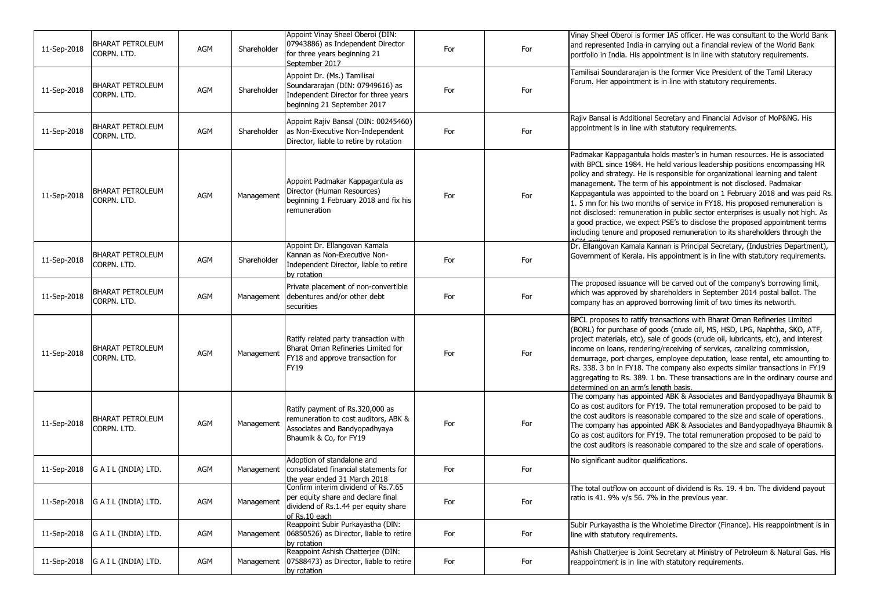| 11-Sep-2018 | <b>BHARAT PETROLEUM</b><br>CORPN. LTD. | AGM | Shareholder | Appoint Vinay Sheel Oberoi (DIN:<br>07943886) as Independent Director<br>for three years beginning 21<br>September 2017                | For | For | Vinay Sheel Oberoi is former IAS officer. He was consultant to the World Bank<br>and represented India in carrying out a financial review of the World Bank<br>portfolio in India. His appointment is in line with statutory requirements.                                                                                                                                                                                                                                                                                                                                                                                                                                                                                   |
|-------------|----------------------------------------|-----|-------------|----------------------------------------------------------------------------------------------------------------------------------------|-----|-----|------------------------------------------------------------------------------------------------------------------------------------------------------------------------------------------------------------------------------------------------------------------------------------------------------------------------------------------------------------------------------------------------------------------------------------------------------------------------------------------------------------------------------------------------------------------------------------------------------------------------------------------------------------------------------------------------------------------------------|
| 11-Sep-2018 | <b>BHARAT PETROLEUM</b><br>CORPN. LTD. | AGM | Shareholder | Appoint Dr. (Ms.) Tamilisai<br>Soundararajan (DIN: 07949616) as<br>Independent Director for three years<br>beginning 21 September 2017 | For | For | Tamilisai Soundararajan is the former Vice President of the Tamil Literacy<br>Forum. Her appointment is in line with statutory requirements.                                                                                                                                                                                                                                                                                                                                                                                                                                                                                                                                                                                 |
| 11-Sep-2018 | <b>BHARAT PETROLEUM</b><br>CORPN. LTD. | AGM | Shareholder | Appoint Rajiv Bansal (DIN: 00245460)<br>as Non-Executive Non-Independent<br>Director, liable to retire by rotation                     | For | For | Rajiv Bansal is Additional Secretary and Financial Advisor of MoP&NG. His<br>appointment is in line with statutory requirements.                                                                                                                                                                                                                                                                                                                                                                                                                                                                                                                                                                                             |
| 11-Sep-2018 | <b>BHARAT PETROLEUM</b><br>CORPN. LTD. | AGM | Management  | Appoint Padmakar Kappagantula as<br>Director (Human Resources)<br>beginning 1 February 2018 and fix his<br>remuneration                | For | For | Padmakar Kappagantula holds master's in human resources. He is associated<br>with BPCL since 1984. He held various leadership positions encompassing HR<br>policy and strategy. He is responsible for organizational learning and talent<br>management. The term of his appointment is not disclosed. Padmakar<br>Kappagantula was appointed to the board on 1 February 2018 and was paid Rs.<br>1.5 mn for his two months of service in FY18. His proposed remuneration is<br>not disclosed: remuneration in public sector enterprises is usually not high. As<br>a good practice, we expect PSE's to disclose the proposed appointment terms<br>including tenure and proposed remuneration to its shareholders through the |
| 11-Sep-2018 | <b>BHARAT PETROLEUM</b><br>CORPN. LTD. | AGM | Shareholder | Appoint Dr. Ellangovan Kamala<br>Kannan as Non-Executive Non-<br>Independent Director, liable to retire<br>by rotation                 | For | For | Dr. Ellangovan Kamala Kannan is Principal Secretary, (Industries Department),<br>Government of Kerala. His appointment is in line with statutory requirements.                                                                                                                                                                                                                                                                                                                                                                                                                                                                                                                                                               |
| 11-Sep-2018 | <b>BHARAT PETROLEUM</b><br>CORPN. LTD. | AGM | Management  | Private placement of non-convertible<br>debentures and/or other debt<br>securities                                                     | For | For | The proposed issuance will be carved out of the company's borrowing limit,<br>which was approved by shareholders in September 2014 postal ballot. The<br>company has an approved borrowing limit of two times its networth.                                                                                                                                                                                                                                                                                                                                                                                                                                                                                                  |
| 11-Sep-2018 | <b>BHARAT PETROLEUM</b><br>CORPN. LTD. | AGM | Management  | Ratify related party transaction with<br>Bharat Oman Refineries Limited for<br>FY18 and approve transaction for<br>FY19                | For | For | BPCL proposes to ratify transactions with Bharat Oman Refineries Limited<br>(BORL) for purchase of goods (crude oil, MS, HSD, LPG, Naphtha, SKO, ATF,<br>project materials, etc), sale of goods (crude oil, lubricants, etc), and interest<br>income on loans, rendering/receiving of services, canalizing commission,<br>demurrage, port charges, employee deputation, lease rental, etc amounting to<br>Rs. 338. 3 bn in FY18. The company also expects similar transactions in FY19<br>aggregating to Rs. 389. 1 bn. These transactions are in the ordinary course and<br>determined on an arm's length basis.                                                                                                            |
| 11-Sep-2018 | <b>BHARAT PETROLEUM</b><br>CORPN. LTD. | AGM | Management  | Ratify payment of Rs.320,000 as<br>remuneration to cost auditors, ABK &<br>Associates and Bandyopadhyaya<br>Bhaumik & Co, for FY19     | For | For | The company has appointed ABK & Associates and Bandyopadhyaya Bhaumik &<br>Co as cost auditors for FY19. The total remuneration proposed to be paid to<br>the cost auditors is reasonable compared to the size and scale of operations.<br>The company has appointed ABK & Associates and Bandyopadhyaya Bhaumik &<br>Co as cost auditors for FY19. The total remuneration proposed to be paid to<br>the cost auditors is reasonable compared to the size and scale of operations.                                                                                                                                                                                                                                           |
| 11-Sep-2018 | G A I L (INDIA) LTD.                   | AGM | Management  | Adoption of standalone and<br>consolidated financial statements for<br>the year ended 31 March 2018                                    | For | For | No significant auditor qualifications.                                                                                                                                                                                                                                                                                                                                                                                                                                                                                                                                                                                                                                                                                       |
| 11-Sep-2018 | G A I L (INDIA) LTD.                   | AGM | Management  | Confirm interim dividend of Rs.7.65<br>per equity share and declare final<br>dividend of Rs.1.44 per equity share<br>of Rs.10 each     | For | For | The total outflow on account of dividend is Rs. 19. 4 bn. The dividend payout<br>ratio is 41. 9% v/s 56. 7% in the previous year.                                                                                                                                                                                                                                                                                                                                                                                                                                                                                                                                                                                            |
| 11-Sep-2018 | G A I L (INDIA) LTD.                   | AGM | Management  | Reappoint Subir Purkayastha (DIN:<br>06850526) as Director, liable to retire<br>by rotation                                            | For | For | Subir Purkayastha is the Wholetime Director (Finance). His reappointment is in<br>line with statutory requirements.                                                                                                                                                                                                                                                                                                                                                                                                                                                                                                                                                                                                          |
| 11-Sep-2018 | G A I L (INDIA) LTD.                   | AGM | Management  | Reappoint Ashish Chatterjee (DIN:<br>07588473) as Director, liable to retire<br>by rotation                                            | For | For | Ashish Chatterjee is Joint Secretary at Ministry of Petroleum & Natural Gas. His<br>reappointment is in line with statutory requirements.                                                                                                                                                                                                                                                                                                                                                                                                                                                                                                                                                                                    |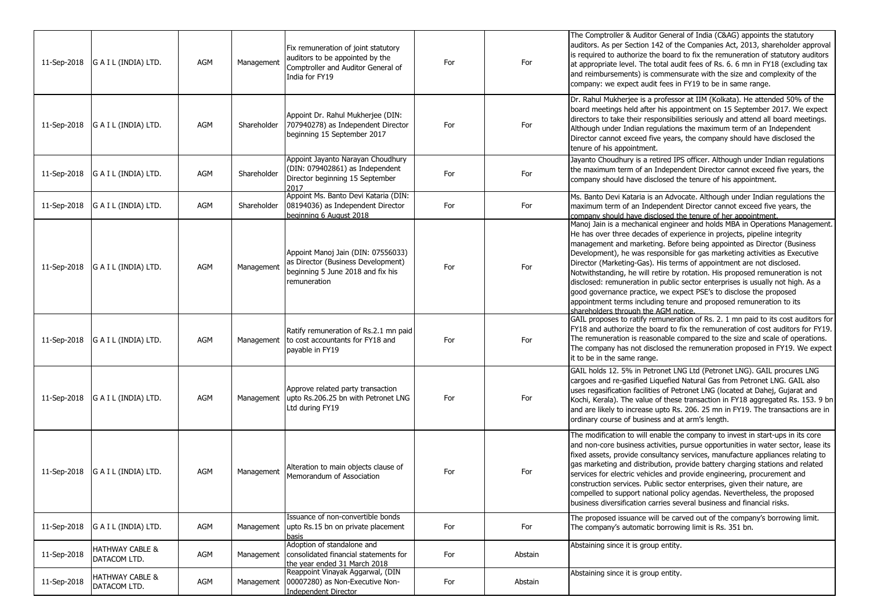| 11-Sep-2018 | G A I L (INDIA) LTD.                       | AGM        | Management  | Fix remuneration of joint statutory<br>auditors to be appointed by the<br>Comptroller and Auditor General of<br>India for FY19 | For | For     | The Comptroller & Auditor General of India (C&AG) appoints the statutory<br>auditors. As per Section 142 of the Companies Act, 2013, shareholder approval<br>is required to authorize the board to fix the remuneration of statutory auditors<br>at appropriate level. The total audit fees of Rs. 6. 6 mn in FY18 (excluding tax<br>and reimbursements) is commensurate with the size and complexity of the<br>company: we expect audit fees in FY19 to be in same range.                                                                                                                                                                                                                                                                      |
|-------------|--------------------------------------------|------------|-------------|--------------------------------------------------------------------------------------------------------------------------------|-----|---------|-------------------------------------------------------------------------------------------------------------------------------------------------------------------------------------------------------------------------------------------------------------------------------------------------------------------------------------------------------------------------------------------------------------------------------------------------------------------------------------------------------------------------------------------------------------------------------------------------------------------------------------------------------------------------------------------------------------------------------------------------|
| 11-Sep-2018 | G A I L (INDIA) LTD.                       | AGM        | Shareholder | Appoint Dr. Rahul Mukherjee (DIN:<br>707940278) as Independent Director<br>beginning 15 September 2017                         | For | For     | Dr. Rahul Mukherjee is a professor at IIM (Kolkata). He attended 50% of the<br>board meetings held after his appointment on 15 September 2017. We expect<br>directors to take their responsibilities seriously and attend all board meetings.<br>Although under Indian regulations the maximum term of an Independent<br>Director cannot exceed five years, the company should have disclosed the<br>tenure of his appointment.                                                                                                                                                                                                                                                                                                                 |
| 11-Sep-2018 | G A I L (INDIA) LTD.                       | <b>AGM</b> | Shareholder | Appoint Jayanto Narayan Choudhury<br>(DIN: 079402861) as Independent<br>Director beginning 15 September<br>2017                | For | For     | Jayanto Choudhury is a retired IPS officer. Although under Indian regulations<br>the maximum term of an Independent Director cannot exceed five years, the<br>company should have disclosed the tenure of his appointment.                                                                                                                                                                                                                                                                                                                                                                                                                                                                                                                      |
| 11-Sep-2018 | G A I L (INDIA) LTD.                       | AGM        | Shareholder | Appoint Ms. Banto Devi Kataria (DIN:<br>08194036) as Independent Director<br>beginning 6 August 2018                           | For | For     | Ms. Banto Devi Kataria is an Advocate. Although under Indian regulations the<br>maximum term of an Independent Director cannot exceed five years, the<br>company should have disclosed the tenure of her appointment.                                                                                                                                                                                                                                                                                                                                                                                                                                                                                                                           |
| 11-Sep-2018 | G A I L (INDIA) LTD.                       | AGM        | Management  | Appoint Manoj Jain (DIN: 07556033)<br>as Director (Business Development)<br>beginning 5 June 2018 and fix his<br>remuneration  | For | For     | Manoj Jain is a mechanical engineer and holds MBA in Operations Management.<br>He has over three decades of experience in projects, pipeline integrity<br>management and marketing. Before being appointed as Director (Business<br>Development), he was responsible for gas marketing activities as Executive<br>Director (Marketing-Gas). His terms of appointment are not disclosed.<br>Notwithstanding, he will retire by rotation. His proposed remuneration is not<br>disclosed: remuneration in public sector enterprises is usually not high. As a<br>good governance practice, we expect PSE's to disclose the proposed<br>appointment terms including tenure and proposed remuneration to its<br>shareholders through the AGM notice. |
| 11-Sep-2018 | G A I L (INDIA) LTD.                       | AGM        | Management  | Ratify remuneration of Rs.2.1 mn paid<br>to cost accountants for FY18 and<br>payable in FY19                                   | For | For     | GAIL proposes to ratify remuneration of Rs. 2. 1 mn paid to its cost auditors for<br>FY18 and authorize the board to fix the remuneration of cost auditors for FY19.<br>The remuneration is reasonable compared to the size and scale of operations.<br>The company has not disclosed the remuneration proposed in FY19. We expect<br>it to be in the same range.                                                                                                                                                                                                                                                                                                                                                                               |
| 11-Sep-2018 | G A I L (INDIA) LTD.                       | AGM        | Management  | Approve related party transaction<br>upto Rs.206.25 bn with Petronet LNG<br>Ltd during FY19                                    | For | For     | GAIL holds 12. 5% in Petronet LNG Ltd (Petronet LNG). GAIL procures LNG<br>cargoes and re-gasified Liquefied Natural Gas from Petronet LNG. GAIL also<br>uses regasification facilities of Petronet LNG (located at Dahej, Gujarat and<br>Kochi, Kerala). The value of these transaction in FY18 aggregated Rs. 153. 9 bn<br>and are likely to increase upto Rs. 206. 25 mn in FY19. The transactions are in<br>ordinary course of business and at arm's length.                                                                                                                                                                                                                                                                                |
| 11-Sep-2018 | G A I L (INDIA) LTD.                       | AGM        | Management  | Alteration to main objects clause of<br>Memorandum of Association                                                              | For | For     | The modification to will enable the company to invest in start-ups in its core<br>and non-core business activities, pursue opportunities in water sector, lease its<br>fixed assets, provide consultancy services, manufacture appliances relating to<br>gas marketing and distribution, provide battery charging stations and related<br>services for electric vehicles and provide engineering, procurement and<br>construction services. Public sector enterprises, given their nature, are<br>compelled to support national policy agendas. Nevertheless, the proposed<br>business diversification carries several business and financial risks.                                                                                            |
| 11-Sep-2018 | G A I L (INDIA) LTD.                       | AGM        | Management  | Issuance of non-convertible bonds<br>upto Rs.15 bn on private placement<br>basis                                               | For | For     | The proposed issuance will be carved out of the company's borrowing limit.<br>The company's automatic borrowing limit is Rs. 351 bn.                                                                                                                                                                                                                                                                                                                                                                                                                                                                                                                                                                                                            |
| 11-Sep-2018 | <b>HATHWAY CABLE &amp;</b><br>DATACOM LTD. | AGM        | Management  | Adoption of standalone and<br>consolidated financial statements for<br>the year ended 31 March 2018                            | For | Abstain | Abstaining since it is group entity.                                                                                                                                                                                                                                                                                                                                                                                                                                                                                                                                                                                                                                                                                                            |
| 11-Sep-2018 | HATHWAY CABLE &<br>DATACOM LTD.            | AGM        | Management  | Reappoint Vinayak Aggarwal, (DIN<br>00007280) as Non-Executive Non-<br>Independent Director                                    | For | Abstain | Abstaining since it is group entity.                                                                                                                                                                                                                                                                                                                                                                                                                                                                                                                                                                                                                                                                                                            |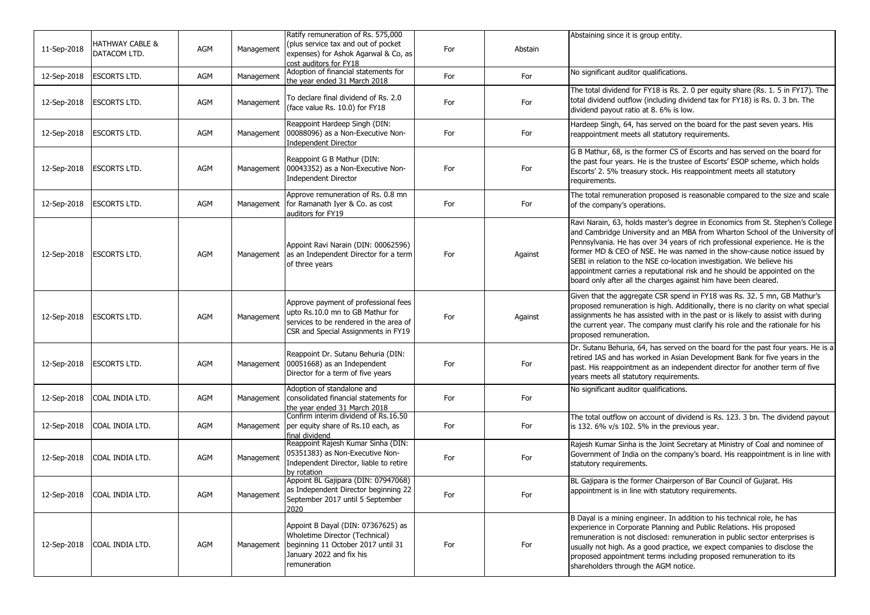| 11-Sep-2018 | HATHWAY CABLE &<br>DATACOM LTD. | AGM | Management | Ratify remuneration of Rs. 575,000<br>(plus service tax and out of pocket<br>expenses) for Ashok Agarwal & Co, as<br>cost auditors for FY18               | For | Abstain | Abstaining since it is group entity.                                                                                                                                                                                                                                                                                                                                                                                                                                                                                                                |
|-------------|---------------------------------|-----|------------|-----------------------------------------------------------------------------------------------------------------------------------------------------------|-----|---------|-----------------------------------------------------------------------------------------------------------------------------------------------------------------------------------------------------------------------------------------------------------------------------------------------------------------------------------------------------------------------------------------------------------------------------------------------------------------------------------------------------------------------------------------------------|
| 12-Sep-2018 | <b>ESCORTS LTD.</b>             | AGM | Management | Adoption of financial statements for<br>the year ended 31 March 2018                                                                                      | For | For     | No significant auditor qualifications.                                                                                                                                                                                                                                                                                                                                                                                                                                                                                                              |
| 12-Sep-2018 | <b>ESCORTS LTD.</b>             | AGM | Management | To declare final dividend of Rs. 2.0<br>(face value Rs. 10.0) for FY18                                                                                    | For | For     | The total dividend for FY18 is Rs. 2. 0 per equity share (Rs. 1. 5 in FY17). The<br>total dividend outflow (including dividend tax for FY18) is Rs. 0. 3 bn. The<br>dividend payout ratio at 8. 6% is low.                                                                                                                                                                                                                                                                                                                                          |
| 12-Sep-2018 | <b>ESCORTS LTD.</b>             | AGM | Management | Reappoint Hardeep Singh (DIN:<br>00088096) as a Non-Executive Non-<br>Independent Director                                                                | For | For     | Hardeep Singh, 64, has served on the board for the past seven years. His<br>reappointment meets all statutory requirements.                                                                                                                                                                                                                                                                                                                                                                                                                         |
| 12-Sep-2018 | <b>ESCORTS LTD.</b>             | AGM | Management | Reappoint G B Mathur (DIN:<br>00043352) as a Non-Executive Non-<br>Independent Director                                                                   | For | For     | G B Mathur, 68, is the former CS of Escorts and has served on the board for<br>the past four years. He is the trustee of Escorts' ESOP scheme, which holds<br>Escorts' 2. 5% treasury stock. His reappointment meets all statutory<br>requirements.                                                                                                                                                                                                                                                                                                 |
| 12-Sep-2018 | <b>ESCORTS LTD.</b>             | AGM | Management | Approve remuneration of Rs. 0.8 mn<br>for Ramanath Iyer & Co. as cost<br>auditors for FY19                                                                | For | For     | The total remuneration proposed is reasonable compared to the size and scale<br>of the company's operations.                                                                                                                                                                                                                                                                                                                                                                                                                                        |
| 12-Sep-2018 | <b>ESCORTS LTD.</b>             | AGM | Management | Appoint Ravi Narain (DIN: 00062596)<br>as an Independent Director for a term<br>of three years                                                            | For | Against | Ravi Narain, 63, holds master's degree in Economics from St. Stephen's College<br>and Cambridge University and an MBA from Wharton School of the University of<br>Pennsylvania. He has over 34 years of rich professional experience. He is the<br>former MD & CEO of NSE. He was named in the show-cause notice issued by<br>SEBI in relation to the NSE co-location investigation. We believe his<br>appointment carries a reputational risk and he should be appointed on the<br>board only after all the charges against him have been cleared. |
| 12-Sep-2018 | <b>ESCORTS LTD.</b>             | AGM | Management | Approve payment of professional fees<br>upto Rs.10.0 mn to GB Mathur for<br>services to be rendered in the area of<br>CSR and Special Assignments in FY19 | For | Against | Given that the aggregate CSR spend in FY18 was Rs. 32. 5 mn, GB Mathur's<br>proposed remuneration is high. Additionally, there is no clarity on what special<br>assignments he has assisted with in the past or is likely to assist with during<br>the current year. The company must clarify his role and the rationale for his<br>proposed remuneration.                                                                                                                                                                                          |
| 12-Sep-2018 | <b>ESCORTS LTD.</b>             | AGM | Management | Reappoint Dr. Sutanu Behuria (DIN:<br>00051668) as an Independent<br>Director for a term of five years                                                    | For | For     | Dr. Sutanu Behuria, 64, has served on the board for the past four years. He is a<br>retired IAS and has worked in Asian Development Bank for five years in the<br>past. His reappointment as an independent director for another term of five<br>years meets all statutory requirements.                                                                                                                                                                                                                                                            |
| 12-Sep-2018 | COAL INDIA LTD.                 | AGM | Management | Adoption of standalone and<br>consolidated financial statements for<br>the year ended 31 March 2018                                                       | For | For     | No significant auditor qualifications.                                                                                                                                                                                                                                                                                                                                                                                                                                                                                                              |
| 12-Sep-2018 | COAL INDIA LTD.                 | AGM | Management | Confirm interim dividend of Rs.16.50<br>per equity share of Rs.10 each, as<br>final dividend                                                              | For | For     | The total outflow on account of dividend is Rs. 123. 3 bn. The dividend payout<br>is 132. $6\%$ v/s 102. 5% in the previous year.                                                                                                                                                                                                                                                                                                                                                                                                                   |
| 12-Sep-2018 | COAL INDIA LTD.                 | AGM | Management | Reappoint Rajesh Kumar Sinha (DIN:<br>05351383) as Non-Executive Non-<br>Independent Director, liable to retire<br>by rotation                            | For | For     | Rajesh Kumar Sinha is the Joint Secretary at Ministry of Coal and nominee of<br>Government of India on the company's board. His reappointment is in line with<br>statutory requirements.                                                                                                                                                                                                                                                                                                                                                            |
|             | 12-Sep-2018 COAL INDIA LTD.     | AGM | Management | Appoint BL Gajipara (DIN: 07947068)<br>as Independent Director beginning 22<br>September 2017 until 5 September<br>2020                                   | For | For     | BL Gajipara is the former Chairperson of Bar Council of Gujarat. His<br>appointment is in line with statutory requirements.                                                                                                                                                                                                                                                                                                                                                                                                                         |
| 12-Sep-2018 | COAL INDIA LTD.                 | AGM | Management | Appoint B Dayal (DIN: 07367625) as<br>Wholetime Director (Technical)<br>beginning 11 October 2017 until 31<br>January 2022 and fix his<br>remuneration    | For | For     | B Dayal is a mining engineer. In addition to his technical role, he has<br>experience in Corporate Planning and Public Relations. His proposed<br>remuneration is not disclosed: remuneration in public sector enterprises is<br>usually not high. As a good practice, we expect companies to disclose the<br>proposed appointment terms including proposed remuneration to its<br>shareholders through the AGM notice.                                                                                                                             |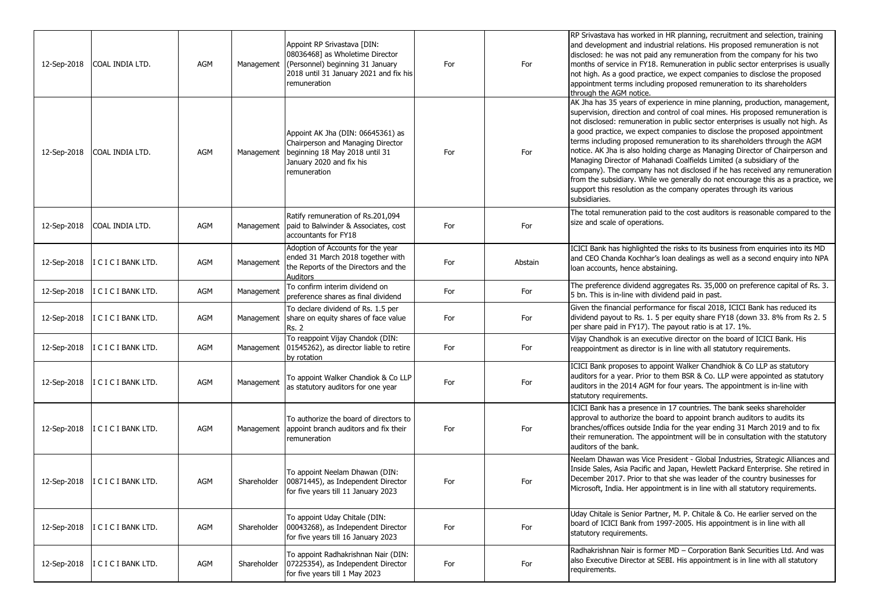| 12-Sep-2018 | COAL INDIA LTD.     | <b>AGM</b> | Management  | Appoint RP Srivastava [DIN:<br>08036468] as Wholetime Director<br>(Personnel) beginning 31 January<br>2018 until 31 January 2021 and fix his<br>remuneration | For | For     | RP Srivastava has worked in HR planning, recruitment and selection, training<br>and development and industrial relations. His proposed remuneration is not<br>disclosed: he was not paid any remuneration from the company for his two<br>months of service in FY18. Remuneration in public sector enterprises is usually<br>not high. As a good practice, we expect companies to disclose the proposed<br>appointment terms including proposed remuneration to its shareholders<br>through the AGM notice.                                                                                                                                                                                                                                                                                                                     |
|-------------|---------------------|------------|-------------|--------------------------------------------------------------------------------------------------------------------------------------------------------------|-----|---------|---------------------------------------------------------------------------------------------------------------------------------------------------------------------------------------------------------------------------------------------------------------------------------------------------------------------------------------------------------------------------------------------------------------------------------------------------------------------------------------------------------------------------------------------------------------------------------------------------------------------------------------------------------------------------------------------------------------------------------------------------------------------------------------------------------------------------------|
| 12-Sep-2018 | COAL INDIA LTD.     | AGM        | Management  | Appoint AK Jha (DIN: 06645361) as<br>Chairperson and Managing Director<br>beginning 18 May 2018 until 31<br>January 2020 and fix his<br>remuneration         | For | For     | AK Jha has 35 years of experience in mine planning, production, management,<br>supervision, direction and control of coal mines. His proposed remuneration is<br>not disclosed: remuneration in public sector enterprises is usually not high. As<br>a good practice, we expect companies to disclose the proposed appointment<br>terms including proposed remuneration to its shareholders through the AGM<br>notice. AK Jha is also holding charge as Managing Director of Chairperson and<br>Managing Director of Mahanadi Coalfields Limited (a subsidiary of the<br>company). The company has not disclosed if he has received any remuneration<br>from the subsidiary. While we generally do not encourage this as a practice, we<br>support this resolution as the company operates through its various<br>subsidiaries. |
| 12-Sep-2018 | COAL INDIA LTD.     | AGM        | Management  | Ratify remuneration of Rs.201,094<br>paid to Balwinder & Associates, cost<br>accountants for FY18                                                            | For | For     | The total remuneration paid to the cost auditors is reasonable compared to the<br>size and scale of operations.                                                                                                                                                                                                                                                                                                                                                                                                                                                                                                                                                                                                                                                                                                                 |
| 12-Sep-2018 | I C I C I BANK LTD. | AGM        | Management  | Adoption of Accounts for the year<br>ended 31 March 2018 together with<br>the Reports of the Directors and the<br>Auditors                                   | For | Abstain | ICICI Bank has highlighted the risks to its business from enquiries into its MD<br>and CEO Chanda Kochhar's loan dealings as well as a second enquiry into NPA<br>loan accounts, hence abstaining.                                                                                                                                                                                                                                                                                                                                                                                                                                                                                                                                                                                                                              |
| 12-Sep-2018 | I C I C I BANK LTD. | AGM        | Management  | To confirm interim dividend on<br>preference shares as final dividend                                                                                        | For | For     | The preference dividend aggregates Rs. 35,000 on preference capital of Rs. 3.<br>5 bn. This is in-line with dividend paid in past.                                                                                                                                                                                                                                                                                                                                                                                                                                                                                                                                                                                                                                                                                              |
| 12-Sep-2018 | I C I C I BANK LTD. | AGM        | Management  | To declare dividend of Rs. 1.5 per<br>share on equity shares of face value<br>Rs. 2                                                                          | For | For     | Given the financial performance for fiscal 2018, ICICI Bank has reduced its<br>dividend payout to Rs. 1. 5 per equity share FY18 (down 33. 8% from Rs 2. 5<br>per share paid in FY17). The payout ratio is at 17. 1%.                                                                                                                                                                                                                                                                                                                                                                                                                                                                                                                                                                                                           |
| 12-Sep-2018 | I C I C I BANK LTD. | AGM        | Management  | To reappoint Vijay Chandok (DIN:<br>01545262), as director liable to retire<br>by rotation                                                                   | For | For     | Vijay Chandhok is an executive director on the board of ICICI Bank. His<br>reappointment as director is in line with all statutory requirements.                                                                                                                                                                                                                                                                                                                                                                                                                                                                                                                                                                                                                                                                                |
| 12-Sep-2018 | I C I C I BANK LTD. | <b>AGM</b> | Management  | To appoint Walker Chandiok & Co LLP<br>as statutory auditors for one year                                                                                    | For | For     | ICICI Bank proposes to appoint Walker Chandhiok & Co LLP as statutory<br>auditors for a year. Prior to them BSR & Co. LLP were appointed as statutory<br>auditors in the 2014 AGM for four years. The appointment is in-line with<br>statutory requirements.                                                                                                                                                                                                                                                                                                                                                                                                                                                                                                                                                                    |
| 12-Sep-2018 | I C I C I BANK LTD. | <b>AGM</b> | Management  | To authorize the board of directors to<br>appoint branch auditors and fix their<br>remuneration                                                              | For | For     | ICICI Bank has a presence in 17 countries. The bank seeks shareholder<br>approval to authorize the board to appoint branch auditors to audits its<br>branches/offices outside India for the year ending 31 March 2019 and to fix<br>their remuneration. The appointment will be in consultation with the statutory<br>auditors of the bank.                                                                                                                                                                                                                                                                                                                                                                                                                                                                                     |
| 12-Sep-2018 | I C I C I BANK LTD. | <b>AGM</b> | Shareholder | To appoint Neelam Dhawan (DIN:<br>00871445), as Independent Director<br>for five years till 11 January 2023                                                  | For | For     | Neelam Dhawan was Vice President - Global Industries, Strategic Alliances and<br>Inside Sales, Asia Pacific and Japan, Hewlett Packard Enterprise. She retired in<br>December 2017. Prior to that she was leader of the country businesses for<br>Microsoft, India. Her appointment is in line with all statutory requirements.                                                                                                                                                                                                                                                                                                                                                                                                                                                                                                 |
| 12-Sep-2018 | I C I C I BANK LTD. | AGM        | Shareholder | To appoint Uday Chitale (DIN:<br>00043268), as Independent Director<br>for five years till 16 January 2023                                                   | For | For     | Uday Chitale is Senior Partner, M. P. Chitale & Co. He earlier served on the<br>board of ICICI Bank from 1997-2005. His appointment is in line with all<br>statutory requirements.                                                                                                                                                                                                                                                                                                                                                                                                                                                                                                                                                                                                                                              |
| 12-Sep-2018 | I C I C I BANK LTD. | AGM        | Shareholder | To appoint Radhakrishnan Nair (DIN:<br>07225354), as Independent Director<br>for five years till 1 May 2023                                                  | For | For     | Radhakrishnan Nair is former MD - Corporation Bank Securities Ltd. And was<br>also Executive Director at SEBI. His appointment is in line with all statutory<br>requirements.                                                                                                                                                                                                                                                                                                                                                                                                                                                                                                                                                                                                                                                   |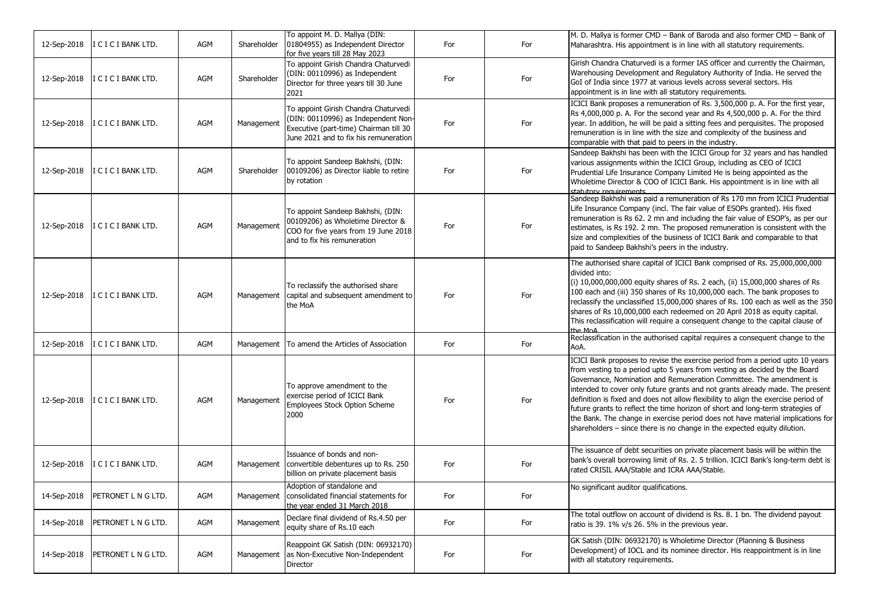| 12-Sep-2018 | I C I C I BANK LTD.         | AGM        | Shareholder | To appoint M. D. Mallya (DIN:<br>01804955) as Independent Director<br>for five years till 28 May 2023                                                          | For | For | M. D. Mallya is former CMD - Bank of Baroda and also former CMD - Bank of<br>Maharashtra. His appointment is in line with all statutory requirements.                                                                                                                                                                                                                                                                                                                                                                                                                                                                                                      |
|-------------|-----------------------------|------------|-------------|----------------------------------------------------------------------------------------------------------------------------------------------------------------|-----|-----|------------------------------------------------------------------------------------------------------------------------------------------------------------------------------------------------------------------------------------------------------------------------------------------------------------------------------------------------------------------------------------------------------------------------------------------------------------------------------------------------------------------------------------------------------------------------------------------------------------------------------------------------------------|
| 12-Sep-2018 | I C I C I BANK LTD.         | <b>AGM</b> | Shareholder | To appoint Girish Chandra Chaturvedi<br>(DIN: 00110996) as Independent<br>Director for three years till 30 June<br>2021                                        | For | For | Girish Chandra Chaturvedi is a former IAS officer and currently the Chairman,<br>Warehousing Development and Regulatory Authority of India. He served the<br>GoI of India since 1977 at various levels across several sectors. His<br>appointment is in line with all statutory requirements.                                                                                                                                                                                                                                                                                                                                                              |
| 12-Sep-2018 | I C I C I BANK LTD.         | AGM        | Management  | To appoint Girish Chandra Chaturvedi<br>(DIN: 00110996) as Independent Non-<br>Executive (part-time) Chairman till 30<br>June 2021 and to fix his remuneration | For | For | ICICI Bank proposes a remuneration of Rs. 3,500,000 p. A. For the first year,<br>Rs 4,000,000 p. A. For the second year and Rs 4,500,000 p. A. For the third<br>year. In addition, he will be paid a sitting fees and perquisites. The proposed<br>remuneration is in line with the size and complexity of the business and<br>comparable with that paid to peers in the industry.                                                                                                                                                                                                                                                                         |
| 12-Sep-2018 | I C I C I BANK LTD.         | AGM        | Shareholder | To appoint Sandeep Bakhshi, (DIN:<br>00109206) as Director liable to retire<br>by rotation                                                                     | For | For | Sandeep Bakhshi has been with the ICICI Group for 32 years and has handled<br>various assignments within the ICICI Group, including as CEO of ICICI<br>Prudential Life Insurance Company Limited He is being appointed as the<br>Wholetime Director & COO of ICICI Bank. His appointment is in line with all<br>statutory requirements                                                                                                                                                                                                                                                                                                                     |
| 12-Sep-2018 | I C I C I BANK LTD.         | AGM        | Management  | To appoint Sandeep Bakhshi, (DIN:<br>00109206) as Wholetime Director &<br>COO for five years from 19 June 2018<br>and to fix his remuneration                  | For | For | Sandeep Bakhshi was paid a remuneration of Rs 170 mn from ICICI Prudential<br>Life Insurance Company (incl. The fair value of ESOPs granted). His fixed<br>remuneration is Rs 62. 2 mn and including the fair value of ESOP's, as per our<br>estimates, is Rs 192. 2 mn. The proposed remuneration is consistent with the<br>size and complexities of the business of ICICI Bank and comparable to that<br>paid to Sandeep Bakhshi's peers in the industry.                                                                                                                                                                                                |
| 12-Sep-2018 | I C I C I BANK LTD.         | AGM        | Management  | To reclassify the authorised share<br>capital and subsequent amendment to<br>the MoA                                                                           | For | For | The authorised share capital of ICICI Bank comprised of Rs. 25,000,000,000<br>divided into:<br>(i) 10,000,000,000 equity shares of Rs. 2 each, (ii) 15,000,000 shares of Rs<br>100 each and (iii) 350 shares of Rs 10,000,000 each. The bank proposes to<br>reclassify the unclassified 15,000,000 shares of Rs. 100 each as well as the 350<br>shares of Rs 10,000,000 each redeemed on 20 April 2018 as equity capital.<br>This reclassification will require a consequent change to the capital clause of<br>the MoA                                                                                                                                    |
| 12-Sep-2018 | I C I C I BANK LTD.         | AGM        | Management  | To amend the Articles of Association                                                                                                                           | For | For | Reclassification in the authorised capital requires a consequent change to the<br>AoA.                                                                                                                                                                                                                                                                                                                                                                                                                                                                                                                                                                     |
| 12-Sep-2018 | I C I C I BANK LTD.         | AGM        | Management  | To approve amendment to the<br>exercise period of ICICI Bank<br>Employees Stock Option Scheme<br>2000                                                          | For | For | ICICI Bank proposes to revise the exercise period from a period upto 10 years<br>from vesting to a period upto 5 years from vesting as decided by the Board<br>Governance, Nomination and Remuneration Committee. The amendment is<br>intended to cover only future grants and not grants already made. The present<br>definition is fixed and does not allow flexibility to align the exercise period of<br>future grants to reflect the time horizon of short and long-term strategies of<br>the Bank. The change in exercise period does not have material implications for<br>shareholders - since there is no change in the expected equity dilution. |
| 12-Sep-2018 | I C I C I BANK LTD.         | AGM        | Management  | Issuance of bonds and non-<br>convertible debentures up to Rs. 250<br>billion on private placement basis                                                       | For | For | The issuance of debt securities on private placement basis will be within the<br>bank's overall borrowing limit of Rs. 2. 5 trillion. ICICI Bank's long-term debt is<br>rated CRISIL AAA/Stable and ICRA AAA/Stable.                                                                                                                                                                                                                                                                                                                                                                                                                                       |
| 14-Sep-2018 | <b>IPETRONET L N G LTD.</b> | AGM        |             | Adoption of standalone and<br>Management   consolidated financial statements for<br>the year ended 31 March 2018                                               | For | For | No significant auditor qualifications.                                                                                                                                                                                                                                                                                                                                                                                                                                                                                                                                                                                                                     |
| 14-Sep-2018 | PETRONET L N G LTD.         | AGM        | Management  | Declare final dividend of Rs.4.50 per<br>equity share of Rs.10 each                                                                                            | For | For | The total outflow on account of dividend is Rs. 8. 1 bn. The dividend payout<br>ratio is 39. 1% v/s 26. 5% in the previous year.                                                                                                                                                                                                                                                                                                                                                                                                                                                                                                                           |
| 14-Sep-2018 | PETRONET L N G LTD.         | AGM        | Management  | Reappoint GK Satish (DIN: 06932170)<br>as Non-Executive Non-Independent<br>Director                                                                            | For | For | GK Satish (DIN: 06932170) is Wholetime Director (Planning & Business<br>Development) of IOCL and its nominee director. His reappointment is in line<br>with all statutory requirements.                                                                                                                                                                                                                                                                                                                                                                                                                                                                    |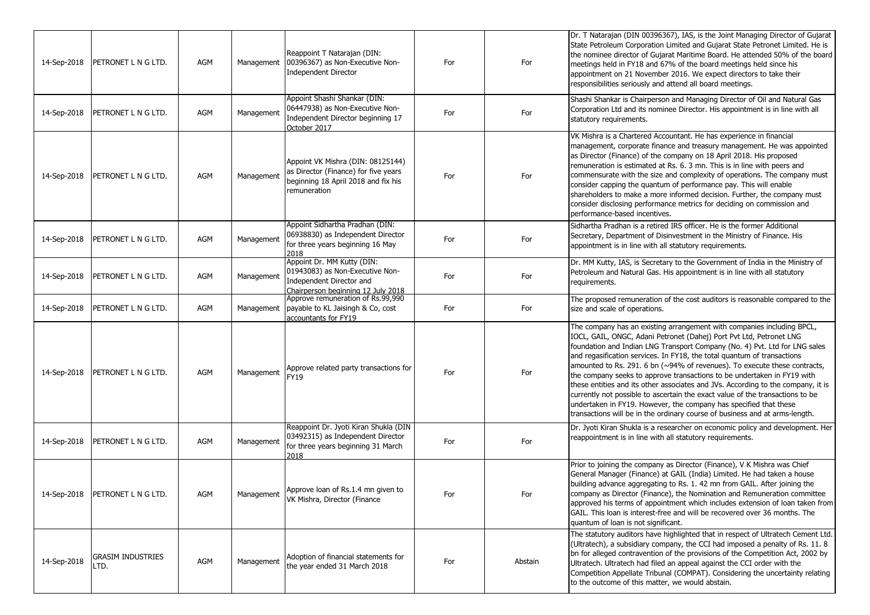| 14-Sep-2018 | PETRONET L N G LTD.         | AGM | Management | Reappoint T Natarajan (DIN:<br>00396367) as Non-Executive Non-<br><b>Independent Director</b>                                    | For | For     | Dr. T Natarajan (DIN 00396367), IAS, is the Joint Managing Director of Gujarat<br>State Petroleum Corporation Limited and Gujarat State Petronet Limited. He is<br>the nominee director of Gujarat Maritime Board. He attended 50% of the board<br>meetings held in FY18 and 67% of the board meetings held since his<br>appointment on 21 November 2016. We expect directors to take their<br>responsibilities seriously and attend all board meetings.                                                                                                                                                                                                                                                                                                                                |
|-------------|-----------------------------|-----|------------|----------------------------------------------------------------------------------------------------------------------------------|-----|---------|-----------------------------------------------------------------------------------------------------------------------------------------------------------------------------------------------------------------------------------------------------------------------------------------------------------------------------------------------------------------------------------------------------------------------------------------------------------------------------------------------------------------------------------------------------------------------------------------------------------------------------------------------------------------------------------------------------------------------------------------------------------------------------------------|
| 14-Sep-2018 | PETRONET L N G LTD.         | AGM | Management | Appoint Shashi Shankar (DIN:<br>06447938) as Non-Executive Non-<br>Independent Director beginning 17<br>October 2017             | For | For     | Shashi Shankar is Chairperson and Managing Director of Oil and Natural Gas<br>Corporation Ltd and its nominee Director. His appointment is in line with all<br>statutory requirements.                                                                                                                                                                                                                                                                                                                                                                                                                                                                                                                                                                                                  |
| 14-Sep-2018 | PETRONET L N G LTD.         | AGM | Management | Appoint VK Mishra (DIN: 08125144)<br>as Director (Finance) for five years<br>beginning 18 April 2018 and fix his<br>remuneration | For | For     | VK Mishra is a Chartered Accountant. He has experience in financial<br>management, corporate finance and treasury management. He was appointed<br>as Director (Finance) of the company on 18 April 2018. His proposed<br>remuneration is estimated at Rs. 6. 3 mn. This is in line with peers and<br>commensurate with the size and complexity of operations. The company must<br>consider capping the quantum of performance pay. This will enable<br>shareholders to make a more informed decision. Further, the company must<br>consider disclosing performance metrics for deciding on commission and<br>performance-based incentives.                                                                                                                                              |
| 14-Sep-2018 | PETRONET L N G LTD.         | AGM | Management | Appoint Sidhartha Pradhan (DIN:<br>06938830) as Independent Director<br>for three years beginning 16 May<br>2018                 | For | For     | Sidhartha Pradhan is a retired IRS officer. He is the former Additional<br>Secretary, Department of Disinvestment in the Ministry of Finance. His<br>appointment is in line with all statutory requirements.                                                                                                                                                                                                                                                                                                                                                                                                                                                                                                                                                                            |
| 14-Sep-2018 | PETRONET L N G LTD.         | AGM | Management | Appoint Dr. MM Kutty (DIN:<br>01943083) as Non-Executive Non-<br>Independent Director and<br>Chairperson beginning 12 July 2018  | For | For     | Dr. MM Kutty, IAS, is Secretary to the Government of India in the Ministry of<br>Petroleum and Natural Gas. His appointment is in line with all statutory<br>requirements.                                                                                                                                                                                                                                                                                                                                                                                                                                                                                                                                                                                                              |
| 14-Sep-2018 | PETRONET L N G LTD.         | AGM | Management | Approve remuneration of Rs.99,990<br>payable to KL Jaisingh & Co, cost<br>accountants for FY19                                   | For | For     | The proposed remuneration of the cost auditors is reasonable compared to the<br>size and scale of operations.                                                                                                                                                                                                                                                                                                                                                                                                                                                                                                                                                                                                                                                                           |
| 14-Sep-2018 | PETRONET L N G LTD.         | AGM | Management | Approve related party transactions for<br>FY19                                                                                   | For | For     | The company has an existing arrangement with companies including BPCL,<br>IOCL, GAIL, ONGC, Adani Petronet (Dahej) Port Pvt Ltd, Petronet LNG<br>foundation and Indian LNG Transport Company (No. 4) Pvt. Ltd for LNG sales<br>and regasification services. In FY18, the total quantum of transactions<br>amounted to Rs. 291. 6 bn (~94% of revenues). To execute these contracts,<br>the company seeks to approve transactions to be undertaken in FY19 with<br>these entities and its other associates and JVs. According to the company, it is<br>currently not possible to ascertain the exact value of the transactions to be<br>undertaken in FY19. However, the company has specified that these<br>transactions will be in the ordinary course of business and at arms-length. |
| 14-Sep-2018 | PETRONET L N G LTD.         | AGM | Management | Reappoint Dr. Jyoti Kiran Shukla (DIN<br>03492315) as Independent Director<br>for three years beginning 31 March<br>2018         | For | For     | Dr. Jyoti Kiran Shukla is a researcher on economic policy and development. Her<br>reappointment is in line with all statutory requirements.                                                                                                                                                                                                                                                                                                                                                                                                                                                                                                                                                                                                                                             |
| 14-Sep-2018 | <b>IPETRONET L N G LTD.</b> | AGM | Management | Approve loan of Rs.1.4 mn given to<br>VK Mishra, Director (Finance                                                               | For | For     | Prior to joining the company as Director (Finance), V K Mishra was Chief<br>General Manager (Finance) at GAIL (India) Limited. He had taken a house<br>building advance aggregating to Rs. 1, 42 mn from GAIL. After joining the<br>company as Director (Finance), the Nomination and Remuneration committee<br>approved his terms of appointment which includes extension of loan taken from<br>GAIL. This loan is interest-free and will be recovered over 36 months. The<br>quantum of loan is not significant.                                                                                                                                                                                                                                                                      |
| 14-Sep-2018 | GRASIM INDUSTRIES<br>LTD.   | AGM | Management | Adoption of financial statements for<br>the year ended 31 March 2018                                                             | For | Abstain | The statutory auditors have highlighted that in respect of Ultratech Cement Ltd.<br>(Ultratech), a subsidiary company, the CCI had imposed a penalty of Rs. 11. 8<br>Ibn for alleged contravention of the provisions of the Competition Act, 2002 by<br>Ultratech. Ultratech had filed an appeal against the CCI order with the<br>Competition Appellate Tribunal (COMPAT). Considering the uncertainty relating<br>to the outcome of this matter, we would abstain.                                                                                                                                                                                                                                                                                                                    |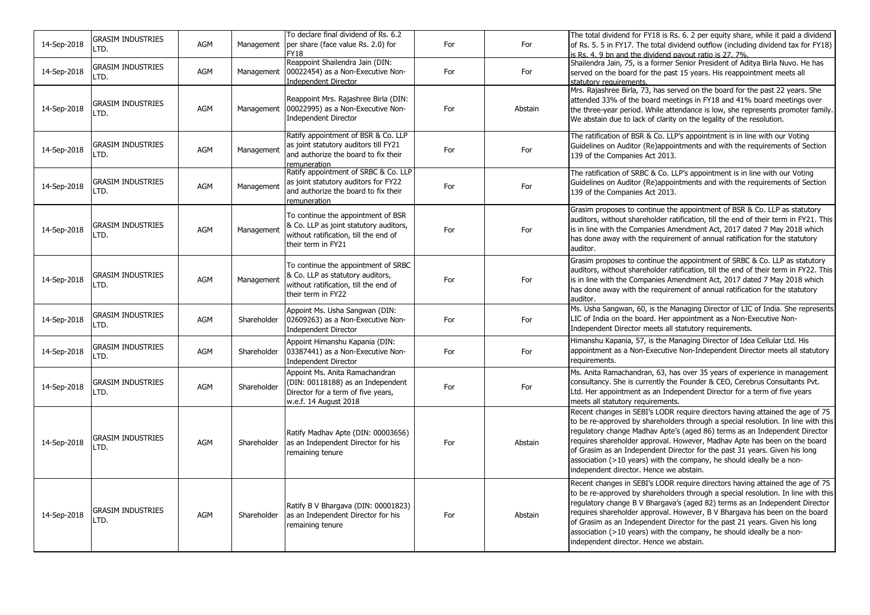| 14-Sep-2018 | <b>GRASIM INDUSTRIES</b><br>LTD. | <b>AGM</b> | Management  | To declare final dividend of Rs. 6.2<br>per share (face value Rs. 2.0) for<br>FY18                                                          | For | For     | The total dividend for FY18 is Rs. 6. 2 per equity share, while it paid a dividend<br>of Rs. 5. 5 in FY17. The total dividend outflow (including dividend tax for FY18)<br>is Rs. 4. 9 bn and the dividend payout ratio is 27. 7%.                                                                                                                                                                                                                                                                                                |
|-------------|----------------------------------|------------|-------------|---------------------------------------------------------------------------------------------------------------------------------------------|-----|---------|-----------------------------------------------------------------------------------------------------------------------------------------------------------------------------------------------------------------------------------------------------------------------------------------------------------------------------------------------------------------------------------------------------------------------------------------------------------------------------------------------------------------------------------|
| 14-Sep-2018 | <b>GRASIM INDUSTRIES</b><br>LTD. | AGM        | Management  | Reappoint Shailendra Jain (DIN:<br>00022454) as a Non-Executive Non-<br><b>Independent Director</b>                                         | For | For     | Shailendra Jain, 75, is a former Senior President of Aditya Birla Nuvo. He has<br>served on the board for the past 15 years. His reappointment meets all<br>statutory requirements.                                                                                                                                                                                                                                                                                                                                               |
| 14-Sep-2018 | <b>GRASIM INDUSTRIES</b><br>LTD. | AGM        | Management  | Reappoint Mrs. Rajashree Birla (DIN:<br>00022995) as a Non-Executive Non-<br><b>Independent Director</b>                                    | For | Abstain | Mrs. Rajashree Birla, 73, has served on the board for the past 22 years. She<br>attended 33% of the board meetings in FY18 and 41% board meetings over<br>the three-year period. While attendance is low, she represents promoter family.<br>We abstain due to lack of clarity on the legality of the resolution.                                                                                                                                                                                                                 |
| 14-Sep-2018 | <b>GRASIM INDUSTRIES</b><br>LTD. | AGM        | Management  | Ratify appointment of BSR & Co. LLP<br>as joint statutory auditors till FY21<br>and authorize the board to fix their<br>remuneration        | For | For     | The ratification of BSR & Co. LLP's appointment is in line with our Voting<br>Guidelines on Auditor (Re)appointments and with the requirements of Section<br>139 of the Companies Act 2013.                                                                                                                                                                                                                                                                                                                                       |
| 14-Sep-2018 | <b>GRASIM INDUSTRIES</b><br>LTD. | <b>AGM</b> | Management  | Ratify appointment of SRBC & Co. LLP<br>as joint statutory auditors for FY22<br>and authorize the board to fix their<br>remuneration        | For | For     | The ratification of SRBC & Co. LLP's appointment is in line with our Voting<br>Guidelines on Auditor (Re)appointments and with the requirements of Section<br>139 of the Companies Act 2013.                                                                                                                                                                                                                                                                                                                                      |
| 14-Sep-2018 | <b>GRASIM INDUSTRIES</b><br>LTD. | AGM        | Management  | To continue the appointment of BSR<br>& Co. LLP as joint statutory auditors,<br>without ratification, till the end of<br>their term in FY21 | For | For     | Grasim proposes to continue the appointment of BSR & Co. LLP as statutory<br>auditors, without shareholder ratification, till the end of their term in FY21. This<br>is in line with the Companies Amendment Act, 2017 dated 7 May 2018 which<br>has done away with the requirement of annual ratification for the statutory<br>auditor.                                                                                                                                                                                          |
| 14-Sep-2018 | <b>GRASIM INDUSTRIES</b><br>LTD. | AGM        | Management  | To continue the appointment of SRBC<br>& Co. LLP as statutory auditors,<br>without ratification, till the end of<br>their term in FY22      | For | For     | Grasim proposes to continue the appointment of SRBC & Co. LLP as statutory<br>auditors, without shareholder ratification, till the end of their term in FY22. This<br>is in line with the Companies Amendment Act, 2017 dated 7 May 2018 which<br>has done away with the requirement of annual ratification for the statutory<br>auditor.                                                                                                                                                                                         |
| 14-Sep-2018 | <b>GRASIM INDUSTRIES</b><br>LTD. | <b>AGM</b> | Shareholder | Appoint Ms. Usha Sangwan (DIN:<br>02609263) as a Non-Executive Non-<br><b>Independent Director</b>                                          | For | For     | Ms. Usha Sangwan, 60, is the Managing Director of LIC of India. She represents<br>LIC of India on the board. Her appointment as a Non-Executive Non-<br>Independent Director meets all statutory requirements.                                                                                                                                                                                                                                                                                                                    |
| 14-Sep-2018 | <b>GRASIM INDUSTRIES</b><br>LTD. | <b>AGM</b> | Shareholder | Appoint Himanshu Kapania (DIN:<br>03387441) as a Non-Executive Non-<br><b>Independent Director</b>                                          | For | For     | Himanshu Kapania, 57, is the Managing Director of Idea Cellular Ltd. His<br>appointment as a Non-Executive Non-Independent Director meets all statutory<br>requirements.                                                                                                                                                                                                                                                                                                                                                          |
| 14-Sep-2018 | GRASIM INDUSTRIES<br>LTD.        | <b>AGM</b> | Shareholder | Appoint Ms. Anita Ramachandran<br>(DIN: 00118188) as an Independent<br>Director for a term of five years,<br>w.e.f. 14 August 2018          | For | For     | Ms. Anita Ramachandran, 63, has over 35 years of experience in management<br>consultancy. She is currently the Founder & CEO, Cerebrus Consultants Pvt.<br>Ltd. Her appointment as an Independent Director for a term of five years<br>meets all statutory requirements.                                                                                                                                                                                                                                                          |
| 14-Sep-2018 | <b>GRASIM INDUSTRIES</b><br>LTD. | <b>AGM</b> | Shareholder | Ratify Madhav Apte (DIN: 00003656)<br>as an Independent Director for his<br>remaining tenure                                                | For | Abstain | Recent changes in SEBI's LODR require directors having attained the age of 75<br>to be re-approved by shareholders through a special resolution. In line with this<br>regulatory change Madhav Apte's (aged 86) terms as an Independent Director<br>requires shareholder approval. However, Madhav Apte has been on the board<br>of Grasim as an Independent Director for the past 31 years. Given his long<br>association (>10 years) with the company, he should ideally be a non-<br>independent director. Hence we abstain.   |
| 14-Sep-2018 | <b>GRASIM INDUSTRIES</b><br>LTD. | <b>AGM</b> | Shareholder | Ratify B V Bhargava (DIN: 00001823)<br>as an Independent Director for his<br>remaining tenure                                               | For | Abstain | Recent changes in SEBI's LODR require directors having attained the age of 75<br>to be re-approved by shareholders through a special resolution. In line with this<br>regulatory change B V Bhargava's (aged 82) terms as an Independent Director<br>requires shareholder approval. However, B V Bhargava has been on the board<br>of Grasim as an Independent Director for the past 21 years. Given his long<br>association (>10 years) with the company, he should ideally be a non-<br>independent director. Hence we abstain. |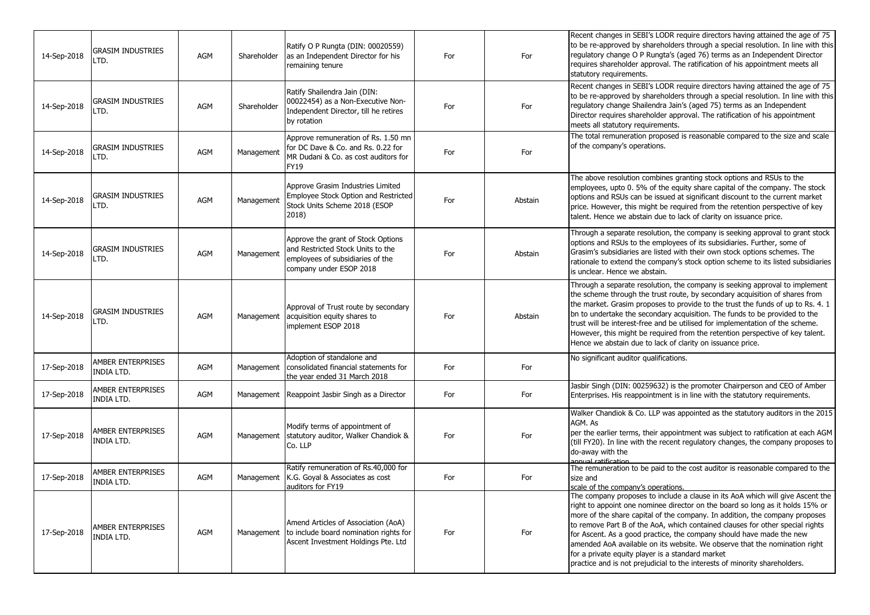| 14-Sep-2018 | <b>GRASIM INDUSTRIES</b><br>LTD.       | <b>AGM</b> | Shareholder | Ratify O P Rungta (DIN: 00020559)<br>as an Independent Director for his<br>remaining tenure                                            | For | For     | Recent changes in SEBI's LODR require directors having attained the age of 75<br>to be re-approved by shareholders through a special resolution. In line with this<br>regulatory change O P Rungta's (aged 76) terms as an Independent Director<br>requires shareholder approval. The ratification of his appointment meets all<br>statutory requirements.                                                                                                                                                                                                                                                              |
|-------------|----------------------------------------|------------|-------------|----------------------------------------------------------------------------------------------------------------------------------------|-----|---------|-------------------------------------------------------------------------------------------------------------------------------------------------------------------------------------------------------------------------------------------------------------------------------------------------------------------------------------------------------------------------------------------------------------------------------------------------------------------------------------------------------------------------------------------------------------------------------------------------------------------------|
| 14-Sep-2018 | <b>GRASIM INDUSTRIES</b><br>LTD.       | <b>AGM</b> | Shareholder | Ratify Shailendra Jain (DIN:<br>00022454) as a Non-Executive Non-<br>Independent Director, till he retires<br>by rotation              | For | For     | Recent changes in SEBI's LODR require directors having attained the age of 75<br>to be re-approved by shareholders through a special resolution. In line with this<br>regulatory change Shailendra Jain's (aged 75) terms as an Independent<br>Director requires shareholder approval. The ratification of his appointment<br>meets all statutory requirements.                                                                                                                                                                                                                                                         |
| 14-Sep-2018 | <b>GRASIM INDUSTRIES</b><br>LTD.       | AGM        | Management  | Approve remuneration of Rs. 1.50 mn<br>for DC Dave & Co. and Rs. 0.22 for<br>MR Dudani & Co. as cost auditors for<br>FY19              | For | For     | The total remuneration proposed is reasonable compared to the size and scale<br>of the company's operations.                                                                                                                                                                                                                                                                                                                                                                                                                                                                                                            |
| 14-Sep-2018 | <b>GRASIM INDUSTRIES</b><br>LTD.       | AGM        | Management  | Approve Grasim Industries Limited<br>Employee Stock Option and Restricted<br>Stock Units Scheme 2018 (ESOP<br>2018)                    | For | Abstain | The above resolution combines granting stock options and RSUs to the<br>employees, upto 0. 5% of the equity share capital of the company. The stock<br>options and RSUs can be issued at significant discount to the current market<br>price. However, this might be required from the retention perspective of key<br>talent. Hence we abstain due to lack of clarity on issuance price.                                                                                                                                                                                                                               |
| 14-Sep-2018 | GRASIM INDUSTRIES<br>LTD.              | <b>AGM</b> | Management  | Approve the grant of Stock Options<br>and Restricted Stock Units to the<br>employees of subsidiaries of the<br>company under ESOP 2018 | For | Abstain | Through a separate resolution, the company is seeking approval to grant stock<br>options and RSUs to the employees of its subsidiaries. Further, some of<br>Grasim's subsidiaries are listed with their own stock options schemes. The<br>rationale to extend the company's stock option scheme to its listed subsidiaries<br>is unclear. Hence we abstain.                                                                                                                                                                                                                                                             |
| 14-Sep-2018 | <b>GRASIM INDUSTRIES</b><br>LTD.       | AGM        | Management  | Approval of Trust route by secondary<br>acquisition equity shares to<br>implement ESOP 2018                                            | For | Abstain | Through a separate resolution, the company is seeking approval to implement<br>the scheme through the trust route, by secondary acquisition of shares from<br>the market. Grasim proposes to provide to the trust the funds of up to Rs. 4. 1<br>bn to undertake the secondary acquisition. The funds to be provided to the<br>trust will be interest-free and be utilised for implementation of the scheme.<br>However, this might be required from the retention perspective of key talent.<br>Hence we abstain due to lack of clarity on issuance price.                                                             |
| 17-Sep-2018 | <b>AMBER ENTERPRISES</b><br>INDIA LTD. | AGM        | Management  | Adoption of standalone and<br>consolidated financial statements for<br>the year ended 31 March 2018                                    | For | For     | No significant auditor qualifications.                                                                                                                                                                                                                                                                                                                                                                                                                                                                                                                                                                                  |
| 17-Sep-2018 | AMBER ENTERPRISES<br><b>INDIA LTD.</b> | <b>AGM</b> |             | Management Reappoint Jasbir Singh as a Director                                                                                        | For | For     | Jasbir Singh (DIN: 00259632) is the promoter Chairperson and CEO of Amber<br>Enterprises. His reappointment is in line with the statutory requirements.                                                                                                                                                                                                                                                                                                                                                                                                                                                                 |
| 17-Sep-2018 | AMBER ENTERPRISES<br>INDIA LTD.        | AGM        | Management  | Modify terms of appointment of<br>statutory auditor, Walker Chandiok &<br>Co. LLP                                                      | For | For     | Walker Chandiok & Co. LLP was appointed as the statutory auditors in the 2015<br>AGM. As<br>per the earlier terms, their appointment was subject to ratification at each AGM<br>(till FY20). In line with the recent regulatory changes, the company proposes to<br>do-away with the<br>annual ratification                                                                                                                                                                                                                                                                                                             |
| 17-Sep-2018 | AMBER ENTERPRISES<br><b>INDIA LTD.</b> | AGM        | Management  | Ratify remuneration of Rs.40,000 for<br>K.G. Goyal & Associates as cost<br>auditors for FY19                                           | For | For     | The remuneration to be paid to the cost auditor is reasonable compared to the<br>size and<br>scale of the company's operations.                                                                                                                                                                                                                                                                                                                                                                                                                                                                                         |
| 17-Sep-2018 | AMBER ENTERPRISES<br>INDIA LTD.        | AGM        | Management  | Amend Articles of Association (AoA)<br>to include board nomination rights for<br>Ascent Investment Holdings Pte. Ltd                   | For | For     | The company proposes to include a clause in its AoA which will give Ascent the<br>right to appoint one nominee director on the board so long as it holds 15% or<br>more of the share capital of the company. In addition, the company proposes<br>to remove Part B of the AoA, which contained clauses for other special rights<br>for Ascent. As a good practice, the company should have made the new<br>amended AoA available on its website. We observe that the nomination right<br>for a private equity player is a standard market<br>practice and is not prejudicial to the interests of minority shareholders. |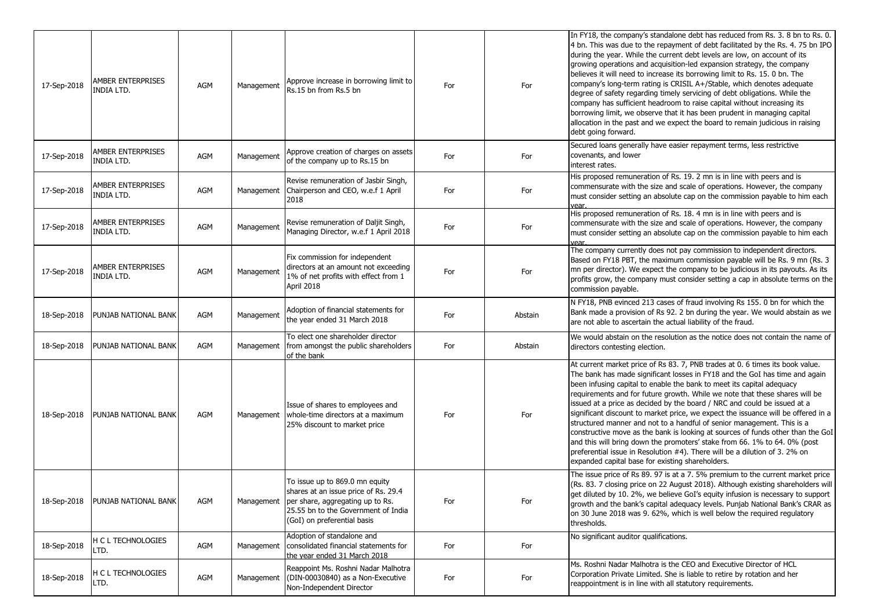| 17-Sep-2018 | AMBER ENTERPRISES<br>INDIA LTD.        | AGM        | Management | Approve increase in borrowing limit to<br>Rs.15 bn from Rs.5 bn                                                                                                                             | For | For     | In FY18, the company's standalone debt has reduced from Rs. 3. 8 bn to Rs. 0.<br>4 bn. This was due to the repayment of debt facilitated by the Rs. 4. 75 bn IPO<br>during the year. While the current debt levels are low, on account of its<br>growing operations and acquisition-led expansion strategy, the company<br>believes it will need to increase its borrowing limit to Rs. 15. 0 bn. The<br>company's long-term rating is CRISIL A+/Stable, which denotes adequate<br>degree of safety regarding timely servicing of debt obligations. While the<br>company has sufficient headroom to raise capital without increasing its<br>borrowing limit, we observe that it has been prudent in managing capital<br>allocation in the past and we expect the board to remain judicious in raising<br>debt going forward.                                      |
|-------------|----------------------------------------|------------|------------|---------------------------------------------------------------------------------------------------------------------------------------------------------------------------------------------|-----|---------|-------------------------------------------------------------------------------------------------------------------------------------------------------------------------------------------------------------------------------------------------------------------------------------------------------------------------------------------------------------------------------------------------------------------------------------------------------------------------------------------------------------------------------------------------------------------------------------------------------------------------------------------------------------------------------------------------------------------------------------------------------------------------------------------------------------------------------------------------------------------|
| 17-Sep-2018 | AMBER ENTERPRISES<br><b>INDIA LTD.</b> | AGM        | Management | Approve creation of charges on assets<br>of the company up to Rs.15 bn                                                                                                                      | For | For     | Secured loans generally have easier repayment terms, less restrictive<br>covenants, and lower<br>interest rates.                                                                                                                                                                                                                                                                                                                                                                                                                                                                                                                                                                                                                                                                                                                                                  |
| 17-Sep-2018 | AMBER ENTERPRISES<br><b>INDIA LTD.</b> | <b>AGM</b> | Management | Revise remuneration of Jasbir Singh,<br>Chairperson and CEO, w.e.f 1 April<br>2018                                                                                                          | For | For     | His proposed remuneration of Rs. 19. 2 mn is in line with peers and is<br>commensurate with the size and scale of operations. However, the company<br>must consider setting an absolute cap on the commission payable to him each<br>vear.                                                                                                                                                                                                                                                                                                                                                                                                                                                                                                                                                                                                                        |
| 17-Sep-2018 | AMBER ENTERPRISES<br>INDIA LTD.        | AGM        | Management | Revise remuneration of Daljit Singh,<br>Managing Director, w.e.f 1 April 2018                                                                                                               | For | For     | His proposed remuneration of Rs. 18. 4 mn is in line with peers and is<br>commensurate with the size and scale of operations. However, the company<br>must consider setting an absolute cap on the commission payable to him each<br>vear.                                                                                                                                                                                                                                                                                                                                                                                                                                                                                                                                                                                                                        |
| 17-Sep-2018 | AMBER ENTERPRISES<br>INDIA LTD.        | AGM        | Management | Fix commission for independent<br>directors at an amount not exceeding<br>1% of net profits with effect from 1<br>April 2018                                                                | For | For     | The company currently does not pay commission to independent directors.<br>Based on FY18 PBT, the maximum commission payable will be Rs. 9 mn (Rs. 3<br>mn per director). We expect the company to be judicious in its payouts. As its<br>profits grow, the company must consider setting a cap in absolute terms on the<br>commission payable.                                                                                                                                                                                                                                                                                                                                                                                                                                                                                                                   |
| 18-Sep-2018 | PUNJAB NATIONAL BANK                   | AGM        | Management | Adoption of financial statements for<br>the year ended 31 March 2018                                                                                                                        | For | Abstain | N FY18, PNB evinced 213 cases of fraud involving Rs 155. 0 bn for which the<br>Bank made a provision of Rs 92, 2 bn during the year. We would abstain as we<br>are not able to ascertain the actual liability of the fraud.                                                                                                                                                                                                                                                                                                                                                                                                                                                                                                                                                                                                                                       |
| 18-Sep-2018 | PUNJAB NATIONAL BANK                   | AGM        | Management | To elect one shareholder director<br>from amongst the public shareholders<br>of the bank                                                                                                    | For | Abstain | We would abstain on the resolution as the notice does not contain the name of<br>directors contesting election.                                                                                                                                                                                                                                                                                                                                                                                                                                                                                                                                                                                                                                                                                                                                                   |
| 18-Sep-2018 | PUNJAB NATIONAL BANK                   | AGM        | Management | Issue of shares to employees and<br>whole-time directors at a maximum<br>25% discount to market price                                                                                       | For | For     | At current market price of Rs 83. 7, PNB trades at 0. 6 times its book value.<br>The bank has made significant losses in FY18 and the GoI has time and again<br>been infusing capital to enable the bank to meet its capital adequacy<br>requirements and for future growth. While we note that these shares will be<br>issued at a price as decided by the board / NRC and could be issued at a<br>significant discount to market price, we expect the issuance will be offered in a<br>structured manner and not to a handful of senior management. This is a<br>constructive move as the bank is looking at sources of funds other than the GoI<br>and this will bring down the promoters' stake from 66. 1% to 64. 0% (post<br>preferential issue in Resolution #4). There will be a dilution of 3. 2% on<br>expanded capital base for existing shareholders. |
| 18-Sep-2018 | PUNJAB NATIONAL BANK                   | AGM        |            | To issue up to 869.0 mn equity<br>shares at an issue price of Rs. 29.4<br>Management per share, aggregating up to Rs.<br>25.55 bn to the Government of India<br>(GoI) on preferential basis | For | For     | The issue price of Rs 89. 97 is at a 7. 5% premium to the current market price<br>(Rs. 83. 7 closing price on 22 August 2018). Although existing shareholders will<br>get diluted by 10. 2%, we believe GoI's equity infusion is necessary to support<br>growth and the bank's capital adequacy levels. Punjab National Bank's CRAR as<br>on 30 June 2018 was 9. 62%, which is well below the required regulatory<br>thresholds.                                                                                                                                                                                                                                                                                                                                                                                                                                  |
| 18-Sep-2018 | H C L TECHNOLOGIES<br>LTD.             | AGM        | Management | Adoption of standalone and<br>consolidated financial statements for<br>the year ended 31 March 2018                                                                                         | For | For     | No significant auditor qualifications.                                                                                                                                                                                                                                                                                                                                                                                                                                                                                                                                                                                                                                                                                                                                                                                                                            |
| 18-Sep-2018 | H C L TECHNOLOGIES<br>LTD.             | AGM        | Management | Reappoint Ms. Roshni Nadar Malhotra<br>(DIN-00030840) as a Non-Executive<br>Non-Independent Director                                                                                        | For | For     | Ms. Roshni Nadar Malhotra is the CEO and Executive Director of HCL<br>Corporation Private Limited. She is liable to retire by rotation and her<br>reappointment is in line with all statutory requirements.                                                                                                                                                                                                                                                                                                                                                                                                                                                                                                                                                                                                                                                       |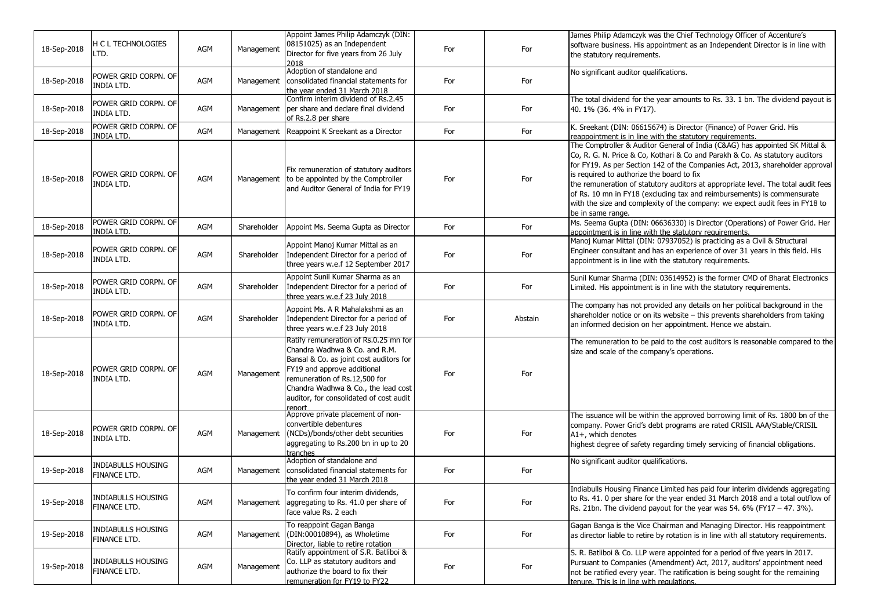| 18-Sep-2018 | <b>H C L TECHNOLOGIES</b><br>LTD.         | AGM        | Management  | Appoint James Philip Adamczyk (DIN:<br>08151025) as an Independent<br>Director for five years from 26 July<br>2018                                                                                                                                                            | For | For     | James Philip Adamczyk was the Chief Technology Officer of Accenture's<br>software business. His appointment as an Independent Director is in line with<br>the statutory requirements.                                                                                                                                                                                                                                                                                                                                                                          |
|-------------|-------------------------------------------|------------|-------------|-------------------------------------------------------------------------------------------------------------------------------------------------------------------------------------------------------------------------------------------------------------------------------|-----|---------|----------------------------------------------------------------------------------------------------------------------------------------------------------------------------------------------------------------------------------------------------------------------------------------------------------------------------------------------------------------------------------------------------------------------------------------------------------------------------------------------------------------------------------------------------------------|
| 18-Sep-2018 | POWER GRID CORPN. OF<br><b>INDIA LTD.</b> | <b>AGM</b> | Management  | Adoption of standalone and<br>consolidated financial statements for<br>the year ended 31 March 2018                                                                                                                                                                           | For | For     | No significant auditor qualifications.                                                                                                                                                                                                                                                                                                                                                                                                                                                                                                                         |
| 18-Sep-2018 | POWER GRID CORPN. OF<br>INDIA LTD.        | AGM        | Management  | Confirm interim dividend of Rs.2.45<br>per share and declare final dividend<br>of Rs.2.8 per share                                                                                                                                                                            | For | For     | The total dividend for the year amounts to Rs. 33. 1 bn. The dividend payout is<br>40. 1% (36. 4% in FY17).                                                                                                                                                                                                                                                                                                                                                                                                                                                    |
| 18-Sep-2018 | POWER GRID CORPN. OF<br><b>INDIA LTD.</b> | AGM        | Management  | Reappoint K Sreekant as a Director                                                                                                                                                                                                                                            | For | For     | K. Sreekant (DIN: 06615674) is Director (Finance) of Power Grid. His<br>reappointment is in line with the statutory requirements.                                                                                                                                                                                                                                                                                                                                                                                                                              |
| 18-Sep-2018 | POWER GRID CORPN. OF<br>INDIA LTD.        | AGM        | Management  | Fix remuneration of statutory auditors<br>to be appointed by the Comptroller<br>land Auditor General of India for FY19                                                                                                                                                        | For | For     | The Comptroller & Auditor General of India (C&AG) has appointed SK Mittal &<br>Co, R. G. N. Price & Co, Kothari & Co and Parakh & Co. As statutory auditors<br>for FY19. As per Section 142 of the Companies Act, 2013, shareholder approval<br>is required to authorize the board to fix<br>the remuneration of statutory auditors at appropriate level. The total audit fees<br>of Rs. 10 mn in FY18 (excluding tax and reimbursements) is commensurate<br>with the size and complexity of the company: we expect audit fees in FY18 to<br>be in same range. |
| 18-Sep-2018 | POWER GRID CORPN. OF<br><b>INDIA LTD.</b> | AGM        | Shareholder | Appoint Ms. Seema Gupta as Director                                                                                                                                                                                                                                           | For | For     | Ms. Seema Gupta (DIN: 06636330) is Director (Operations) of Power Grid. Her<br>appointment is in line with the statutory requirements.                                                                                                                                                                                                                                                                                                                                                                                                                         |
| 18-Sep-2018 | POWER GRID CORPN. OF<br><b>INDIA LTD.</b> | AGM        | Shareholder | Appoint Manoj Kumar Mittal as an<br>Independent Director for a period of<br>three years w.e.f 12 September 2017                                                                                                                                                               | For | For     | Manoj Kumar Mittal (DIN: 07937052) is practicing as a Civil & Structural<br>Engineer consultant and has an experience of over 31 years in this field. His<br>appointment is in line with the statutory requirements.                                                                                                                                                                                                                                                                                                                                           |
| 18-Sep-2018 | POWER GRID CORPN. OF<br><b>INDIA LTD.</b> | AGM        | Shareholder | Appoint Sunil Kumar Sharma as an<br>Independent Director for a period of<br>three years w.e.f 23 July 2018                                                                                                                                                                    | For | For     | Sunil Kumar Sharma (DIN: 03614952) is the former CMD of Bharat Electronics<br>Limited. His appointment is in line with the statutory requirements.                                                                                                                                                                                                                                                                                                                                                                                                             |
| 18-Sep-2018 | Power Grid Corpn. of<br><b>INDIA LTD.</b> | AGM        | Shareholder | Appoint Ms. A R Mahalakshmi as an<br>Independent Director for a period of<br>three years w.e.f 23 July 2018                                                                                                                                                                   | For | Abstain | The company has not provided any details on her political background in the<br>shareholder notice or on its website - this prevents shareholders from taking<br>an informed decision on her appointment. Hence we abstain.                                                                                                                                                                                                                                                                                                                                     |
| 18-Sep-2018 | POWER GRID CORPN. OF<br>INDIA LTD.        | AGM        | Management  | Ratify remuneration of Rs.0.25 mn for<br>Chandra Wadhwa & Co. and R.M.<br>Bansal & Co. as joint cost auditors for<br>FY19 and approve additional<br>remuneration of Rs.12,500 for<br>Chandra Wadhwa & Co., the lead cost<br>auditor, for consolidated of cost audit<br>renort | For | For     | The remuneration to be paid to the cost auditors is reasonable compared to the<br>size and scale of the company's operations.                                                                                                                                                                                                                                                                                                                                                                                                                                  |
| 18-Sep-2018 | POWER GRID CORPN. OF<br><b>INDIA LTD.</b> | AGM        | Management  | Approve private placement of non-<br>convertible debentures<br>(NCDs)/bonds/other debt securities<br>aggregating to Rs.200 bn in up to 20<br>tranches                                                                                                                         | For | For     | The issuance will be within the approved borrowing limit of Rs. 1800 bn of the<br>company. Power Grid's debt programs are rated CRISIL AAA/Stable/CRISIL<br>A1+, which denotes<br>highest degree of safety regarding timely servicing of financial obligations.                                                                                                                                                                                                                                                                                                |
| 19-Sep-2018 | <b>INDIABULLS HOUSING</b><br>FINANCE LTD. | AGM        | Management  | Adoption of standalone and<br>consolidated financial statements for<br>the year ended 31 March 2018                                                                                                                                                                           | For | For     | No significant auditor qualifications.                                                                                                                                                                                                                                                                                                                                                                                                                                                                                                                         |
| 19-Sep-2018 | <b>INDIABULLS HOUSING</b><br>FINANCE LTD. | AGM        | Management  | To confirm four interim dividends,<br>aggregating to Rs. 41.0 per share of<br>face value Rs. 2 each                                                                                                                                                                           | For | For     | Indiabulls Housing Finance Limited has paid four interim dividends aggregating<br>to Rs. 41. 0 per share for the year ended 31 March 2018 and a total outflow of<br>Rs. 21bn. The dividend payout for the year was 54. 6% (FY17 $-$ 47. 3%).                                                                                                                                                                                                                                                                                                                   |
| 19-Sep-2018 | <b>INDIABULLS HOUSING</b><br>FINANCE LTD. | AGM        | Management  | To reappoint Gagan Banga<br>(DIN:00010894), as Wholetime<br>Director, liable to retire rotation                                                                                                                                                                               | For | For     | Gagan Banga is the Vice Chairman and Managing Director. His reappointment<br>as director liable to retire by rotation is in line with all statutory requirements.                                                                                                                                                                                                                                                                                                                                                                                              |
| 19-Sep-2018 | Indiabulls housing<br>FINANCE LTD.        | AGM        | Management  | Ratify appointment of S.R. Batliboi &<br>Co. LLP as statutory auditors and<br>authorize the board to fix their<br>remuneration for FY19 to FY22                                                                                                                               | For | For     | S. R. Batliboi & Co. LLP were appointed for a period of five years in 2017.<br>Pursuant to Companies (Amendment) Act, 2017, auditors' appointment need<br>not be ratified every year. The ratification is being sought for the remaining<br>tenure. This is in line with regulations.                                                                                                                                                                                                                                                                          |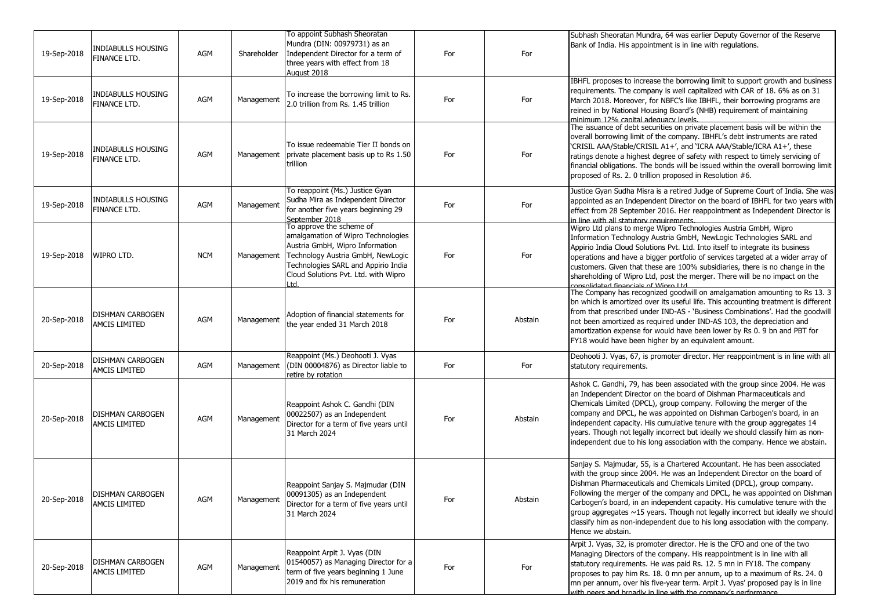| 19-Sep-2018 | <b>INDIABULLS HOUSING</b><br>FINANCE LTD.       | AGM        | Shareholder | To appoint Subhash Sheoratan<br>Mundra (DIN: 00979731) as an<br>Independent Director for a term of<br>three years with effect from 18<br>August 2018                                                                          | For | For     | Subhash Sheoratan Mundra, 64 was earlier Deputy Governor of the Reserve<br>Bank of India. His appointment is in line with regulations.                                                                                                                                                                                                                                                                                                                                                                                                                                                    |
|-------------|-------------------------------------------------|------------|-------------|-------------------------------------------------------------------------------------------------------------------------------------------------------------------------------------------------------------------------------|-----|---------|-------------------------------------------------------------------------------------------------------------------------------------------------------------------------------------------------------------------------------------------------------------------------------------------------------------------------------------------------------------------------------------------------------------------------------------------------------------------------------------------------------------------------------------------------------------------------------------------|
| 19-Sep-2018 | <b>INDIABULLS HOUSING</b><br>FINANCE LTD.       | AGM        | Management  | To increase the borrowing limit to Rs.<br>2.0 trillion from Rs. 1.45 trillion                                                                                                                                                 | For | For     | IBHFL proposes to increase the borrowing limit to support growth and business<br>requirements. The company is well capitalized with CAR of 18. 6% as on 31<br>March 2018. Moreover, for NBFC's like IBHFL, their borrowing programs are<br>reined in by National Housing Board's (NHB) requirement of maintaining<br>minimum 12% canital adequacy levels                                                                                                                                                                                                                                  |
| 19-Sep-2018 | <b>INDIABULLS HOUSING</b><br>FINANCE LTD.       | AGM        | Management  | To issue redeemable Tier II bonds on<br>private placement basis up to Rs 1.50<br>trillion                                                                                                                                     | For | For     | The issuance of debt securities on private placement basis will be within the<br>overall borrowing limit of the company. IBHFL's debt instruments are rated<br>'CRISIL AAA/Stable/CRISIL A1+', and 'ICRA AAA/Stable/ICRA A1+', these<br>ratings denote a highest degree of safety with respect to timely servicing of<br>financial obligations. The bonds will be issued within the overall borrowing limit<br>proposed of Rs. 2. 0 trillion proposed in Resolution #6.                                                                                                                   |
| 19-Sep-2018 | <b>INDIABULLS HOUSING</b><br>FINANCE LTD.       | AGM        | Management  | To reappoint (Ms.) Justice Gyan<br>Sudha Mira as Independent Director<br>for another five years beginning 29<br>September 2018                                                                                                | For | For     | Justice Gyan Sudha Misra is a retired Judge of Supreme Court of India. She was<br>appointed as an Independent Director on the board of IBHFL for two years with<br>effect from 28 September 2016. Her reappointment as Independent Director is<br>in line with all statutory requirements.                                                                                                                                                                                                                                                                                                |
| 19-Sep-2018 | WIPRO LTD.                                      | <b>NCM</b> | Management  | To approve the scheme of<br>amalgamation of Wipro Technologies<br>Austria GmbH, Wipro Information<br>Technology Austria GmbH, NewLogic<br>Technologies SARL and Appirio India<br>Cloud Solutions Pvt. Ltd. with Wipro<br>ltd. | For | For     | Wipro Ltd plans to merge Wipro Technologies Austria GmbH, Wipro<br>Information Technology Austria GmbH, NewLogic Technologies SARL and<br>Appirio India Cloud Solutions Pvt. Ltd. Into itself to integrate its business<br>operations and have a bigger portfolio of services targeted at a wider array of<br>customers. Given that these are 100% subsidiaries, there is no change in the<br>shareholding of Wipro Ltd, post the merger. There will be no impact on the<br>consolidated financials of Winro Ltd                                                                          |
| 20-Sep-2018 | <b>DISHMAN CARBOGEN</b><br>AMCIS LIMITED        | AGM        | Management  | Adoption of financial statements for<br>the year ended 31 March 2018                                                                                                                                                          | For | Abstain | The Company has recognized goodwill on amalgamation amounting to Rs 13. 3<br>Ibn which is amortized over its useful life. This accounting treatment is different<br>from that prescribed under IND-AS - 'Business Combinations'. Had the goodwill<br>not been amortized as required under IND-AS 103, the depreciation and<br>amortization expense for would have been lower by Rs 0. 9 bn and PBT for<br>FY18 would have been higher by an equivalent amount.                                                                                                                            |
| 20-Sep-2018 | DISHMAN CARBOGEN<br>AMCIS LIMITED               | AGM        | Management  | Reappoint (Ms.) Deohooti J. Vyas<br>(DIN 00004876) as Director liable to<br>retire by rotation                                                                                                                                | For | For     | Deohooti J. Vyas, 67, is promoter director. Her reappointment is in line with all<br>statutory requirements.                                                                                                                                                                                                                                                                                                                                                                                                                                                                              |
| 20-Sep-2018 | DISHMAN CARBOGEN<br><b>AMCIS LIMITED</b>        | AGM        | Management  | Reappoint Ashok C. Gandhi (DIN<br>00022507) as an Independent<br>Director for a term of five years until<br>31 March 2024                                                                                                     | For | Abstain | Ashok C. Gandhi, 79, has been associated with the group since 2004. He was<br>an Independent Director on the board of Dishman Pharmaceuticals and<br>Chemicals Limited (DPCL), group company. Following the merger of the<br>company and DPCL, he was appointed on Dishman Carbogen's board, in an<br>independent capacity. His cumulative tenure with the group aggregates 14<br>years. Though not legally incorrect but ideally we should classify him as non-<br>independent due to his long association with the company. Hence we abstain.                                           |
| 20-Sep-2018 | <b>DISHMAN CARBOGEN</b><br>AMCIS LIMITED        | AGM        | Management  | Reappoint Sanjay S. Majmudar (DIN<br>00091305) as an Independent<br>Director for a term of five years until<br>31 March 2024                                                                                                  | For | Abstain | Sanjay S. Majmudar, 55, is a Chartered Accountant. He has been associated<br>with the group since 2004. He was an Independent Director on the board of<br>Dishman Pharmaceuticals and Chemicals Limited (DPCL), group company.<br>Following the merger of the company and DPCL, he was appointed on Dishman<br>Carbogen's board, in an independent capacity. His cumulative tenure with the<br>group aggregates $\sim$ 15 years. Though not legally incorrect but ideally we should<br>classify him as non-independent due to his long association with the company.<br>Hence we abstain. |
| 20-Sep-2018 | <b>DISHMAN CARBOGEN</b><br><b>AMCIS LIMITED</b> | AGM        | Management  | Reappoint Arpit J. Vyas (DIN<br>01540057) as Managing Director for a<br>term of five years beginning 1 June<br>2019 and fix his remuneration                                                                                  | For | For     | Arpit J. Vyas, 32, is promoter director. He is the CFO and one of the two<br>Managing Directors of the company. His reappointment is in line with all<br>statutory requirements. He was paid Rs. 12. 5 mn in FY18. The company<br>proposes to pay him Rs. 18. 0 mn per annum, up to a maximum of Rs. 24. 0<br>mn per annum, over his five-year term. Arpit J. Vyas' proposed pay is in line<br>with neers and broadly in line with the company's performance.                                                                                                                             |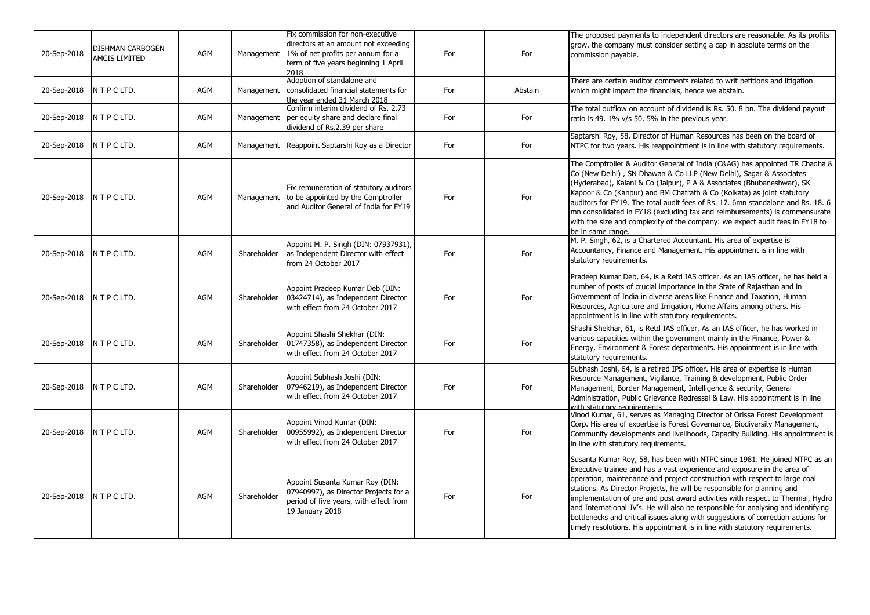| 20-Sep-2018                | DISHMAN CARBOGEN<br><b>AMCIS LIMITED</b> | AGM        | Management  | Fix commission for non-executive<br>directors at an amount not exceeding<br>1% of net profits per annum for a<br>term of five years beginning 1 April<br>2018 | For | For     | The proposed payments to independent directors are reasonable. As its profits<br>grow, the company must consider setting a cap in absolute terms on the<br>commission payable.                                                                                                                                                                                                                                                                                                                                                                                                                                                                           |
|----------------------------|------------------------------------------|------------|-------------|---------------------------------------------------------------------------------------------------------------------------------------------------------------|-----|---------|----------------------------------------------------------------------------------------------------------------------------------------------------------------------------------------------------------------------------------------------------------------------------------------------------------------------------------------------------------------------------------------------------------------------------------------------------------------------------------------------------------------------------------------------------------------------------------------------------------------------------------------------------------|
| 20-Sep-2018 NTPCLTD.       |                                          | AGM        | Management  | Adoption of standalone and<br>consolidated financial statements for<br>the year ended 31 March 2018                                                           | For | Abstain | There are certain auditor comments related to writ petitions and litigation<br>which might impact the financials, hence we abstain.                                                                                                                                                                                                                                                                                                                                                                                                                                                                                                                      |
| 20-Sep-2018 NTPCLTD.       |                                          | AGM        | Management  | Confirm interim dividend of Rs. 2.73<br>per equity share and declare final<br>dividend of Rs.2.39 per share                                                   | For | For     | The total outflow on account of dividend is Rs. 50. 8 bn. The dividend payout<br>ratio is 49. 1% v/s 50. 5% in the previous year.                                                                                                                                                                                                                                                                                                                                                                                                                                                                                                                        |
| 20-Sep-2018   N T P C LTD. |                                          | <b>AGM</b> |             | Management Reappoint Saptarshi Roy as a Director                                                                                                              | For | For     | Saptarshi Roy, 58, Director of Human Resources has been on the board of<br>NTPC for two years. His reappointment is in line with statutory requirements.                                                                                                                                                                                                                                                                                                                                                                                                                                                                                                 |
| 20-Sep-2018 N T P C LTD.   |                                          | AGM        | Management  | Fix remuneration of statutory auditors<br>to be appointed by the Comptroller<br>and Auditor General of India for FY19                                         | For | For     | The Comptroller & Auditor General of India (C&AG) has appointed TR Chadha &<br>Co (New Delhi), SN Dhawan & Co LLP (New Delhi), Sagar & Associates<br>(Hyderabad), Kalani & Co (Jaipur), P A & Associates (Bhubaneshwar), SK<br>Kapoor & Co (Kanpur) and BM Chatrath & Co (Kolkata) as joint statutory<br>auditors for FY19. The total audit fees of Rs. 17. 6mn standalone and Rs. 18. 6<br>mn consolidated in FY18 (excluding tax and reimbursements) is commensurate<br>with the size and complexity of the company: we expect audit fees in FY18 to<br>be in same range.                                                                              |
| 20-Sep-2018 N T P C LTD.   |                                          | AGM        | Shareholder | Appoint M. P. Singh (DIN: 07937931),<br>as Independent Director with effect<br>from 24 October 2017                                                           | For | For     | M. P. Singh, 62, is a Chartered Accountant. His area of expertise is<br>Accountancy, Finance and Management. His appointment is in line with<br>statutory requirements.                                                                                                                                                                                                                                                                                                                                                                                                                                                                                  |
| 20-Sep-2018 N T P C LTD.   |                                          | AGM        | Shareholder | Appoint Pradeep Kumar Deb (DIN:<br>03424714), as Independent Director<br>with effect from 24 October 2017                                                     | For | For     | Pradeep Kumar Deb, 64, is a Retd IAS officer. As an IAS officer, he has held a<br>number of posts of crucial importance in the State of Rajasthan and in<br>Government of India in diverse areas like Finance and Taxation, Human<br>Resources, Agriculture and Irrigation, Home Affairs among others. His<br>appointment is in line with statutory requirements.                                                                                                                                                                                                                                                                                        |
| 20-Sep-2018                | N T P C LTD.                             | AGM        | Shareholder | Appoint Shashi Shekhar (DIN:<br>01747358), as Independent Director<br>with effect from 24 October 2017                                                        | For | For     | Shashi Shekhar, 61, is Retd IAS officer. As an IAS officer, he has worked in<br>various capacities within the government mainly in the Finance, Power &<br>Energy, Environment & Forest departments. His appointment is in line with<br>statutory requirements.                                                                                                                                                                                                                                                                                                                                                                                          |
| 20-Sep-2018 NTPCLTD.       |                                          | AGM        | Shareholder | Appoint Subhash Joshi (DIN:<br>07946219), as Independent Director<br>with effect from 24 October 2017                                                         | For | For     | Subhash Joshi, 64, is a retired IPS officer. His area of expertise is Human<br>Resource Management, Vigilance, Training & development, Public Order<br>Management, Border Management, Intelligence & security, General<br>Administration, Public Grievance Redressal & Law. His appointment is in line<br>with statutory requirements                                                                                                                                                                                                                                                                                                                    |
| 20-Sep-2018                | N T P C LTD.                             | <b>AGM</b> | Shareholder | Appoint Vinod Kumar (DIN:<br>00955992), as Independent Director<br>with effect from 24 October 2017                                                           | For | For     | Vinod Kumar, 61, serves as Managing Director of Orissa Forest Development<br>Corp. His area of expertise is Forest Governance, Biodiversity Management,<br>Community developments and livelihoods, Capacity Building. His appointment is<br>in line with statutory requirements.                                                                                                                                                                                                                                                                                                                                                                         |
| 20-Sep-2018   N T P C LTD. |                                          | AGM        | Shareholder | Appoint Susanta Kumar Roy (DIN:<br>07940997), as Director Projects for a<br>period of five years, with effect from<br>19 January 2018                         | For | For     | Susanta Kumar Roy, 58, has been with NTPC since 1981. He joined NTPC as an<br>Executive trainee and has a vast experience and exposure in the area of<br>operation, maintenance and project construction with respect to large coal<br>stations. As Director Projects, he will be responsible for planning and<br>implementation of pre and post award activities with respect to Thermal, Hydro<br>and International JV's. He will also be responsible for analysing and identifying<br>bottlenecks and critical issues along with suggestions of correction actions for<br>timely resolutions. His appointment is in line with statutory requirements. |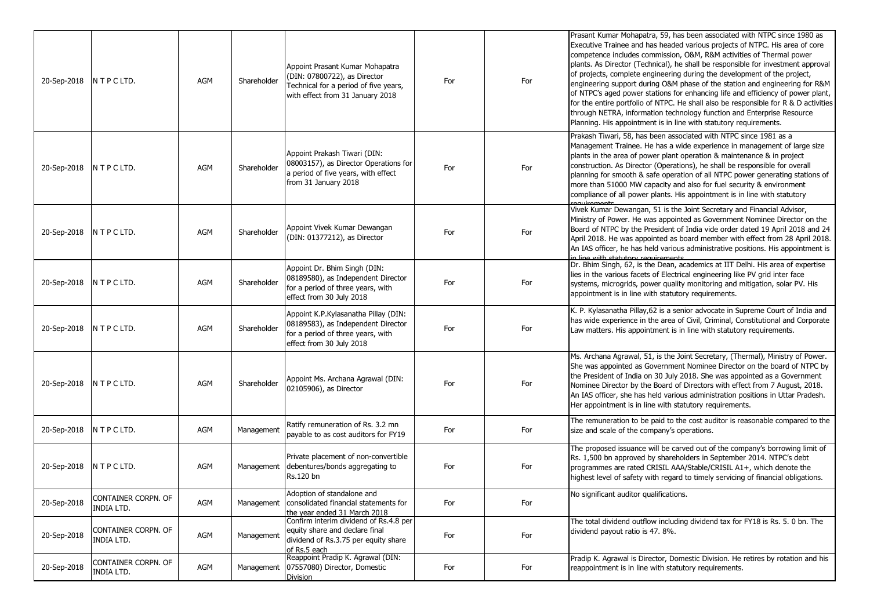| 20-Sep-2018 | NTPCLTD.                                 | <b>AGM</b> | Shareholder | Appoint Prasant Kumar Mohapatra<br>(DIN: 07800722), as Director<br>Technical for a period of five years,<br>with effect from 31 January 2018 | For | For | Prasant Kumar Mohapatra, 59, has been associated with NTPC since 1980 as<br>Executive Trainee and has headed various projects of NTPC. His area of core<br>competence includes commission, O&M, R&M activities of Thermal power<br>plants. As Director (Technical), he shall be responsible for investment approval<br>of projects, complete engineering during the development of the project,<br>engineering support during O&M phase of the station and engineering for R&M<br>of NTPC's aged power stations for enhancing life and efficiency of power plant,<br>for the entire portfolio of NTPC. He shall also be responsible for R & D activities<br>through NETRA, information technology function and Enterprise Resource<br>Planning. His appointment is in line with statutory requirements. |
|-------------|------------------------------------------|------------|-------------|----------------------------------------------------------------------------------------------------------------------------------------------|-----|-----|---------------------------------------------------------------------------------------------------------------------------------------------------------------------------------------------------------------------------------------------------------------------------------------------------------------------------------------------------------------------------------------------------------------------------------------------------------------------------------------------------------------------------------------------------------------------------------------------------------------------------------------------------------------------------------------------------------------------------------------------------------------------------------------------------------|
| 20-Sep-2018 | N T P C LTD.                             | AGM        | Shareholder | Appoint Prakash Tiwari (DIN:<br>08003157), as Director Operations for<br>a period of five years, with effect<br>from 31 January 2018         | For | For | Prakash Tiwari, 58, has been associated with NTPC since 1981 as a<br>Management Trainee. He has a wide experience in management of large size<br>plants in the area of power plant operation & maintenance & in project<br>construction. As Director (Operations), he shall be responsible for overall<br>planning for smooth & safe operation of all NTPC power generating stations of<br>more than 51000 MW capacity and also for fuel security & environment<br>compliance of all power plants. His appointment is in line with statutory                                                                                                                                                                                                                                                            |
| 20-Sep-2018 | NTPCLTD.                                 | AGM        | Shareholder | Appoint Vivek Kumar Dewangan<br>(DIN: 01377212), as Director                                                                                 | For | For | Vivek Kumar Dewangan, 51 is the Joint Secretary and Financial Advisor,<br>Ministry of Power. He was appointed as Government Nominee Director on the<br>Board of NTPC by the President of India vide order dated 19 April 2018 and 24<br>April 2018. He was appointed as board member with effect from 28 April 2018.<br>An IAS officer, he has held various administrative positions. His appointment is<br>in line with statutory requirements                                                                                                                                                                                                                                                                                                                                                         |
| 20-Sep-2018 | N T P C LTD.                             | <b>AGM</b> | Shareholder | Appoint Dr. Bhim Singh (DIN:<br>08189580), as Independent Director<br>for a period of three years, with<br>effect from 30 July 2018          | For | For | Dr. Bhim Singh, 62, is the Dean, academics at IIT Delhi. His area of expertise<br>lies in the various facets of Electrical engineering like PV grid inter face<br>systems, microgrids, power quality monitoring and mitigation, solar PV. His<br>appointment is in line with statutory requirements.                                                                                                                                                                                                                                                                                                                                                                                                                                                                                                    |
| 20-Sep-2018 | NTPCLTD.                                 | <b>AGM</b> | Shareholder | Appoint K.P.Kylasanatha Pillay (DIN:<br>08189583), as Independent Director<br>for a period of three years, with<br>effect from 30 July 2018  | For | For | K. P. Kylasanatha Pillay, 62 is a senior advocate in Supreme Court of India and<br>has wide experience in the area of Civil, Criminal, Constitutional and Corporate<br>Law matters. His appointment is in line with statutory requirements.                                                                                                                                                                                                                                                                                                                                                                                                                                                                                                                                                             |
| 20-Sep-2018 | N T P C LTD.                             | AGM        | Shareholder | Appoint Ms. Archana Agrawal (DIN:<br>02105906), as Director                                                                                  | For | For | Ms. Archana Agrawal, 51, is the Joint Secretary, (Thermal), Ministry of Power.<br>She was appointed as Government Nominee Director on the board of NTPC by<br>the President of India on 30 July 2018. She was appointed as a Government<br>Nominee Director by the Board of Directors with effect from 7 August, 2018.<br>An IAS officer, she has held various administration positions in Uttar Pradesh.<br>Her appointment is in line with statutory requirements.                                                                                                                                                                                                                                                                                                                                    |
| 20-Sep-2018 | N T P C LTD.                             | AGM        | Management  | Ratify remuneration of Rs. 3.2 mn<br>payable to as cost auditors for FY19                                                                    | For | For | The remuneration to be paid to the cost auditor is reasonable compared to the<br>size and scale of the company's operations.                                                                                                                                                                                                                                                                                                                                                                                                                                                                                                                                                                                                                                                                            |
| 20-Sep-2018 | N T P C LTD.                             | AGM        | Management  | Private placement of non-convertible<br>debentures/bonds aggregating to<br>Rs.120 bn                                                         | For | For | The proposed issuance will be carved out of the company's borrowing limit of<br>Rs. 1,500 bn approved by shareholders in September 2014. NTPC's debt<br>programmes are rated CRISIL AAA/Stable/CRISIL A1+, which denote the<br>highest level of safety with regard to timely servicing of financial obligations.                                                                                                                                                                                                                                                                                                                                                                                                                                                                                        |
| 20-Sep-2018 | CONTAINER CORPN. OF<br>INDIA LTD.        | AGM        | Management  | Adoption of standalone and<br>consolidated financial statements for<br>the year ended 31 March 2018                                          | For | For | No significant auditor qualifications.                                                                                                                                                                                                                                                                                                                                                                                                                                                                                                                                                                                                                                                                                                                                                                  |
| 20-Sep-2018 | CONTAINER CORPN. OF<br><b>INDIA LTD.</b> | AGM        | Management  | Confirm interim dividend of Rs.4.8 per<br>equity share and declare final<br>dividend of Rs.3.75 per equity share<br>of Rs.5 each             | For | For | The total dividend outflow including dividend tax for FY18 is Rs. 5. 0 bn. The<br>dividend payout ratio is 47. 8%.                                                                                                                                                                                                                                                                                                                                                                                                                                                                                                                                                                                                                                                                                      |
| 20-Sep-2018 | CONTAINER CORPN. OF<br>INDIA LTD.        | AGM        | Management  | Reappoint Pradip K. Agrawal (DIN:<br>07557080) Director, Domestic<br>Division                                                                | For | For | Pradip K. Agrawal is Director, Domestic Division. He retires by rotation and his<br>reappointment is in line with statutory requirements.                                                                                                                                                                                                                                                                                                                                                                                                                                                                                                                                                                                                                                                               |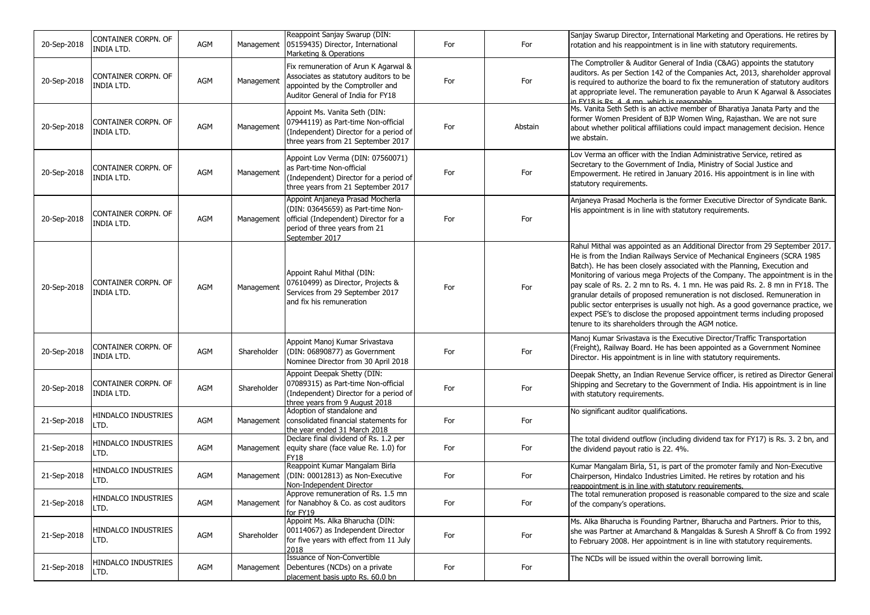| 20-Sep-2018 | CONTAINER CORPN. OF<br>INDIA LTD.        | AGM | Management  | Reappoint Sanjay Swarup (DIN:<br>05159435) Director, International<br>Marketing & Operations                                                                      | For | For     | Sanjay Swarup Director, International Marketing and Operations. He retires by<br>rotation and his reappointment is in line with statutory requirements.                                                                                                                                                                                                                                                                                                                                                                                                                                                                                                                                                       |
|-------------|------------------------------------------|-----|-------------|-------------------------------------------------------------------------------------------------------------------------------------------------------------------|-----|---------|---------------------------------------------------------------------------------------------------------------------------------------------------------------------------------------------------------------------------------------------------------------------------------------------------------------------------------------------------------------------------------------------------------------------------------------------------------------------------------------------------------------------------------------------------------------------------------------------------------------------------------------------------------------------------------------------------------------|
| 20-Sep-2018 | CONTAINER CORPN. OF<br>INDIA LTD.        | AGM | Management  | Fix remuneration of Arun K Agarwal &<br>Associates as statutory auditors to be<br>appointed by the Comptroller and<br>Auditor General of India for FY18           | For | For     | The Comptroller & Auditor General of India (C&AG) appoints the statutory<br>auditors. As per Section 142 of the Companies Act, 2013, shareholder approval<br>is required to authorize the board to fix the remuneration of statutory auditors<br>at appropriate level. The remuneration payable to Arun K Agarwal & Associates<br>in FY18 is Rs 4 4 mn which is reasonable                                                                                                                                                                                                                                                                                                                                    |
| 20-Sep-2018 | CONTAINER CORPN. OF<br><b>INDIA LTD.</b> | AGM | Management  | Appoint Ms. Vanita Seth (DIN:<br>07944119) as Part-time Non-official<br>(Independent) Director for a period of<br>three years from 21 September 2017              | For | Abstain | Ms. Vanita Seth Seth is an active member of Bharatiya Janata Party and the<br>former Women President of BJP Women Wing, Rajasthan. We are not sure<br>about whether political affiliations could impact management decision. Hence<br>we abstain.                                                                                                                                                                                                                                                                                                                                                                                                                                                             |
| 20-Sep-2018 | CONTAINER CORPN. OF<br><b>INDIA LTD.</b> | AGM | Management  | Appoint Lov Verma (DIN: 07560071)<br>as Part-time Non-official<br>(Independent) Director for a period of<br>three years from 21 September 2017                    | For | For     | Lov Verma an officer with the Indian Administrative Service, retired as<br>Secretary to the Government of India, Ministry of Social Justice and<br>Empowerment. He retired in January 2016. His appointment is in line with<br>statutory requirements.                                                                                                                                                                                                                                                                                                                                                                                                                                                        |
| 20-Sep-2018 | CONTAINER CORPN. OF<br>INDIA LTD.        | AGM | Management  | Appoint Anjaneya Prasad Mocherla<br>(DIN: 03645659) as Part-time Non-<br>official (Independent) Director for a<br>period of three years from 21<br>September 2017 | For | For     | Anjaneya Prasad Mocherla is the former Executive Director of Syndicate Bank.<br>His appointment is in line with statutory requirements.                                                                                                                                                                                                                                                                                                                                                                                                                                                                                                                                                                       |
| 20-Sep-2018 | CONTAINER CORPN. OF<br><b>INDIA LTD.</b> | AGM | Management  | Appoint Rahul Mithal (DIN:<br>07610499) as Director, Projects &<br>Services from 29 September 2017<br>and fix his remuneration                                    | For | For     | Rahul Mithal was appointed as an Additional Director from 29 September 2017.<br>He is from the Indian Railways Service of Mechanical Engineers (SCRA 1985<br>Batch). He has been closely associated with the Planning, Execution and<br>Monitoring of various mega Projects of the Company. The appointment is in the<br>pay scale of Rs. 2. 2 mn to Rs. 4. 1 mn. He was paid Rs. 2. 8 mn in FY18. The<br>granular details of proposed remuneration is not disclosed. Remuneration in<br>public sector enterprises is usually not high. As a good governance practice, we<br>expect PSE's to disclose the proposed appointment terms including proposed<br>tenure to its shareholders through the AGM notice. |
| 20-Sep-2018 | CONTAINER CORPN. OF<br>INDIA LTD.        | AGM | Shareholder | Appoint Manoj Kumar Srivastava<br>(DIN: 06890877) as Government<br>Nominee Director from 30 April 2018                                                            | For | For     | Manoj Kumar Srivastava is the Executive Director/Traffic Transportation<br>(Freight), Railway Board. He has been appointed as a Government Nominee<br>Director. His appointment is in line with statutory requirements.                                                                                                                                                                                                                                                                                                                                                                                                                                                                                       |
| 20-Sep-2018 | CONTAINER CORPN. OF<br><b>INDIA LTD.</b> | AGM | Shareholder | Appoint Deepak Shetty (DIN:<br>07089315) as Part-time Non-official<br>(Independent) Director for a period of<br>three years from 9 August 2018                    | For | For     | Deepak Shetty, an Indian Revenue Service officer, is retired as Director General<br>Shipping and Secretary to the Government of India. His appointment is in line<br>with statutory requirements.                                                                                                                                                                                                                                                                                                                                                                                                                                                                                                             |
| 21-Sep-2018 | HINDALCO INDUSTRIES<br>LTD.              | AGM | Management  | Adoption of standalone and<br>consolidated financial statements for<br>the year ended 31 March 2018                                                               | For | For     | No significant auditor qualifications.                                                                                                                                                                                                                                                                                                                                                                                                                                                                                                                                                                                                                                                                        |
| 21-Sep-2018 | HINDALCO INDUSTRIES<br>LTD.              | AGM | Management  | Declare final dividend of Rs. 1.2 per<br>equity share (face value Re. 1.0) for<br>FY18                                                                            | For | For     | The total dividend outflow (including dividend tax for FY17) is Rs. 3. 2 bn, and<br>the dividend payout ratio is 22. 4%.                                                                                                                                                                                                                                                                                                                                                                                                                                                                                                                                                                                      |
| 21-Sep-2018 | HINDALCO INDUSTRIES<br>LTD.              | AGM | Management  | Reappoint Kumar Mangalam Birla<br>(DIN: 00012813) as Non-Executive<br>Non-Independent Director                                                                    | For | For     | Kumar Mangalam Birla, 51, is part of the promoter family and Non-Executive<br>Chairperson, Hindalco Industries Limited. He retires by rotation and his<br>reappointment is in line with statutory requirements.                                                                                                                                                                                                                                                                                                                                                                                                                                                                                               |
| 21-Sep-2018 | HINDALCO INDUSTRIES<br>LTD.              | AGM |             | Approve remuneration of Rs. 1.5 mn<br>Management for Nanabhoy & Co. as cost auditors<br>for FY19                                                                  | For | For     | The total remuneration proposed is reasonable compared to the size and scale<br>of the company's operations.                                                                                                                                                                                                                                                                                                                                                                                                                                                                                                                                                                                                  |
| 21-Sep-2018 | HINDALCO INDUSTRIES<br>LTD.              | AGM | Shareholder | Appoint Ms. Alka Bharucha (DIN:<br>00114067) as Independent Director<br>for five years with effect from 11 July<br>2018                                           | For | For     | Ms. Alka Bharucha is Founding Partner, Bharucha and Partners. Prior to this,<br>she was Partner at Amarchand & Mangaldas & Suresh A Shroff & Co from 1992<br>to February 2008. Her appointment is in line with statutory requirements.                                                                                                                                                                                                                                                                                                                                                                                                                                                                        |
| 21-Sep-2018 | HINDALCO INDUSTRIES<br>LTD.              | AGM | Management  | Issuance of Non-Convertible<br>Debentures (NCDs) on a private<br>placement basis upto Rs. 60.0 bn                                                                 | For | For     | The NCDs will be issued within the overall borrowing limit.                                                                                                                                                                                                                                                                                                                                                                                                                                                                                                                                                                                                                                                   |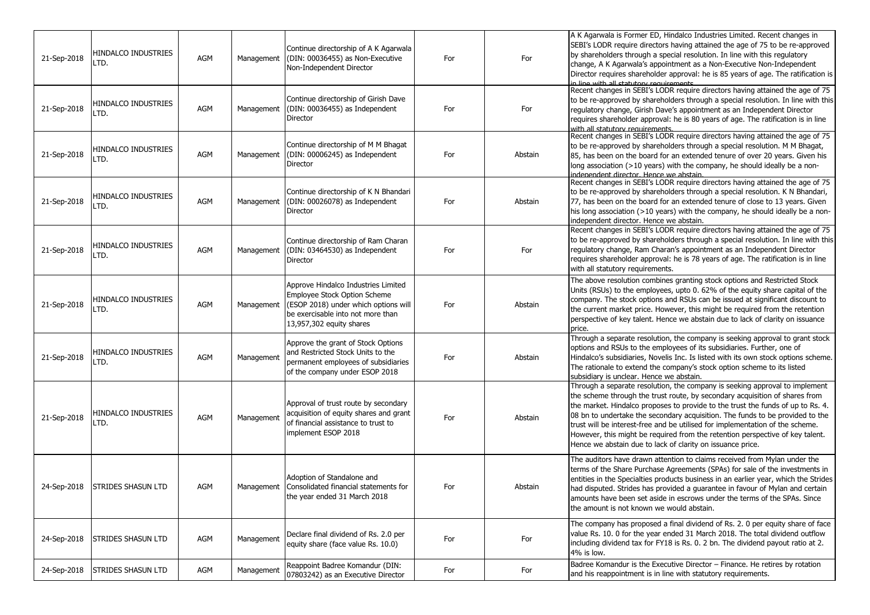| 21-Sep-2018 | <b>HINDALCO INDUSTRIES</b><br>LTD. | AGM        | Management | Continue directorship of A K Agarwala<br>(DIN: 00036455) as Non-Executive<br>Non-Independent Director                                                                        | For | For     | A K Agarwala is Former ED, Hindalco Industries Limited. Recent changes in<br>SEBI's LODR require directors having attained the age of 75 to be re-approved<br>by shareholders through a special resolution. In line with this regulatory<br>change, A K Agarwala's appointment as a Non-Executive Non-Independent<br>Director requires shareholder approval: he is 85 years of age. The ratification is<br>in line with all statutory requirements                                                                                                             |
|-------------|------------------------------------|------------|------------|------------------------------------------------------------------------------------------------------------------------------------------------------------------------------|-----|---------|----------------------------------------------------------------------------------------------------------------------------------------------------------------------------------------------------------------------------------------------------------------------------------------------------------------------------------------------------------------------------------------------------------------------------------------------------------------------------------------------------------------------------------------------------------------|
| 21-Sep-2018 | HINDALCO INDUSTRIES<br>LTD.        | AGM        | Management | Continue directorship of Girish Dave<br>(DIN: 00036455) as Independent<br>Director                                                                                           | For | For     | Recent changes in SEBI's LODR require directors having attained the age of 75<br>to be re-approved by shareholders through a special resolution. In line with this<br>regulatory change, Girish Dave's appointment as an Independent Director<br>requires shareholder approval: he is 80 years of age. The ratification is in line<br>with all statutory requirements                                                                                                                                                                                          |
| 21-Sep-2018 | HINDALCO INDUSTRIES<br>LTD.        | <b>AGM</b> | Management | Continue directorship of M M Bhagat<br>(DIN: 00006245) as Independent<br><b>Director</b>                                                                                     | For | Abstain | Recent changes in SEBI's LODR require directors having attained the age of 75<br>to be re-approved by shareholders through a special resolution. M M Bhagat,<br>85, has been on the board for an extended tenure of over 20 years. Given his<br>long association (>10 years) with the company, he should ideally be a non-<br>indenendent director. Hence we abstain                                                                                                                                                                                           |
| 21-Sep-2018 | HINDALCO INDUSTRIES<br>LTD.        | AGM        | Management | Continue directorship of K N Bhandari<br>(DIN: 00026078) as Independent<br>Director                                                                                          | For | Abstain | Recent changes in SEBI's LODR require directors having attained the age of 75<br>to be re-approved by shareholders through a special resolution. K N Bhandari,<br>77, has been on the board for an extended tenure of close to 13 years. Given<br>his long association (>10 years) with the company, he should ideally be a non-<br>independent director. Hence we abstain.                                                                                                                                                                                    |
| 21-Sep-2018 | <b>HINDALCO INDUSTRIES</b><br>LTD. | <b>AGM</b> | Management | Continue directorship of Ram Charan<br>(DIN: 03464530) as Independent<br><b>Director</b>                                                                                     | For | For     | Recent changes in SEBI's LODR require directors having attained the age of 75<br>to be re-approved by shareholders through a special resolution. In line with this<br>regulatory change, Ram Charan's appointment as an Independent Director<br>requires shareholder approval: he is 78 years of age. The ratification is in line<br>with all statutory requirements.                                                                                                                                                                                          |
| 21-Sep-2018 | HINDALCO INDUSTRIES<br>LTD.        | AGM        | Management | Approve Hindalco Industries Limited<br>Employee Stock Option Scheme<br>(ESOP 2018) under which options will<br>be exercisable into not more than<br>13,957,302 equity shares | For | Abstain | The above resolution combines granting stock options and Restricted Stock<br>Units (RSUs) to the employees, upto 0. 62% of the equity share capital of the<br>company. The stock options and RSUs can be issued at significant discount to<br>the current market price. However, this might be required from the retention<br>perspective of key talent. Hence we abstain due to lack of clarity on issuance<br>price.                                                                                                                                         |
| 21-Sep-2018 | <b>HINDALCO INDUSTRIES</b><br>LTD. | <b>AGM</b> | Management | Approve the grant of Stock Options<br>and Restricted Stock Units to the<br>permanent employees of subsidiaries<br>of the company under ESOP 2018                             | For | Abstain | Through a separate resolution, the company is seeking approval to grant stock<br>options and RSUs to the employees of its subsidiaries. Further, one of<br>Hindalco's subsidiaries, Novelis Inc. Is listed with its own stock options scheme.<br>The rationale to extend the company's stock option scheme to its listed<br>subsidiary is unclear. Hence we abstain.                                                                                                                                                                                           |
| 21-Sep-2018 | HINDALCO INDUSTRIES<br>LTD.        | AGM        | Management | Approval of trust route by secondary<br>acquisition of equity shares and grant<br>of financial assistance to trust to<br>implement ESOP 2018                                 | For | Abstain | Through a separate resolution, the company is seeking approval to implement<br>the scheme through the trust route, by secondary acquisition of shares from<br>the market. Hindalco proposes to provide to the trust the funds of up to Rs. 4.<br>08 bn to undertake the secondary acquisition. The funds to be provided to the<br>trust will be interest-free and be utilised for implementation of the scheme.<br>However, this might be required from the retention perspective of key talent.<br>Hence we abstain due to lack of clarity on issuance price. |
| 24-Sep-2018 | <b>STRIDES SHASUN LTD</b>          | AGM        |            | Adoption of Standalone and<br>Management Consolidated financial statements for<br>the year ended 31 March 2018                                                               | For | Abstain | The auditors have drawn attention to claims received from Mylan under the<br>terms of the Share Purchase Agreements (SPAs) for sale of the investments in<br>entities in the Specialties products business in an earlier year, which the Strides<br>had disputed. Strides has provided a quarantee in favour of Mylan and certain<br>amounts have been set aside in escrows under the terms of the SPAs. Since<br>the amount is not known we would abstain.                                                                                                    |
| 24-Sep-2018 | <b>STRIDES SHASUN LTD</b>          | AGM        | Management | Declare final dividend of Rs. 2.0 per<br>equity share (face value Rs. 10.0)                                                                                                  | For | For     | The company has proposed a final dividend of Rs. 2. 0 per equity share of face<br>value Rs. 10. 0 for the year ended 31 March 2018. The total dividend outflow<br>including dividend tax for FY18 is Rs. 0. 2 bn. The dividend payout ratio at 2.<br>4% is low.                                                                                                                                                                                                                                                                                                |
| 24-Sep-2018 | <b>STRIDES SHASUN LTD</b>          | AGM        | Management | Reappoint Badree Komandur (DIN:<br>07803242) as an Executive Director                                                                                                        | For | For     | Badree Komandur is the Executive Director - Finance. He retires by rotation<br>and his reappointment is in line with statutory requirements.                                                                                                                                                                                                                                                                                                                                                                                                                   |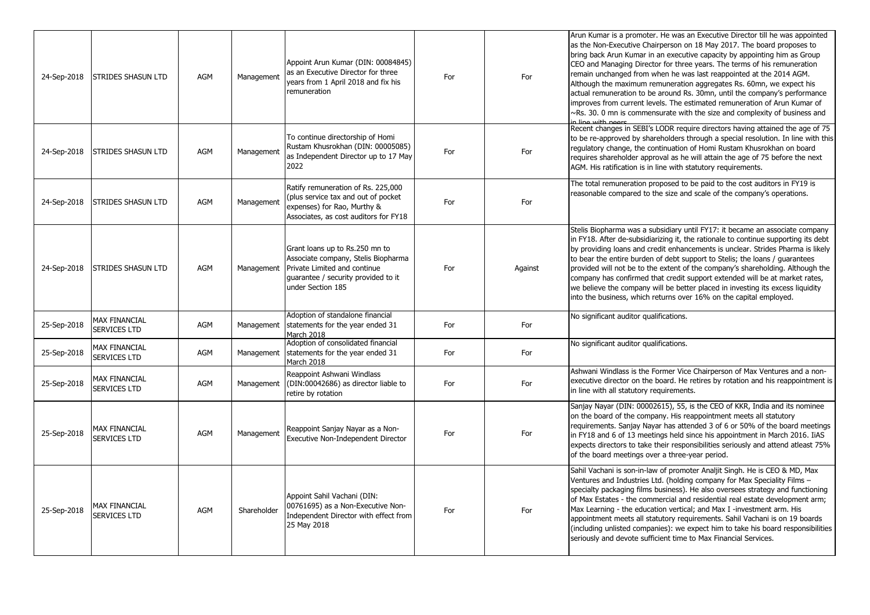| 24-Sep-2018 | <b>STRIDES SHASUN LTD</b>                   | <b>AGM</b> | Management  | Appoint Arun Kumar (DIN: 00084845)<br>as an Executive Director for three<br>years from 1 April 2018 and fix his<br>remuneration                                   | For | For     | Arun Kumar is a promoter. He was an Executive Director till he was appointed<br>as the Non-Executive Chairperson on 18 May 2017. The board proposes to<br>bring back Arun Kumar in an executive capacity by appointing him as Group<br>CEO and Managing Director for three years. The terms of his remuneration<br>remain unchanged from when he was last reappointed at the 2014 AGM.<br>Although the maximum remuneration aggregates Rs. 60mn, we expect his<br>actual remuneration to be around Rs. 30mn, until the company's performance<br>improves from current levels. The estimated remuneration of Arun Kumar of<br>$\sim$ Rs. 30. 0 mn is commensurate with the size and complexity of business and |
|-------------|---------------------------------------------|------------|-------------|-------------------------------------------------------------------------------------------------------------------------------------------------------------------|-----|---------|---------------------------------------------------------------------------------------------------------------------------------------------------------------------------------------------------------------------------------------------------------------------------------------------------------------------------------------------------------------------------------------------------------------------------------------------------------------------------------------------------------------------------------------------------------------------------------------------------------------------------------------------------------------------------------------------------------------|
| 24-Sep-2018 | <b>STRIDES SHASUN LTD</b>                   | <b>AGM</b> | Management  | To continue directorship of Homi<br>Rustam Khusrokhan (DIN: 00005085)<br>as Independent Director up to 17 May<br>2022                                             | For | For     | Recent changes in SEBI's LODR require directors having attained the age of 75<br>to be re-approved by shareholders through a special resolution. In line with this<br>regulatory change, the continuation of Homi Rustam Khusrokhan on board<br>requires shareholder approval as he will attain the age of 75 before the next<br>AGM. His ratification is in line with statutory requirements.                                                                                                                                                                                                                                                                                                                |
| 24-Sep-2018 | <b>STRIDES SHASUN LTD</b>                   | <b>AGM</b> | Management  | Ratify remuneration of Rs. 225,000<br>(plus service tax and out of pocket<br>expenses) for Rao, Murthy &<br>Associates, as cost auditors for FY18                 | For | For     | The total remuneration proposed to be paid to the cost auditors in FY19 is<br>reasonable compared to the size and scale of the company's operations.                                                                                                                                                                                                                                                                                                                                                                                                                                                                                                                                                          |
| 24-Sep-2018 | <b>STRIDES SHASUN LTD</b>                   | AGM        | Management  | Grant loans up to Rs.250 mn to<br>Associate company, Stelis Biopharma<br>Private Limited and continue<br>guarantee / security provided to it<br>under Section 185 | For | Against | Stelis Biopharma was a subsidiary until FY17: it became an associate company<br>in FY18. After de-subsidiarizing it, the rationale to continue supporting its debt<br>by providing loans and credit enhancements is unclear. Strides Pharma is likely<br>to bear the entire burden of debt support to Stelis; the loans / guarantees<br>provided will not be to the extent of the company's shareholding. Although the<br>company has confirmed that credit support extended will be at market rates,<br>we believe the company will be better placed in investing its excess liquidity<br>into the business, which returns over 16% on the capital employed.                                                 |
| 25-Sep-2018 | MAX FINANCIAL<br><b>SERVICES LTD</b>        | <b>AGM</b> | Management  | Adoption of standalone financial<br>statements for the year ended 31<br>March 2018                                                                                | For | For     | No significant auditor qualifications.                                                                                                                                                                                                                                                                                                                                                                                                                                                                                                                                                                                                                                                                        |
| 25-Sep-2018 | MAX FINANCIAL<br><b>SERVICES LTD</b>        | <b>AGM</b> | Management  | Adoption of consolidated financial<br>statements for the year ended 31<br>March 2018                                                                              | For | For     | No significant auditor qualifications.                                                                                                                                                                                                                                                                                                                                                                                                                                                                                                                                                                                                                                                                        |
| 25-Sep-2018 | MAX FINANCIAL<br><b>SERVICES LTD</b>        | AGM        | Management  | Reappoint Ashwani Windlass<br>(DIN:00042686) as director liable to<br>retire by rotation                                                                          | For | For     | Ashwani Windlass is the Former Vice Chairperson of Max Ventures and a non-<br>executive director on the board. He retires by rotation and his reappointment is<br>in line with all statutory requirements.                                                                                                                                                                                                                                                                                                                                                                                                                                                                                                    |
| 25-Sep-2018 | MAX FINANCIAL<br><b>SERVICES LTD</b>        | <b>AGM</b> | Management  | Reappoint Sanjay Nayar as a Non-<br>Executive Non-Independent Director                                                                                            | For | For     | Sanjay Nayar (DIN: 00002615), 55, is the CEO of KKR, India and its nominee<br>on the board of the company. His reappointment meets all statutory<br>requirements. Sanjay Nayar has attended 3 of 6 or 50% of the board meetings<br>in FY18 and 6 of 13 meetings held since his appointment in March 2016. IiAS<br>expects directors to take their responsibilities seriously and attend atleast 75%<br>of the board meetings over a three-year period.                                                                                                                                                                                                                                                        |
| 25-Sep-2018 | <b>MAX FINANCIAL</b><br><b>SERVICES LTD</b> | AGM        | Shareholder | Appoint Sahil Vachani (DIN:<br>00761695) as a Non-Executive Non-<br>Independent Director with effect from<br>25 May 2018                                          | For | For     | Sahil Vachani is son-in-law of promoter Analjit Singh. He is CEO & MD, Max<br>Ventures and Industries Ltd. (holding company for Max Speciality Films -<br>specialty packaging films business). He also oversees strategy and functioning<br>of Max Estates - the commercial and residential real estate development arm;<br>Max Learning - the education vertical; and Max I -investment arm. His<br>appointment meets all statutory requirements. Sahil Vachani is on 19 boards<br>(including unlisted companies): we expect him to take his board responsibilities<br>seriously and devote sufficient time to Max Financial Services.                                                                       |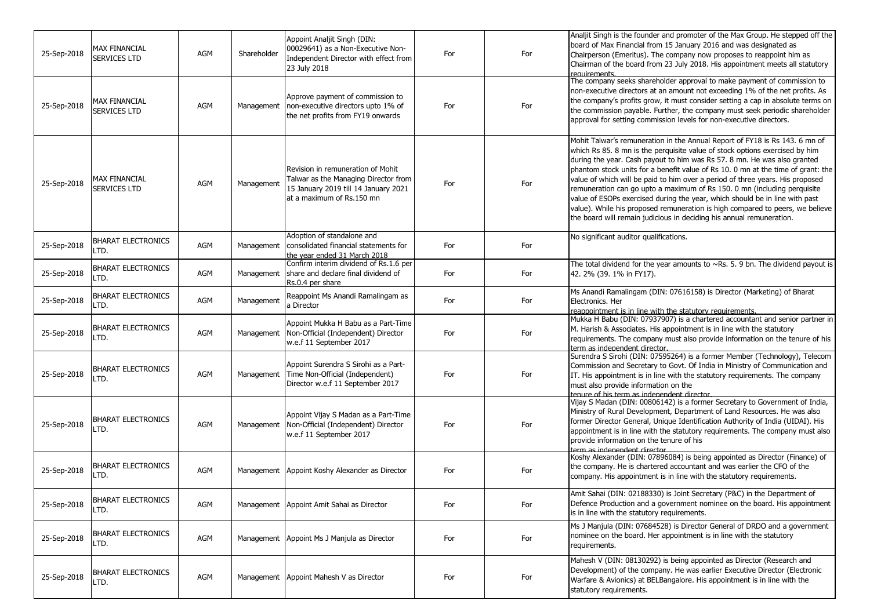| 25-Sep-2018 | <b>MAX FINANCIAL</b><br>SERVICES LTD | AGM        | Shareholder | Appoint Analjit Singh (DIN:<br>00029641) as a Non-Executive Non-<br>Independent Director with effect from<br>23 July 2018                      | For | For | Analjit Singh is the founder and promoter of the Max Group. He stepped off the<br>board of Max Financial from 15 January 2016 and was designated as<br>Chairperson (Emeritus). The company now proposes to reappoint him as<br>Chairman of the board from 23 July 2018. His appointment meets all statutory<br>requirements                                                                                                                                                                                                                                                                                                                                                                                                     |
|-------------|--------------------------------------|------------|-------------|------------------------------------------------------------------------------------------------------------------------------------------------|-----|-----|---------------------------------------------------------------------------------------------------------------------------------------------------------------------------------------------------------------------------------------------------------------------------------------------------------------------------------------------------------------------------------------------------------------------------------------------------------------------------------------------------------------------------------------------------------------------------------------------------------------------------------------------------------------------------------------------------------------------------------|
| 25-Sep-2018 | MAX FINANCIAL<br><b>SERVICES LTD</b> | AGM        | Management  | Approve payment of commission to<br>non-executive directors upto 1% of<br>the net profits from FY19 onwards                                    | For | For | The company seeks shareholder approval to make payment of commission to<br>non-executive directors at an amount not exceeding 1% of the net profits. As<br>the company's profits grow, it must consider setting a cap in absolute terms on<br>the commission payable. Further, the company must seek periodic shareholder<br>approval for setting commission levels for non-executive directors.                                                                                                                                                                                                                                                                                                                                |
| 25-Sep-2018 | <b>MAX FINANCIAL</b><br>SERVICES LTD | AGM        | Management  | Revision in remuneration of Mohit<br>Talwar as the Managing Director from<br>15 January 2019 till 14 January 2021<br>at a maximum of Rs.150 mn | For | For | Mohit Talwar's remuneration in the Annual Report of FY18 is Rs 143. 6 mn of<br>which Rs 85. 8 mn is the perquisite value of stock options exercised by him<br>during the year. Cash payout to him was Rs 57. 8 mn. He was also granted<br>phantom stock units for a benefit value of Rs 10. 0 mn at the time of grant: the<br>value of which will be paid to him over a period of three years. His proposed<br>remuneration can go upto a maximum of Rs 150. 0 mn (including perquisite<br>value of ESOPs exercised during the year, which should be in line with past<br>value). While his proposed remuneration is high compared to peers, we believe<br>the board will remain judicious in deciding his annual remuneration. |
| 25-Sep-2018 | <b>BHARAT ELECTRONICS</b><br>LTD.    | AGM        | Management  | Adoption of standalone and<br>consolidated financial statements for<br>the year ended 31 March 2018                                            | For | For | No significant auditor qualifications.                                                                                                                                                                                                                                                                                                                                                                                                                                                                                                                                                                                                                                                                                          |
| 25-Sep-2018 | <b>BHARAT ELECTRONICS</b><br>LTD.    | <b>AGM</b> | Management  | Confirm interim dividend of Rs.1.6 per<br>share and declare final dividend of<br>Rs.0.4 per share                                              | For | For | The total dividend for the year amounts to $\sim$ Rs. 5. 9 bn. The dividend payout is<br>42. 2% (39. 1% in FY17).                                                                                                                                                                                                                                                                                                                                                                                                                                                                                                                                                                                                               |
| 25-Sep-2018 | <b>BHARAT ELECTRONICS</b><br>LTD.    | <b>AGM</b> | Management  | Reappoint Ms Anandi Ramalingam as<br>a Director                                                                                                | For | For | Ms Anandi Ramalingam (DIN: 07616158) is Director (Marketing) of Bharat<br>Electronics. Her<br>reappointment is in line with the statutory requirements.                                                                                                                                                                                                                                                                                                                                                                                                                                                                                                                                                                         |
| 25-Sep-2018 | <b>BHARAT ELECTRONICS</b><br>LTD.    | <b>AGM</b> | Management  | Appoint Mukka H Babu as a Part-Time<br>Non-Official (Independent) Director<br>w.e.f 11 September 2017                                          | For | For | Mukka H Babu (DIN: 07937907) is a chartered accountant and senior partner in<br>M. Harish & Associates. His appointment is in line with the statutory<br>requirements. The company must also provide information on the tenure of his<br>term as independent director.                                                                                                                                                                                                                                                                                                                                                                                                                                                          |
| 25-Sep-2018 | <b>BHARAT ELECTRONICS</b><br>LTD.    | AGM        | Management  | Appoint Surendra S Sirohi as a Part-<br>Time Non-Official (Independent)<br>Director w.e.f 11 September 2017                                    | For | For | Surendra S Sirohi (DIN: 07595264) is a former Member (Technology), Telecom<br>Commission and Secretary to Govt. Of India in Ministry of Communication and<br>IT. His appointment is in line with the statutory requirements. The company<br>must also provide information on the<br>tenure of his term as indenendent director                                                                                                                                                                                                                                                                                                                                                                                                  |
| 25-Sep-2018 | <b>BHARAT ELECTRONICS</b><br>LTD.    | <b>AGM</b> | Management  | Appoint Vijay S Madan as a Part-Time<br>Non-Official (Independent) Director<br>w.e.f 11 September 2017                                         | For | For | Vijay S Madan (DIN: 00806142) is a former Secretary to Government of India,<br>Ministry of Rural Development, Department of Land Resources. He was also<br>former Director General, Unique Identification Authority of India (UIDAI). His<br>appointment is in line with the statutory requirements. The company must also<br>provide information on the tenure of his<br>term as indenendent director                                                                                                                                                                                                                                                                                                                          |
| 25-Sep-2018 | <b>BHARAT ELECTRONICS</b><br>LTD.    | AGM        |             | Management Appoint Koshy Alexander as Director                                                                                                 | For | For | Koshy Alexander (DIN: 07896084) is being appointed as Director (Finance) of<br>the company. He is chartered accountant and was earlier the CFO of the<br>company. His appointment is in line with the statutory requirements.                                                                                                                                                                                                                                                                                                                                                                                                                                                                                                   |
| 25-Sep-2018 | <b>BHARAT ELECTRONICS</b><br>LTD.    | AGM        |             | Management Appoint Amit Sahai as Director                                                                                                      | For | For | Amit Sahai (DIN: 02188330) is Joint Secretary (P&C) in the Department of<br>Defence Production and a government nominee on the board. His appointment<br>is in line with the statutory requirements.                                                                                                                                                                                                                                                                                                                                                                                                                                                                                                                            |
| 25-Sep-2018 | <b>BHARAT ELECTRONICS</b><br>LTD.    | AGM        |             | Management Appoint Ms J Manjula as Director                                                                                                    | For | For | Ms J Manjula (DIN: 07684528) is Director General of DRDO and a government<br>nominee on the board. Her appointment is in line with the statutory<br>requirements.                                                                                                                                                                                                                                                                                                                                                                                                                                                                                                                                                               |
| 25-Sep-2018 | <b>BHARAT ELECTRONICS</b><br>LTD.    | AGM        |             | Management   Appoint Mahesh V as Director                                                                                                      | For | For | Mahesh V (DIN: 08130292) is being appointed as Director (Research and<br>Development) of the company. He was earlier Executive Director (Electronic<br>Warfare & Avionics) at BELBangalore. His appointment is in line with the<br>statutory requirements.                                                                                                                                                                                                                                                                                                                                                                                                                                                                      |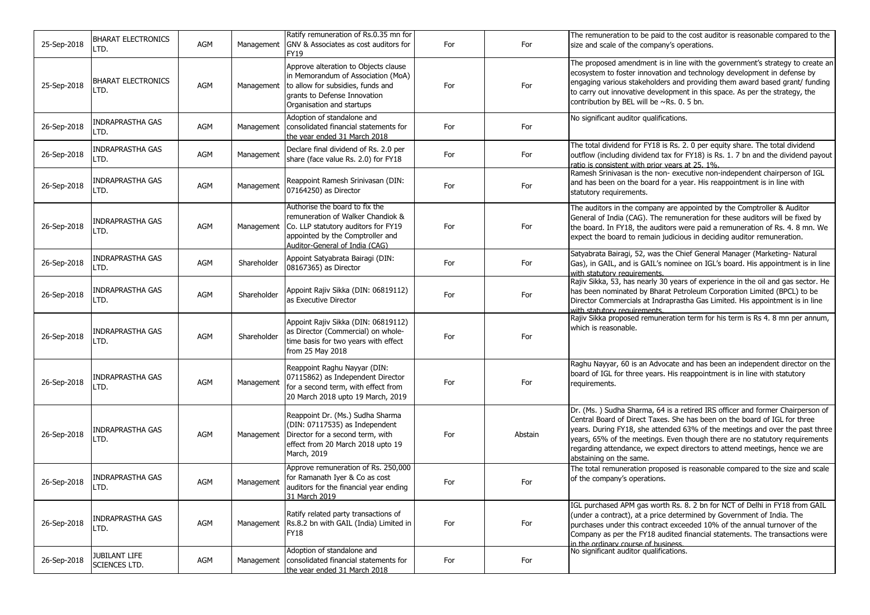| 25-Sep-2018 | <b>BHARAT ELECTRONICS</b><br>LTD.     | AGM | Management  | Ratify remuneration of Rs.0.35 mn for<br>GNV & Associates as cost auditors for<br>FY19                                                                                           | For | For     | The remuneration to be paid to the cost auditor is reasonable compared to the<br>size and scale of the company's operations.                                                                                                                                                                                                                                                                                                       |
|-------------|---------------------------------------|-----|-------------|----------------------------------------------------------------------------------------------------------------------------------------------------------------------------------|-----|---------|------------------------------------------------------------------------------------------------------------------------------------------------------------------------------------------------------------------------------------------------------------------------------------------------------------------------------------------------------------------------------------------------------------------------------------|
| 25-Sep-2018 | <b>BHARAT ELECTRONICS</b><br>LTD.     | AGM | Management  | Approve alteration to Objects clause<br>in Memorandum of Association (MoA)<br>to allow for subsidies, funds and<br>grants to Defense Innovation<br>Organisation and startups     | For | For     | The proposed amendment is in line with the government's strategy to create an<br>ecosystem to foster innovation and technology development in defense by<br>engaging various stakeholders and providing them award based grant/ funding<br>to carry out innovative development in this space. As per the strategy, the<br>contribution by BEL will be ~Rs. 0. 5 bn.                                                                |
| 26-Sep-2018 | INDRAPRASTHA GAS<br>LTD.              | AGM | Management  | Adoption of standalone and<br>consolidated financial statements for<br>the year ended 31 March 2018                                                                              | For | For     | No significant auditor qualifications.                                                                                                                                                                                                                                                                                                                                                                                             |
| 26-Sep-2018 | INDRAPRASTHA GAS<br>LTD.              | AGM | Management  | Declare final dividend of Rs. 2.0 per<br>share (face value Rs. 2.0) for FY18                                                                                                     | For | For     | The total dividend for FY18 is Rs. 2. 0 per equity share. The total dividend<br>outflow (including dividend tax for FY18) is Rs. 1. 7 bn and the dividend payout<br>ratio is consistent with prior years at 25, 1%.                                                                                                                                                                                                                |
| 26-Sep-2018 | INDRAPRASTHA GAS<br>LTD.              | AGM | Management  | Reappoint Ramesh Srinivasan (DIN:<br>07164250) as Director                                                                                                                       | For | For     | Ramesh Srinivasan is the non- executive non-independent chairperson of IGL<br>and has been on the board for a year. His reappointment is in line with<br>statutory requirements.                                                                                                                                                                                                                                                   |
| 26-Sep-2018 | INDRAPRASTHA GAS<br>LTD.              | AGM | Management  | Authorise the board to fix the<br>remuneration of Walker Chandiok &<br>Co. LLP statutory auditors for FY19<br>appointed by the Comptroller and<br>Auditor-General of India (CAG) | For | For     | The auditors in the company are appointed by the Comptroller & Auditor<br>General of India (CAG). The remuneration for these auditors will be fixed by<br>the board. In FY18, the auditors were paid a remuneration of Rs. 4. 8 mn. We<br>expect the board to remain judicious in deciding auditor remuneration.                                                                                                                   |
| 26-Sep-2018 | INDRAPRASTHA GAS<br>LTD.              | AGM | Shareholder | Appoint Satyabrata Bairagi (DIN:<br>08167365) as Director                                                                                                                        | For | For     | Satyabrata Bairagi, 52, was the Chief General Manager (Marketing- Natural<br>Gas), in GAIL, and is GAIL's nominee on IGL's board. His appointment is in line<br>with statutory requirements.                                                                                                                                                                                                                                       |
| 26-Sep-2018 | INDRAPRASTHA GAS<br>LTD.              | AGM | Shareholder | Appoint Rajiv Sikka (DIN: 06819112)<br>as Executive Director                                                                                                                     | For | For     | Rajiv Sikka, 53, has nearly 30 years of experience in the oil and gas sector. He<br>has been nominated by Bharat Petroleum Corporation Limited (BPCL) to be<br>Director Commercials at Indraprastha Gas Limited. His appointment is in line<br>with statutory requirements.                                                                                                                                                        |
| 26-Sep-2018 | INDRAPRASTHA GAS<br>LTD.              | AGM | Shareholder | Appoint Rajiv Sikka (DIN: 06819112)<br>as Director (Commercial) on whole-<br>time basis for two years with effect<br>from 25 May 2018                                            | For | For     | Rajiv Sikka proposed remuneration term for his term is Rs 4. 8 mn per annum,<br>which is reasonable.                                                                                                                                                                                                                                                                                                                               |
| 26-Sep-2018 | INDRAPRASTHA GAS<br>LTD.              | AGM | Management  | Reappoint Raghu Nayyar (DIN:<br>07115862) as Independent Director<br>for a second term, with effect from<br>20 March 2018 upto 19 March, 2019                                    | For | For     | Raghu Nayyar, 60 is an Advocate and has been an independent director on the<br>board of IGL for three years. His reappointment is in line with statutory<br>requirements.                                                                                                                                                                                                                                                          |
| 26-Sep-2018 | INDRAPRASTHA GAS<br>LTD.              | AGM | Management  | Reappoint Dr. (Ms.) Sudha Sharma<br>(DIN: 07117535) as Independent<br>Director for a second term, with<br>effect from 20 March 2018 upto 19<br>March, 2019                       | For | Abstain | Dr. (Ms.) Sudha Sharma, 64 is a retired IRS officer and former Chairperson of<br>Central Board of Direct Taxes. She has been on the board of IGL for three<br>years. During FY18, she attended 63% of the meetings and over the past three<br>years, 65% of the meetings. Even though there are no statutory requirements<br>regarding attendance, we expect directors to attend meetings, hence we are<br>abstaining on the same. |
| 26-Sep-2018 | INDRAPRASTHA GAS<br>LTD.              | AGM | Management  | Approve remuneration of Rs. 250,000<br>for Ramanath Iyer & Co as cost<br>auditors for the financial year ending<br>31 March 2019                                                 | For | For     | The total remuneration proposed is reasonable compared to the size and scale<br>of the company's operations.                                                                                                                                                                                                                                                                                                                       |
| 26-Sep-2018 | INDRAPRASTHA GAS<br>LTD.              | AGM | Management  | Ratify related party transactions of<br>Rs.8.2 bn with GAIL (India) Limited in<br><b>FY18</b>                                                                                    | For | For     | IGL purchased APM gas worth Rs. 8. 2 bn for NCT of Delhi in FY18 from GAIL<br>(under a contract), at a price determined by Government of India. The<br>purchases under this contract exceeded 10% of the annual turnover of the<br>Company as per the FY18 audited financial statements. The transactions were<br>in the ordinary course of business                                                                               |
| 26-Sep-2018 | <b>JUBILANT LIFE</b><br>SCIENCES LTD. | AGM | Management  | Adoption of standalone and<br>consolidated financial statements for<br>the year ended 31 March 2018                                                                              | For | For     | No significant auditor qualifications.                                                                                                                                                                                                                                                                                                                                                                                             |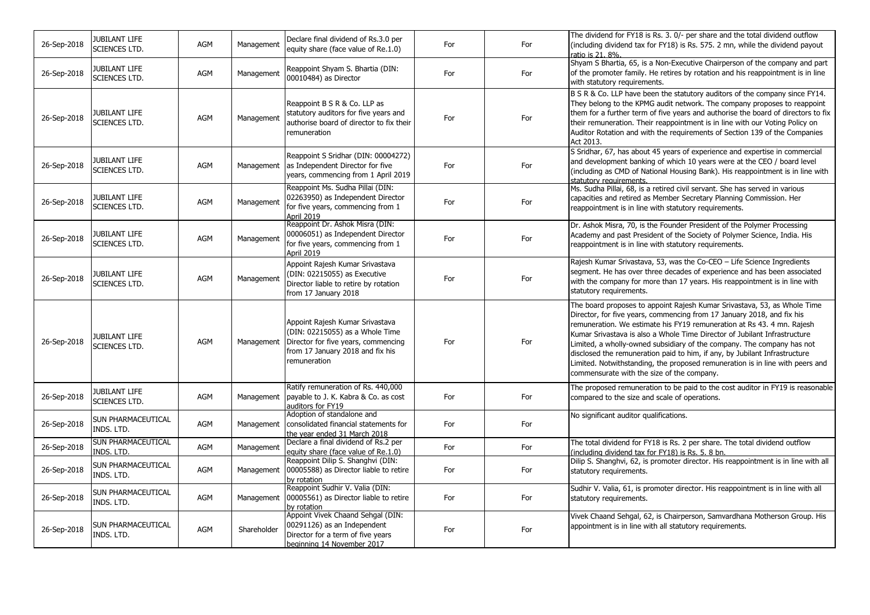| 26-Sep-2018 | JUBILANT LIFE<br><b>SCIENCES LTD.</b>        | AGM        | Management  | Declare final dividend of Rs.3.0 per<br>equity share (face value of Re.1.0)                                                                                   | For | For | The dividend for FY18 is Rs. 3. 0/- per share and the total dividend outflow<br>(including dividend tax for FY18) is Rs. 575. 2 mn, while the dividend payout<br>ratio is 21, 8%.                                                                                                                                                                                                                                                                                                                                                                                                                |
|-------------|----------------------------------------------|------------|-------------|---------------------------------------------------------------------------------------------------------------------------------------------------------------|-----|-----|--------------------------------------------------------------------------------------------------------------------------------------------------------------------------------------------------------------------------------------------------------------------------------------------------------------------------------------------------------------------------------------------------------------------------------------------------------------------------------------------------------------------------------------------------------------------------------------------------|
| 26-Sep-2018 | <b>JUBILANT LIFE</b><br>SCIENCES LTD.        | <b>AGM</b> | Management  | Reappoint Shyam S. Bhartia (DIN:<br>00010484) as Director                                                                                                     | For | For | Shyam S Bhartia, 65, is a Non-Executive Chairperson of the company and part<br>of the promoter family. He retires by rotation and his reappointment is in line<br>with statutory requirements.                                                                                                                                                                                                                                                                                                                                                                                                   |
| 26-Sep-2018 | JUBILANT LIFE<br><b>SCIENCES LTD.</b>        | AGM        | Management  | Reappoint B S R & Co. LLP as<br>statutory auditors for five years and<br>authorise board of director to fix their<br>remuneration                             | For | For | B S R & Co. LLP have been the statutory auditors of the company since FY14.<br>They belong to the KPMG audit network. The company proposes to reappoint<br>them for a further term of five years and authorise the board of directors to fix<br>their remuneration. Their reappointment is in line with our Voting Policy on<br>Auditor Rotation and with the requirements of Section 139 of the Companies<br>Act 2013.                                                                                                                                                                          |
| 26-Sep-2018 | <b>JUBILANT LIFE</b><br><b>SCIENCES LTD.</b> | AGM        | Management  | Reappoint S Sridhar (DIN: 00004272)<br>as Independent Director for five<br>years, commencing from 1 April 2019                                                | For | For | S Sridhar, 67, has about 45 years of experience and expertise in commercial<br>and development banking of which 10 years were at the CEO / board level<br>(including as CMD of National Housing Bank). His reappointment is in line with<br>statutory requirements.                                                                                                                                                                                                                                                                                                                              |
| 26-Sep-2018 | JUBILANT LIFE<br><b>SCIENCES LTD.</b>        | AGM        | Management  | Reappoint Ms. Sudha Pillai (DIN:<br>02263950) as Independent Director<br>for five years, commencing from 1<br><b>April 2019</b>                               | For | For | Ms. Sudha Pillai, 68, is a retired civil servant. She has served in various<br>capacities and retired as Member Secretary Planning Commission. Her<br>reappointment is in line with statutory requirements.                                                                                                                                                                                                                                                                                                                                                                                      |
| 26-Sep-2018 | JUBILANT LIFE<br><b>SCIENCES LTD.</b>        | <b>AGM</b> | Management  | Reappoint Dr. Ashok Misra (DIN:<br>00006051) as Independent Director<br>for five years, commencing from 1<br>April 2019                                       | For | For | Dr. Ashok Misra, 70, is the Founder President of the Polymer Processing<br>Academy and past President of the Society of Polymer Science, India. His<br>reappointment is in line with statutory requirements.                                                                                                                                                                                                                                                                                                                                                                                     |
| 26-Sep-2018 | JUBILANT LIFE<br><b>SCIENCES LTD.</b>        | AGM        | Management  | Appoint Rajesh Kumar Srivastava<br>(DIN: 02215055) as Executive<br>Director liable to retire by rotation<br>from 17 January 2018                              | For | For | Rajesh Kumar Srivastava, 53, was the Co-CEO - Life Science Ingredients<br>segment. He has over three decades of experience and has been associated<br>with the company for more than 17 years. His reappointment is in line with<br>statutory requirements.                                                                                                                                                                                                                                                                                                                                      |
| 26-Sep-2018 | <b>JUBILANT LIFE</b><br><b>SCIENCES LTD.</b> | AGM        | Management  | Appoint Rajesh Kumar Srivastava<br>(DIN: 02215055) as a Whole Time<br>Director for five years, commencing<br>from 17 January 2018 and fix his<br>remuneration | For | For | The board proposes to appoint Rajesh Kumar Srivastava, 53, as Whole Time<br>Director, for five years, commencing from 17 January 2018, and fix his<br>remuneration. We estimate his FY19 remuneration at Rs 43. 4 mn. Rajesh<br>Kumar Srivastava is also a Whole Time Director of Jubilant Infrastructure<br>Limited, a wholly-owned subsidiary of the company. The company has not<br>disclosed the remuneration paid to him, if any, by Jubilant Infrastructure<br>Limited. Notwithstanding, the proposed remuneration is in line with peers and<br>commensurate with the size of the company. |
| 26-Sep-2018 | JUBILANT LIFE<br>SCIENCES LTD.               | AGM        |             | Ratify remuneration of Rs. 440,000<br>Management payable to J. K. Kabra & Co. as cost<br>auditors for FY19                                                    | For | For | The proposed remuneration to be paid to the cost auditor in FY19 is reasonable<br>compared to the size and scale of operations.                                                                                                                                                                                                                                                                                                                                                                                                                                                                  |
| 26-Sep-2018 | SUN PHARMACEUTICAL<br>INDS. LTD.             | <b>AGM</b> | Management  | Adoption of standalone and<br>consolidated financial statements for<br>the year ended 31 March 2018                                                           | For | For | No significant auditor qualifications.                                                                                                                                                                                                                                                                                                                                                                                                                                                                                                                                                           |
| 26-Sep-2018 | SUN PHARMACEUTICAL<br>INDS. LTD.             | <b>AGM</b> | Management  | Declare a final dividend of Rs.2 per<br>equity share (face value of Re.1.0)                                                                                   | For | For | The total dividend for FY18 is Rs. 2 per share. The total dividend outflow<br>(including dividend tax for FY18) is Rs. 5. 8 bn.                                                                                                                                                                                                                                                                                                                                                                                                                                                                  |
| 26-Sep-2018 | SUN PHARMACEUTICAL<br>INDS. LTD.             | AGM        | Management  | Reappoint Dilip S. Shanghvi (DIN:<br>00005588) as Director liable to retire<br>by rotation                                                                    | For | For | Dilip S. Shanghvi, 62, is promoter director. His reappointment is in line with all<br>statutory requirements.                                                                                                                                                                                                                                                                                                                                                                                                                                                                                    |
| 26-Sep-2018 | SUN PHARMACEUTICAL<br>INDS. LTD.             | <b>AGM</b> | Management  | Reappoint Sudhir V. Valia (DIN:<br>00005561) as Director liable to retire<br>by rotation                                                                      | For | For | Sudhir V. Valia, 61, is promoter director. His reappointment is in line with all<br>statutory requirements.                                                                                                                                                                                                                                                                                                                                                                                                                                                                                      |
| 26-Sep-2018 | SUN PHARMACEUTICAL<br>INDS. LTD.             | AGM        | Shareholder | Appoint Vivek Chaand Sehgal (DIN:<br>00291126) as an Independent<br>Director for a term of five years<br>beginning 14 November 2017                           | For | For | Vivek Chaand Sehgal, 62, is Chairperson, Samvardhana Motherson Group. His<br>appointment is in line with all statutory requirements.                                                                                                                                                                                                                                                                                                                                                                                                                                                             |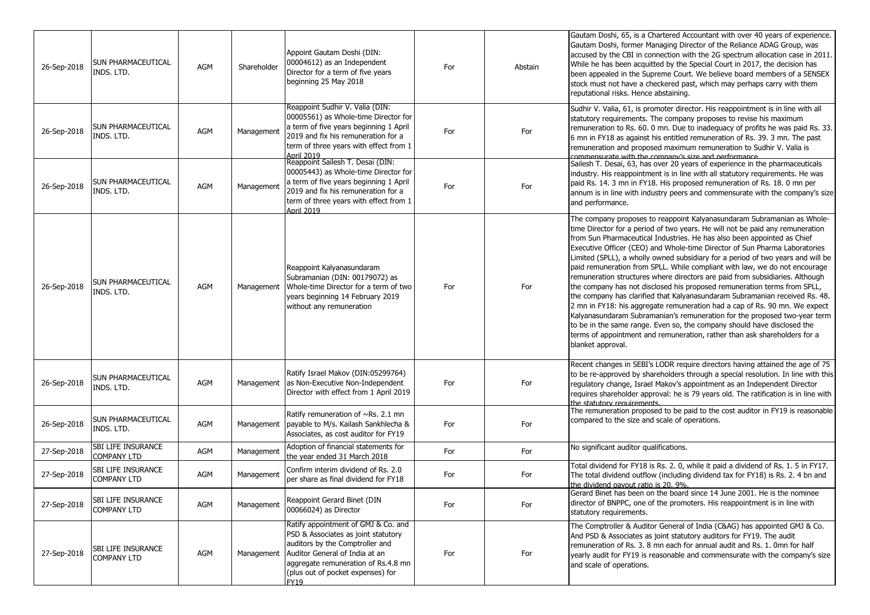| 26-Sep-2018 | SUN PHARMACEUTICAL<br>INDS. LTD.                | <b>AGM</b> | Shareholder | Appoint Gautam Doshi (DIN:<br>00004612) as an Independent<br>Director for a term of five years<br>beginning 25 May 2018                                                                                                                    | For | Abstain | Gautam Doshi, 65, is a Chartered Accountant with over 40 years of experience.<br>Gautam Doshi, former Managing Director of the Reliance ADAG Group, was<br>accused by the CBI in connection with the 2G spectrum allocation case in 2011.<br>While he has been acquitted by the Special Court in 2017, the decision has<br>been appealed in the Supreme Court. We believe board members of a SENSEX<br>stock must not have a checkered past, which may perhaps carry with them<br>reputational risks. Hence abstaining.                                                                                                                                                                                                                                                                                                                                                                                                                                                                                                                                               |
|-------------|-------------------------------------------------|------------|-------------|--------------------------------------------------------------------------------------------------------------------------------------------------------------------------------------------------------------------------------------------|-----|---------|-----------------------------------------------------------------------------------------------------------------------------------------------------------------------------------------------------------------------------------------------------------------------------------------------------------------------------------------------------------------------------------------------------------------------------------------------------------------------------------------------------------------------------------------------------------------------------------------------------------------------------------------------------------------------------------------------------------------------------------------------------------------------------------------------------------------------------------------------------------------------------------------------------------------------------------------------------------------------------------------------------------------------------------------------------------------------|
| 26-Sep-2018 | SUN PHARMACEUTICAL<br>INDS. LTD.                | AGM        | Management  | Reappoint Sudhir V. Valia (DIN:<br>00005561) as Whole-time Director for<br>a term of five years beginning 1 April<br>2019 and fix his remuneration for a<br>term of three years with effect from 1<br>April 2019                           | For | For     | Sudhir V. Valia, 61, is promoter director. His reappointment is in line with all<br>statutory requirements. The company proposes to revise his maximum<br>remuneration to Rs. 60. 0 mn. Due to inadequacy of profits he was paid Rs. 33.<br>6 mn in FY18 as against his entitled remuneration of Rs. 39. 3 mn. The past<br>remuneration and proposed maximum remuneration to Sudhir V. Valia is<br>commensurate with the company's size and performance                                                                                                                                                                                                                                                                                                                                                                                                                                                                                                                                                                                                               |
| 26-Sep-2018 | SUN PHARMACEUTICAL<br>INDS. LTD.                | AGM        | Management  | Reappoint Sailesh T. Desai (DIN:<br>00005443) as Whole-time Director for<br>a term of five years beginning 1 April<br>2019 and fix his remuneration for a<br>term of three years with effect from 1<br>April 2019                          | For | For     | Sailesh T. Desai, 63, has over 20 years of experience in the pharmaceuticals<br>industry. His reappointment is in line with all statutory requirements. He was<br>paid Rs. 14. 3 mn in FY18. His proposed remuneration of Rs. 18. 0 mn per<br>annum is in line with industry peers and commensurate with the company's size<br>and performance.                                                                                                                                                                                                                                                                                                                                                                                                                                                                                                                                                                                                                                                                                                                       |
| 26-Sep-2018 | SUN PHARMACEUTICAL<br>INDS. LTD.                | AGM        | Management  | Reappoint Kalyanasundaram<br>Subramanian (DIN: 00179072) as<br>Whole-time Director for a term of two<br>years beginning 14 February 2019<br>without any remuneration                                                                       | For | For     | The company proposes to reappoint Kalyanasundaram Subramanian as Whole-<br>time Director for a period of two years. He will not be paid any remuneration<br>from Sun Pharmaceutical Industries. He has also been appointed as Chief<br>Executive Officer (CEO) and Whole-time Director of Sun Pharma Laboratories<br>Limited (SPLL), a wholly owned subsidiary for a period of two years and will be<br>paid remuneration from SPLL. While compliant with law, we do not encourage<br>remuneration structures where directors are paid from subsidiaries. Although<br>the company has not disclosed his proposed remuneration terms from SPLL,<br>the company has clarified that Kalyanasundaram Subramanian received Rs. 48.<br>2 mn in FY18: his aggregate remuneration had a cap of Rs. 90 mn. We expect<br>Kalyanasundaram Subramanian's remuneration for the proposed two-year term<br>to be in the same range. Even so, the company should have disclosed the<br>terms of appointment and remuneration, rather than ask shareholders for a<br>blanket approval. |
| 26-Sep-2018 | SUN PHARMACEUTICAL<br>INDS. LTD.                | <b>AGM</b> | Management  | Ratify Israel Makov (DIN:05299764)<br>as Non-Executive Non-Independent<br>Director with effect from 1 April 2019                                                                                                                           | For | For     | Recent changes in SEBI's LODR require directors having attained the age of 75<br>to be re-approved by shareholders through a special resolution. In line with this<br>regulatory change, Israel Makov's appointment as an Independent Director<br>requires shareholder approval: he is 79 years old. The ratification is in line with<br>the statutory requirements                                                                                                                                                                                                                                                                                                                                                                                                                                                                                                                                                                                                                                                                                                   |
| 26-Sep-2018 | SUN PHARMACEUTICAL<br>INDS. LTD.                | AGM        | Management  | Ratify remuneration of $\sim$ Rs. 2.1 mn<br>payable to M/s. Kailash Sankhlecha &<br>Associates, as cost auditor for FY19                                                                                                                   | For | For     | The remuneration proposed to be paid to the cost auditor in FY19 is reasonable<br>compared to the size and scale of operations.                                                                                                                                                                                                                                                                                                                                                                                                                                                                                                                                                                                                                                                                                                                                                                                                                                                                                                                                       |
| 27-Sep-2018 | <b>SBI LIFE INSURANCE</b><br><b>COMPANY LTD</b> | AGM        | Management  | Adoption of financial statements for<br>the vear ended 31 March 2018                                                                                                                                                                       | For | For     | No significant auditor qualifications.                                                                                                                                                                                                                                                                                                                                                                                                                                                                                                                                                                                                                                                                                                                                                                                                                                                                                                                                                                                                                                |
| 27-Sep-2018 | SBI LIFE INSURANCE<br><b>COMPANY LTD</b>        | AGM        | Management  | Confirm interim dividend of Rs. 2.0<br>per share as final dividend for FY18                                                                                                                                                                | For | For     | Total dividend for FY18 is Rs. 2. 0, while it paid a dividend of Rs. 1. 5 in FY17.<br>The total dividend outflow (including dividend tax for FY18) is Rs. 2. 4 bn and<br>the dividend payout ratio is 20, 9%.                                                                                                                                                                                                                                                                                                                                                                                                                                                                                                                                                                                                                                                                                                                                                                                                                                                         |
| 27-Sep-2018 | SBI LIFE INSURANCE<br><b>COMPANY LTD</b>        | AGM        | Management  | Reappoint Gerard Binet (DIN<br>00066024) as Director                                                                                                                                                                                       | For | For     | Gerard Binet has been on the board since 14 June 2001. He is the nominee<br>director of BNPPC, one of the promoters. His reappointment is in line with<br>statutory requirements.                                                                                                                                                                                                                                                                                                                                                                                                                                                                                                                                                                                                                                                                                                                                                                                                                                                                                     |
| 27-Sep-2018 | SBI LIFE INSURANCE<br><b>COMPANY LTD</b>        | AGM        | Management  | Ratify appointment of GMJ & Co. and<br>PSD & Associates as joint statutory<br>auditors by the Comptroller and<br>Auditor General of India at an<br>aggregate remuneration of Rs.4.8 mn<br>(plus out of pocket expenses) for<br><b>FY19</b> | For | For     | The Comptroller & Auditor General of India (C&AG) has appointed GMJ & Co.<br>And PSD & Associates as joint statutory auditors for FY19. The audit<br>remuneration of Rs. 3. 8 mn each for annual audit and Rs. 1. 0mn for half<br>yearly audit for FY19 is reasonable and commensurate with the company's size<br>and scale of operations.                                                                                                                                                                                                                                                                                                                                                                                                                                                                                                                                                                                                                                                                                                                            |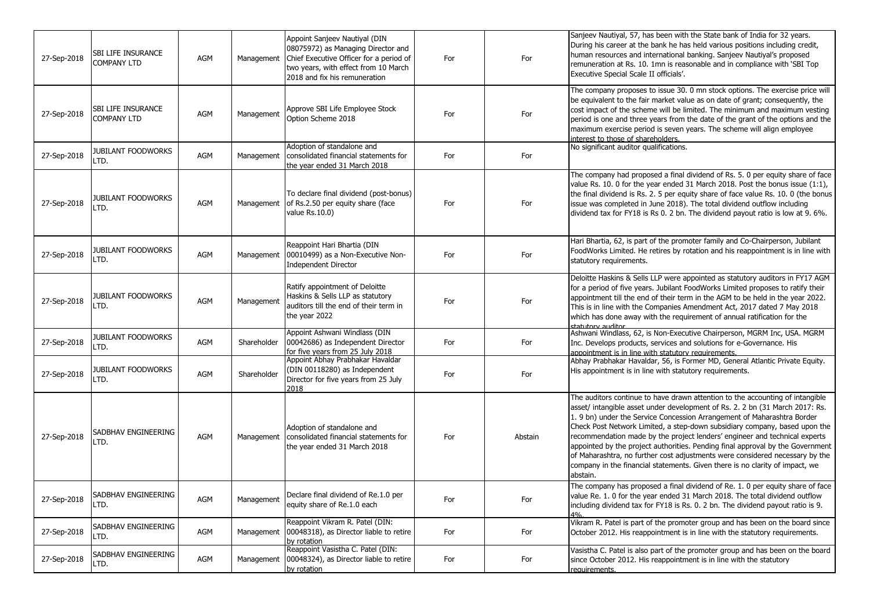| 27-Sep-2018 | SBI LIFE INSURANCE<br><b>COMPANY LTD</b> | AGM | Management  | Appoint Sanjeev Nautiyal (DIN<br>08075972) as Managing Director and<br>Chief Executive Officer for a period of<br>two years, with effect from 10 March<br>2018 and fix his remuneration | For | For     | Sanjeev Nautiyal, 57, has been with the State bank of India for 32 years.<br>During his career at the bank he has held various positions including credit,<br>human resources and international banking. Sanjeev Nautiyal's proposed<br>remuneration at Rs. 10. 1mn is reasonable and in compliance with 'SBI Top<br>Executive Special Scale II officials'.                                                                                                                                                                                                                                                                                                       |
|-------------|------------------------------------------|-----|-------------|-----------------------------------------------------------------------------------------------------------------------------------------------------------------------------------------|-----|---------|-------------------------------------------------------------------------------------------------------------------------------------------------------------------------------------------------------------------------------------------------------------------------------------------------------------------------------------------------------------------------------------------------------------------------------------------------------------------------------------------------------------------------------------------------------------------------------------------------------------------------------------------------------------------|
| 27-Sep-2018 | SBI LIFE INSURANCE<br><b>COMPANY LTD</b> | AGM | Management  | Approve SBI Life Employee Stock<br>Option Scheme 2018                                                                                                                                   | For | For     | The company proposes to issue 30. 0 mn stock options. The exercise price will<br>be equivalent to the fair market value as on date of grant; consequently, the<br>cost impact of the scheme will be limited. The minimum and maximum vesting<br>period is one and three years from the date of the grant of the options and the<br>maximum exercise period is seven years. The scheme will align employee<br>interest to those of shareholders.                                                                                                                                                                                                                   |
| 27-Sep-2018 | <b>JUBILANT FOODWORKS</b><br>LTD.        | AGM | Management  | Adoption of standalone and<br>consolidated financial statements for<br>the year ended 31 March 2018                                                                                     | For | For     | No significant auditor qualifications.                                                                                                                                                                                                                                                                                                                                                                                                                                                                                                                                                                                                                            |
| 27-Sep-2018 | JUBILANT FOODWORKS<br>LTD.               | AGM | Management  | To declare final dividend (post-bonus)<br>of Rs.2.50 per equity share (face<br>value Rs.10.0)                                                                                           | For | For     | The company had proposed a final dividend of Rs. 5. 0 per equity share of face<br>value Rs. 10. 0 for the year ended 31 March 2018. Post the bonus issue (1:1),<br>the final dividend is Rs. 2. 5 per equity share of face value Rs. 10. 0 (the bonus<br>issue was completed in June 2018). The total dividend outflow including<br>dividend tax for FY18 is Rs 0. 2 bn. The dividend payout ratio is low at 9. 6%.                                                                                                                                                                                                                                               |
| 27-Sep-2018 | <b>JUBILANT FOODWORKS</b><br>LTD.        | AGM | Management  | Reappoint Hari Bhartia (DIN<br>00010499) as a Non-Executive Non-<br><b>Independent Director</b>                                                                                         | For | For     | Hari Bhartia, 62, is part of the promoter family and Co-Chairperson, Jubilant<br>FoodWorks Limited. He retires by rotation and his reappointment is in line with<br>statutory requirements.                                                                                                                                                                                                                                                                                                                                                                                                                                                                       |
| 27-Sep-2018 | JUBILANT FOODWORKS<br>LTD.               | AGM | Management  | Ratify appointment of Deloitte<br>Haskins & Sells LLP as statutory<br>auditors till the end of their term in<br>the year 2022                                                           | For | For     | Deloitte Haskins & Sells LLP were appointed as statutory auditors in FY17 AGM<br>for a period of five years. Jubilant FoodWorks Limited proposes to ratify their<br>appointment till the end of their term in the AGM to be held in the year 2022.<br>This is in line with the Companies Amendment Act, 2017 dated 7 May 2018<br>which has done away with the requirement of annual ratification for the<br>statutory auditor                                                                                                                                                                                                                                     |
| 27-Sep-2018 | <b>JUBILANT FOODWORKS</b><br>LTD.        | AGM | Shareholder | Appoint Ashwani Windlass (DIN<br>00042686) as Independent Director<br>for five years from 25 July 2018                                                                                  | For | For     | Ashwani Windlass, 62, is Non-Executive Chairperson, MGRM Inc, USA. MGRM<br>Inc. Develops products, services and solutions for e-Governance. His<br>appointment is in line with statutory requirements.                                                                                                                                                                                                                                                                                                                                                                                                                                                            |
| 27-Sep-2018 | JUBILANT FOODWORKS<br>LTD.               | AGM | Shareholder | Appoint Abhay Prabhakar Havaldar<br>(DIN 00118280) as Independent<br>Director for five years from 25 July<br>2018                                                                       | For | For     | Abhay Prabhakar Havaldar, 56, is Former MD, General Atlantic Private Equity.<br>His appointment is in line with statutory requirements.                                                                                                                                                                                                                                                                                                                                                                                                                                                                                                                           |
| 27-Sep-2018 | SADBHAV ENGINEERING<br>LTD.              | AGM | Management  | Adoption of standalone and<br>consolidated financial statements for<br>the year ended 31 March 2018                                                                                     | For | Abstain | The auditors continue to have drawn attention to the accounting of intangible<br>asset/ intangible asset under development of Rs. 2. 2 bn (31 March 2017: Rs.<br>1.9 bn) under the Service Concession Arrangement of Maharashtra Border<br>Check Post Network Limited, a step-down subsidiary company, based upon the<br>recommendation made by the project lenders' engineer and technical experts<br>appointed by the project authorities. Pending final approval by the Government<br>of Maharashtra, no further cost adjustments were considered necessary by the<br>company in the financial statements. Given there is no clarity of impact, we<br>abstain. |
| 27-Sep-2018 | SADBHAV ENGINEERING<br>LTD.              | AGM | Management  | Declare final dividend of Re.1.0 per<br>equity share of Re.1.0 each                                                                                                                     | For | For     | The company has proposed a final dividend of Re. 1. 0 per equity share of face<br>value Re. 1. 0 for the year ended 31 March 2018. The total dividend outflow<br>including dividend tax for FY18 is Rs. 0. 2 bn. The dividend payout ratio is 9.<br>4%                                                                                                                                                                                                                                                                                                                                                                                                            |
| 27-Sep-2018 | SADBHAV ENGINEERING<br>LTD.              | AGM | Management  | Reappoint Vikram R. Patel (DIN:<br>00048318), as Director liable to retire<br>by rotation                                                                                               | For | For     | Vikram R. Patel is part of the promoter group and has been on the board since<br>October 2012. His reappointment is in line with the statutory requirements.                                                                                                                                                                                                                                                                                                                                                                                                                                                                                                      |
| 27-Sep-2018 | SADBHAV ENGINEERING<br>LTD.              | AGM | Management  | Reappoint Vasistha C. Patel (DIN:<br>00048324), as Director liable to retire<br>by rotation                                                                                             | For | For     | Vasistha C. Patel is also part of the promoter group and has been on the board<br>since October 2012. His reappointment is in line with the statutory<br>requirements.                                                                                                                                                                                                                                                                                                                                                                                                                                                                                            |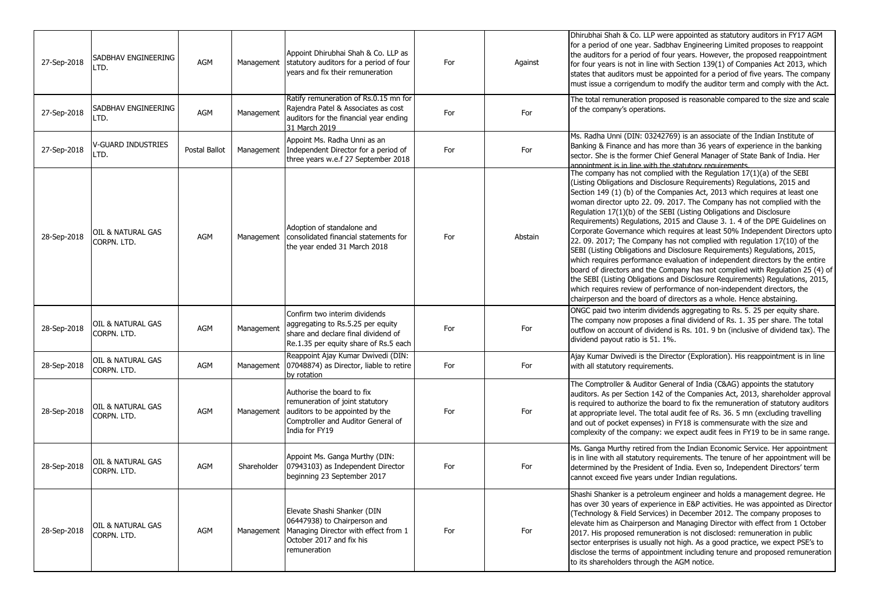| 27-Sep-2018 | SADBHAV ENGINEERING<br>LTD.      | AGM           | Management  | Appoint Dhirubhai Shah & Co. LLP as<br>statutory auditors for a period of four<br>years and fix their remuneration                                       | For | Against | Dhirubhai Shah & Co. LLP were appointed as statutory auditors in FY17 AGM<br>for a period of one year. Sadbhav Engineering Limited proposes to reappoint<br>the auditors for a period of four years. However, the proposed reappointment<br>for four years is not in line with Section 139(1) of Companies Act 2013, which<br>states that auditors must be appointed for a period of five years. The company<br>must issue a corrigendum to modify the auditor term and comply with the Act.                                                                                                                                                                                                                                                                                                                                                                                                                                                                                                                                                                                                               |
|-------------|----------------------------------|---------------|-------------|----------------------------------------------------------------------------------------------------------------------------------------------------------|-----|---------|------------------------------------------------------------------------------------------------------------------------------------------------------------------------------------------------------------------------------------------------------------------------------------------------------------------------------------------------------------------------------------------------------------------------------------------------------------------------------------------------------------------------------------------------------------------------------------------------------------------------------------------------------------------------------------------------------------------------------------------------------------------------------------------------------------------------------------------------------------------------------------------------------------------------------------------------------------------------------------------------------------------------------------------------------------------------------------------------------------|
| 27-Sep-2018 | SADBHAV ENGINEERING<br>LTD.      | AGM           | Management  | Ratify remuneration of Rs.0.15 mn for<br>Rajendra Patel & Associates as cost<br>auditors for the financial year ending<br>31 March 2019                  | For | For     | The total remuneration proposed is reasonable compared to the size and scale<br>of the company's operations.                                                                                                                                                                                                                                                                                                                                                                                                                                                                                                                                                                                                                                                                                                                                                                                                                                                                                                                                                                                               |
| 27-Sep-2018 | V-GUARD INDUSTRIES<br>LTD.       | Postal Ballot | Management  | Appoint Ms. Radha Unni as an<br>Independent Director for a period of<br>three years w.e.f 27 September 2018                                              | For | For     | Ms. Radha Unni (DIN: 03242769) is an associate of the Indian Institute of<br>Banking & Finance and has more than 36 years of experience in the banking<br>sector. She is the former Chief General Manager of State Bank of India. Her<br>appointment is in line with the statutory requirements.                                                                                                                                                                                                                                                                                                                                                                                                                                                                                                                                                                                                                                                                                                                                                                                                           |
| 28-Sep-2018 | OIL & NATURAL GAS<br>CORPN. LTD. | AGM           | Management  | Adoption of standalone and<br>consolidated financial statements for<br>the year ended 31 March 2018                                                      | For | Abstain | The company has not complied with the Regulation 17(1)(a) of the SEBI<br>(Listing Obligations and Disclosure Requirements) Regulations, 2015 and<br>Section 149 (1) (b) of the Companies Act, 2013 which requires at least one<br>woman director upto 22. 09. 2017. The Company has not complied with the<br>Regulation 17(1)(b) of the SEBI (Listing Obligations and Disclosure<br>Requirements) Regulations, 2015 and Clause 3. 1. 4 of the DPE Guidelines on<br>Corporate Governance which requires at least 50% Independent Directors upto<br>22.09. 2017; The Company has not complied with regulation 17(10) of the<br>SEBI (Listing Obligations and Disclosure Requirements) Regulations, 2015,<br>which requires performance evaluation of independent directors by the entire<br>board of directors and the Company has not complied with Regulation 25 (4) of<br>the SEBI (Listing Obligations and Disclosure Requirements) Regulations, 2015,<br>which requires review of performance of non-independent directors, the<br>chairperson and the board of directors as a whole. Hence abstaining. |
| 28-Sep-2018 | OIL & NATURAL GAS<br>CORPN. LTD. | AGM           | Management  | Confirm two interim dividends<br>aggregating to Rs.5.25 per equity<br>share and declare final dividend of<br>Re.1.35 per equity share of Rs.5 each       | For | For     | ONGC paid two interim dividends aggregating to Rs. 5. 25 per equity share.<br>The company now proposes a final dividend of Rs. 1. 35 per share. The total<br>outflow on account of dividend is Rs. 101. 9 bn (inclusive of dividend tax). The<br>dividend payout ratio is 51. 1%.                                                                                                                                                                                                                                                                                                                                                                                                                                                                                                                                                                                                                                                                                                                                                                                                                          |
| 28-Sep-2018 | OIL & NATURAL GAS<br>CORPN. LTD. | AGM           | Management  | Reappoint Ajay Kumar Dwivedi (DIN:<br>07048874) as Director, liable to retire<br>by rotation                                                             | For | For     | Ajay Kumar Dwivedi is the Director (Exploration). His reappointment is in line<br>with all statutory requirements.                                                                                                                                                                                                                                                                                                                                                                                                                                                                                                                                                                                                                                                                                                                                                                                                                                                                                                                                                                                         |
| 28-Sep-2018 | OIL & NATURAL GAS<br>CORPN. LTD. | AGM           | Management  | Authorise the board to fix<br>remuneration of joint statutory<br>auditors to be appointed by the<br>Comptroller and Auditor General of<br>India for FY19 | For | For     | The Comptroller & Auditor General of India (C&AG) appoints the statutory<br>auditors. As per Section 142 of the Companies Act, 2013, shareholder approval<br>is required to authorize the board to fix the remuneration of statutory auditors<br>at appropriate level. The total audit fee of Rs. 36. 5 mn (excluding travelling<br>and out of pocket expenses) in FY18 is commensurate with the size and<br>complexity of the company: we expect audit fees in FY19 to be in same range.                                                                                                                                                                                                                                                                                                                                                                                                                                                                                                                                                                                                                  |
| 28-Sep-2018 | OIL & NATURAL GAS<br>CORPN. LTD. | AGM           | Shareholder | Appoint Ms. Ganga Murthy (DIN:<br>07943103) as Independent Director<br>beginning 23 September 2017                                                       | For | For     | Ms. Ganga Murthy retired from the Indian Economic Service. Her appointment<br>is in line with all statutory requirements. The tenure of her appointment will be<br>determined by the President of India. Even so, Independent Directors' term<br>cannot exceed five years under Indian regulations.                                                                                                                                                                                                                                                                                                                                                                                                                                                                                                                                                                                                                                                                                                                                                                                                        |
| 28-Sep-2018 | OIL & NATURAL GAS<br>CORPN. LTD. | AGM           | Management  | Elevate Shashi Shanker (DIN<br>06447938) to Chairperson and<br>Managing Director with effect from 1<br>October 2017 and fix his<br>remuneration          | For | For     | Shashi Shanker is a petroleum engineer and holds a management degree. He<br>has over 30 years of experience in E&P activities. He was appointed as Director<br>(Technology & Field Services) in December 2012. The company proposes to<br>elevate him as Chairperson and Managing Director with effect from 1 October<br>2017. His proposed remuneration is not disclosed: remuneration in public<br>sector enterprises is usually not high. As a good practice, we expect PSE's to<br>disclose the terms of appointment including tenure and proposed remuneration<br>to its shareholders through the AGM notice.                                                                                                                                                                                                                                                                                                                                                                                                                                                                                         |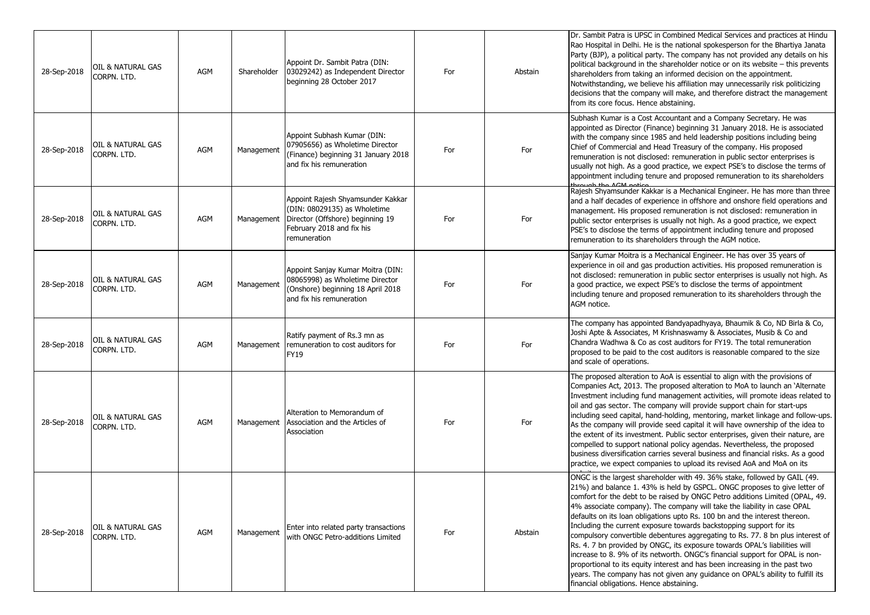| 28-Sep-2018 | OIL & NATURAL GAS<br>CORPN. LTD. | <b>AGM</b> | Shareholder | Appoint Dr. Sambit Patra (DIN:<br>03029242) as Independent Director<br>beginning 28 October 2017                                                   | For | Abstain | Dr. Sambit Patra is UPSC in Combined Medical Services and practices at Hindu<br>Rao Hospital in Delhi. He is the national spokesperson for the Bhartiya Janata<br>Party (BJP), a political party. The company has not provided any details on his<br>political background in the shareholder notice or on its website – this prevents<br>shareholders from taking an informed decision on the appointment.<br>Notwithstanding, we believe his affiliation may unnecessarily risk politicizing<br>decisions that the company will make, and therefore distract the management<br>from its core focus. Hence abstaining.                                                                                                                                                                                                                                                                                                              |
|-------------|----------------------------------|------------|-------------|----------------------------------------------------------------------------------------------------------------------------------------------------|-----|---------|-------------------------------------------------------------------------------------------------------------------------------------------------------------------------------------------------------------------------------------------------------------------------------------------------------------------------------------------------------------------------------------------------------------------------------------------------------------------------------------------------------------------------------------------------------------------------------------------------------------------------------------------------------------------------------------------------------------------------------------------------------------------------------------------------------------------------------------------------------------------------------------------------------------------------------------|
| 28-Sep-2018 | OIL & NATURAL GAS<br>CORPN. LTD. | <b>AGM</b> | Management  | Appoint Subhash Kumar (DIN:<br>07905656) as Wholetime Director<br>(Finance) beginning 31 January 2018<br>and fix his remuneration                  | For | For     | Subhash Kumar is a Cost Accountant and a Company Secretary. He was<br>appointed as Director (Finance) beginning 31 January 2018. He is associated<br>with the company since 1985 and held leadership positions including being<br>Chief of Commercial and Head Treasury of the company. His proposed<br>remuneration is not disclosed: remuneration in public sector enterprises is<br>usually not high. As a good practice, we expect PSE's to disclose the terms of<br>appointment including tenure and proposed remuneration to its shareholders                                                                                                                                                                                                                                                                                                                                                                                 |
| 28-Sep-2018 | OIL & NATURAL GAS<br>CORPN. LTD. | <b>AGM</b> | Management  | Appoint Rajesh Shyamsunder Kakkar<br>(DIN: 08029135) as Wholetime<br>Director (Offshore) beginning 19<br>February 2018 and fix his<br>remuneration | For | For     | Rajesh Shyamsunder Kakkar is a Mechanical Engineer. He has more than three<br>and a half decades of experience in offshore and onshore field operations and<br>management. His proposed remuneration is not disclosed: remuneration in<br>public sector enterprises is usually not high. As a good practice, we expect<br>PSE's to disclose the terms of appointment including tenure and proposed<br>remuneration to its shareholders through the AGM notice.                                                                                                                                                                                                                                                                                                                                                                                                                                                                      |
| 28-Sep-2018 | OIL & NATURAL GAS<br>CORPN. LTD. | <b>AGM</b> | Management  | Appoint Sanjay Kumar Moitra (DIN:<br>08065998) as Wholetime Director<br>(Onshore) beginning 18 April 2018<br>and fix his remuneration              | For | For     | Sanjay Kumar Moitra is a Mechanical Engineer. He has over 35 years of<br>experience in oil and gas production activities. His proposed remuneration is<br>not disclosed: remuneration in public sector enterprises is usually not high. As<br>a good practice, we expect PSE's to disclose the terms of appointment<br>including tenure and proposed remuneration to its shareholders through the<br>AGM notice.                                                                                                                                                                                                                                                                                                                                                                                                                                                                                                                    |
| 28-Sep-2018 | OIL & NATURAL GAS<br>CORPN. LTD. | <b>AGM</b> | Management  | Ratify payment of Rs.3 mn as<br>remuneration to cost auditors for<br><b>FY19</b>                                                                   | For | For     | The company has appointed Bandyapadhyaya, Bhaumik & Co, ND Birla & Co,<br>Joshi Apte & Associates, M Krishnaswamy & Associates, Musib & Co and<br>Chandra Wadhwa & Co as cost auditors for FY19. The total remuneration<br>proposed to be paid to the cost auditors is reasonable compared to the size<br>and scale of operations.                                                                                                                                                                                                                                                                                                                                                                                                                                                                                                                                                                                                  |
| 28-Sep-2018 | OIL & NATURAL GAS<br>CORPN. LTD. | <b>AGM</b> | Management  | Alteration to Memorandum of<br>Association and the Articles of<br>Association                                                                      | For | For     | The proposed alteration to AoA is essential to align with the provisions of<br>Companies Act, 2013. The proposed alteration to MoA to launch an `Alternate<br>Investment including fund management activities, will promote ideas related to<br>oil and gas sector. The company will provide support chain for start-ups<br>including seed capital, hand-holding, mentoring, market linkage and follow-ups.<br>As the company will provide seed capital it will have ownership of the idea to<br>the extent of its investment. Public sector enterprises, given their nature, are<br>compelled to support national policy agendas. Nevertheless, the proposed<br>business diversification carries several business and financial risks. As a good<br>practice, we expect companies to upload its revised AoA and MoA on its                                                                                                         |
| 28-Sep-2018 | OIL & NATURAL GAS<br>CORPN. LTD. | <b>AGM</b> | Management  | Enter into related party transactions<br>with ONGC Petro-additions Limited                                                                         | For | Abstain | ONGC is the largest shareholder with 49. 36% stake, followed by GAIL (49.<br>21%) and balance 1. 43% is held by GSPCL. ONGC proposes to give letter of<br>comfort for the debt to be raised by ONGC Petro additions Limited (OPAL, 49.<br>4% associate company). The company will take the liability in case OPAL<br>defaults on its loan obligations upto Rs. 100 bn and the interest thereon.<br>Including the current exposure towards backstopping support for its<br>compulsory convertible debentures aggregating to Rs. 77. 8 bn plus interest of<br>Rs. 4. 7 bn provided by ONGC, its exposure towards OPAL's liabilities will<br>increase to 8. 9% of its networth. ONGC's financial support for OPAL is non-<br>proportional to its equity interest and has been increasing in the past two<br>years. The company has not given any guidance on OPAL's ability to fulfill its<br>financial obligations. Hence abstaining. |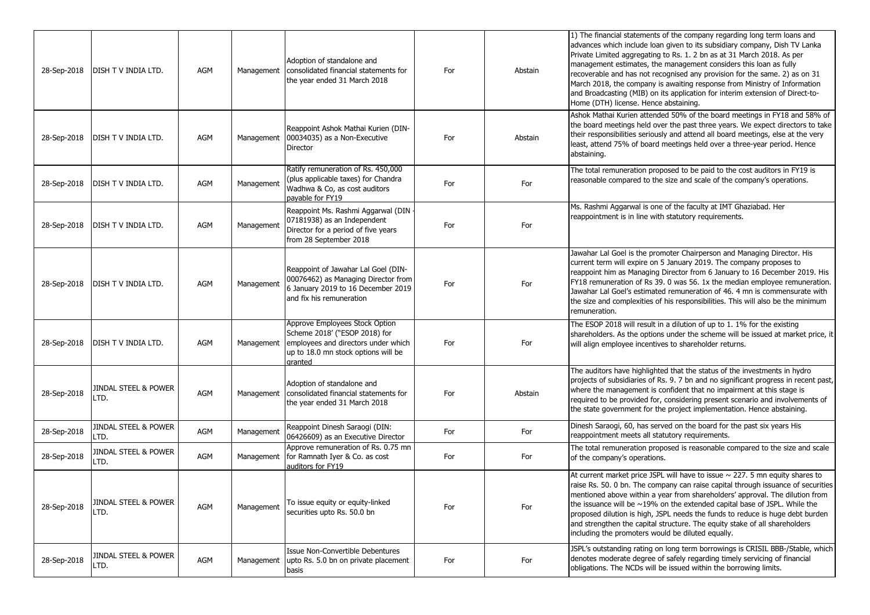| 28-Sep-2018 | <b>DISH T V INDIA LTD.</b>              | AGM        |            | Adoption of standalone and<br>Management   consolidated financial statements for<br>the year ended 31 March 2018                                         | For | Abstain | 1) The financial statements of the company regarding long term loans and<br>advances which include loan given to its subsidiary company, Dish TV Lanka<br>Private Limited aggregating to Rs. 1. 2 bn as at 31 March 2018. As per<br>management estimates, the management considers this loan as fully<br>recoverable and has not recognised any provision for the same. 2) as on 31<br>March 2018, the company is awaiting response from Ministry of Information<br>and Broadcasting (MIB) on its application for interim extension of Direct-to-<br>Home (DTH) license. Hence abstaining. |
|-------------|-----------------------------------------|------------|------------|----------------------------------------------------------------------------------------------------------------------------------------------------------|-----|---------|--------------------------------------------------------------------------------------------------------------------------------------------------------------------------------------------------------------------------------------------------------------------------------------------------------------------------------------------------------------------------------------------------------------------------------------------------------------------------------------------------------------------------------------------------------------------------------------------|
| 28-Sep-2018 | <b>DISH T V INDIA LTD.</b>              | AGM        | Management | Reappoint Ashok Mathai Kurien (DIN-<br>00034035) as a Non-Executive<br><b>Director</b>                                                                   | For | Abstain | Ashok Mathai Kurien attended 50% of the board meetings in FY18 and 58% of<br>the board meetings held over the past three years. We expect directors to take<br>their responsibilities seriously and attend all board meetings, else at the very<br>least, attend 75% of board meetings held over a three-year period. Hence<br>abstaining.                                                                                                                                                                                                                                                 |
| 28-Sep-2018 | <b>DISH T V INDIA LTD.</b>              | AGM        | Management | Ratify remuneration of Rs. 450,000<br>(plus applicable taxes) for Chandra<br>Wadhwa & Co, as cost auditors<br>payable for FY19                           | For | For     | The total remuneration proposed to be paid to the cost auditors in FY19 is<br>reasonable compared to the size and scale of the company's operations.                                                                                                                                                                                                                                                                                                                                                                                                                                       |
| 28-Sep-2018 | <b>DISH T V INDIA LTD.</b>              | <b>AGM</b> | Management | Reappoint Ms. Rashmi Aggarwal (DIN<br>07181938) as an Independent<br>Director for a period of five years<br>from 28 September 2018                       | For | For     | Ms. Rashmi Aggarwal is one of the faculty at IMT Ghaziabad. Her<br>reappointment is in line with statutory requirements.                                                                                                                                                                                                                                                                                                                                                                                                                                                                   |
| 28-Sep-2018 | DISH T V INDIA LTD.                     | AGM        | Management | Reappoint of Jawahar Lal Goel (DIN-<br>00076462) as Managing Director from<br>6 January 2019 to 16 December 2019<br>and fix his remuneration             | For | For     | Jawahar Lal Goel is the promoter Chairperson and Managing Director. His<br>current term will expire on 5 January 2019. The company proposes to<br>reappoint him as Managing Director from 6 January to 16 December 2019. His<br>FY18 remuneration of Rs 39. 0 was 56. 1x the median employee remuneration.<br>Jawahar Lal Goel's estimated remuneration of 46. 4 mn is commensurate with<br>the size and complexities of his responsibilities. This will also be the minimum<br>remuneration.                                                                                              |
| 28-Sep-2018 | <b>DISH T V INDIA LTD.</b>              | AGM        | Management | Approve Employees Stock Option<br>Scheme 2018' ("ESOP 2018) for<br>employees and directors under which<br>up to 18.0 mn stock options will be<br>aranted | For | For     | The ESOP 2018 will result in a dilution of up to 1. 1% for the existing<br>shareholders. As the options under the scheme will be issued at market price, it<br>will align employee incentives to shareholder returns.                                                                                                                                                                                                                                                                                                                                                                      |
| 28-Sep-2018 | JINDAL STEEL & POWER<br>LTD.            | AGM        | Management | Adoption of standalone and<br>consolidated financial statements for<br>the year ended 31 March 2018                                                      | For | Abstain | The auditors have highlighted that the status of the investments in hydro<br>projects of subsidiaries of Rs. 9. 7 bn and no significant progress in recent past,<br>where the management is confident that no impairment at this stage is<br>required to be provided for, considering present scenario and involvements of<br>the state government for the project implementation. Hence abstaining.                                                                                                                                                                                       |
| 28-Sep-2018 | JINDAL STEEL & POWER<br>LTD.            | <b>AGM</b> | Management | Reappoint Dinesh Saraogi (DIN:<br>06426609) as an Executive Director                                                                                     | For | For     | Dinesh Saraogi, 60, has served on the board for the past six years His<br>reappointment meets all statutory requirements.                                                                                                                                                                                                                                                                                                                                                                                                                                                                  |
| 28-Sep-2018 | JINDAL STEEL & POWER<br>LTD.            | AGM        | Management | Approve remuneration of Rs. 0.75 mn<br>for Ramnath Iyer & Co. as cost<br>auditors for FY19                                                               | For | For     | The total remuneration proposed is reasonable compared to the size and scale<br>of the company's operations.                                                                                                                                                                                                                                                                                                                                                                                                                                                                               |
| 28-Sep-2018 | <b>JINDAL STEEL &amp; POWER</b><br>LTD. | AGM        | Management | To issue equity or equity-linked<br>securities upto Rs. 50.0 bn                                                                                          | For | For     | At current market price JSPL will have to issue $\sim$ 227. 5 mn equity shares to<br>raise Rs. 50. 0 bn. The company can raise capital through issuance of securities<br>mentioned above within a year from shareholders' approval. The dilution from<br>the issuance will be $\sim$ 19% on the extended capital base of JSPL. While the<br>proposed dilution is high, JSPL needs the funds to reduce is huge debt burden<br>and strengthen the capital structure. The equity stake of all shareholders<br>including the promoters would be diluted equally.                               |
| 28-Sep-2018 | JINDAL STEEL & POWER<br>LTD.            | AGM        | Management | Issue Non-Convertible Debentures<br>upto Rs. 5.0 bn on private placement<br>basis                                                                        | For | For     | JSPL's outstanding rating on long term borrowings is CRISIL BBB-/Stable, which<br>denotes moderate degree of safely regarding timely servicing of financial<br>obligations. The NCDs will be issued within the borrowing limits.                                                                                                                                                                                                                                                                                                                                                           |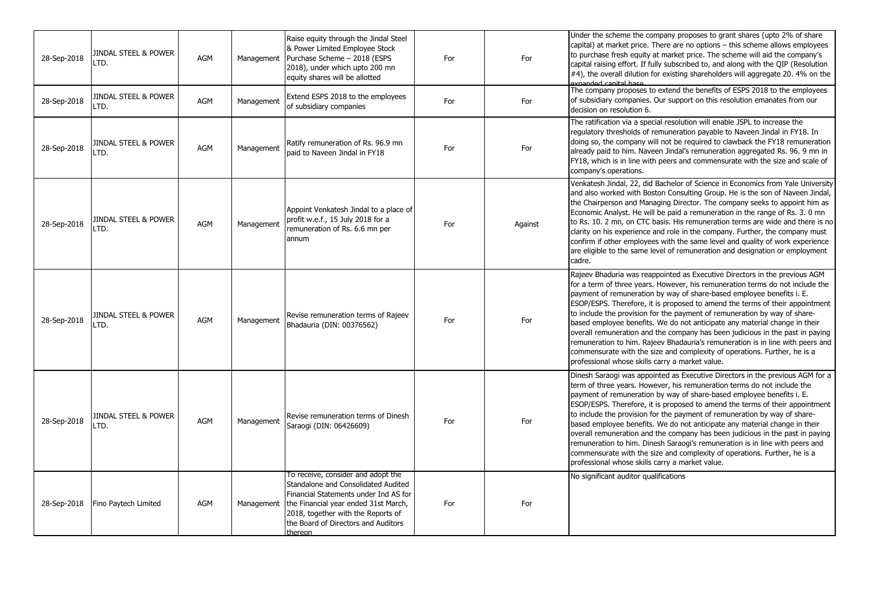| 28-Sep-2018 | <b>JINDAL STEEL &amp; POWER</b><br>LTD. | <b>AGM</b> | Management | Raise equity through the Jindal Steel<br>& Power Limited Employee Stock<br>Purchase Scheme - 2018 (ESPS<br>2018), under which upto 200 mn<br>equity shares will be allotted                                                                        | For | For     | Under the scheme the company proposes to grant shares (upto 2% of share<br>capital) at market price. There are no options - this scheme allows employees<br>to purchase fresh equity at market price. The scheme will aid the company's<br>capital raising effort. If fully subscribed to, and along with the QIP (Resolution<br>#4), the overall dilution for existing shareholders will aggregate 20. 4% on the<br>expanded capital base                                                                                                                                                                                                                                                                                                                                         |
|-------------|-----------------------------------------|------------|------------|----------------------------------------------------------------------------------------------------------------------------------------------------------------------------------------------------------------------------------------------------|-----|---------|------------------------------------------------------------------------------------------------------------------------------------------------------------------------------------------------------------------------------------------------------------------------------------------------------------------------------------------------------------------------------------------------------------------------------------------------------------------------------------------------------------------------------------------------------------------------------------------------------------------------------------------------------------------------------------------------------------------------------------------------------------------------------------|
| 28-Sep-2018 | <b>JINDAL STEEL &amp; POWER</b><br>LTD. | <b>AGM</b> | Management | Extend ESPS 2018 to the employees<br>of subsidiary companies                                                                                                                                                                                       | For | For     | The company proposes to extend the benefits of ESPS 2018 to the employees<br>of subsidiary companies. Our support on this resolution emanates from our<br>decision on resolution 6.                                                                                                                                                                                                                                                                                                                                                                                                                                                                                                                                                                                                |
| 28-Sep-2018 | <b>JINDAL STEEL &amp; POWER</b><br>LTD. | <b>AGM</b> | Management | Ratify remuneration of Rs. 96.9 mn<br>paid to Naveen Jindal in FY18                                                                                                                                                                                | For | For     | The ratification via a special resolution will enable JSPL to increase the<br>regulatory thresholds of remuneration payable to Naveen Jindal in FY18. In<br>doing so, the company will not be required to clawback the FY18 remuneration<br>already paid to him. Naveen Jindal's remuneration aggregated Rs. 96. 9 mn in<br>FY18, which is in line with peers and commensurate with the size and scale of<br>company's operations.                                                                                                                                                                                                                                                                                                                                                 |
| 28-Sep-2018 | JINDAL STEEL & POWER<br>LTD.            | AGM        | Management | Appoint Venkatesh Jindal to a place of<br>profit w.e.f., 15 July 2018 for a<br>remuneration of Rs. 6.6 mn per<br>annum                                                                                                                             | For | Against | Venkatesh Jindal, 22, did Bachelor of Science in Economics from Yale University<br>and also worked with Boston Consulting Group. He is the son of Naveen Jindal,<br>the Chairperson and Managing Director. The company seeks to appoint him as<br>Economic Analyst. He will be paid a remuneration in the range of Rs. 3. 0 mn<br>to Rs. 10. 2 mn, on CTC basis. His remuneration terms are wide and there is no<br>clarity on his experience and role in the company. Further, the company must<br>confirm if other employees with the same level and quality of work experience<br>are eligible to the same level of remuneration and designation or employment<br>cadre.                                                                                                        |
| 28-Sep-2018 | JINDAL STEEL & POWER<br>LTD.            | AGM        | Management | Revise remuneration terms of Rajeev<br>Bhadauria (DIN: 00376562)                                                                                                                                                                                   | For | For     | Rajeev Bhaduria was reappointed as Executive Directors in the previous AGM<br>for a term of three years. However, his remuneration terms do not include the<br>payment of remuneration by way of share-based employee benefits i. E.<br>ESOP/ESPS. Therefore, it is proposed to amend the terms of their appointment<br>to include the provision for the payment of remuneration by way of share-<br>based employee benefits. We do not anticipate any material change in their<br>overall remuneration and the company has been judicious in the past in paying<br>remuneration to him. Rajeev Bhadauria's remuneration is in line with peers and<br>commensurate with the size and complexity of operations. Further, he is a<br>professional whose skills carry a market value. |
| 28-Sep-2018 | JINDAL STEEL & POWER<br>LTD.            | AGM        | Management | Revise remuneration terms of Dinesh<br>Saraogi (DIN: 06426609)                                                                                                                                                                                     | For | For     | Dinesh Saraogi was appointed as Executive Directors in the previous AGM for a<br>term of three years. However, his remuneration terms do not include the<br>payment of remuneration by way of share-based employee benefits i. E.<br>ESOP/ESPS. Therefore, it is proposed to amend the terms of their appointment<br>to include the provision for the payment of remuneration by way of share-<br>based employee benefits. We do not anticipate any material change in their<br>overall remuneration and the company has been judicious in the past in paying<br>remuneration to him. Dinesh Saraogi's remuneration is in line with peers and<br>commensurate with the size and complexity of operations. Further, he is a<br>professional whose skills carry a market value.      |
| 28-Sep-2018 | Fino Paytech Limited                    | <b>AGM</b> | Management | To receive, consider and adopt the<br>Standalone and Consolidated Audited<br>Financial Statements under Ind AS for<br>the Financial year ended 31st March,<br>2018, together with the Reports of<br>the Board of Directors and Auditors<br>thereon | For | For     | No significant auditor qualifications                                                                                                                                                                                                                                                                                                                                                                                                                                                                                                                                                                                                                                                                                                                                              |